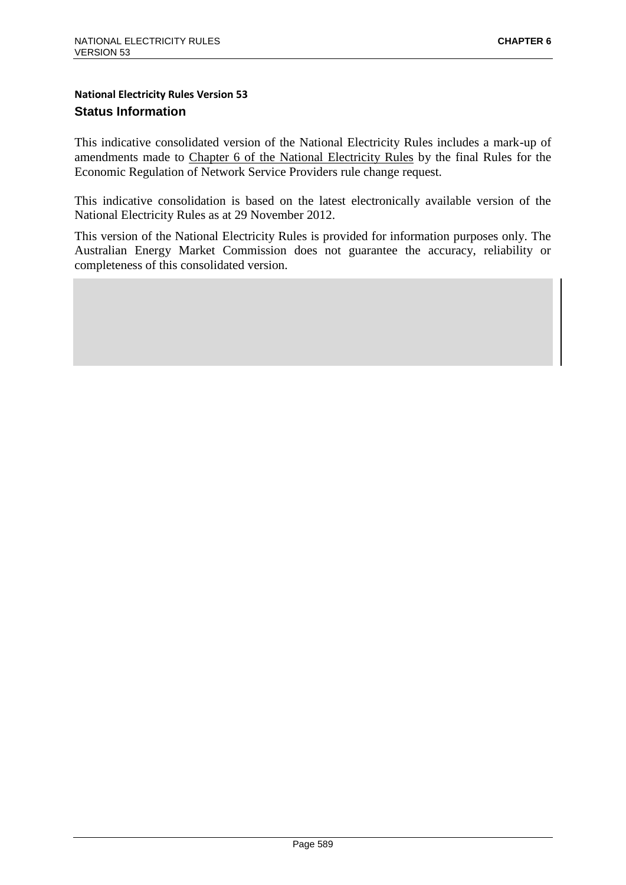# **National Electricity Rules Version 53 Status Information**

This indicative consolidated version of the National Electricity Rules includes a mark-up of amendments made to Chapter 6 of the National Electricity Rules by the final Rules for the Economic Regulation of Network Service Providers rule change request.

This indicative consolidation is based on the latest electronically available version of the National Electricity Rules as at 29 November 2012.

This version of the National Electricity Rules is provided for information purposes only. The Australian Energy Market Commission does not guarantee the accuracy, reliability or completeness of this consolidated version.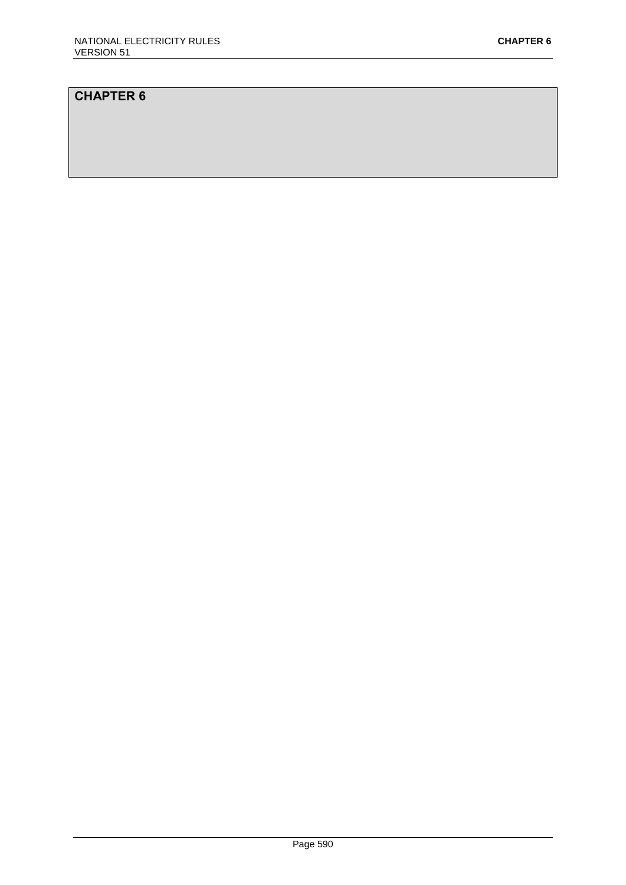# **CHAPTER 6**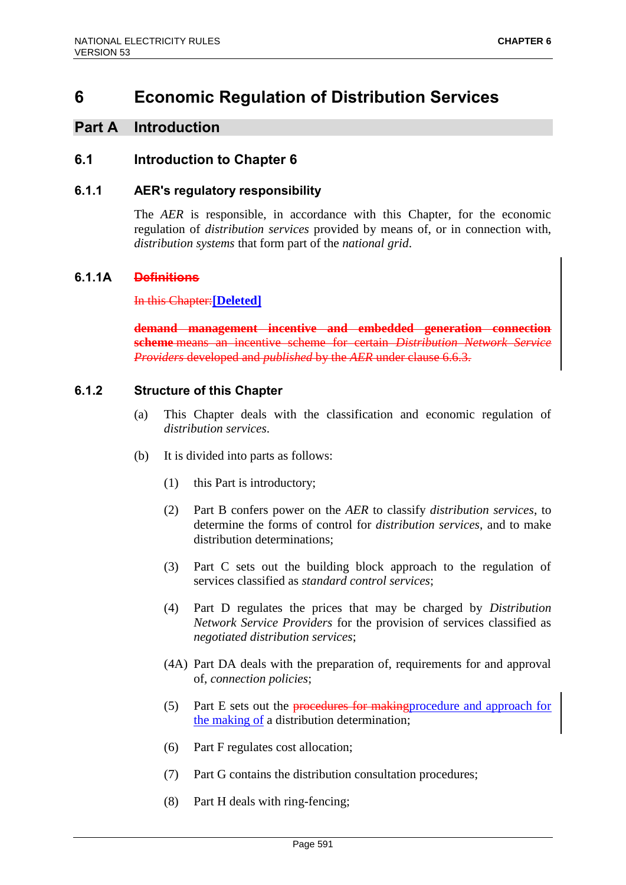# **6 Economic Regulation of Distribution Services**

# **Part A Introduction**

# **6.1 Introduction to Chapter 6**

### **6.1.1 AER's regulatory responsibility**

The *AER* is responsible, in accordance with this Chapter, for the economic regulation of *distribution services* provided by means of, or in connection with, *distribution systems* that form part of the *national grid*.

#### **6.1.1A Definitions**

In this Chapter:**[Deleted]**

**demand management incentive and embedded generation connection scheme** means an incentive scheme for certain *Distribution Network Service Providers* developed and *published* by the *AER* under clause 6.6.3.

#### **6.1.2 Structure of this Chapter**

- (a) This Chapter deals with the classification and economic regulation of *distribution services*.
- (b) It is divided into parts as follows:
	- (1) this Part is introductory;
	- (2) Part B confers power on the *AER* to classify *distribution services*, to determine the forms of control for *distribution services*, and to make distribution determinations;
	- (3) Part C sets out the building block approach to the regulation of services classified as *standard control services*;
	- (4) Part D regulates the prices that may be charged by *Distribution Network Service Providers* for the provision of services classified as *negotiated distribution services*;
	- (4A) Part DA deals with the preparation of, requirements for and approval of, *connection policies*;
	- (5) Part E sets out the procedures for making procedure and approach for the making of a distribution determination;
	- (6) Part F regulates cost allocation;
	- (7) Part G contains the distribution consultation procedures;
	- (8) Part H deals with ring-fencing;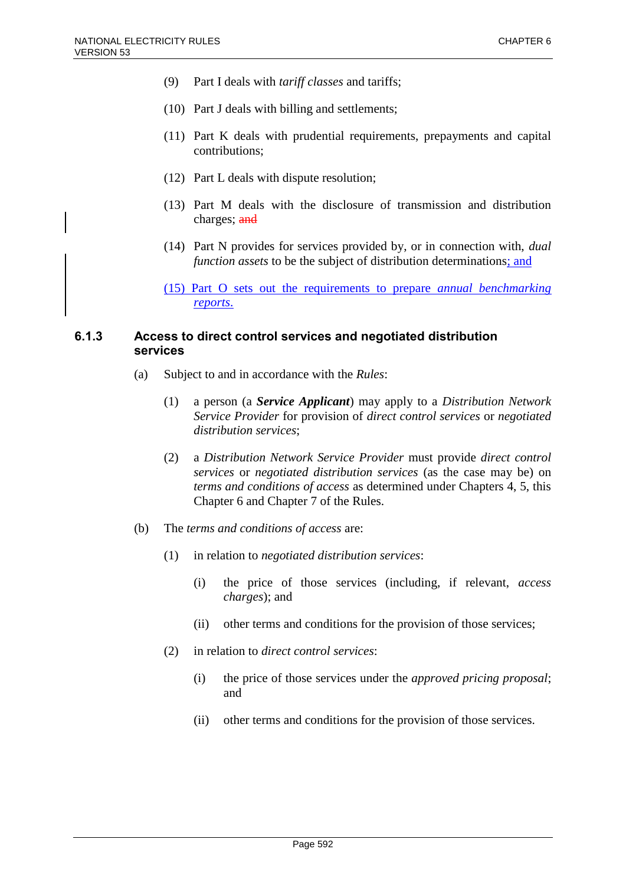- (9) Part I deals with *tariff classes* and tariffs;
- (10) Part J deals with billing and settlements;
- (11) Part K deals with prudential requirements, prepayments and capital contributions;
- (12) Part L deals with dispute resolution;
- (13) Part M deals with the disclosure of transmission and distribution charges; and
- (14) Part N provides for services provided by, or in connection with, *dual function assets* to be the subject of distribution determinations; and

### **6.1.3 Access to direct control services and negotiated distribution services**

- (a) Subject to and in accordance with the *Rules*:
	- (1) a person (a *Service Applicant*) may apply to a *Distribution Network Service Provider* for provision of *direct control services* or *negotiated distribution services*;
	- (2) a *Distribution Network Service Provider* must provide *direct control services* or *negotiated distribution services* (as the case may be) on *terms and conditions of access* as determined under Chapters 4, 5, this Chapter 6 and Chapter 7 of the Rules.
- (b) The *terms and conditions of access* are:
	- (1) in relation to *negotiated distribution services*:
		- (i) the price of those services (including, if relevant, *access charges*); and
		- (ii) other terms and conditions for the provision of those services;
	- (2) in relation to *direct control services*:
		- (i) the price of those services under the *approved pricing proposal*; and
		- (ii) other terms and conditions for the provision of those services.

<sup>(15)</sup> Part O sets out the requirements to prepare *annual benchmarking reports*.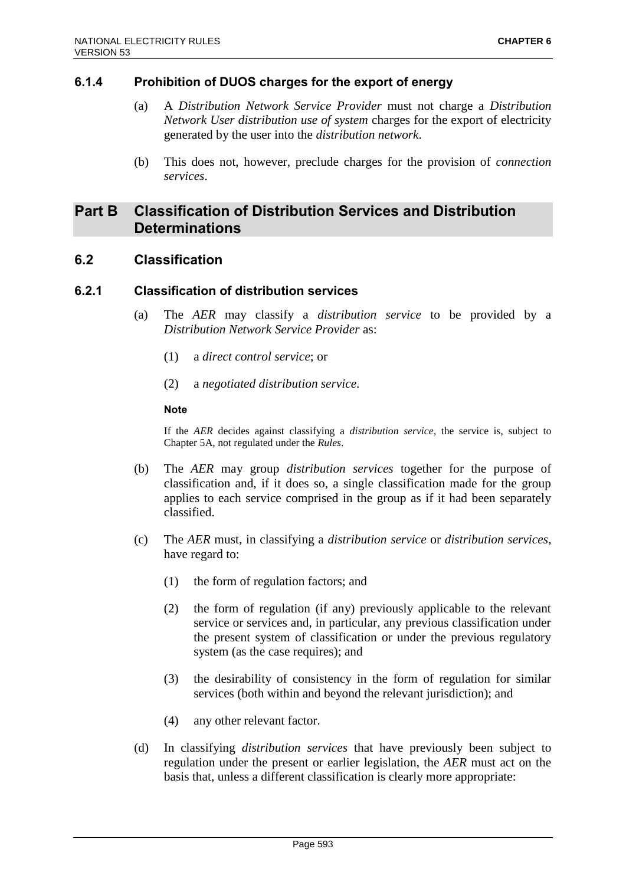### **6.1.4 Prohibition of DUOS charges for the export of energy**

- (a) A *Distribution Network Service Provider* must not charge a *Distribution Network User distribution use of system* charges for the export of electricity generated by the user into the *distribution network*.
- (b) This does not, however, preclude charges for the provision of *connection services*.

# **Part B Classification of Distribution Services and Distribution Determinations**

# **6.2 Classification**

#### **6.2.1 Classification of distribution services**

- (a) The *AER* may classify a *distribution service* to be provided by a *Distribution Network Service Provider* as:
	- (1) a *direct control service*; or
	- (2) a *negotiated distribution service*.

#### **Note**

If the *AER* decides against classifying a *distribution service*, the service is, subject to Chapter 5A, not regulated under the *Rules*.

- (b) The *AER* may group *distribution services* together for the purpose of classification and, if it does so, a single classification made for the group applies to each service comprised in the group as if it had been separately classified.
- (c) The *AER* must, in classifying a *distribution service* or *distribution services*, have regard to:
	- (1) the form of regulation factors; and
	- (2) the form of regulation (if any) previously applicable to the relevant service or services and, in particular, any previous classification under the present system of classification or under the previous regulatory system (as the case requires); and
	- (3) the desirability of consistency in the form of regulation for similar services (both within and beyond the relevant jurisdiction); and
	- (4) any other relevant factor.
- (d) In classifying *distribution services* that have previously been subject to regulation under the present or earlier legislation, the *AER* must act on the basis that, unless a different classification is clearly more appropriate: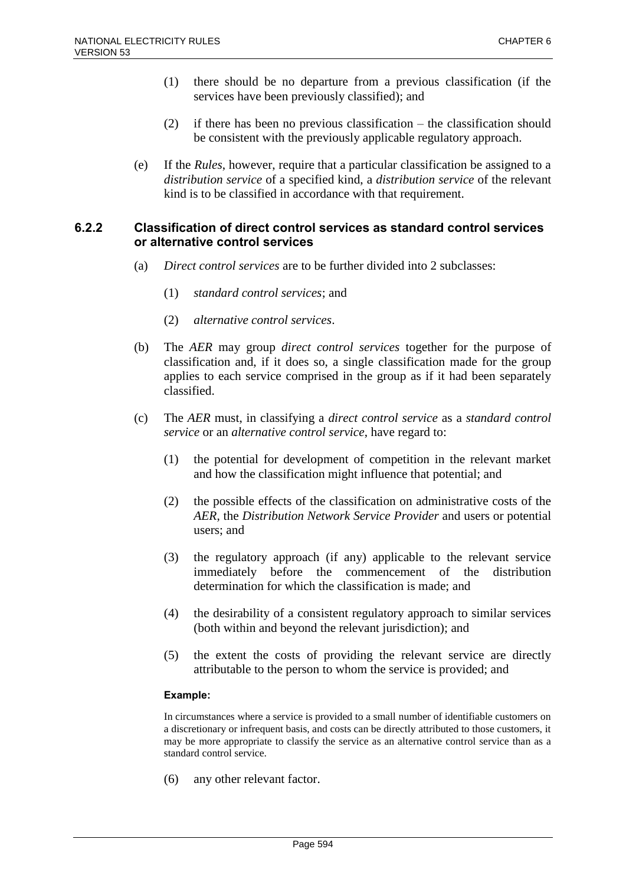- (1) there should be no departure from a previous classification (if the services have been previously classified); and
- (2) if there has been no previous classification the classification should be consistent with the previously applicable regulatory approach.
- (e) If the *Rules*, however, require that a particular classification be assigned to a *distribution service* of a specified kind, a *distribution service* of the relevant kind is to be classified in accordance with that requirement.

### **6.2.2 Classification of direct control services as standard control services or alternative control services**

- (a) *Direct control services* are to be further divided into 2 subclasses:
	- (1) *standard control services*; and
	- (2) *alternative control services*.
- (b) The *AER* may group *direct control services* together for the purpose of classification and, if it does so, a single classification made for the group applies to each service comprised in the group as if it had been separately classified.
- (c) The *AER* must, in classifying a *direct control service* as a *standard control service* or an *alternative control service*, have regard to:
	- (1) the potential for development of competition in the relevant market and how the classification might influence that potential; and
	- (2) the possible effects of the classification on administrative costs of the *AER*, the *Distribution Network Service Provider* and users or potential users; and
	- (3) the regulatory approach (if any) applicable to the relevant service immediately before the commencement of the distribution determination for which the classification is made; and
	- (4) the desirability of a consistent regulatory approach to similar services (both within and beyond the relevant jurisdiction); and
	- (5) the extent the costs of providing the relevant service are directly attributable to the person to whom the service is provided; and

#### **Example:**

In circumstances where a service is provided to a small number of identifiable customers on a discretionary or infrequent basis, and costs can be directly attributed to those customers, it may be more appropriate to classify the service as an alternative control service than as a standard control service.

(6) any other relevant factor.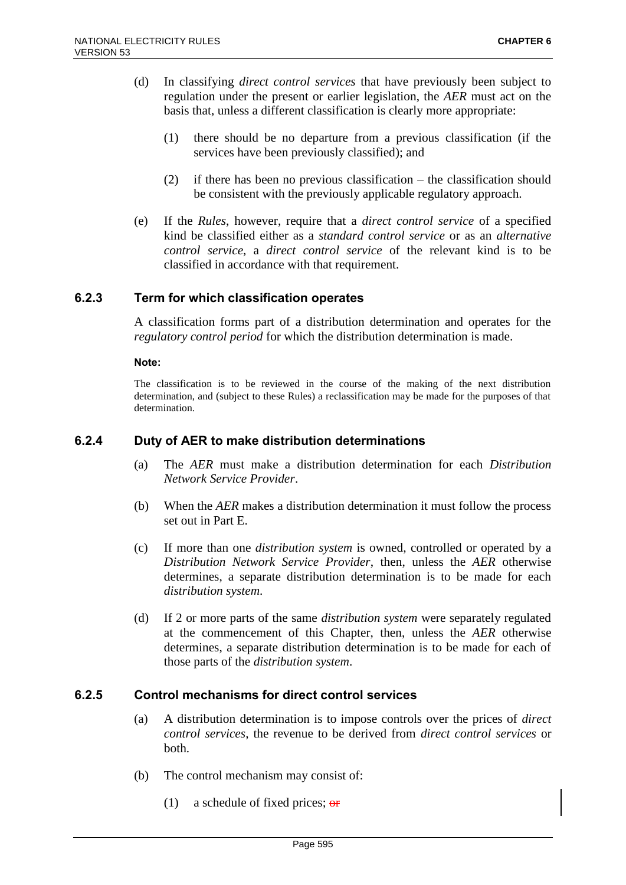- (d) In classifying *direct control services* that have previously been subject to regulation under the present or earlier legislation, the *AER* must act on the basis that, unless a different classification is clearly more appropriate:
	- (1) there should be no departure from a previous classification (if the services have been previously classified); and
	- (2) if there has been no previous classification the classification should be consistent with the previously applicable regulatory approach.
- (e) If the *Rules*, however, require that a *direct control service* of a specified kind be classified either as a *standard control service* or as an *alternative control service*, a *direct control service* of the relevant kind is to be classified in accordance with that requirement.

### **6.2.3 Term for which classification operates**

A classification forms part of a distribution determination and operates for the *regulatory control period* for which the distribution determination is made.

#### **Note:**

The classification is to be reviewed in the course of the making of the next distribution determination, and (subject to these Rules) a reclassification may be made for the purposes of that determination.

#### **6.2.4 Duty of AER to make distribution determinations**

- (a) The *AER* must make a distribution determination for each *Distribution Network Service Provider*.
- (b) When the *AER* makes a distribution determination it must follow the process set out in Part E.
- (c) If more than one *distribution system* is owned, controlled or operated by a *Distribution Network Service Provider*, then, unless the *AER* otherwise determines, a separate distribution determination is to be made for each *distribution system*.
- (d) If 2 or more parts of the same *distribution system* were separately regulated at the commencement of this Chapter, then, unless the *AER* otherwise determines, a separate distribution determination is to be made for each of those parts of the *distribution system*.

#### **6.2.5 Control mechanisms for direct control services**

- (a) A distribution determination is to impose controls over the prices of *direct control services*, the revenue to be derived from *direct control services* or both.
- (b) The control mechanism may consist of:
	- (1) a schedule of fixed prices;  $\theta$ **F**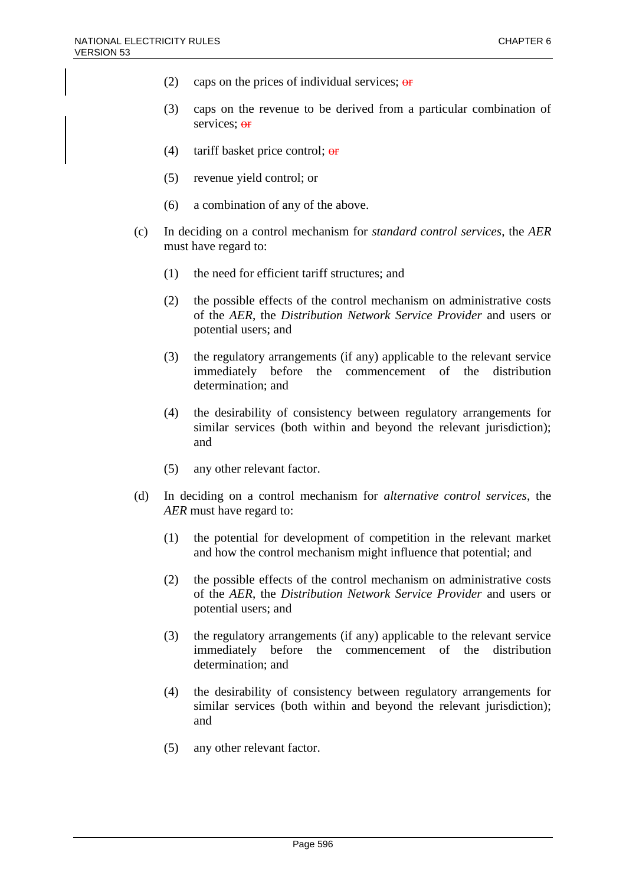- (2) caps on the prices of individual services;  $\theta$
- (3) caps on the revenue to be derived from a particular combination of services; or
- (4) tariff basket price control;  $\theta$ **F**
- (5) revenue yield control; or
- (6) a combination of any of the above.
- (c) In deciding on a control mechanism for *standard control services*, the *AER* must have regard to:
	- (1) the need for efficient tariff structures; and
	- (2) the possible effects of the control mechanism on administrative costs of the *AER*, the *Distribution Network Service Provider* and users or potential users; and
	- (3) the regulatory arrangements (if any) applicable to the relevant service immediately before the commencement of the distribution determination; and
	- (4) the desirability of consistency between regulatory arrangements for similar services (both within and beyond the relevant jurisdiction); and
	- (5) any other relevant factor.
- (d) In deciding on a control mechanism for *alternative control services*, the *AER* must have regard to:
	- (1) the potential for development of competition in the relevant market and how the control mechanism might influence that potential; and
	- (2) the possible effects of the control mechanism on administrative costs of the *AER*, the *Distribution Network Service Provider* and users or potential users; and
	- (3) the regulatory arrangements (if any) applicable to the relevant service immediately before the commencement of the distribution determination; and
	- (4) the desirability of consistency between regulatory arrangements for similar services (both within and beyond the relevant jurisdiction); and
	- (5) any other relevant factor.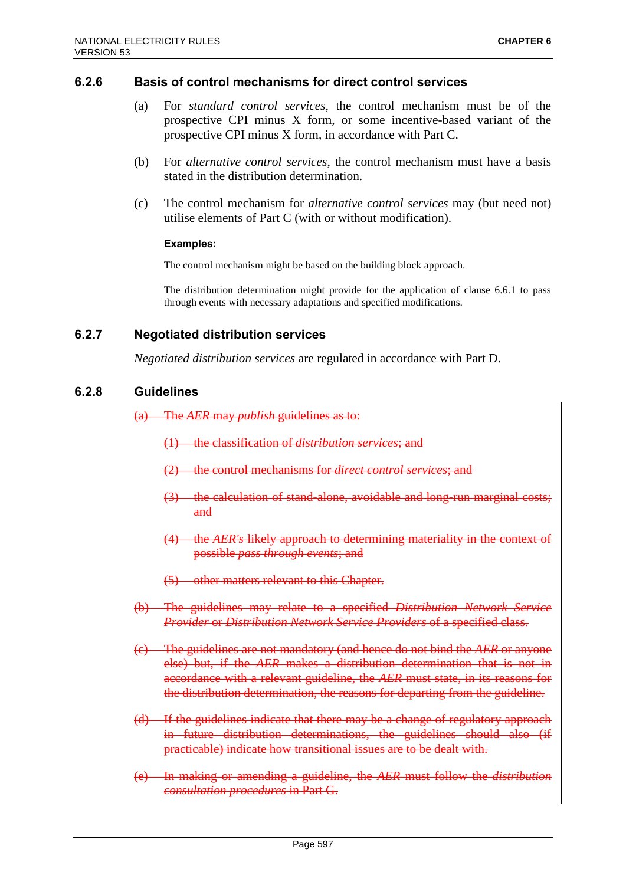#### **6.2.6 Basis of control mechanisms for direct control services**

- (a) For *standard control services*, the control mechanism must be of the prospective CPI minus X form, or some incentive-based variant of the prospective CPI minus X form, in accordance with Part C.
- (b) For *alternative control services*, the control mechanism must have a basis stated in the distribution determination.
- (c) The control mechanism for *alternative control services* may (but need not) utilise elements of Part C (with or without modification).

#### **Examples:**

The control mechanism might be based on the building block approach.

The distribution determination might provide for the application of clause 6.6.1 to pass through events with necessary adaptations and specified modifications.

#### **6.2.7 Negotiated distribution services**

*Negotiated distribution services* are regulated in accordance with Part D.

#### **6.2.8 Guidelines**

(a) The *AER* may *publish* guidelines as to:

- (1) the classification of *distribution services*; and
- (2) the control mechanisms for *direct control services*; and
- (3) the calculation of stand-alone, avoidable and long-run marginal costs; and
- (4) the *AER's* likely approach to determining materiality in the context of possible *pass through events*; and
- (5) other matters relevant to this Chapter.
- (b) The guidelines may relate to a specified *Distribution Network Service Provider* or *Distribution Network Service Providers* of a specified class.
- (c) The guidelines are not mandatory (and hence do not bind the *AER* or anyone else) but, if the *AER* makes a distribution determination that is not in accordance with a relevant guideline, the *AER* must state, in its reasons for the distribution determination, the reasons for departing from the guideline.
- (d) If the guidelines indicate that there may be a change of regulatory approach in future distribution determinations, the guidelines should also (if practicable) indicate how transitional issues are to be dealt with.
- (e) In making or amending a guideline, the *AER* must follow the *distribution consultation procedures* in Part G.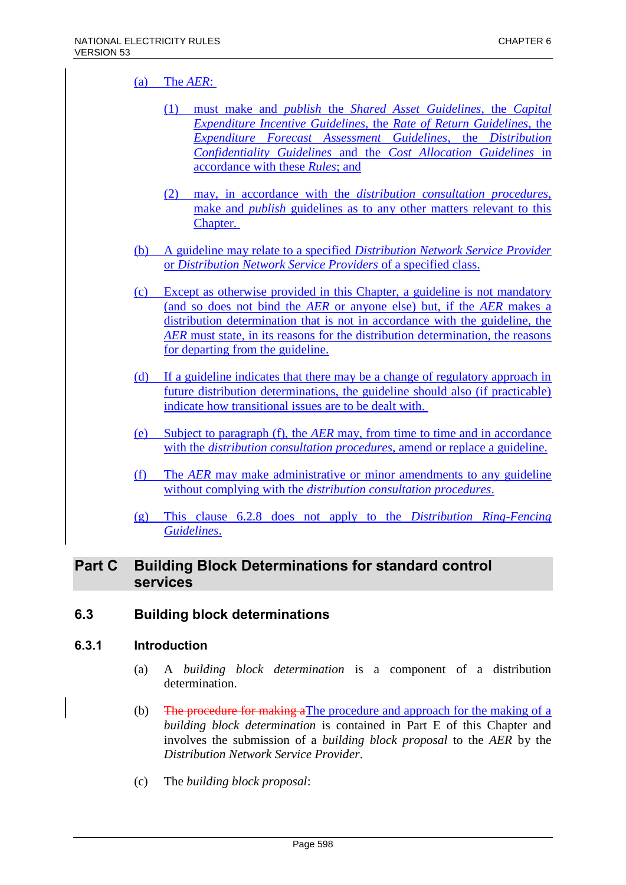# (a) The *AER*:

- (1) must make and *publish* the *Shared Asset Guidelines*, the *Capital Expenditure Incentive Guidelines*, the *Rate of Return Guidelines*, the *Expenditure Forecast Assessment Guidelines*, the *Distribution Confidentiality Guidelines* and the *Cost Allocation Guidelines* in accordance with these *Rules*; and
- (2) may, in accordance with the *distribution consultation procedures*, make and *publish* guidelines as to any other matters relevant to this Chapter.
- (b) A guideline may relate to a specified *Distribution Network Service Provider* or *Distribution Network Service Providers* of a specified class.
- (c) Except as otherwise provided in this Chapter, a guideline is not mandatory (and so does not bind the *AER* or anyone else) but, if the *AER* makes a distribution determination that is not in accordance with the guideline, the *AER* must state, in its reasons for the distribution determination, the reasons for departing from the guideline.
- (d) If a guideline indicates that there may be a change of regulatory approach in future distribution determinations, the guideline should also (if practicable) indicate how transitional issues are to be dealt with.
- (e) Subject to paragraph (f), the *AER* may, from time to time and in accordance with the *distribution consultation procedures*, amend or replace a guideline.
- (f) The *AER* may make administrative or minor amendments to any guideline without complying with the *distribution consultation procedures*.
- (g) This clause 6.2.8 does not apply to the *Distribution Ring-Fencing Guidelines*.

# **Part C Building Block Determinations for standard control services**

# **6.3 Building block determinations**

#### **6.3.1 Introduction**

- (a) A *building block determination* is a component of a distribution determination.
- (b) The procedure for making aThe procedure and approach for the making of a *building block determination* is contained in Part E of this Chapter and involves the submission of a *building block proposal* to the *AER* by the *Distribution Network Service Provider*.
- (c) The *building block proposal*: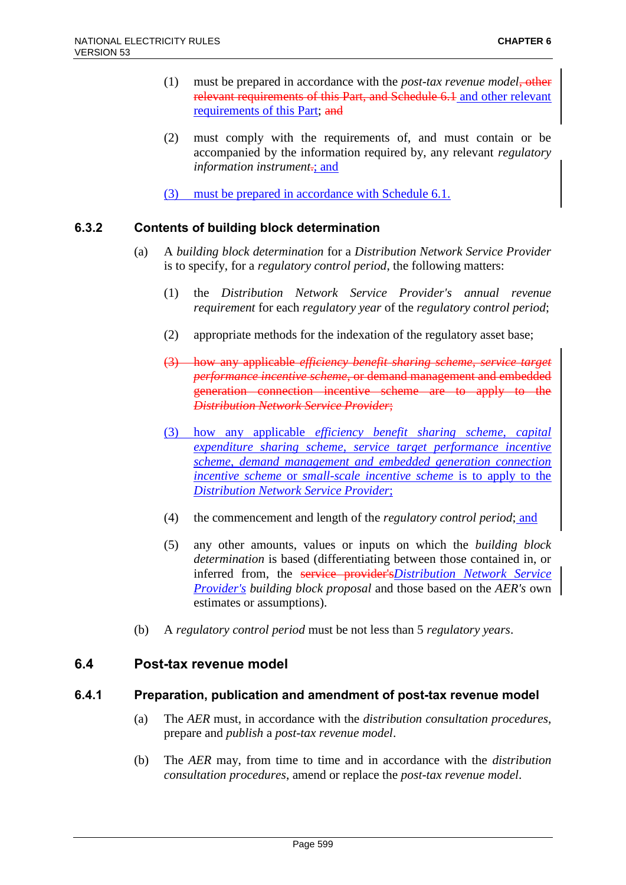- (1) must be prepared in accordance with the *post-tax revenue model*, other relevant requirements of this Part, and Schedule 6.1 and other relevant requirements of this Part; and
- (2) must comply with the requirements of, and must contain or be accompanied by the information required by, any relevant *regulatory information instrument*.; and
- (3) must be prepared in accordance with Schedule 6.1.

# **6.3.2 Contents of building block determination**

- (a) A *building block determination* for a *Distribution Network Service Provider* is to specify, for a *regulatory control period*, the following matters:
	- (1) the *Distribution Network Service Provider's annual revenue requirement* for each *regulatory year* of the *regulatory control period*;
	- (2) appropriate methods for the indexation of the regulatory asset base;
	- (3) how any applicable *efficiency benefit sharing scheme*, *service target performance incentive scheme*, or demand management and embedded generation connection incentive scheme are to apply to the *Distribution Network Service Provider*;
	- (3) how any applicable *efficiency benefit sharing scheme*, *capital expenditure sharing scheme*, *service target performance incentive scheme*, *demand management and embedded generation connection incentive scheme* or *small-scale incentive scheme* is to apply to the *Distribution Network Service Provider*;
	- (4) the commencement and length of the *regulatory control period*; and
	- (5) any other amounts, values or inputs on which the *building block determination* is based (differentiating between those contained in, or inferred from, the service provider's*Distribution Network Service Provider's building block proposal* and those based on the *AER's* own estimates or assumptions).
- (b) A *regulatory control period* must be not less than 5 *regulatory years*.

### **6.4 Post-tax revenue model**

### **6.4.1 Preparation, publication and amendment of post-tax revenue model**

- (a) The *AER* must, in accordance with the *distribution consultation procedures*, prepare and *publish* a *post-tax revenue model*.
- (b) The *AER* may, from time to time and in accordance with the *distribution consultation procedures*, amend or replace the *post-tax revenue model*.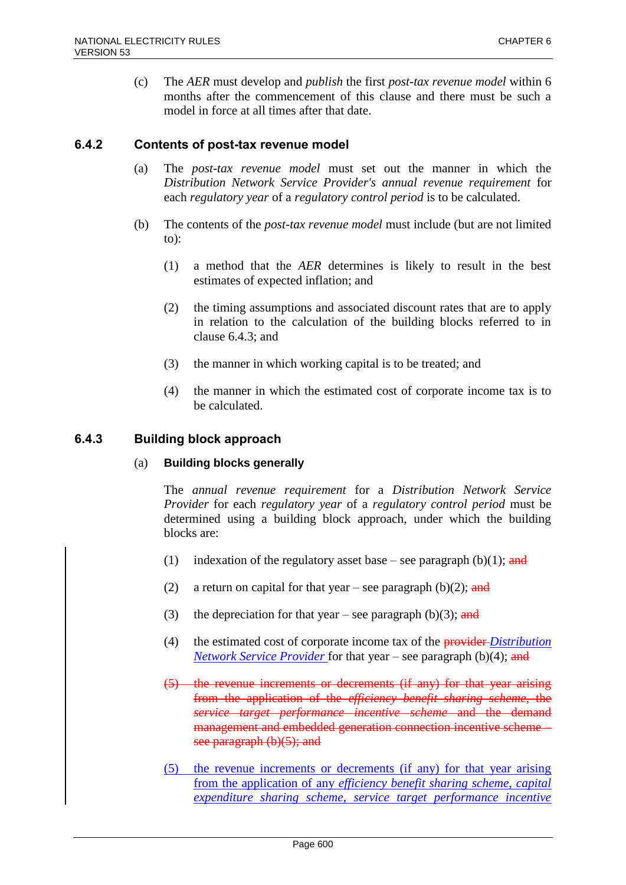(c) The *AER* must develop and *publish* the first *post-tax revenue model* within 6 months after the commencement of this clause and there must be such a model in force at all times after that date.

#### **6.4.2 Contents of post-tax revenue model**

- (a) The *post-tax revenue model* must set out the manner in which the *Distribution Network Service Provider's annual revenue requirement* for each *regulatory year* of a *regulatory control period* is to be calculated.
- (b) The contents of the *post-tax revenue model* must include (but are not limited to):
	- (1) a method that the *AER* determines is likely to result in the best estimates of expected inflation; and
	- (2) the timing assumptions and associated discount rates that are to apply in relation to the calculation of the building blocks referred to in clause 6.4.3; and
	- (3) the manner in which working capital is to be treated; and
	- (4) the manner in which the estimated cost of corporate income tax is to be calculated.

#### **6.4.3 Building block approach**

#### (a) **Building blocks generally**

The *annual revenue requirement* for a *Distribution Network Service Provider* for each *regulatory year* of a *regulatory control period* must be determined using a building block approach, under which the building blocks are:

- (1) indexation of the regulatory asset base see paragraph (b)(1); and
- (2) a return on capital for that year see paragraph (b)(2); and
- (3) the depreciation for that year see paragraph (b)(3); and
- (4) the estimated cost of corporate income tax of the provider *Distribution Network Service Provider* for that year – see paragraph (b)(4); and
- (5) the revenue increments or decrements (if any) for that year arising from the application of the *efficiency benefit sharing scheme*, the *service target performance incentive scheme* and the demand management and embedded generation connection incentive scheme – see paragraph  $(b)(5)$ ; and
- (5) the revenue increments or decrements (if any) for that year arising from the application of any *efficiency benefit sharing scheme*, *capital expenditure sharing scheme*, *service target performance incentive*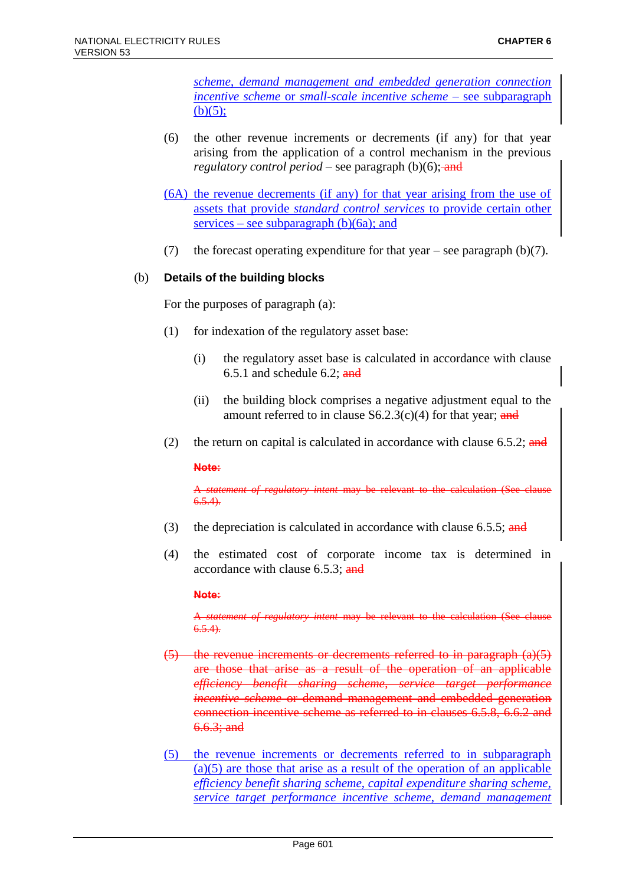*scheme*, *demand management and embedded generation connection incentive scheme* or *small-scale incentive scheme* – see subparagraph  $(b)(5);$ 

- (6) the other revenue increments or decrements (if any) for that year arising from the application of a control mechanism in the previous *regulatory control period* – see paragraph  $(b)(6)$ ; and
- (6A) the revenue decrements (if any) for that year arising from the use of assets that provide *standard control services* to provide certain other services – see subparagraph  $(b)(6a)$ ; and
- (7) the forecast operating expenditure for that year see paragraph  $(b)(7)$ .

#### (b) **Details of the building blocks**

For the purposes of paragraph (a):

- (1) for indexation of the regulatory asset base:
	- (i) the regulatory asset base is calculated in accordance with clause 6.5.1 and schedule 6.2;  $\frac{and}{end}$
	- (ii) the building block comprises a negative adjustment equal to the amount referred to in clause  $S6.2.3(c)(4)$  for that year; and
- (2) the return on capital is calculated in accordance with clause  $6.5.2$ ; and

**Note:**

A *statement of regulatory intent* may be relevant to the calculation (See clause  $6.5.4$ ).

- (3) the depreciation is calculated in accordance with clause 6.5.5; and
- (4) the estimated cost of corporate income tax is determined in accordance with clause 6.5.3; and

**Note:**

A *statement of regulatory intent* may be relevant to the calculation (See clause  $6.5.4$ 

- $(5)$  the revenue increments or decrements referred to in paragraph  $(a)(5)$ are those that arise as a result of the operation of an applicable *efficiency benefit sharing scheme*, *service target performance incentive scheme* or demand management and embedded generation connection incentive scheme as referred to in clauses 6.5.8, 6.6.2 and  $6.6.3;$  and
- (5) the revenue increments or decrements referred to in subparagraph  $(a)(5)$  are those that arise as a result of the operation of an applicable *efficiency benefit sharing scheme*, *capital expenditure sharing scheme*, *service target performance incentive scheme*, *demand management*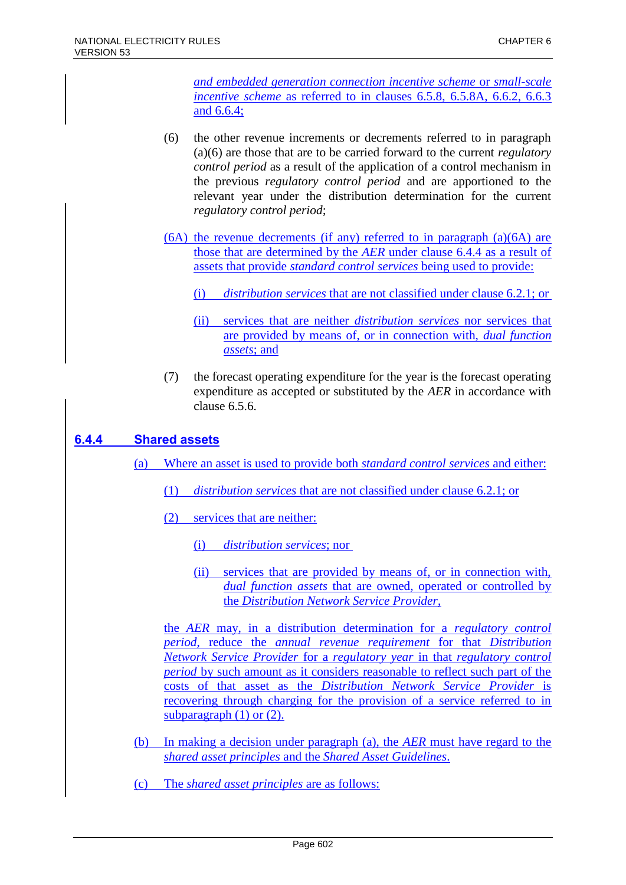*and embedded generation connection incentive scheme* or *small-scale incentive scheme* as referred to in clauses 6.5.8, 6.5.8A, 6.6.2, 6.6.3 and 6.6.4;

- (6) the other revenue increments or decrements referred to in paragraph (a)(6) are those that are to be carried forward to the current *regulatory control period* as a result of the application of a control mechanism in the previous *regulatory control period* and are apportioned to the relevant year under the distribution determination for the current *regulatory control period*;
- (6A) the revenue decrements (if any) referred to in paragraph (a)(6A) are those that are determined by the *AER* under clause 6.4.4 as a result of assets that provide *standard control services* being used to provide:
	- (i) *distribution services* that are not classified under clause 6.2.1; or
	- (ii) services that are neither *distribution services* nor services that are provided by means of, or in connection with, *dual function assets*; and
- (7) the forecast operating expenditure for the year is the forecast operating expenditure as accepted or substituted by the *AER* in accordance with clause 6.5.6.

# **6.4.4 Shared assets**

- (a) Where an asset is used to provide both *standard control services* and either:
	- (1) *distribution services* that are not classified under clause 6.2.1; or
	- (2) services that are neither:
		- (i) *distribution services*; nor
		- (ii) services that are provided by means of, or in connection with, *dual function assets* that are owned, operated or controlled by the *Distribution Network Service Provider*,

the *AER* may, in a distribution determination for a *regulatory control period*, reduce the *annual revenue requirement* for that *Distribution Network Service Provider* for a *regulatory year* in that *regulatory control period* by such amount as it considers reasonable to reflect such part of the costs of that asset as the *Distribution Network Service Provider* is recovering through charging for the provision of a service referred to in subparagraph (1) or (2).

- (b) In making a decision under paragraph (a), the *AER* must have regard to the *shared asset principles* and the *Shared Asset Guidelines*.
- (c) The *shared asset principles* are as follows: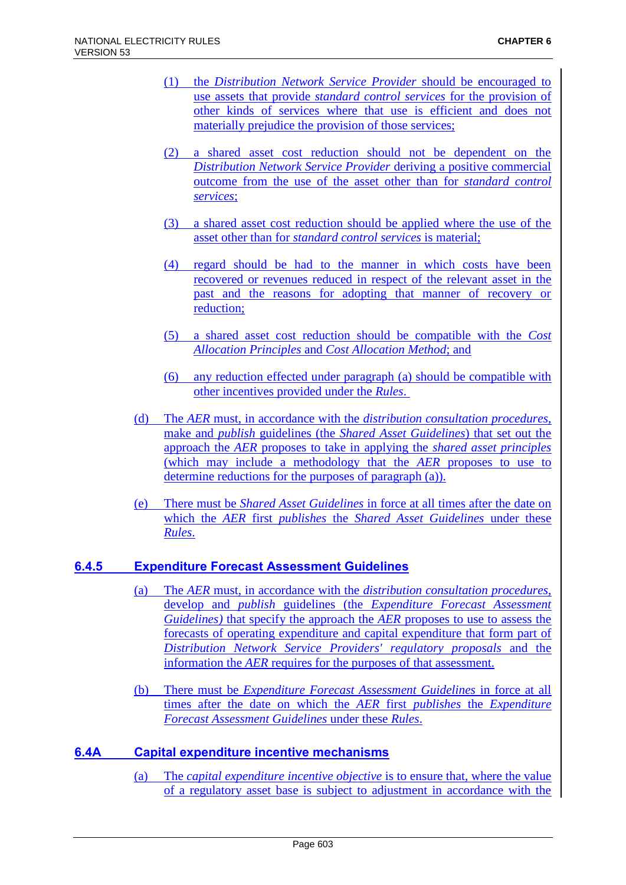- (1) the *Distribution Network Service Provider* should be encouraged to use assets that provide *standard control services* for the provision of other kinds of services where that use is efficient and does not materially prejudice the provision of those services;
- (2) a shared asset cost reduction should not be dependent on the *Distribution Network Service Provider* deriving a positive commercial outcome from the use of the asset other than for *standard control services*;
- (3) a shared asset cost reduction should be applied where the use of the asset other than for *standard control services* is material;
- (4) regard should be had to the manner in which costs have been recovered or revenues reduced in respect of the relevant asset in the past and the reasons for adopting that manner of recovery or reduction;
- (5) a shared asset cost reduction should be compatible with the *Cost Allocation Principles* and *Cost Allocation Method*; and
- (6) any reduction effected under paragraph (a) should be compatible with other incentives provided under the *Rules*.
- (d) The *AER* must, in accordance with the *distribution consultation procedures*, make and *publish* guidelines (the *Shared Asset Guidelines*) that set out the approach the *AER* proposes to take in applying the *shared asset principles* (which may include a methodology that the *AER* proposes to use to determine reductions for the purposes of paragraph (a)).
- (e) There must be *Shared Asset Guidelines* in force at all times after the date on which the *AER* first *publishes* the *Shared Asset Guidelines* under these *Rules*.

### **6.4.5 Expenditure Forecast Assessment Guidelines**

- (a) The *AER* must, in accordance with the *distribution consultation procedures*, develop and *publish* guidelines (the *Expenditure Forecast Assessment Guidelines)* that specify the approach the *AER* proposes to use to assess the forecasts of operating expenditure and capital expenditure that form part of *Distribution Network Service Providers' regulatory proposals* and the information the *AER* requires for the purposes of that assessment.
- (b) There must be *Expenditure Forecast Assessment Guidelines* in force at all times after the date on which the *AER* first *publishes* the *Expenditure Forecast Assessment Guidelines* under these *Rules*.

### **6.4A Capital expenditure incentive mechanisms**

(a) The *capital expenditure incentive objective* is to ensure that, where the value of a regulatory asset base is subject to adjustment in accordance with the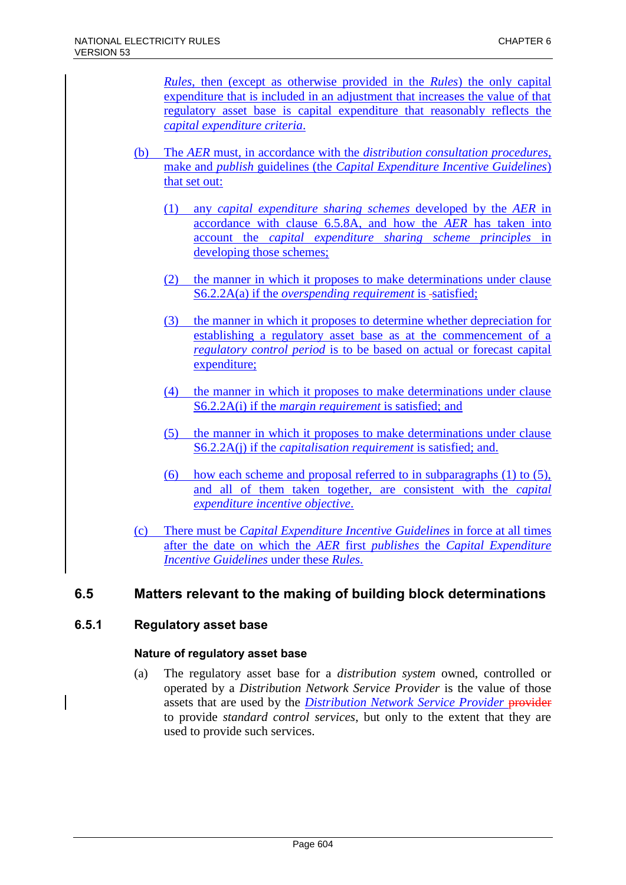*Rules*, then (except as otherwise provided in the *Rules*) the only capital expenditure that is included in an adjustment that increases the value of that regulatory asset base is capital expenditure that reasonably reflects the *capital expenditure criteria*.

- (b) The *AER* must, in accordance with the *distribution consultation procedures*, make and *publish* guidelines (the *Capital Expenditure Incentive Guidelines*) that set out:
	- (1) any *capital expenditure sharing schemes* developed by the *AER* in accordance with clause 6.5.8A, and how the *AER* has taken into account the *capital expenditure sharing scheme principles* in developing those schemes;
	- (2) the manner in which it proposes to make determinations under clause S6.2.2A(a) if the *overspending requirement* is -satisfied;
	- (3) the manner in which it proposes to determine whether depreciation for establishing a regulatory asset base as at the commencement of a *regulatory control period* is to be based on actual or forecast capital expenditure;
	- (4) the manner in which it proposes to make determinations under clause S6.2.2A(i) if the *margin requirement* is satisfied; and
	- (5) the manner in which it proposes to make determinations under clause S6.2.2A(j) if the *capitalisation requirement* is satisfied; and.
	- (6) how each scheme and proposal referred to in subparagraphs  $(1)$  to  $(5)$ , and all of them taken together, are consistent with the *capital expenditure incentive objective*.
- (c) There must be *Capital Expenditure Incentive Guidelines* in force at all times after the date on which the *AER* first *publishes* the *Capital Expenditure Incentive Guidelines* under these *Rules*.

# **6.5 Matters relevant to the making of building block determinations**

### **6.5.1 Regulatory asset base**

### **Nature of regulatory asset base**

(a) The regulatory asset base for a *distribution system* owned, controlled or operated by a *Distribution Network Service Provider* is the value of those assets that are used by the *Distribution Network Service Provider* provider to provide *standard control services*, but only to the extent that they are used to provide such services.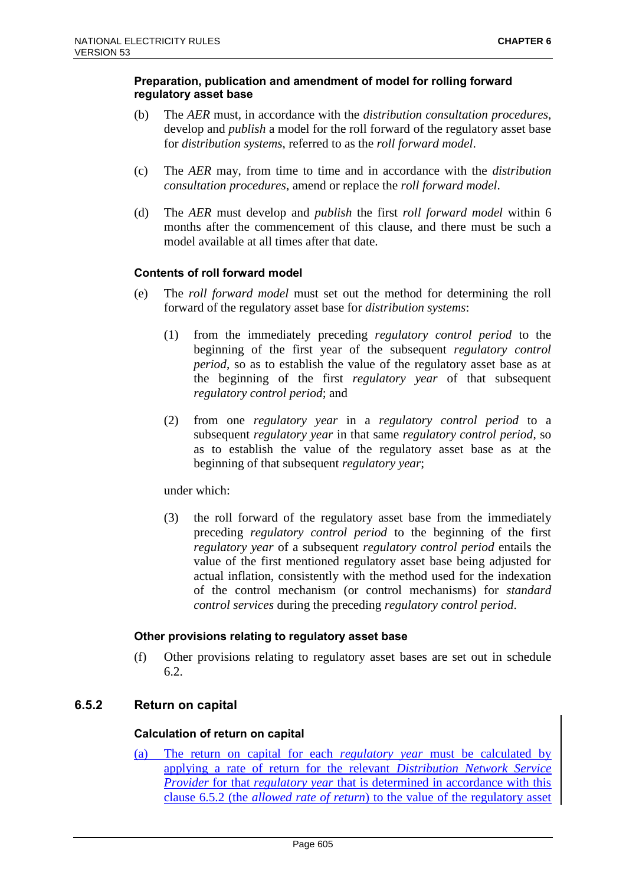#### **Preparation, publication and amendment of model for rolling forward regulatory asset base**

- (b) The *AER* must, in accordance with the *distribution consultation procedures*, develop and *publish* a model for the roll forward of the regulatory asset base for *distribution systems*, referred to as the *roll forward model*.
- (c) The *AER* may, from time to time and in accordance with the *distribution consultation procedures*, amend or replace the *roll forward model*.
- (d) The *AER* must develop and *publish* the first *roll forward model* within 6 months after the commencement of this clause, and there must be such a model available at all times after that date.

#### **Contents of roll forward model**

- (e) The *roll forward model* must set out the method for determining the roll forward of the regulatory asset base for *distribution systems*:
	- (1) from the immediately preceding *regulatory control period* to the beginning of the first year of the subsequent *regulatory control period*, so as to establish the value of the regulatory asset base as at the beginning of the first *regulatory year* of that subsequent *regulatory control period*; and
	- (2) from one *regulatory year* in a *regulatory control period* to a subsequent *regulatory year* in that same *regulatory control period*, so as to establish the value of the regulatory asset base as at the beginning of that subsequent *regulatory year*;

#### under which:

(3) the roll forward of the regulatory asset base from the immediately preceding *regulatory control period* to the beginning of the first *regulatory year* of a subsequent *regulatory control period* entails the value of the first mentioned regulatory asset base being adjusted for actual inflation, consistently with the method used for the indexation of the control mechanism (or control mechanisms) for *standard control services* during the preceding *regulatory control period*.

#### **Other provisions relating to regulatory asset base**

(f) Other provisions relating to regulatory asset bases are set out in schedule 6.2.

### **6.5.2 Return on capital**

#### **Calculation of return on capital**

(a) The return on capital for each *regulatory year* must be calculated by applying a rate of return for the relevant *Distribution Network Service Provider* for that *regulatory year* that is determined in accordance with this clause 6.5.2 (the *allowed rate of return*) to the value of the regulatory asset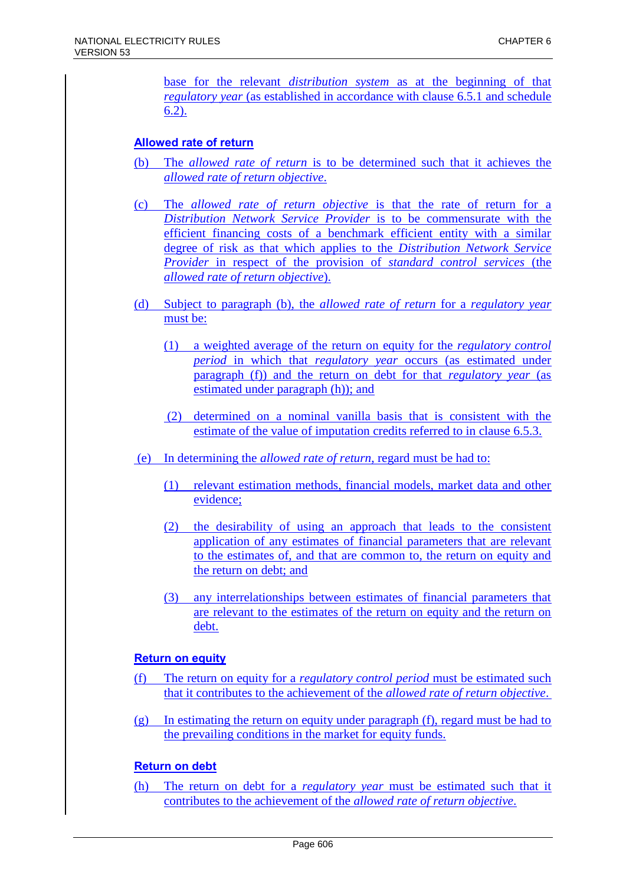base for the relevant *distribution system* as at the beginning of that *regulatory year* (as established in accordance with clause 6.5.1 and schedule 6.2).

#### **Allowed rate of return**

- (b) The *allowed rate of return* is to be determined such that it achieves the *allowed rate of return objective*.
- (c) The *allowed rate of return objective* is that the rate of return for a *Distribution Network Service Provider* is to be commensurate with the efficient financing costs of a benchmark efficient entity with a similar degree of risk as that which applies to the *Distribution Network Service Provider* in respect of the provision of *standard control services* (the *allowed rate of return objective*).
- (d) Subject to paragraph (b), the *allowed rate of return* for a *regulatory year* must be:
	- (1) a weighted average of the return on equity for the *regulatory control period* in which that *regulatory year* occurs (as estimated under paragraph (f)) and the return on debt for that *regulatory year* (as estimated under paragraph (h)); and
	- (2) determined on a nominal vanilla basis that is consistent with the estimate of the value of imputation credits referred to in clause 6.5.3.
- (e) In determining the *allowed rate of return*, regard must be had to:
	- (1) relevant estimation methods, financial models, market data and other evidence;
	- (2) the desirability of using an approach that leads to the consistent application of any estimates of financial parameters that are relevant to the estimates of, and that are common to, the return on equity and the return on debt; and
	- (3) any interrelationships between estimates of financial parameters that are relevant to the estimates of the return on equity and the return on debt.

#### **Return on equity**

- (f) The return on equity for a *regulatory control period* must be estimated such that it contributes to the achievement of the *allowed rate of return objective*.
- (g) In estimating the return on equity under paragraph (f), regard must be had to the prevailing conditions in the market for equity funds.

### **Return on debt**

(h) The return on debt for a *regulatory year* must be estimated such that it contributes to the achievement of the *allowed rate of return objective*.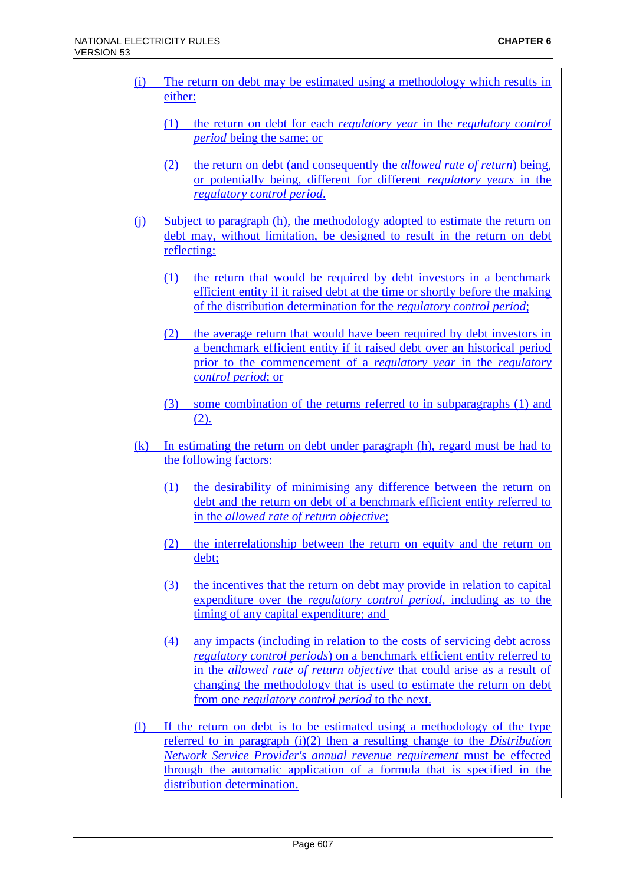- (i) The return on debt may be estimated using a methodology which results in either:
	- (1) the return on debt for each *regulatory year* in the *regulatory control period* being the same; or
	- (2) the return on debt (and consequently the *allowed rate of return*) being, or potentially being, different for different *regulatory years* in the *regulatory control period*.
- (j) Subject to paragraph (h), the methodology adopted to estimate the return on debt may, without limitation, be designed to result in the return on debt reflecting:
	- (1) the return that would be required by debt investors in a benchmark efficient entity if it raised debt at the time or shortly before the making of the distribution determination for the *regulatory control period*;
	- (2) the average return that would have been required by debt investors in a benchmark efficient entity if it raised debt over an historical period prior to the commencement of a *regulatory year* in the *regulatory control period*; or
	- (3) some combination of the returns referred to in subparagraphs (1) and (2).
- (k) In estimating the return on debt under paragraph (h), regard must be had to the following factors:
	- (1) the desirability of minimising any difference between the return on debt and the return on debt of a benchmark efficient entity referred to in the *allowed rate of return objective*;
	- (2) the interrelationship between the return on equity and the return on debt;
	- (3) the incentives that the return on debt may provide in relation to capital expenditure over the *regulatory control period*, including as to the timing of any capital expenditure; and
	- (4) any impacts (including in relation to the costs of servicing debt across *regulatory control periods*) on a benchmark efficient entity referred to in the *allowed rate of return objective* that could arise as a result of changing the methodology that is used to estimate the return on debt from one *regulatory control period* to the next.
- (l) If the return on debt is to be estimated using a methodology of the type referred to in paragraph (i)(2) then a resulting change to the *Distribution Network Service Provider's annual revenue requirement* must be effected through the automatic application of a formula that is specified in the distribution determination.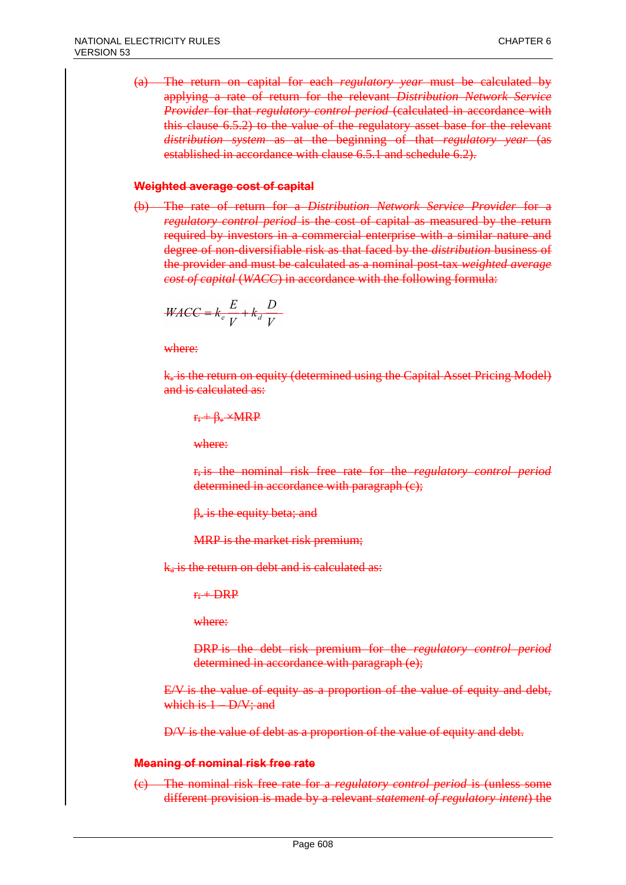(a) The return on capital for each *regulatory year* must be calculated by applying a rate of return for the relevant *Distribution Network Service Provider* for that *regulatory control period* (calculated in accordance with this clause 6.5.2) to the value of the regulatory asset base for the relevant *distribution system* as at the beginning of that *regulatory year* (as established in accordance with clause 6.5.1 and schedule 6.2).

#### **Weighted average cost of capital**

(b) The rate of return for a *Distribution Network Service Provider* for a *regulatory control period* is the cost of capital as measured by the return required by investors in a commercial enterprise with a similar nature and degree of non-diversifiable risk as that faced by the *distribution* business of the provider and must be calculated as a nominal post-tax *weighted average cost of capital* (*WACC*) in accordance with the following formula:

$$
\frac{WACC = k_e \frac{E}{V} + k_d \frac{D}{V}}{}
$$

where:

 $k_e$  is the return on equity (determined using the Capital Asset Pricing Model) and is calculated as:

 $r_f + \beta_e \times MRP$ 

where:

r<sup>f</sup> is the nominal risk free rate for the *regulatory control period* determined in accordance with paragraph (c);

 $\beta_e$  is the equity beta; and

MRP is the market risk premium;

 $k_d$  is the return on debt and is calculated as:

 $F_f$  + DRP

where:

DRP is the debt risk premium for the *regulatory control period* determined in accordance with paragraph (e);

E/V is the value of equity as a proportion of the value of equity and debt, which is  $1 - D/V$ ; and

D/V is the value of debt as a proportion of the value of equity and debt.

#### **Meaning of nominal risk free rate**

(c) The nominal risk free rate for a *regulatory control period* is (unless some different provision is made by a relevant *statement of regulatory intent*) the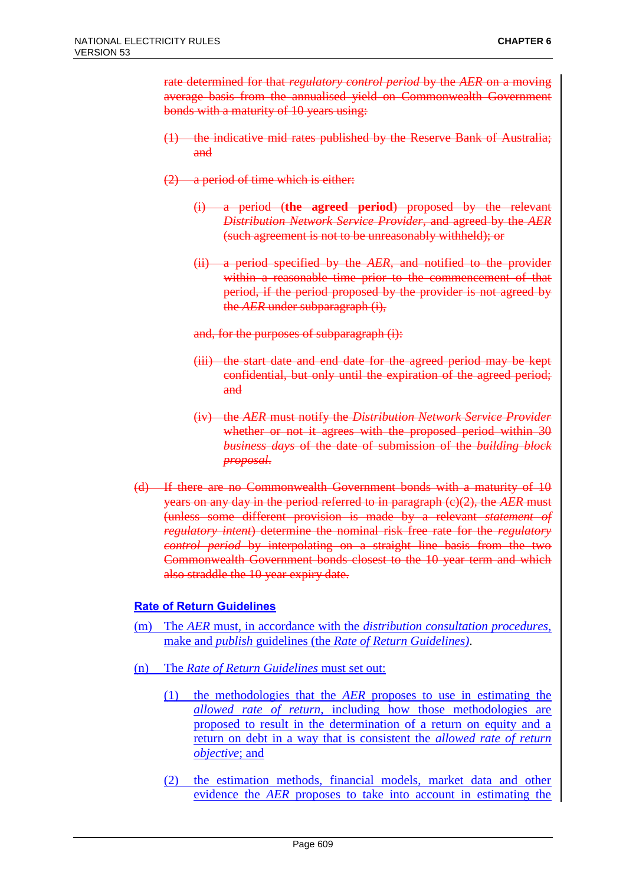rate determined for that *regulatory control period* by the *AER* on a moving average basis from the annualised yield on Commonwealth Government bonds with a maturity of 10 years using:

- (1) the indicative mid rates published by the Reserve Bank of Australia; and
- (2) a period of time which is either:
	- (i) a period (**the agreed period**) proposed by the relevant *Distribution Network Service Provider*, and agreed by the *AER* (such agreement is not to be unreasonably withheld); or
	- (ii) a period specified by the *AER*, and notified to the provider within a reasonable time prior to the commencement of that period, if the period proposed by the provider is not agreed by the *AER* under subparagraph (i),

and, for the purposes of subparagraph (i):

- (iii) the start date and end date for the agreed period may be kept confidential, but only until the expiration of the agreed period; and
- (iv) the *AER* must notify the *Distribution Network Service Provider* whether or not it agrees with the proposed period within 30 *business days* of the date of submission of the *building block proposal*.
- (d) If there are no Commonwealth Government bonds with a maturity of 10 years on any day in the period referred to in paragraph (c)(2), the *AER* must (unless some different provision is made by a relevant *statement of regulatory intent*) determine the nominal risk free rate for the *regulatory control period* by interpolating on a straight line basis from the two Commonwealth Government bonds closest to the 10 year term and which also straddle the 10 year expiry date.

### **Rate of Return Guidelines**

- (m) The *AER* must, in accordance with the *distribution consultation procedures*, make and *publish* guidelines (the *Rate of Return Guidelines)*.
- (n) The *Rate of Return Guidelines* must set out:
	- (1) the methodologies that the *AER* proposes to use in estimating the *allowed rate of return*, including how those methodologies are proposed to result in the determination of a return on equity and a return on debt in a way that is consistent the *allowed rate of return objective*; and
	- (2) the estimation methods, financial models, market data and other evidence the *AER* proposes to take into account in estimating the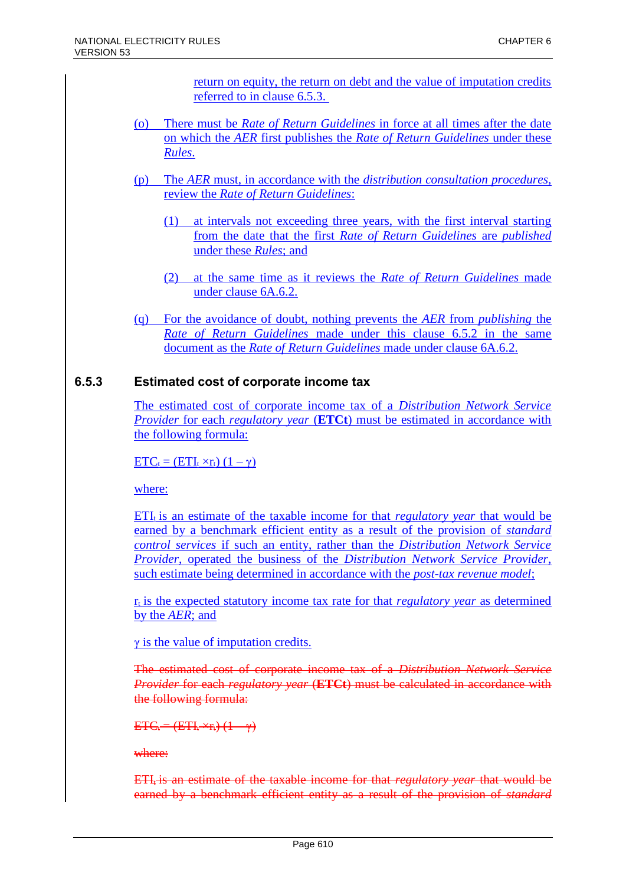return on equity, the return on debt and the value of imputation credits referred to in clause 6.5.3.

- (o) There must be *Rate of Return Guidelines* in force at all times after the date on which the *AER* first publishes the *Rate of Return Guidelines* under these *Rules*.
- (p) The *AER* must, in accordance with the *distribution consultation procedures*, review the *Rate of Return Guidelines*:
	- (1) at intervals not exceeding three years, with the first interval starting from the date that the first *Rate of Return Guidelines* are *published* under these *Rules*; and
	- (2) at the same time as it reviews the *Rate of Return Guidelines* made under clause 6A.6.2.
- (q) For the avoidance of doubt, nothing prevents the *AER* from *publishing* the *Rate of Return Guidelines* made under this clause 6.5.2 in the same document as the *Rate of Return Guidelines* made under clause 6A.6.2.

# **6.5.3 Estimated cost of corporate income tax**

The estimated cost of corporate income tax of a *Distribution Network Service Provider* for each *regulatory year* (**ETCt**) must be estimated in accordance with the following formula:

 $ETC_t = (ETI_t \times r_t) (1 - \gamma)$ 

where:

ETI<sup>t</sup> is an estimate of the taxable income for that *regulatory year* that would be earned by a benchmark efficient entity as a result of the provision of *standard control services* if such an entity, rather than the *Distribution Network Service Provider*, operated the business of the *Distribution Network Service Provider*, such estimate being determined in accordance with the *post-tax revenue model*;

 $r_t$  is the expected statutory income tax rate for that *regulatory year* as determined by the *AER*; and

γ is the value of imputation credits.

The estimated cost of corporate income tax of a *Distribution Network Service Provider* for each *regulatory year* (**ETCt**) must be calculated in accordance with the following formula:

 $ETC_t = (ETI_t \times r_t) (1 - \gamma)$ 

where:

ETI<sup>t</sup> is an estimate of the taxable income for that *regulatory year* that would be earned by a benchmark efficient entity as a result of the provision of *standard*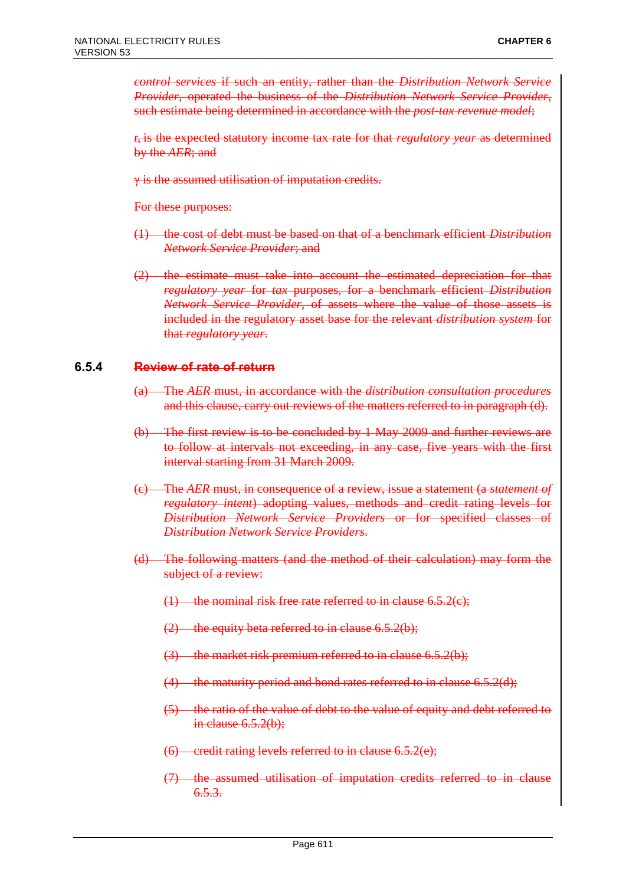*control services* if such an entity, rather than the *Distribution Network Service Provider*, operated the business of the *Distribution Network Service Provider*, such estimate being determined in accordance with the *post-tax revenue model*;

 $r_t$  is the expected statutory income tax rate for that *regulatory year* as determined by the *AER*; and

γ is the assumed utilisation of imputation credits.

For these purposes:

- (1) the cost of debt must be based on that of a benchmark efficient *Distribution Network Service Provider*; and
- (2) the estimate must take into account the estimated depreciation for that *regulatory year* for *tax* purposes, for a benchmark efficient *Distribution Network Service Provider*, of assets where the value of those assets is included in the regulatory asset base for the relevant *distribution system* for that *regulatory year*.

#### **6.5.4 Review of rate of return**

- (a) The *AER* must, in accordance with the *distribution consultation procedures* and this clause, carry out reviews of the matters referred to in paragraph (d).
- (b) The first review is to be concluded by 1 May 2009 and further reviews are to follow at intervals not exceeding, in any case, five years with the first interval starting from 31 March 2009.
- (c) The *AER* must, in consequence of a review, issue a statement (a *statement of regulatory intent*) adopting values, methods and credit rating levels for *Distribution Network Service Providers* or for specified classes of *Distribution Network Service Providers*.
- (d) The following matters (and the method of their calculation) may form the subject of a review:
	- $(1)$  the nominal risk free rate referred to in clause 6.5.2(c);
	- $(2)$  the equity beta referred to in clause 6.5.2(b);
	- $(3)$  the market risk premium referred to in clause 6.5.2(b);
	- $(4)$  the maturity period and bond rates referred to in clause 6.5.2(d);
	- (5) the ratio of the value of debt to the value of equity and debt referred to in clause  $6.5.2(b)$ ;
	- $(6)$  credit rating levels referred to in clause 6.5.2(e);
	- (7) the assumed utilisation of imputation credits referred to in clause  $6.5.3.$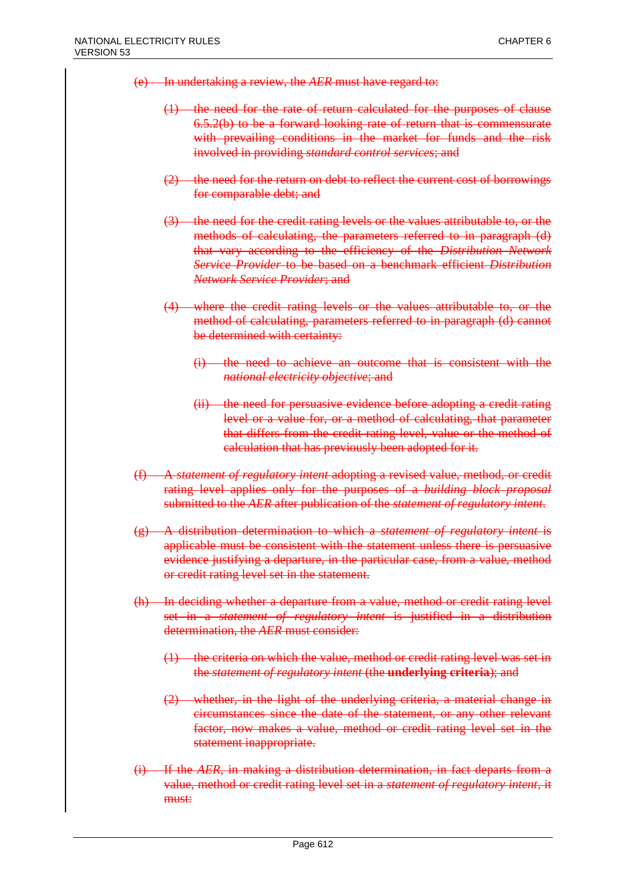- (e) In undertaking a review, the *AER* must have regard to:
	- (1) the need for the rate of return calculated for the purposes of clause 6.5.2(b) to be a forward looking rate of return that is commensurate with prevailing conditions in the market for funds and the risk involved in providing *standard control services*; and
	- (2) the need for the return on debt to reflect the current cost of borrowings for comparable debt; and
	- (3) the need for the credit rating levels or the values attributable to, or the methods of calculating, the parameters referred to in paragraph (d) that vary according to the efficiency of the *Distribution Network Service Provider* to be based on a benchmark efficient *Distribution Network Service Provider*; and
	- (4) where the credit rating levels or the values attributable to, or the method of calculating, parameters referred to in paragraph (d) cannot be determined with certainty:
		- the need to achieve an outcome that is consistent with the *national electricity objective*; and
		- (ii) the need for persuasive evidence before adopting a credit rating level or a value for, or a method of calculating, that parameter that differs from the credit rating level, value or the method of calculation that has previously been adopted for it.
- (f) A *statement of regulatory intent* adopting a revised value, method, or credit rating level applies only for the purposes of a *building block proposal* submitted to the *AER* after publication of the *statement of regulatory intent*.
- (g) A distribution determination to which a *statement of regulatory intent* is applicable must be consistent with the statement unless there is persuasive evidence justifying a departure, in the particular case, from a value, method or credit rating level set in the statement.
- (h) In deciding whether a departure from a value, method or credit rating level set in a *statement of regulatory intent* is justified in a distribution determination, the *AER* must consider:
	- $(1)$  the criteria on which the value, method or credit rating level was set in the *statement of regulatory intent* (the **underlying criteria**); and
	- (2) whether, in the light of the underlying criteria, a material change in circumstances since the date of the statement, or any other relevant factor, now makes a value, method or credit rating level set in the statement inappropriate.
- (i) If the *AER*, in making a distribution determination, in fact departs from a value, method or credit rating level set in a *statement of regulatory intent*, it must: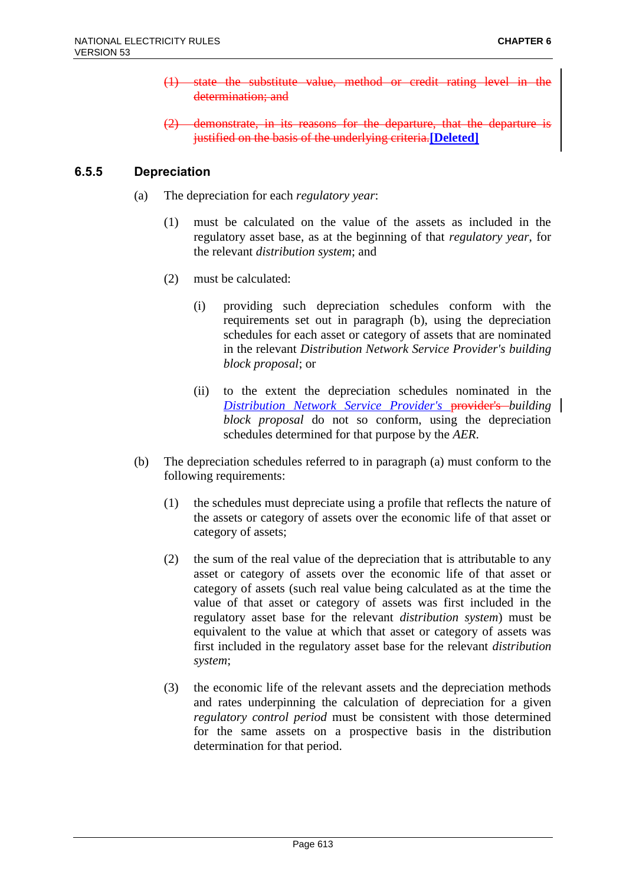- (1) state the substitute value, method or credit rating level in the determination; and
- $(2)$  demonstrate, in its reasons for the departure, that the departure justified on the basis of the underlying criteria.**[Deleted]**

### **6.5.5 Depreciation**

- (a) The depreciation for each *regulatory year*:
	- (1) must be calculated on the value of the assets as included in the regulatory asset base, as at the beginning of that *regulatory year*, for the relevant *distribution system*; and
	- (2) must be calculated:
		- (i) providing such depreciation schedules conform with the requirements set out in paragraph (b), using the depreciation schedules for each asset or category of assets that are nominated in the relevant *Distribution Network Service Provider's building block proposal*; or
		- (ii) to the extent the depreciation schedules nominated in the *Distribution Network Service Provider's* provider's *building block proposal* do not so conform, using the depreciation schedules determined for that purpose by the *AER*.
- (b) The depreciation schedules referred to in paragraph (a) must conform to the following requirements:
	- (1) the schedules must depreciate using a profile that reflects the nature of the assets or category of assets over the economic life of that asset or category of assets;
	- (2) the sum of the real value of the depreciation that is attributable to any asset or category of assets over the economic life of that asset or category of assets (such real value being calculated as at the time the value of that asset or category of assets was first included in the regulatory asset base for the relevant *distribution system*) must be equivalent to the value at which that asset or category of assets was first included in the regulatory asset base for the relevant *distribution system*;
	- (3) the economic life of the relevant assets and the depreciation methods and rates underpinning the calculation of depreciation for a given *regulatory control period* must be consistent with those determined for the same assets on a prospective basis in the distribution determination for that period.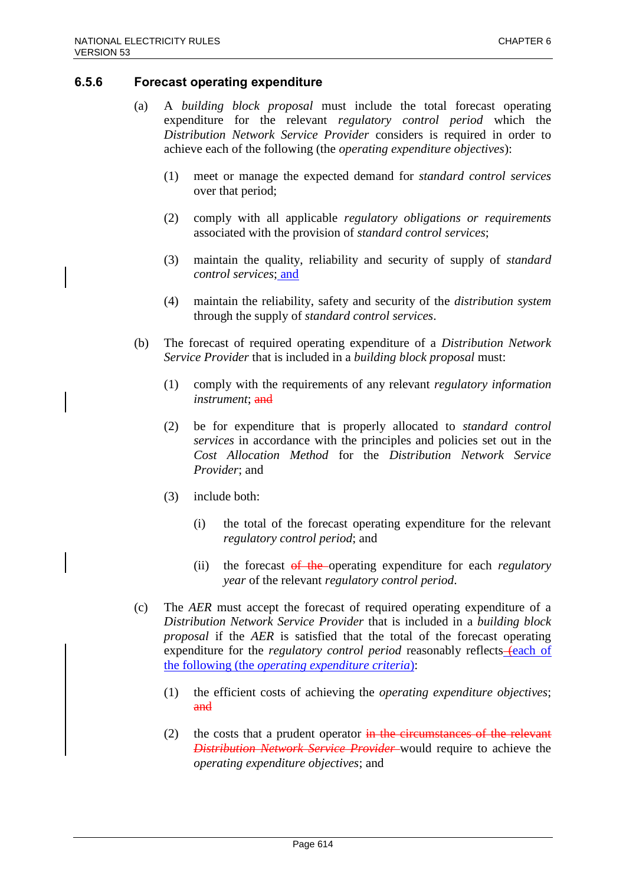#### **6.5.6 Forecast operating expenditure**

- (a) A *building block proposal* must include the total forecast operating expenditure for the relevant *regulatory control period* which the *Distribution Network Service Provider* considers is required in order to achieve each of the following (the *operating expenditure objectives*):
	- (1) meet or manage the expected demand for *standard control services* over that period;
	- (2) comply with all applicable *regulatory obligations or requirements* associated with the provision of *standard control services*;
	- (3) maintain the quality, reliability and security of supply of *standard control services*; and
	- (4) maintain the reliability, safety and security of the *distribution system* through the supply of *standard control services*.
- (b) The forecast of required operating expenditure of a *Distribution Network Service Provider* that is included in a *building block proposal* must:
	- (1) comply with the requirements of any relevant *regulatory information instrument*; and
	- (2) be for expenditure that is properly allocated to *standard control services* in accordance with the principles and policies set out in the *Cost Allocation Method* for the *Distribution Network Service Provider*; and
	- (3) include both:
		- (i) the total of the forecast operating expenditure for the relevant *regulatory control period*; and
		- (ii) the forecast of the operating expenditure for each *regulatory year* of the relevant *regulatory control period*.
- (c) The *AER* must accept the forecast of required operating expenditure of a *Distribution Network Service Provider* that is included in a *building block proposal* if the *AER* is satisfied that the total of the forecast operating expenditure for the *regulatory control period* reasonably reflects– $\epsilon$ each of the following (the *operating expenditure criteria*):
	- (1) the efficient costs of achieving the *operating expenditure objectives*; and
	- (2) the costs that a prudent operator  $\frac{1}{2}$  the circumstances of the relevant *Distribution Network Service Provider* would require to achieve the *operating expenditure objectives*; and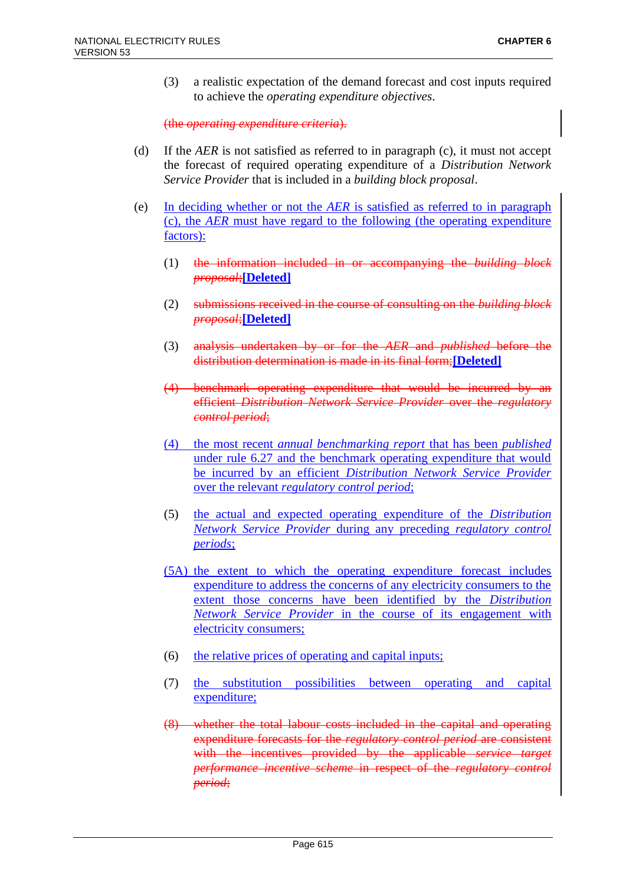(3) a realistic expectation of the demand forecast and cost inputs required to achieve the *operating expenditure objectives*.

(the *operating expenditure criteria*).

- (d) If the *AER* is not satisfied as referred to in paragraph (c), it must not accept the forecast of required operating expenditure of a *Distribution Network Service Provider* that is included in a *building block proposal*.
- (e) In deciding whether or not the *AER* is satisfied as referred to in paragraph (c), the *AER* must have regard to the following (the operating expenditure factors):
	- (1) the information included in or accompanying the *building block proposal*;**[Deleted]**
	- (2) submissions received in the course of consulting on the *building block proposal*;**[Deleted]**
	- (3) analysis undertaken by or for the *AER* and *published* before the distribution determination is made in its final form;**[Deleted]**
	- (4) benchmark operating expenditure that would be incurred by an efficient *Distribution Network Service Provider* over the *regulatory control period*;
	- (4) the most recent *annual benchmarking report* that has been *published* under rule 6.27 and the benchmark operating expenditure that would be incurred by an efficient *Distribution Network Service Provider* over the relevant *regulatory control period*;
	- (5) the actual and expected operating expenditure of the *Distribution Network Service Provider* during any preceding *regulatory control periods*;
	- (5A) the extent to which the operating expenditure forecast includes expenditure to address the concerns of any electricity consumers to the extent those concerns have been identified by the *Distribution Network Service Provider* in the course of its engagement with electricity consumers;
	- (6) the relative prices of operating and capital inputs;
	- (7) the substitution possibilities between operating and capital expenditure;
	- (8) whether the total labour costs included in the capital and operating expenditure forecasts for the *regulatory control period* are consistent with the incentives provided by the applicable *service target performance incentive scheme* in respect of the *regulatory control period*;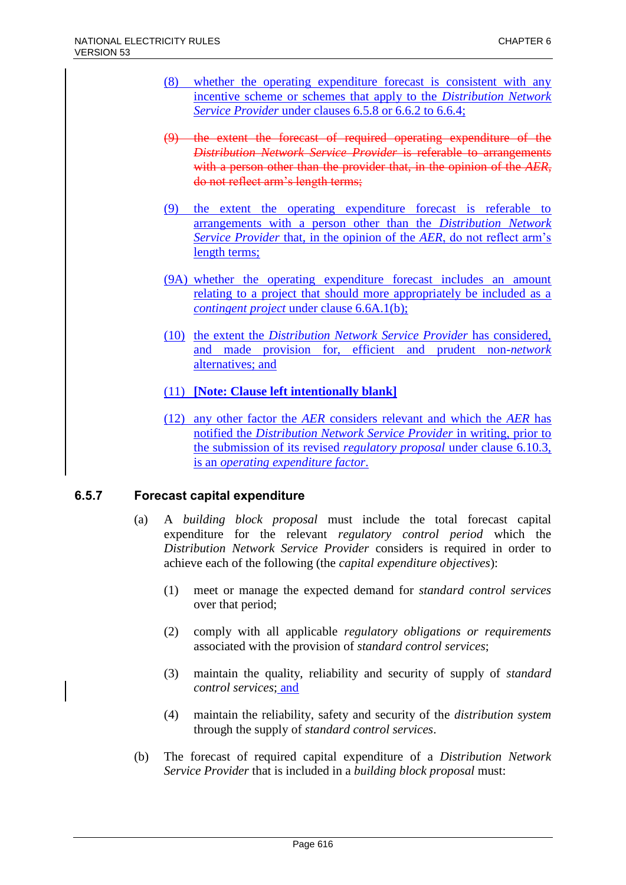- (8) whether the operating expenditure forecast is consistent with any incentive scheme or schemes that apply to the *Distribution Network Service Provider* under clauses 6.5.8 or 6.6.2 to 6.6.4;
- (9) the extent the forecast of required operating expenditure of the *Distribution Network Service Provider* is referable to arrangements with a person other than the provider that, in the opinion of the *AER*, do not reflect arm's length terms;
- (9) the extent the operating expenditure forecast is referable to arrangements with a person other than the *Distribution Network Service Provider* that, in the opinion of the *AER*, do not reflect arm's length terms;
- (9A) whether the operating expenditure forecast includes an amount relating to a project that should more appropriately be included as a *contingent project* under clause 6.6A.1(b);
- (10) the extent the *Distribution Network Service Provider* has considered, and made provision for, efficient and prudent non-*network* alternatives; and
- (11) **[Note: Clause left intentionally blank]**
- (12) any other factor the *AER* considers relevant and which the *AER* has notified the *Distribution Network Service Provider* in writing, prior to the submission of its revised *regulatory proposal* under clause 6.10.3, is an *operating expenditure factor*.

# **6.5.7 Forecast capital expenditure**

- (a) A *building block proposal* must include the total forecast capital expenditure for the relevant *regulatory control period* which the *Distribution Network Service Provider* considers is required in order to achieve each of the following (the *capital expenditure objectives*):
	- (1) meet or manage the expected demand for *standard control services* over that period;
	- (2) comply with all applicable *regulatory obligations or requirements* associated with the provision of *standard control services*;
	- (3) maintain the quality, reliability and security of supply of *standard control services*; and
	- (4) maintain the reliability, safety and security of the *distribution system* through the supply of *standard control services*.
- (b) The forecast of required capital expenditure of a *Distribution Network Service Provider* that is included in a *building block proposal* must: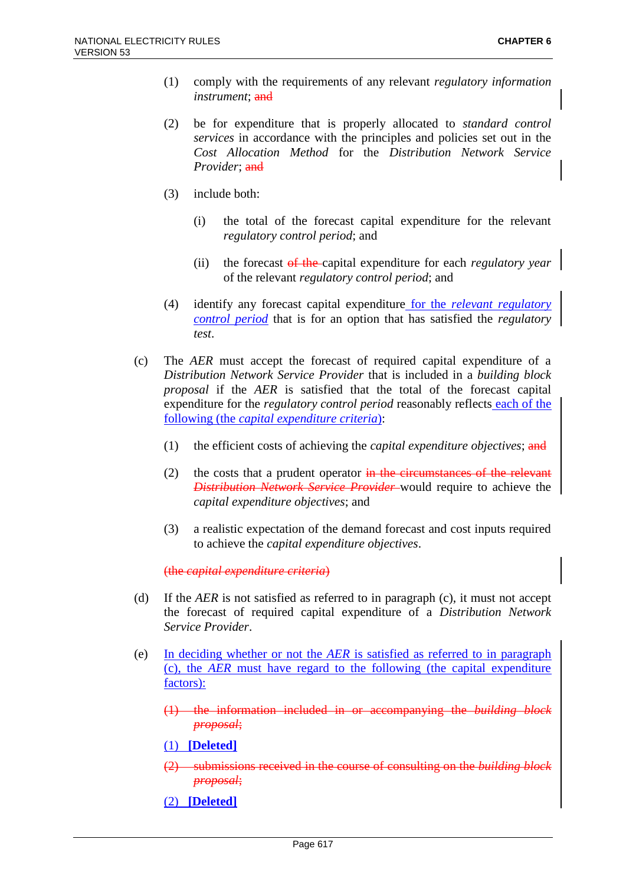- (1) comply with the requirements of any relevant *regulatory information instrument*; and
- (2) be for expenditure that is properly allocated to *standard control services* in accordance with the principles and policies set out in the *Cost Allocation Method* for the *Distribution Network Service Provider*; and
- (3) include both:
	- (i) the total of the forecast capital expenditure for the relevant *regulatory control period*; and
	- (ii) the forecast of the capital expenditure for each *regulatory year* of the relevant *regulatory control period*; and
- (4) identify any forecast capital expenditure for the *relevant regulatory control period* that is for an option that has satisfied the *regulatory test*.
- (c) The *AER* must accept the forecast of required capital expenditure of a *Distribution Network Service Provider* that is included in a *building block proposal* if the *AER* is satisfied that the total of the forecast capital expenditure for the *regulatory control period* reasonably reflects each of the following (the *capital expenditure criteria*):
	- (1) the efficient costs of achieving the *capital expenditure objectives*; and
	- (2) the costs that a prudent operator  $\frac{1}{2}$  in the circumstances of the relevant *Distribution Network Service Provider* would require to achieve the *capital expenditure objectives*; and
	- (3) a realistic expectation of the demand forecast and cost inputs required to achieve the *capital expenditure objectives*.

(the *capital expenditure criteria*)

- (d) If the *AER* is not satisfied as referred to in paragraph (c), it must not accept the forecast of required capital expenditure of a *Distribution Network Service Provider*.
- (e) In deciding whether or not the *AER* is satisfied as referred to in paragraph (c), the *AER* must have regard to the following (the capital expenditure factors):
	- (1) the information included in or accompanying the *building block proposal*;

(1) **[Deleted]**

- (2) submissions received in the course of consulting on the *building block proposal*;
- (2) **[Deleted]**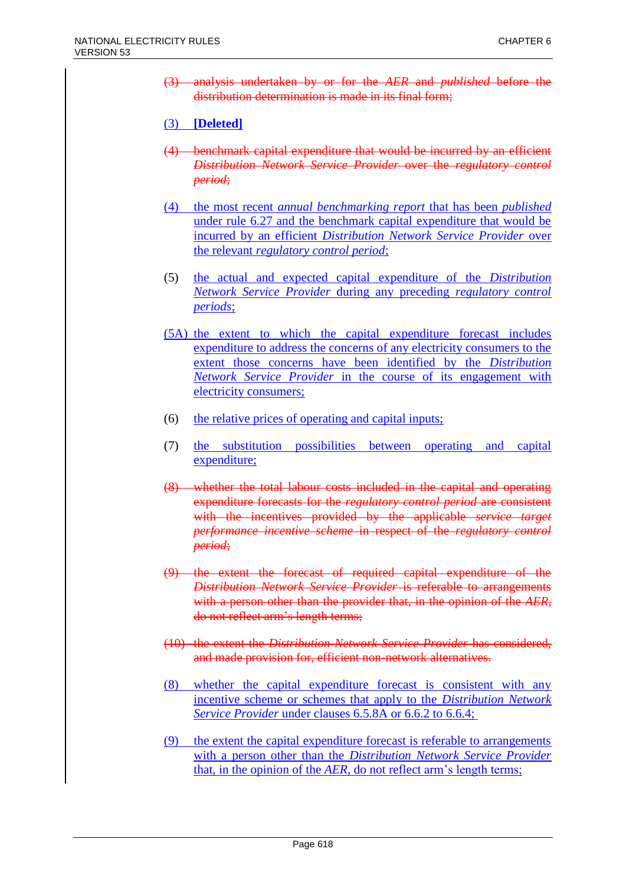(3) analysis undertaken by or for the *AER* and *published* before the distribution determination is made in its final form;

### (3) **[Deleted]**

- (4) benchmark capital expenditure that would be incurred by an efficient *Distribution Network Service Provider* over the *regulatory control period*;
- (4) the most recent *annual benchmarking report* that has been *published* under rule 6.27 and the benchmark capital expenditure that would be incurred by an efficient *Distribution Network Service Provider* over the relevant *regulatory control period*;
- (5) the actual and expected capital expenditure of the *Distribution Network Service Provider* during any preceding *regulatory control periods*;
- (5A) the extent to which the capital expenditure forecast includes expenditure to address the concerns of any electricity consumers to the extent those concerns have been identified by the *Distribution Network Service Provider* in the course of its engagement with electricity consumers;
- (6) the relative prices of operating and capital inputs;
- (7) the substitution possibilities between operating and capital expenditure;
- (8) whether the total labour costs included in the capital and operating expenditure forecasts for the *regulatory control period* are consistent with the incentives provided by the applicable *service target performance incentive scheme* in respect of the *regulatory control period*;
- (9) the extent the forecast of required capital expenditure of the *Distribution Network Service Provider* is referable to arrangements with a person other than the provider that, in the opinion of the *AER*, do not reflect arm's length terms;
- (10) the extent the *Distribution Network Service Provider* has considered, and made provision for, efficient non-network alternatives.
- (8) whether the capital expenditure forecast is consistent with any incentive scheme or schemes that apply to the *Distribution Network Service Provider* under clauses 6.5.8A or 6.6.2 to 6.6.4;
- (9) the extent the capital expenditure forecast is referable to arrangements with a person other than the *Distribution Network Service Provider* that, in the opinion of the *AER*, do not reflect arm's length terms;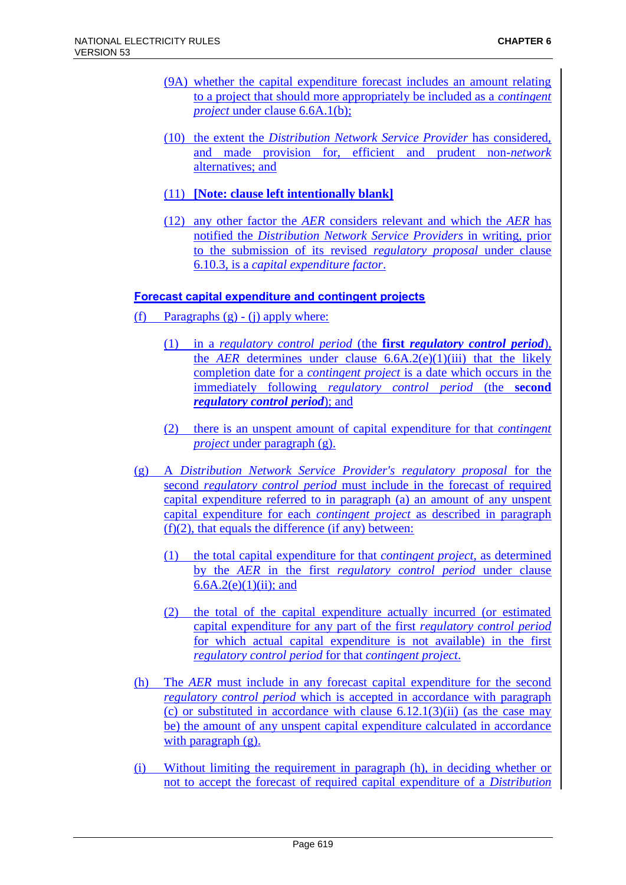- (9A) whether the capital expenditure forecast includes an amount relating to a project that should more appropriately be included as a *contingent project* under clause 6.6A.1(b);
- (10) the extent the *Distribution Network Service Provider* has considered, and made provision for, efficient and prudent non-*network* alternatives; and
- (11) **[Note: clause left intentionally blank]**
- (12) any other factor the *AER* considers relevant and which the *AER* has notified the *Distribution Network Service Providers* in writing, prior to the submission of its revised *regulatory proposal* under clause 6.10.3, is a *capital expenditure factor*.

### **Forecast capital expenditure and contingent projects**

- (f) Paragraphs  $(g) (i)$  apply where:
	- (1) in a *regulatory control period* (the **first** *regulatory control period*), the *AER* determines under clause  $6.6A.2(e)(1)(iii)$  that the likely completion date for a *contingent project* is a date which occurs in the immediately following *regulatory control period* (the **second**  *regulatory control period*); and
	- (2) there is an unspent amount of capital expenditure for that *contingent project* under paragraph (g).
- (g) A *Distribution Network Service Provider's regulatory proposal* for the second *regulatory control period* must include in the forecast of required capital expenditure referred to in paragraph (a) an amount of any unspent capital expenditure for each *contingent project* as described in paragraph  $(f)(2)$ , that equals the difference (if any) between:
	- (1) the total capital expenditure for that *contingent project*, as determined by the *AER* in the first *regulatory control period* under clause 6.6A.2(e)(1)(ii); and
	- (2) the total of the capital expenditure actually incurred (or estimated capital expenditure for any part of the first *regulatory control period*  for which actual capital expenditure is not available) in the first *regulatory control period* for that *contingent project*.
- (h) The *AER* must include in any forecast capital expenditure for the second *regulatory control period* which is accepted in accordance with paragraph (c) or substituted in accordance with clause  $6.12.1(3)(ii)$  (as the case may be) the amount of any unspent capital expenditure calculated in accordance with paragraph (g).
- (i) Without limiting the requirement in paragraph (h), in deciding whether or not to accept the forecast of required capital expenditure of a *Distribution*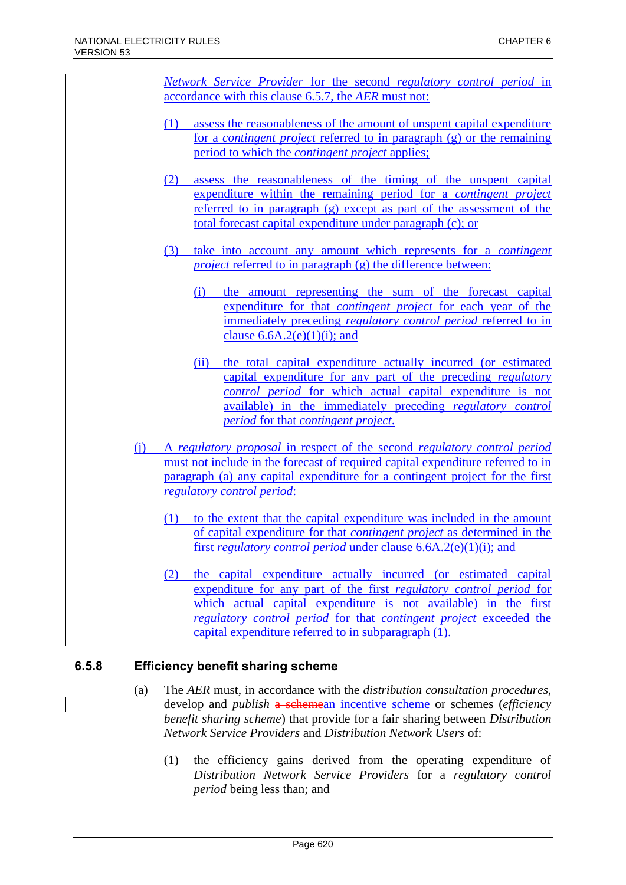*Network Service Provider* for the second *regulatory control period* in accordance with this clause 6.5.7, the *AER* must not:

- (1) assess the reasonableness of the amount of unspent capital expenditure for a *contingent project* referred to in paragraph (g) or the remaining period to which the *contingent project* applies;
- (2) assess the reasonableness of the timing of the unspent capital expenditure within the remaining period for a *contingent project* referred to in paragraph (g) except as part of the assessment of the total forecast capital expenditure under paragraph (c); or
- (3) take into account any amount which represents for a *contingent project* referred to in paragraph (g) the difference between:
	- (i) the amount representing the sum of the forecast capital expenditure for that *contingent project* for each year of the immediately preceding *regulatory control period* referred to in clause  $6.6A.2(e)(1)(i)$ ; and
	- (ii) the total capital expenditure actually incurred (or estimated capital expenditure for any part of the preceding *regulatory control period* for which actual capital expenditure is not available) in the immediately preceding *regulatory control period* for that *contingent project*.
- (j) A *regulatory proposal* in respect of the second *regulatory control period* must not include in the forecast of required capital expenditure referred to in paragraph (a) any capital expenditure for a contingent project for the first *regulatory control period*:
	- (1) to the extent that the capital expenditure was included in the amount of capital expenditure for that *contingent project* as determined in the first *regulatory control period* under clause 6.6A.2(e)(1)(i); and
	- (2) the capital expenditure actually incurred (or estimated capital expenditure for any part of the first *regulatory control period* for which actual capital expenditure is not available) in the first *regulatory control period* for that *contingent project* exceeded the capital expenditure referred to in subparagraph (1).

# **6.5.8 Efficiency benefit sharing scheme**

- (a) The *AER* must, in accordance with the *distribution consultation procedures*, develop and *publish* a schemean incentive scheme or schemes (*efficiency benefit sharing scheme*) that provide for a fair sharing between *Distribution Network Service Providers* and *Distribution Network Users* of:
	- (1) the efficiency gains derived from the operating expenditure of *Distribution Network Service Providers* for a *regulatory control period* being less than; and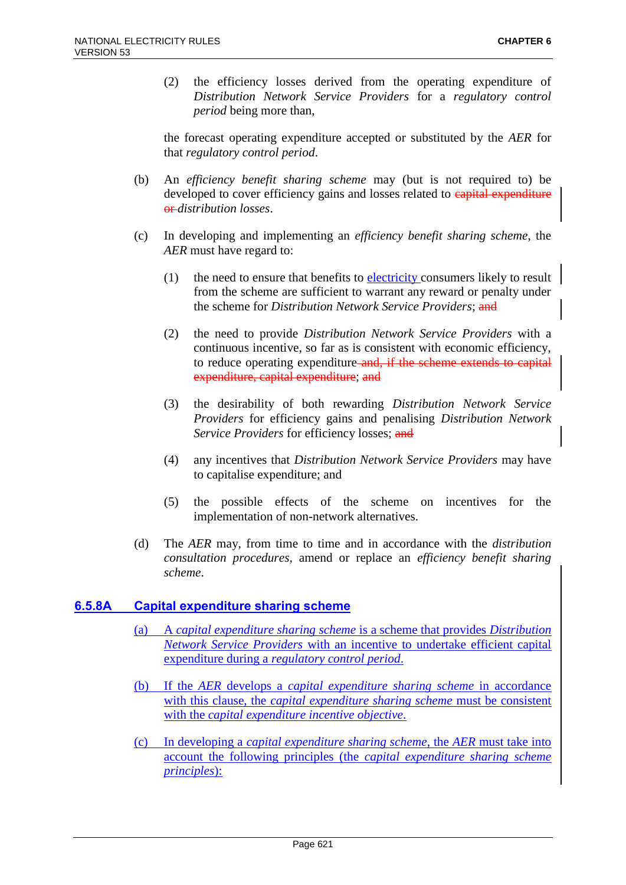(2) the efficiency losses derived from the operating expenditure of *Distribution Network Service Providers* for a *regulatory control period* being more than,

the forecast operating expenditure accepted or substituted by the *AER* for that *regulatory control period*.

- (b) An *efficiency benefit sharing scheme* may (but is not required to) be developed to cover efficiency gains and losses related to **capital expenditure** or *distribution losses*.
- (c) In developing and implementing an *efficiency benefit sharing scheme*, the *AER* must have regard to:
	- (1) the need to ensure that benefits to electricity consumers likely to result from the scheme are sufficient to warrant any reward or penalty under the scheme for *Distribution Network Service Providers*; and
	- (2) the need to provide *Distribution Network Service Providers* with a continuous incentive, so far as is consistent with economic efficiency, to reduce operating expenditure and, if the scheme extends to capital expenditure, capital expenditure; and
	- (3) the desirability of both rewarding *Distribution Network Service Providers* for efficiency gains and penalising *Distribution Network Service Providers* for efficiency losses; and
	- (4) any incentives that *Distribution Network Service Providers* may have to capitalise expenditure; and
	- (5) the possible effects of the scheme on incentives for the implementation of non-network alternatives.
- (d) The *AER* may, from time to time and in accordance with the *distribution consultation procedures*, amend or replace an *efficiency benefit sharing scheme*.

### **6.5.8A Capital expenditure sharing scheme**

- (a) A *capital expenditure sharing scheme* is a scheme that provides *Distribution Network Service Providers* with an incentive to undertake efficient capital expenditure during a *regulatory control period*.
- (b) If the *AER* develops a *capital expenditure sharing scheme* in accordance with this clause, the *capital expenditure sharing scheme* must be consistent with the *capital expenditure incentive objective*.
- (c) In developing a *capital expenditure sharing scheme*, the *AER* must take into account the following principles (the *capital expenditure sharing scheme principles*):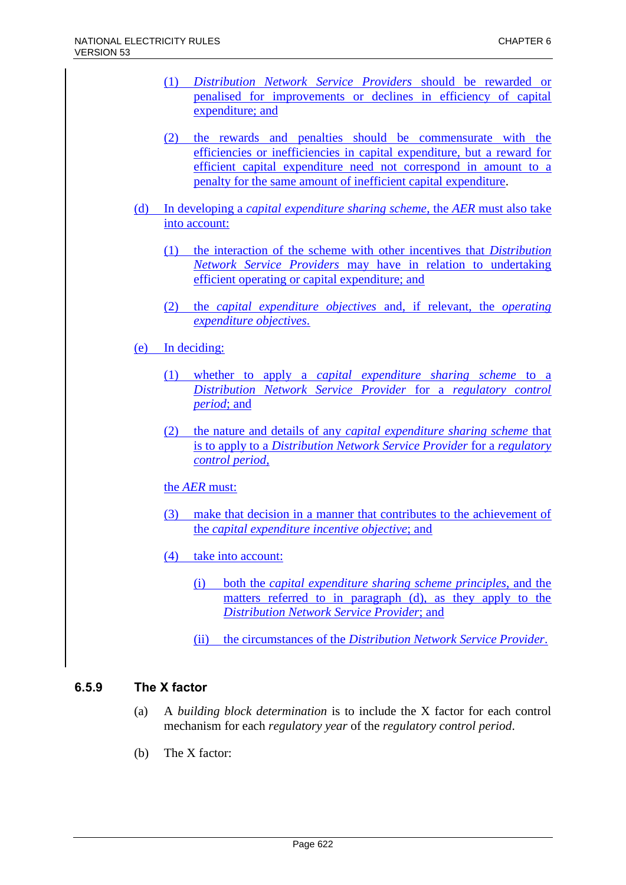- (1) *Distribution Network Service Providers* should be rewarded or penalised for improvements or declines in efficiency of capital expenditure; and
- (2) the rewards and penalties should be commensurate with the efficiencies or inefficiencies in capital expenditure, but a reward for efficient capital expenditure need not correspond in amount to a penalty for the same amount of inefficient capital expenditure.
- (d) In developing a *capital expenditure sharing scheme*, the *AER* must also take into account:
	- (1) the interaction of the scheme with other incentives that *Distribution Network Service Providers* may have in relation to undertaking efficient operating or capital expenditure; and
	- (2) the *capital expenditure objectives* and, if relevant, the *operating expenditure objectives*.
- (e) In deciding:
	- (1) whether to apply a *capital expenditure sharing scheme* to a *Distribution Network Service Provider* for a *regulatory control period*; and
	- (2) the nature and details of any *capital expenditure sharing scheme* that is to apply to a *Distribution Network Service Provider* for a *regulatory control period*,

### the *AER* must:

- (3) make that decision in a manner that contributes to the achievement of the *capital expenditure incentive objective*; and
- (4) take into account:
	- (i) both the *capital expenditure sharing scheme principles*, and the matters referred to in paragraph (d), as they apply to the *Distribution Network Service Provider*; and
	- (ii) the circumstances of the *Distribution Network Service Provider*.

# **6.5.9 The X factor**

- (a) A *building block determination* is to include the X factor for each control mechanism for each *regulatory year* of the *regulatory control period*.
- (b) The X factor: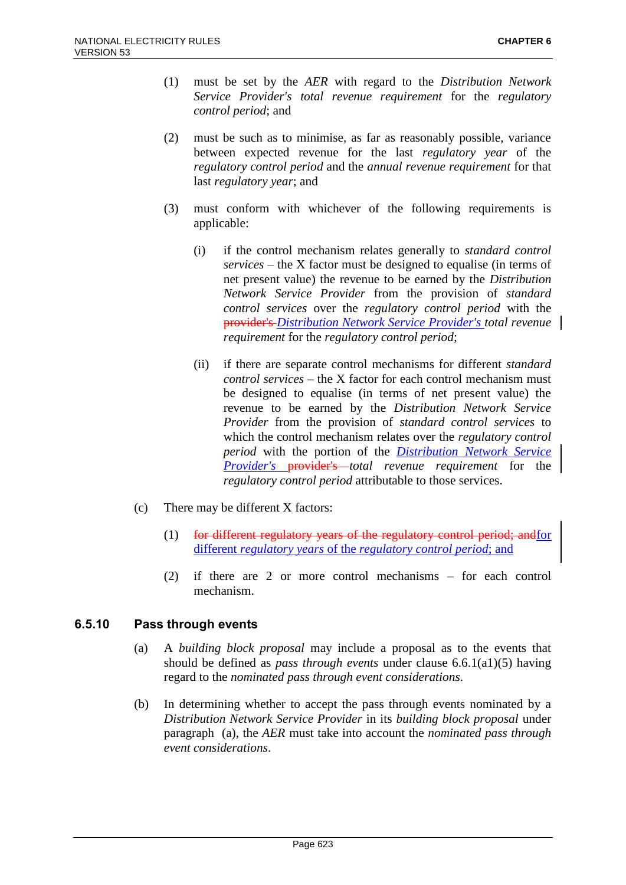- (1) must be set by the *AER* with regard to the *Distribution Network Service Provider's total revenue requirement* for the *regulatory control period*; and
- (2) must be such as to minimise, as far as reasonably possible, variance between expected revenue for the last *regulatory year* of the *regulatory control period* and the *annual revenue requirement* for that last *regulatory year*; and
- (3) must conform with whichever of the following requirements is applicable:
	- (i) if the control mechanism relates generally to *standard control services* – the X factor must be designed to equalise (in terms of net present value) the revenue to be earned by the *Distribution Network Service Provider* from the provision of *standard control services* over the *regulatory control period* with the provider's *Distribution Network Service Provider's total revenue requirement* for the *regulatory control period*;
	- (ii) if there are separate control mechanisms for different *standard control services* – the X factor for each control mechanism must be designed to equalise (in terms of net present value) the revenue to be earned by the *Distribution Network Service Provider* from the provision of *standard control services* to which the control mechanism relates over the *regulatory control period* with the portion of the *Distribution Network Service Provider's* provider's *total revenue requirement* for the *regulatory control period* attributable to those services.
- (c) There may be different X factors:
	- (1) for different regulatory years of the regulatory control period; andfor different *regulatory years* of the *regulatory control period*; and
	- (2) if there are 2 or more control mechanisms for each control mechanism.

### **6.5.10 Pass through events**

- (a) A *building block proposal* may include a proposal as to the events that should be defined as *pass through events* under clause 6.6.1(a1)(5) having regard to the *nominated pass through event considerations*.
- (b) In determining whether to accept the pass through events nominated by a *Distribution Network Service Provider* in its *building block proposal* under paragraph (a), the *AER* must take into account the *nominated pass through event considerations*.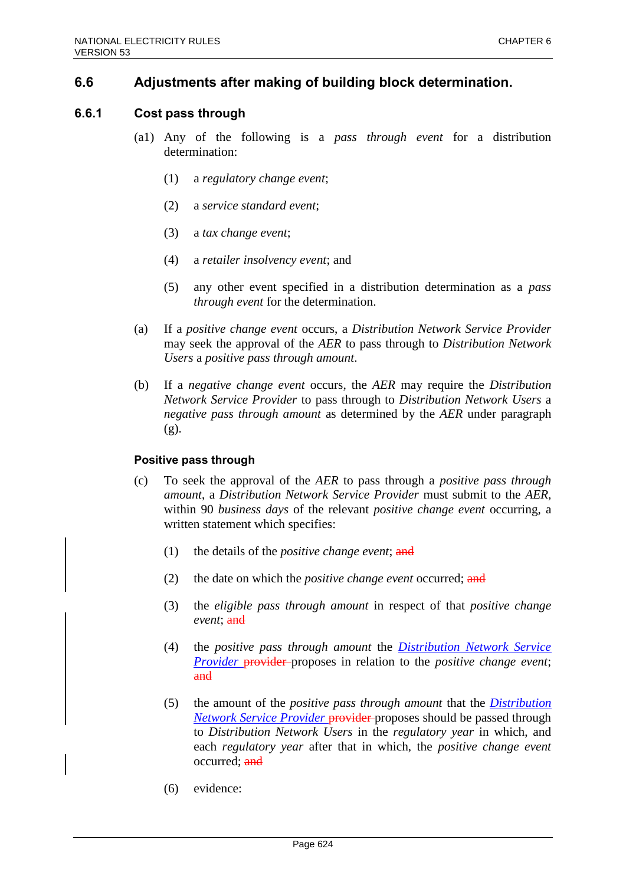# **6.6 Adjustments after making of building block determination.**

### **6.6.1 Cost pass through**

- (a1) Any of the following is a *pass through event* for a distribution determination:
	- (1) a *regulatory change event*;
	- (2) a *service standard event*;
	- (3) a *tax change event*;
	- (4) a *retailer insolvency event*; and
	- (5) any other event specified in a distribution determination as a *pass through event* for the determination.
- (a) If a *positive change event* occurs, a *Distribution Network Service Provider* may seek the approval of the *AER* to pass through to *Distribution Network Users* a *positive pass through amount*.
- (b) If a *negative change event* occurs, the *AER* may require the *Distribution Network Service Provider* to pass through to *Distribution Network Users* a *negative pass through amount* as determined by the *AER* under paragraph (g).

#### **Positive pass through**

- (c) To seek the approval of the *AER* to pass through a *positive pass through amount*, a *Distribution Network Service Provider* must submit to the *AER*, within 90 *business days* of the relevant *positive change event* occurring, a written statement which specifies:
	- (1) the details of the *positive change event*; and
	- (2) the date on which the *positive change event* occurred; and
	- (3) the *eligible pass through amount* in respect of that *positive change event*; and
	- (4) the *positive pass through amount* the *Distribution Network Service Provider* provider proposes in relation to the *positive change event*; and
	- (5) the amount of the *positive pass through amount* that the *Distribution Network Service Provider* provider proposes should be passed through to *Distribution Network Users* in the *regulatory year* in which, and each *regulatory year* after that in which, the *positive change event* occurred: and
	- (6) evidence: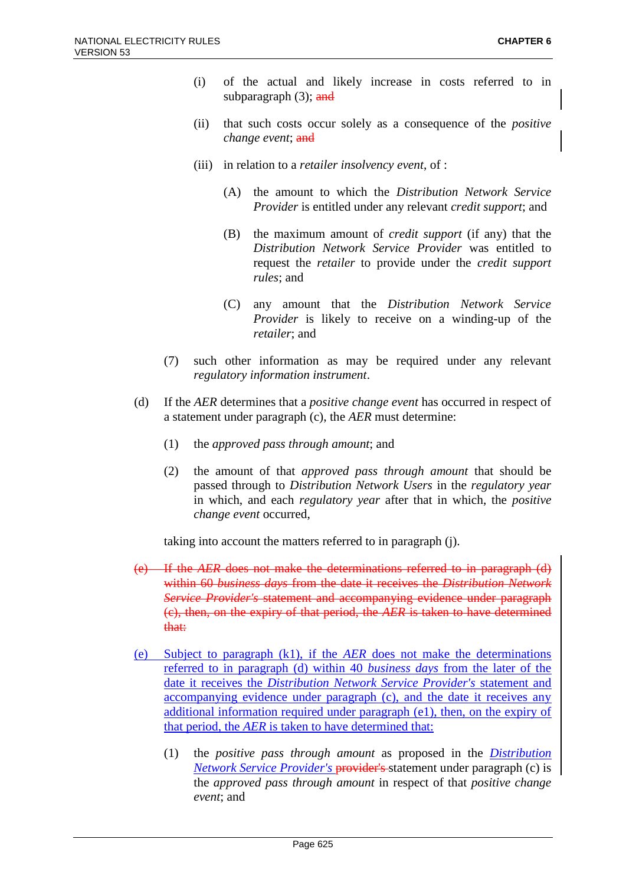- (i) of the actual and likely increase in costs referred to in subparagraph  $(3)$ ; and
- (ii) that such costs occur solely as a consequence of the *positive change event*; and
- (iii) in relation to a *retailer insolvency event*, of :
	- (A) the amount to which the *Distribution Network Service Provider* is entitled under any relevant *credit support*; and
	- (B) the maximum amount of *credit support* (if any) that the *Distribution Network Service Provider* was entitled to request the *retailer* to provide under the *credit support rules*; and
	- (C) any amount that the *Distribution Network Service Provider* is likely to receive on a winding-up of the *retailer*; and
- (7) such other information as may be required under any relevant *regulatory information instrument*.
- (d) If the *AER* determines that a *positive change event* has occurred in respect of a statement under paragraph (c), the *AER* must determine:
	- (1) the *approved pass through amount*; and
	- (2) the amount of that *approved pass through amount* that should be passed through to *Distribution Network Users* in the *regulatory year* in which, and each *regulatory year* after that in which, the *positive change event* occurred,

taking into account the matters referred to in paragraph (j).

- (e) If the *AER* does not make the determinations referred to in paragraph (d) within 60 *business days* from the date it receives the *Distribution Network Service Provider's* statement and accompanying evidence under paragraph (c), then, on the expiry of that period, the *AER* is taken to have determined that:
- (e) Subject to paragraph (k1), if the *AER* does not make the determinations referred to in paragraph (d) within 40 *business days* from the later of the date it receives the *Distribution Network Service Provider's* statement and accompanying evidence under paragraph (c), and the date it receives any additional information required under paragraph (e1), then, on the expiry of that period, the *AER* is taken to have determined that:
	- (1) the *positive pass through amount* as proposed in the *Distribution Network Service Provider's* provider's statement under paragraph (c) is the *approved pass through amount* in respect of that *positive change event*; and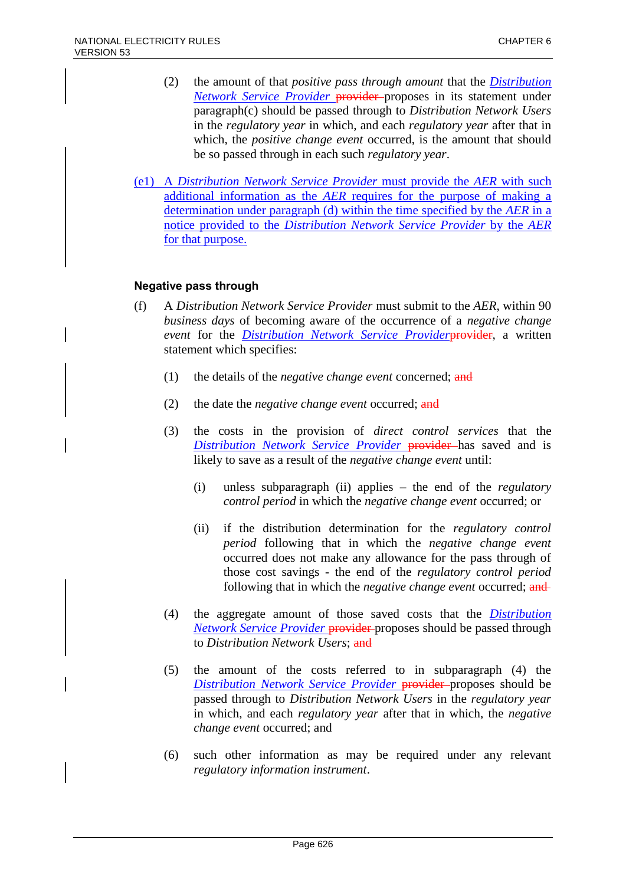- (2) the amount of that *positive pass through amount* that the *Distribution Network Service Provider* provider-proposes in its statement under paragraph(c) should be passed through to *Distribution Network Users* in the *regulatory year* in which, and each *regulatory year* after that in which, the *positive change event* occurred, is the amount that should be so passed through in each such *regulatory year*.
- (e1) A *Distribution Network Service Provider* must provide the *AER* with such additional information as the *AER* requires for the purpose of making a determination under paragraph (d) within the time specified by the *AER* in a notice provided to the *Distribution Network Service Provider* by the *AER* for that purpose.

### **Negative pass through**

- (f) A *Distribution Network Service Provider* must submit to the *AER*, within 90 *business days* of becoming aware of the occurrence of a *negative change event* for the *Distribution Network Service Provider*provider, a written statement which specifies:
	- (1) the details of the *negative change event* concerned; and
	- (2) the date the *negative change event* occurred; and
	- (3) the costs in the provision of *direct control services* that the *Distribution Network Service Provider* provider has saved and is likely to save as a result of the *negative change event* until:
		- (i) unless subparagraph (ii) applies the end of the *regulatory control period* in which the *negative change event* occurred; or
		- (ii) if the distribution determination for the *regulatory control period* following that in which the *negative change event* occurred does not make any allowance for the pass through of those cost savings - the end of the *regulatory control period* following that in which the *negative change event* occurred; and
	- (4) the aggregate amount of those saved costs that the *Distribution Network Service Provider* provider-proposes should be passed through to *Distribution Network Users*; and
	- (5) the amount of the costs referred to in subparagraph (4) the **Distribution Network Service Provider provider-proposes should be** passed through to *Distribution Network Users* in the *regulatory year* in which, and each *regulatory year* after that in which, the *negative change event* occurred; and
	- (6) such other information as may be required under any relevant *regulatory information instrument*.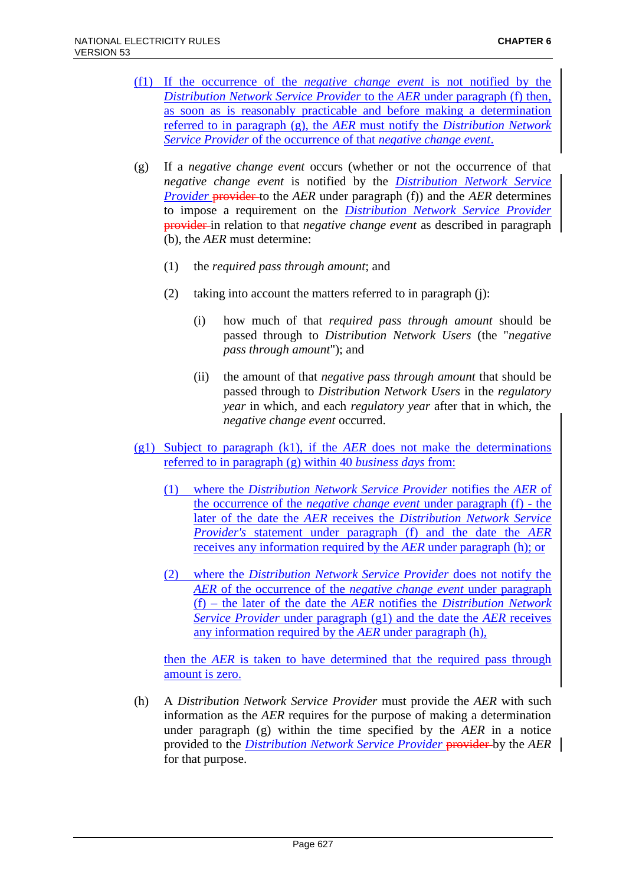- (f1) If the occurrence of the *negative change event* is not notified by the *Distribution Network Service Provider* to the *AER* under paragraph (f) then, as soon as is reasonably practicable and before making a determination referred to in paragraph (g), the *AER* must notify the *Distribution Network Service Provider* of the occurrence of that *negative change event*.
- (g) If a *negative change event* occurs (whether or not the occurrence of that *negative change event* is notified by the *Distribution Network Service Provider* provider to the *AER* under paragraph (f)) and the *AER* determines to impose a requirement on the *Distribution Network Service Provider* provider in relation to that *negative change event* as described in paragraph (b), the *AER* must determine:
	- (1) the *required pass through amount*; and
	- (2) taking into account the matters referred to in paragraph (j):
		- (i) how much of that *required pass through amount* should be passed through to *Distribution Network Users* (the "*negative pass through amount*"); and
		- (ii) the amount of that *negative pass through amount* that should be passed through to *Distribution Network Users* in the *regulatory year* in which, and each *regulatory year* after that in which, the *negative change event* occurred.
- (g1) Subject to paragraph (k1), if the *AER* does not make the determinations referred to in paragraph (g) within 40 *business days* from:
	- (1) where the *Distribution Network Service Provider* notifies the *AER* of the occurrence of the *negative change event* under paragraph (f) - the later of the date the *AER* receives the *Distribution Network Service Provider's* statement under paragraph (f) and the date the *AER* receives any information required by the *AER* under paragraph (h); or
	- (2) where the *Distribution Network Service Provider* does not notify the *AER* of the occurrence of the *negative change event* under paragraph (f) – the later of the date the *AER* notifies the *Distribution Network Service Provider* under paragraph (g1) and the date the *AER* receives any information required by the *AER* under paragraph (h),

then the *AER* is taken to have determined that the required pass through amount is zero.

(h) A *Distribution Network Service Provider* must provide the *AER* with such information as the *AER* requires for the purpose of making a determination under paragraph (g) within the time specified by the *AER* in a notice provided to the *Distribution Network Service Provider* provider by the *AER* for that purpose.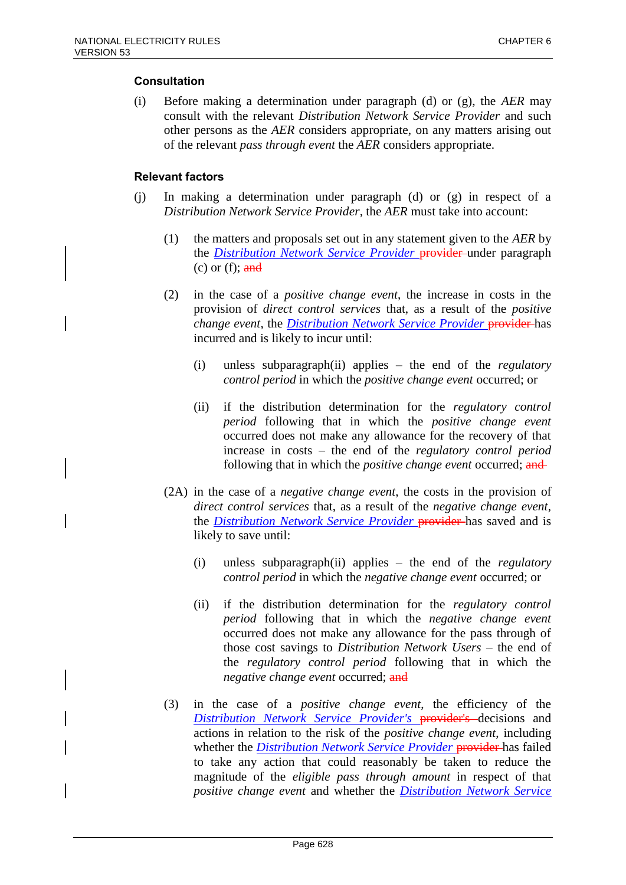### **Consultation**

(i) Before making a determination under paragraph (d) or (g), the *AER* may consult with the relevant *Distribution Network Service Provider* and such other persons as the *AER* considers appropriate, on any matters arising out of the relevant *pass through event* the *AER* considers appropriate.

### **Relevant factors**

- (j) In making a determination under paragraph (d) or (g) in respect of a *Distribution Network Service Provider*, the *AER* must take into account:
	- (1) the matters and proposals set out in any statement given to the *AER* by the *Distribution Network Service Provider* provider-under paragraph (c) or (f);  $\frac{and}{ }$
	- (2) in the case of a *positive change event*, the increase in costs in the provision of *direct control services* that, as a result of the *positive change event*, the *Distribution Network Service Provider* provider has incurred and is likely to incur until:
		- (i) unless subparagraph(ii) applies the end of the *regulatory control period* in which the *positive change event* occurred; or
		- (ii) if the distribution determination for the *regulatory control period* following that in which the *positive change event* occurred does not make any allowance for the recovery of that increase in costs – the end of the *regulatory control period* following that in which the *positive change event* occurred; and
	- (2A) in the case of a *negative change event*, the costs in the provision of *direct control services* that, as a result of the *negative change event*, the *Distribution Network Service Provider* provider has saved and is likely to save until:
		- (i) unless subparagraph(ii) applies the end of the *regulatory control period* in which the *negative change event* occurred; or
		- (ii) if the distribution determination for the *regulatory control period* following that in which the *negative change event* occurred does not make any allowance for the pass through of those cost savings to *Distribution Network Users* – the end of the *regulatory control period* following that in which the *negative change event* occurred; and
	- (3) in the case of a *positive change event*, the efficiency of the *Distribution Network Service Provider's* provider's decisions and actions in relation to the risk of the *positive change event*, including whether the *Distribution Network Service Provider* provider has failed to take any action that could reasonably be taken to reduce the magnitude of the *eligible pass through amount* in respect of that *positive change event* and whether the *Distribution Network Service*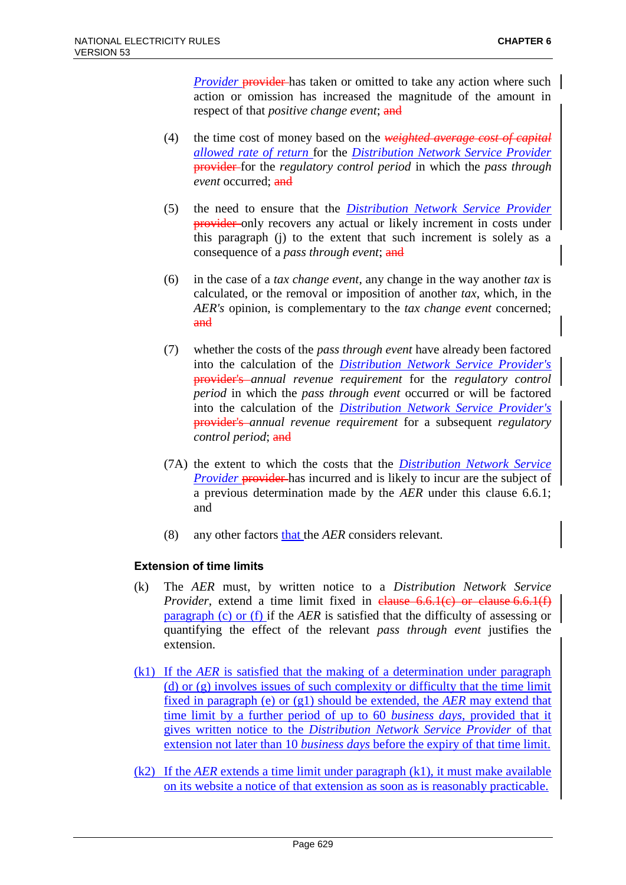*Provider* provider has taken or omitted to take any action where such action or omission has increased the magnitude of the amount in respect of that *positive change event*; and

- (4) the time cost of money based on the *weighted average cost of capital allowed rate of return* for the *Distribution Network Service Provider* provider for the *regulatory control period* in which the *pass through event* occurred; and
- (5) the need to ensure that the *Distribution Network Service Provider* provider only recovers any actual or likely increment in costs under this paragraph (j) to the extent that such increment is solely as a consequence of a *pass through event*; and
- (6) in the case of a *tax change event*, any change in the way another *tax* is calculated, or the removal or imposition of another *tax*, which, in the *AER's* opinion, is complementary to the *tax change event* concerned; and
- (7) whether the costs of the *pass through event* have already been factored into the calculation of the *Distribution Network Service Provider's* provider's *annual revenue requirement* for the *regulatory control period* in which the *pass through event* occurred or will be factored into the calculation of the *Distribution Network Service Provider's*  provider's *annual revenue requirement* for a subsequent *regulatory control period*; and
- (7A) the extent to which the costs that the *Distribution Network Service Provider* provider has incurred and is likely to incur are the subject of a previous determination made by the *AER* under this clause 6.6.1; and
- (8) any other factors that the *AER* considers relevant.

### **Extension of time limits**

- (k) The *AER* must, by written notice to a *Distribution Network Service Provider*, extend a time limit fixed in clause 6.6.1(c) or clause 6.6.1(f) paragraph (c) or (f) if the *AER* is satisfied that the difficulty of assessing or quantifying the effect of the relevant *pass through event* justifies the extension.
- (k1) If the *AER* is satisfied that the making of a determination under paragraph (d) or (g) involves issues of such complexity or difficulty that the time limit fixed in paragraph (e) or (g1) should be extended, the *AER* may extend that time limit by a further period of up to 60 *business days*, provided that it gives written notice to the *Distribution Network Service Provider* of that extension not later than 10 *business days* before the expiry of that time limit.
- (k2) If the *AER* extends a time limit under paragraph (k1), it must make available on its website a notice of that extension as soon as is reasonably practicable.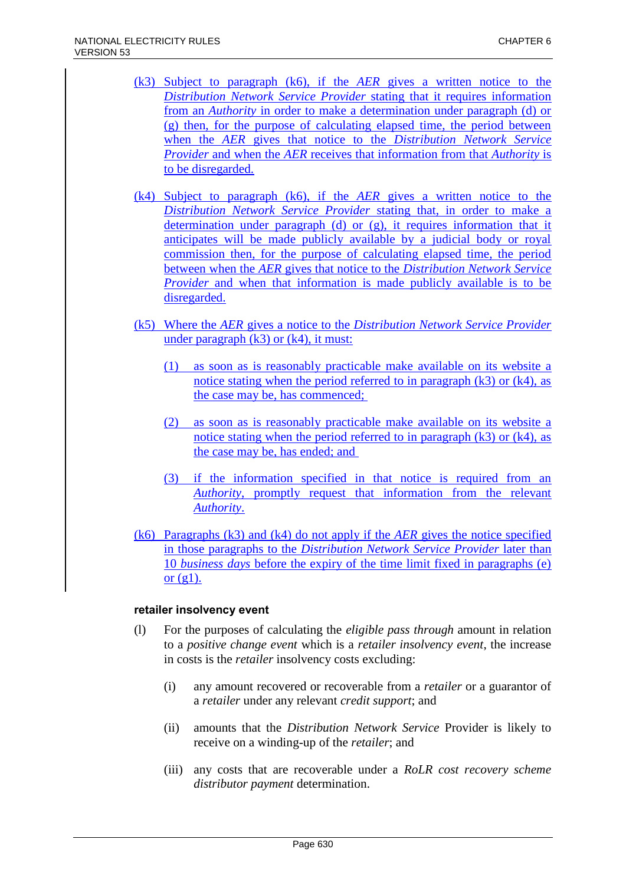- (k3) Subject to paragraph (k6), if the *AER* gives a written notice to the *Distribution Network Service Provider* stating that it requires information from an *Authority* in order to make a determination under paragraph (d) or (g) then, for the purpose of calculating elapsed time, the period between when the *AER* gives that notice to the *Distribution Network Service Provider* and when the *AER* receives that information from that *Authority* is to be disregarded.
- (k4) Subject to paragraph (k6), if the *AER* gives a written notice to the *Distribution Network Service Provider* stating that, in order to make a determination under paragraph (d) or (g), it requires information that it anticipates will be made publicly available by a judicial body or royal commission then, for the purpose of calculating elapsed time, the period between when the *AER* gives that notice to the *Distribution Network Service Provider* and when that information is made publicly available is to be disregarded.
- (k5) Where the *AER* gives a notice to the *Distribution Network Service Provider* under paragraph  $(k3)$  or  $(k4)$ , it must:
	- (1) as soon as is reasonably practicable make available on its website a notice stating when the period referred to in paragraph  $(k3)$  or  $(k4)$ , as the case may be, has commenced;
	- (2) as soon as is reasonably practicable make available on its website a notice stating when the period referred to in paragraph  $(k3)$  or  $(k4)$ , as the case may be, has ended; and
	- (3) if the information specified in that notice is required from an *Authority*, promptly request that information from the relevant *Authority*.
- (k6) Paragraphs (k3) and (k4) do not apply if the *AER* gives the notice specified in those paragraphs to the *Distribution Network Service Provider* later than 10 *business days* before the expiry of the time limit fixed in paragraphs (e) or  $(g1)$ .

### **retailer insolvency event**

- (l) For the purposes of calculating the *eligible pass through* amount in relation to a *positive change event* which is a *retailer insolvency event*, the increase in costs is the *retailer* insolvency costs excluding:
	- (i) any amount recovered or recoverable from a *retailer* or a guarantor of a *retailer* under any relevant *credit support*; and
	- (ii) amounts that the *Distribution Network Service* Provider is likely to receive on a winding-up of the *retailer*; and
	- (iii) any costs that are recoverable under a *RoLR cost recovery scheme distributor payment* determination.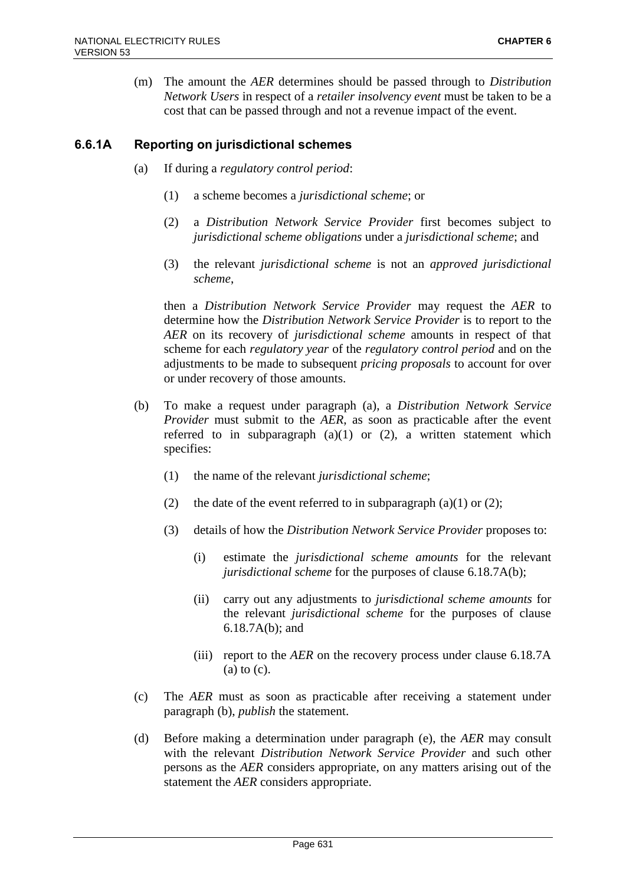(m) The amount the *AER* determines should be passed through to *Distribution Network Users* in respect of a *retailer insolvency event* must be taken to be a cost that can be passed through and not a revenue impact of the event.

# **6.6.1A Reporting on jurisdictional schemes**

- (a) If during a *regulatory control period*:
	- (1) a scheme becomes a *jurisdictional scheme*; or
	- (2) a *Distribution Network Service Provider* first becomes subject to *jurisdictional scheme obligations* under a *jurisdictional scheme*; and
	- (3) the relevant *jurisdictional scheme* is not an *approved jurisdictional scheme*,

then a *Distribution Network Service Provider* may request the *AER* to determine how the *Distribution Network Service Provider* is to report to the *AER* on its recovery of *jurisdictional scheme* amounts in respect of that scheme for each *regulatory year* of the *regulatory control period* and on the adjustments to be made to subsequent *pricing proposals* to account for over or under recovery of those amounts.

- (b) To make a request under paragraph (a), a *Distribution Network Service Provider* must submit to the *AER*, as soon as practicable after the event referred to in subparagraph  $(a)(1)$  or  $(2)$ , a written statement which specifies:
	- (1) the name of the relevant *jurisdictional scheme*;
	- (2) the date of the event referred to in subparagraph (a)(1) or (2);
	- (3) details of how the *Distribution Network Service Provider* proposes to:
		- (i) estimate the *jurisdictional scheme amounts* for the relevant *jurisdictional scheme* for the purposes of clause 6.18.7A(b);
		- (ii) carry out any adjustments to *jurisdictional scheme amounts* for the relevant *jurisdictional scheme* for the purposes of clause 6.18.7A(b); and
		- (iii) report to the *AER* on the recovery process under clause 6.18.7A (a) to (c).
- (c) The *AER* must as soon as practicable after receiving a statement under paragraph (b), *publish* the statement.
- (d) Before making a determination under paragraph (e), the *AER* may consult with the relevant *Distribution Network Service Provider* and such other persons as the *AER* considers appropriate, on any matters arising out of the statement the *AER* considers appropriate.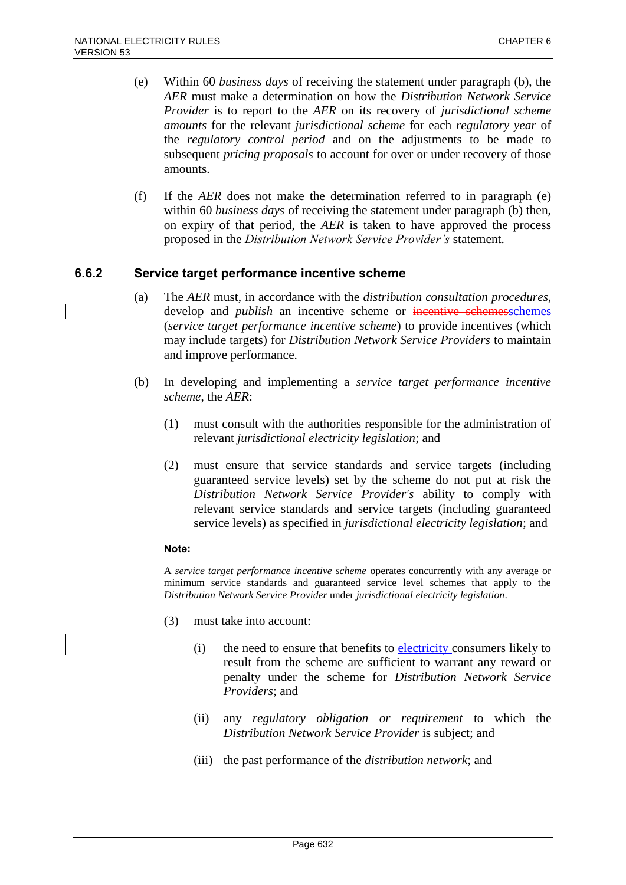- (e) Within 60 *business days* of receiving the statement under paragraph (b), the *AER* must make a determination on how the *Distribution Network Service Provider* is to report to the *AER* on its recovery of *jurisdictional scheme amounts* for the relevant *jurisdictional scheme* for each *regulatory year* of the *regulatory control period* and on the adjustments to be made to subsequent *pricing proposals* to account for over or under recovery of those amounts.
- (f) If the *AER* does not make the determination referred to in paragraph (e) within 60 *business days* of receiving the statement under paragraph (b) then, on expiry of that period, the *AER* is taken to have approved the process proposed in the *Distribution Network Service Provider's* statement.

### **6.6.2 Service target performance incentive scheme**

- (a) The *AER* must, in accordance with the *distribution consultation procedures*, develop and *publish* an incentive scheme or incentive schemesschemes (*service target performance incentive scheme*) to provide incentives (which may include targets) for *Distribution Network Service Providers* to maintain and improve performance.
- (b) In developing and implementing a *service target performance incentive scheme*, the *AER*:
	- (1) must consult with the authorities responsible for the administration of relevant *jurisdictional electricity legislation*; and
	- (2) must ensure that service standards and service targets (including guaranteed service levels) set by the scheme do not put at risk the *Distribution Network Service Provider's* ability to comply with relevant service standards and service targets (including guaranteed service levels) as specified in *jurisdictional electricity legislation*; and

#### **Note:**

A *service target performance incentive scheme* operates concurrently with any average or minimum service standards and guaranteed service level schemes that apply to the *Distribution Network Service Provider* under *jurisdictional electricity legislation*.

- (3) must take into account:
	- (i) the need to ensure that benefits to electricity consumers likely to result from the scheme are sufficient to warrant any reward or penalty under the scheme for *Distribution Network Service Providers*; and
	- (ii) any *regulatory obligation or requirement* to which the *Distribution Network Service Provider* is subject; and
	- (iii) the past performance of the *distribution network*; and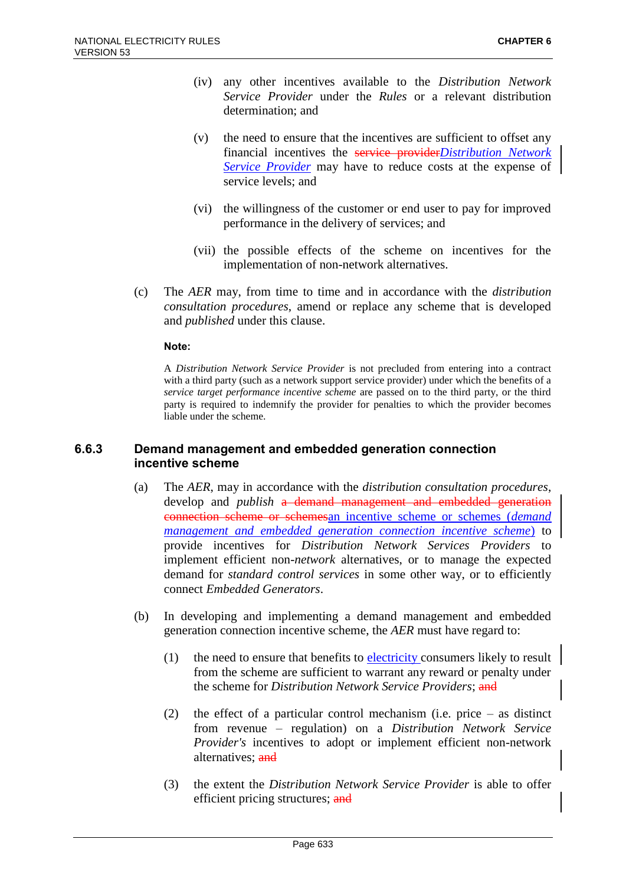- (iv) any other incentives available to the *Distribution Network Service Provider* under the *Rules* or a relevant distribution determination; and
- (v) the need to ensure that the incentives are sufficient to offset any financial incentives the service provider*Distribution Network Service Provider* may have to reduce costs at the expense of service levels; and
- (vi) the willingness of the customer or end user to pay for improved performance in the delivery of services; and
- (vii) the possible effects of the scheme on incentives for the implementation of non-network alternatives.
- (c) The *AER* may, from time to time and in accordance with the *distribution consultation procedures*, amend or replace any scheme that is developed and *published* under this clause.

#### **Note:**

A *Distribution Network Service Provider* is not precluded from entering into a contract with a third party (such as a network support service provider) under which the benefits of a *service target performance incentive scheme* are passed on to the third party, or the third party is required to indemnify the provider for penalties to which the provider becomes liable under the scheme.

### **6.6.3 Demand management and embedded generation connection incentive scheme**

- (a) The *AER*, may in accordance with the *distribution consultation procedures*, develop and *publish* a demand management and embedded generation connection scheme or schemesan incentive scheme or schemes (*demand management and embedded generation connection incentive scheme*) to provide incentives for *Distribution Network Services Providers* to implement efficient non-*network* alternatives, or to manage the expected demand for *standard control services* in some other way, or to efficiently connect *Embedded Generators*.
- (b) In developing and implementing a demand management and embedded generation connection incentive scheme, the *AER* must have regard to:
	- (1) the need to ensure that benefits to  $\frac{\text{electricity}}{\text{consumes}}$  likely to result from the scheme are sufficient to warrant any reward or penalty under the scheme for *Distribution Network Service Providers*; and
	- (2) the effect of a particular control mechanism (i.e. price as distinct from revenue – regulation) on a *Distribution Network Service Provider's* incentives to adopt or implement efficient non-network alternatives; and
	- (3) the extent the *Distribution Network Service Provider* is able to offer efficient pricing structures; and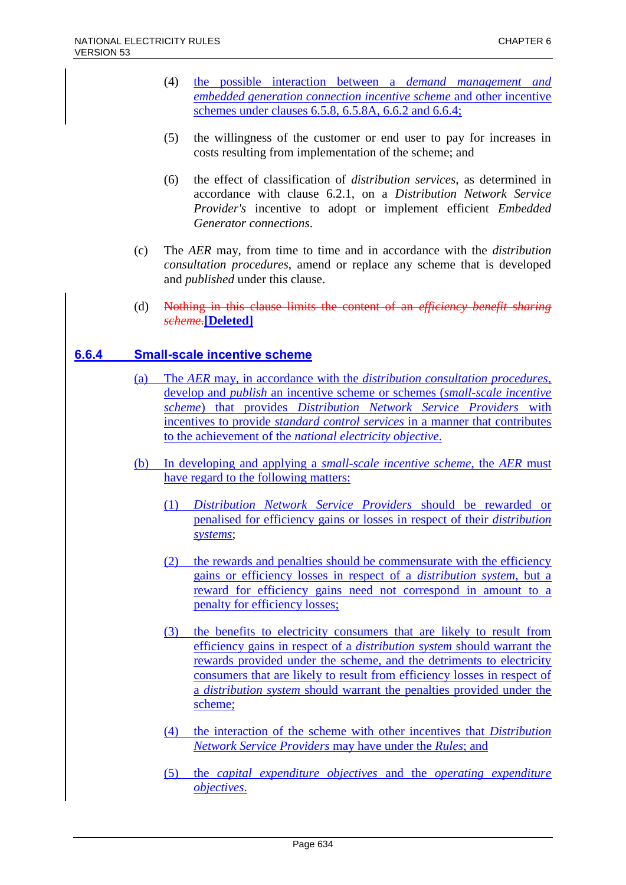- (4) the possible interaction between a *demand management and embedded generation connection incentive scheme* and other incentive schemes under clauses 6.5.8, 6.5.8A, 6.6.2 and 6.6.4;
- (5) the willingness of the customer or end user to pay for increases in costs resulting from implementation of the scheme; and
- (6) the effect of classification of *distribution services*, as determined in accordance with clause 6.2.1, on a *Distribution Network Service Provider's* incentive to adopt or implement efficient *Embedded Generator connections*.
- (c) The *AER* may, from time to time and in accordance with the *distribution consultation procedures*, amend or replace any scheme that is developed and *published* under this clause.
- (d) Nothing in this clause limits the content of an *efficiency benefit sharing scheme*.**[Deleted]**

### **6.6.4 Small-scale incentive scheme**

- (a) The *AER* may, in accordance with the *distribution consultation procedures*, develop and *publish* an incentive scheme or schemes (*small-scale incentive scheme*) that provides *Distribution Network Service Providers* with incentives to provide *standard control services* in a manner that contributes to the achievement of the *national electricity objective*.
- (b) In developing and applying a *small-scale incentive scheme*, the *AER* must have regard to the following matters:
	- (1) *Distribution Network Service Providers* should be rewarded or penalised for efficiency gains or losses in respect of their *distribution systems*;
	- (2) the rewards and penalties should be commensurate with the efficiency gains or efficiency losses in respect of a *distribution system*, but a reward for efficiency gains need not correspond in amount to a penalty for efficiency losses;
	- (3) the benefits to electricity consumers that are likely to result from efficiency gains in respect of a *distribution system* should warrant the rewards provided under the scheme, and the detriments to electricity consumers that are likely to result from efficiency losses in respect of a *distribution system* should warrant the penalties provided under the scheme;
	- (4) the interaction of the scheme with other incentives that *Distribution Network Service Providers* may have under the *Rules*; and
	- (5) the *capital expenditure objectives* and the *operating expenditure objectives*.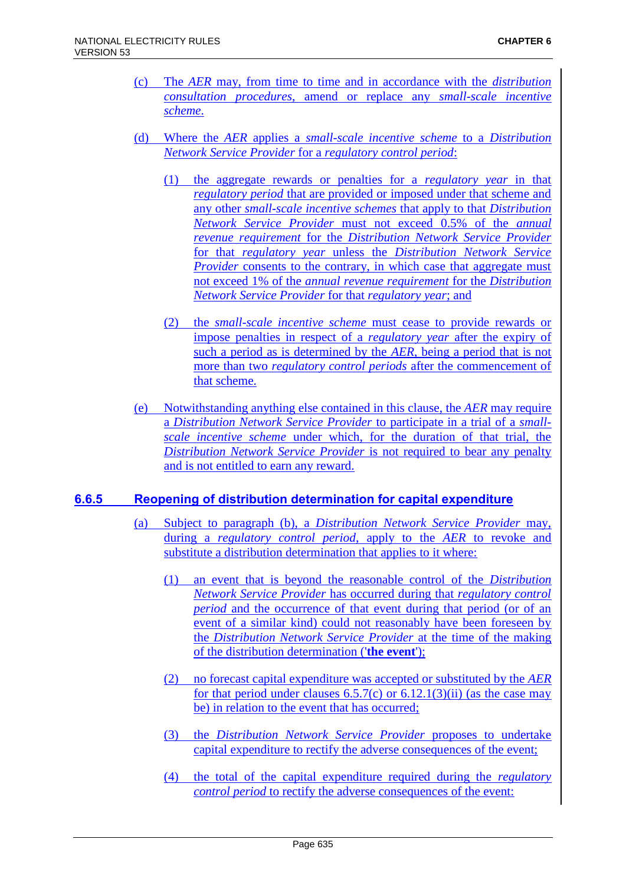- (c) The *AER* may, from time to time and in accordance with the *distribution consultation procedures*, amend or replace any *small-scale incentive scheme*.
- (d) Where the *AER* applies a *small-scale incentive scheme* to a *Distribution Network Service Provider* for a *regulatory control period*:
	- (1) the aggregate rewards or penalties for a *regulatory year* in that *regulatory period* that are provided or imposed under that scheme and any other *small-scale incentive schemes* that apply to that *Distribution Network Service Provider* must not exceed 0.5% of the *annual revenue requirement* for the *Distribution Network Service Provider* for that *regulatory year* unless the *Distribution Network Service Provider* consents to the contrary, in which case that aggregate must not exceed 1% of the *annual revenue requirement* for the *Distribution Network Service Provider* for that *regulatory year*; and
	- (2) the *small-scale incentive scheme* must cease to provide rewards or impose penalties in respect of a *regulatory year* after the expiry of such a period as is determined by the *AER*, being a period that is not more than two *regulatory control periods* after the commencement of that scheme.
- (e) Notwithstanding anything else contained in this clause, the *AER* may require a *Distribution Network Service Provider* to participate in a trial of a *smallscale incentive scheme* under which, for the duration of that trial, the *Distribution Network Service Provider* is not required to bear any penalty and is not entitled to earn any reward.

### **6.6.5 Reopening of distribution determination for capital expenditure**

- (a) Subject to paragraph (b), a *Distribution Network Service Provider* may, during a *regulatory control period*, apply to the *AER* to revoke and substitute a distribution determination that applies to it where:
	- (1) an event that is beyond the reasonable control of the *Distribution Network Service Provider* has occurred during that *regulatory control period* and the occurrence of that event during that period (or of an event of a similar kind) could not reasonably have been foreseen by the *Distribution Network Service Provider* at the time of the making of the distribution determination ('**the event**');
	- (2) no forecast capital expenditure was accepted or substituted by the *AER* for that period under clauses  $6.5.7(c)$  or  $6.12.1(3)(ii)$  (as the case may be) in relation to the event that has occurred;
	- (3) the *Distribution Network Service Provider* proposes to undertake capital expenditure to rectify the adverse consequences of the event;
	- (4) the total of the capital expenditure required during the *regulatory control period* to rectify the adverse consequences of the event: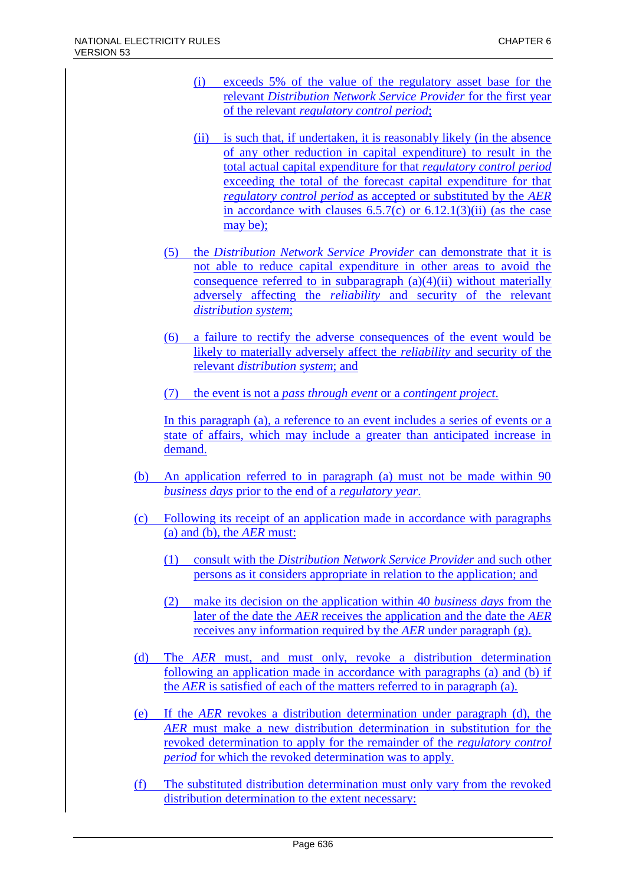- (i) exceeds 5% of the value of the regulatory asset base for the relevant *Distribution Network Service Provider* for the first year of the relevant *regulatory control period*;
- (ii) is such that, if undertaken, it is reasonably likely (in the absence of any other reduction in capital expenditure) to result in the total actual capital expenditure for that *regulatory control period* exceeding the total of the forecast capital expenditure for that *regulatory control period* as accepted or substituted by the *AER* in accordance with clauses  $6.5.7(c)$  or  $6.12.1(3)(ii)$  (as the case may be);
- (5) the *Distribution Network Service Provider* can demonstrate that it is not able to reduce capital expenditure in other areas to avoid the consequence referred to in subparagraph  $(a)(4)(ii)$  without materially adversely affecting the *reliability* and security of the relevant *distribution system*;
- (6) a failure to rectify the adverse consequences of the event would be likely to materially adversely affect the *reliability* and security of the relevant *distribution system*; and
- (7) the event is not a *pass through event* or a *contingent project*.

In this paragraph (a), a reference to an event includes a series of events or a state of affairs, which may include a greater than anticipated increase in demand.

- (b) An application referred to in paragraph (a) must not be made within 90 *business days* prior to the end of a *regulatory year*.
- (c) Following its receipt of an application made in accordance with paragraphs (a) and (b), the *AER* must:
	- (1) consult with the *Distribution Network Service Provider* and such other persons as it considers appropriate in relation to the application; and
	- (2) make its decision on the application within 40 *business days* from the later of the date the *AER* receives the application and the date the *AER* receives any information required by the *AER* under paragraph (g).
- (d) The *AER* must, and must only, revoke a distribution determination following an application made in accordance with paragraphs (a) and (b) if the *AER* is satisfied of each of the matters referred to in paragraph (a).
- (e) If the *AER* revokes a distribution determination under paragraph (d), the *AER* must make a new distribution determination in substitution for the revoked determination to apply for the remainder of the *regulatory control period* for which the revoked determination was to apply.
- (f) The substituted distribution determination must only vary from the revoked distribution determination to the extent necessary: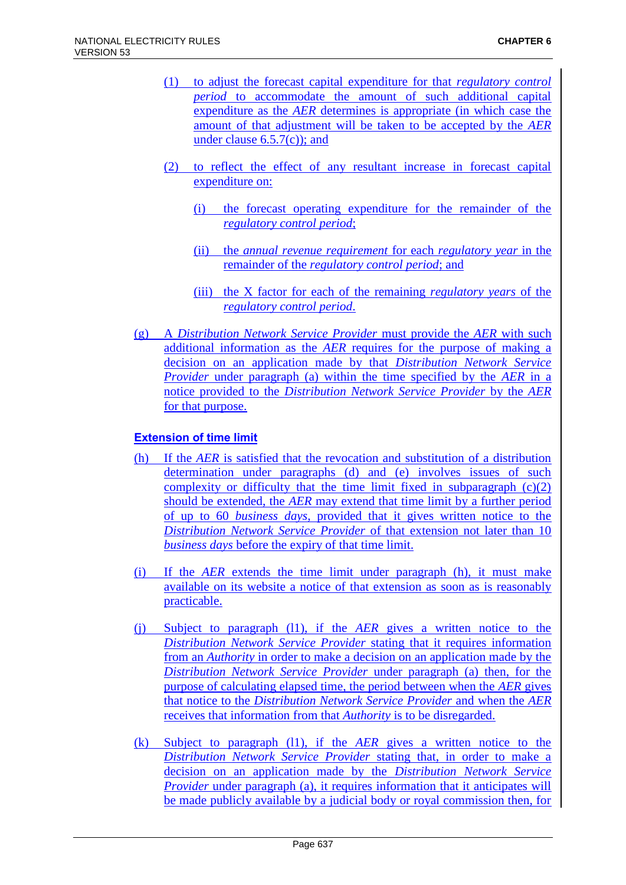- (1) to adjust the forecast capital expenditure for that *regulatory control period* to accommodate the amount of such additional capital expenditure as the *AER* determines is appropriate (in which case the amount of that adjustment will be taken to be accepted by the *AER* under clause 6.5.7(c)); and
- (2) to reflect the effect of any resultant increase in forecast capital expenditure on:
	- (i) the forecast operating expenditure for the remainder of the *regulatory control period*;
	- (ii) the *annual revenue requirement* for each *regulatory year* in the remainder of the *regulatory control period*; and
	- (iii) the X factor for each of the remaining *regulatory years* of the *regulatory control period*.
- (g) A *Distribution Network Service Provider* must provide the *AER* with such additional information as the *AER* requires for the purpose of making a decision on an application made by that *Distribution Network Service Provider* under paragraph (a) within the time specified by the *AER* in a notice provided to the *Distribution Network Service Provider* by the *AER*  for that purpose.

# **Extension of time limit**

- (h) If the *AER* is satisfied that the revocation and substitution of a distribution determination under paragraphs (d) and (e) involves issues of such complexity or difficulty that the time limit fixed in subparagraph  $(c)(2)$ should be extended, the *AER* may extend that time limit by a further period of up to 60 *business days*, provided that it gives written notice to the *Distribution Network Service Provider* of that extension not later than 10 *business days* before the expiry of that time limit.
- (i) If the *AER* extends the time limit under paragraph (h), it must make available on its website a notice of that extension as soon as is reasonably practicable.
- (j) Subject to paragraph (l1), if the *AER* gives a written notice to the *Distribution Network Service Provider* stating that it requires information from an *Authority* in order to make a decision on an application made by the *Distribution Network Service Provider* under paragraph (a) then, for the purpose of calculating elapsed time, the period between when the *AER* gives that notice to the *Distribution Network Service Provider* and when the *AER* receives that information from that *Authority* is to be disregarded.
- (k) Subject to paragraph (l1), if the *AER* gives a written notice to the *Distribution Network Service Provider* stating that, in order to make a decision on an application made by the *Distribution Network Service Provider* under paragraph (a), it requires information that it anticipates will be made publicly available by a judicial body or royal commission then, for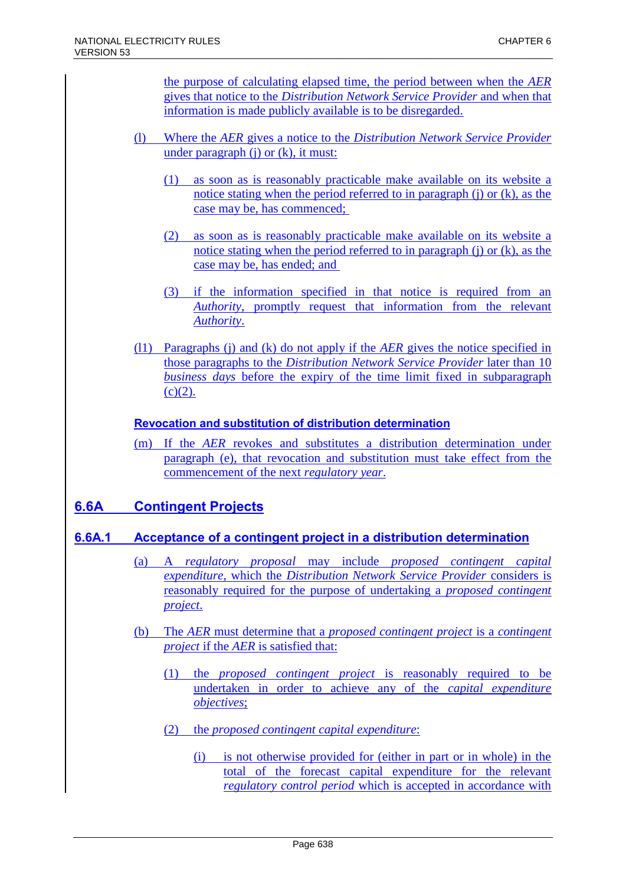the purpose of calculating elapsed time, the period between when the *AER* gives that notice to the *Distribution Network Service Provider* and when that information is made publicly available is to be disregarded.

- (l) Where the *AER* gives a notice to the *Distribution Network Service Provider* under paragraph (j) or (k), it must:
	- (1) as soon as is reasonably practicable make available on its website a notice stating when the period referred to in paragraph (j) or (k), as the case may be, has commenced;
	- (2) as soon as is reasonably practicable make available on its website a notice stating when the period referred to in paragraph (j) or (k), as the case may be, has ended; and
	- (3) if the information specified in that notice is required from an *Authority*, promptly request that information from the relevant *Authority*.
- (l1) Paragraphs (j) and (k) do not apply if the *AER* gives the notice specified in those paragraphs to the *Distribution Network Service Provider* later than 10 *business days* before the expiry of the time limit fixed in subparagraph  $(c)(2)$ .

### **Revocation and substitution of distribution determination**

(m) If the *AER* revokes and substitutes a distribution determination under paragraph (e), that revocation and substitution must take effect from the commencement of the next *regulatory year*.

# **6.6A Contingent Projects**

# **6.6A.1 Acceptance of a contingent project in a distribution determination**

- (a) A *regulatory proposal* may include *proposed contingent capital expenditure*, which the *Distribution Network Service Provider* considers is reasonably required for the purpose of undertaking a *proposed contingent project*.
- (b) The *AER* must determine that a *proposed contingent project* is a *contingent project* if the *AER* is satisfied that:
	- (1) the *proposed contingent project* is reasonably required to be undertaken in order to achieve any of the *capital expenditure objectives*;
	- (2) the *proposed contingent capital expenditure*:
		- (i) is not otherwise provided for (either in part or in whole) in the total of the forecast capital expenditure for the relevant *regulatory control period* which is accepted in accordance with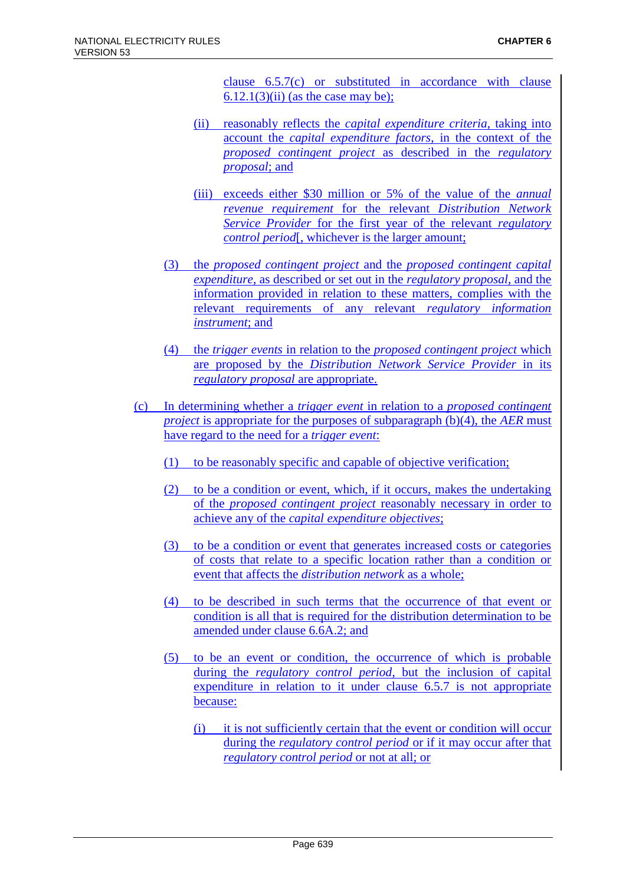clause 6.5.7(c) or substituted in accordance with clause  $6.12.1(3)(ii)$  (as the case may be);

- (ii) reasonably reflects the *capital expenditure criteria*, taking into account the *capital expenditure factors*, in the context of the *proposed contingent project* as described in the *regulatory proposal*; and
- (iii) exceeds either \$30 million or 5% of the value of the *annual revenue requirement* for the relevant *Distribution Network Service Provider* for the first year of the relevant *regulatory control period*[, whichever is the larger amount;
- (3) the *proposed contingent project* and the *proposed contingent capital expenditure*, as described or set out in the *regulatory proposal*, and the information provided in relation to these matters, complies with the relevant requirements of any relevant *regulatory information instrument*; and
- (4) the *trigger events* in relation to the *proposed contingent project* which are proposed by the *Distribution Network Service Provider* in its *regulatory proposal* are appropriate.
- (c) In determining whether a *trigger event* in relation to a *proposed contingent project* is appropriate for the purposes of subparagraph (b)(4), the *AER* must have regard to the need for a *trigger event*:
	- (1) to be reasonably specific and capable of objective verification;
	- (2) to be a condition or event, which, if it occurs, makes the undertaking of the *proposed contingent project* reasonably necessary in order to achieve any of the *capital expenditure objectives*;
	- (3) to be a condition or event that generates increased costs or categories of costs that relate to a specific location rather than a condition or event that affects the *distribution network* as a whole;
	- (4) to be described in such terms that the occurrence of that event or condition is all that is required for the distribution determination to be amended under clause 6.6A.2; and
	- (5) to be an event or condition, the occurrence of which is probable during the *regulatory control period*, but the inclusion of capital expenditure in relation to it under clause 6.5.7 is not appropriate because:
		- (i) it is not sufficiently certain that the event or condition will occur during the *regulatory control period* or if it may occur after that *regulatory control period* or not at all; or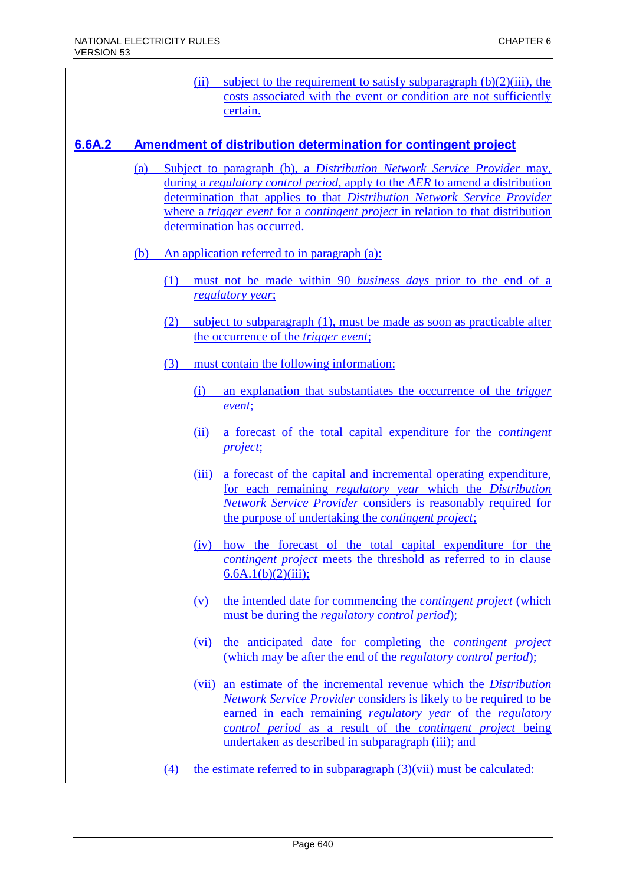(ii) subject to the requirement to satisfy subparagraph  $(b)(2)(iii)$ , the costs associated with the event or condition are not sufficiently certain.

### **6.6A.2 Amendment of distribution determination for contingent project**

- (a) Subject to paragraph (b), a *Distribution Network Service Provider* may, during a *regulatory control period*, apply to the *AER* to amend a distribution determination that applies to that *Distribution Network Service Provider* where a *trigger event* for a *contingent project* in relation to that distribution determination has occurred.
- (b) An application referred to in paragraph (a):
	- (1) must not be made within 90 *business days* prior to the end of a *regulatory year*;
	- (2) subject to subparagraph (1), must be made as soon as practicable after the occurrence of the *trigger event*;
	- (3) must contain the following information:
		- (i) an explanation that substantiates the occurrence of the *trigger event*;
		- (ii) a forecast of the total capital expenditure for the *contingent project*;
		- (iii) a forecast of the capital and incremental operating expenditure, for each remaining *regulatory year* which the *Distribution Network Service Provider* considers is reasonably required for the purpose of undertaking the *contingent project*;
		- (iv) how the forecast of the total capital expenditure for the *contingent project* meets the threshold as referred to in clause  $6.6A.1(b)(2)(iii)$ ;
		- (v) the intended date for commencing the *contingent project* (which must be during the *regulatory control period*);
		- (vi) the anticipated date for completing the *contingent project* (which may be after the end of the *regulatory control period*);
		- (vii) an estimate of the incremental revenue which the *Distribution Network Service Provider* considers is likely to be required to be earned in each remaining *regulatory year* of the *regulatory control period* as a result of the *contingent project* being undertaken as described in subparagraph (iii); and
	- (4) the estimate referred to in subparagraph  $(3)(\n{\text{vii}})$  must be calculated: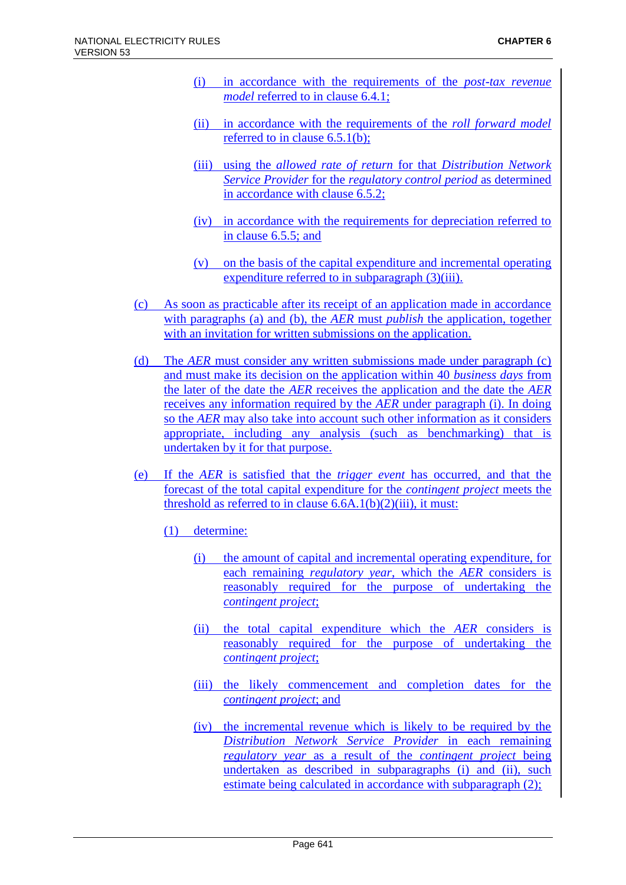- (i) in accordance with the requirements of the *post-tax revenue model* referred to in clause 6.4.1;
- (ii) in accordance with the requirements of the *roll forward model* referred to in clause 6.5.1(b);
- (iii) using the *allowed rate of return* for that *Distribution Network Service Provider* for the *regulatory control period* as determined in accordance with clause 6.5.2;
- (iv) in accordance with the requirements for depreciation referred to in clause 6.5.5; and
- (v) on the basis of the capital expenditure and incremental operating expenditure referred to in subparagraph (3)(iii).
- (c) As soon as practicable after its receipt of an application made in accordance with paragraphs (a) and (b), the *AER* must *publish* the application, together with an invitation for written submissions on the application.
- (d) The *AER* must consider any written submissions made under paragraph (c) and must make its decision on the application within 40 *business days* from the later of the date the *AER* receives the application and the date the *AER* receives any information required by the *AER* under paragraph (i). In doing so the *AER* may also take into account such other information as it considers appropriate, including any analysis (such as benchmarking) that is undertaken by it for that purpose.
- (e) If the *AER* is satisfied that the *trigger event* has occurred, and that the forecast of the total capital expenditure for the *contingent project* meets the threshold as referred to in clause  $6.6A.1(b)(2)(iii)$ , it must:
	- (1) determine:
		- (i) the amount of capital and incremental operating expenditure, for each remaining *regulatory year*, which the *AER* considers is reasonably required for the purpose of undertaking the *contingent project*;
		- (ii) the total capital expenditure which the *AER* considers is reasonably required for the purpose of undertaking the *contingent project*;
		- (iii) the likely commencement and completion dates for the *contingent project*; and
		- (iv) the incremental revenue which is likely to be required by the *Distribution Network Service Provider* in each remaining *regulatory year* as a result of the *contingent project* being undertaken as described in subparagraphs (i) and (ii), such estimate being calculated in accordance with subparagraph (2);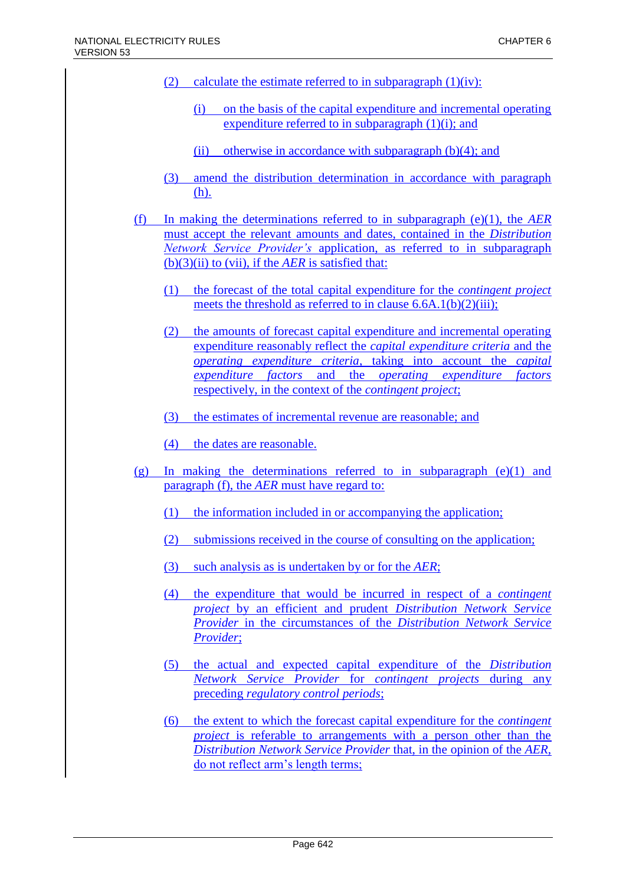- (2) calculate the estimate referred to in subparagraph  $(1)(iv)$ :
	- (i) on the basis of the capital expenditure and incremental operating expenditure referred to in subparagraph  $(1)(i)$ ; and
	- (ii) otherwise in accordance with subparagraph  $(b)(4)$ ; and
- (3) amend the distribution determination in accordance with paragraph (h).
- (f) In making the determinations referred to in subparagraph (e)(1), the *AER* must accept the relevant amounts and dates, contained in the *Distribution Network Service Provider's* application, as referred to in subparagraph  $(b)(3)(ii)$  to (vii), if the *AER* is satisfied that:
	- (1) the forecast of the total capital expenditure for the *contingent project* meets the threshold as referred to in clause 6.6A.1(b)(2)(iii);
	- (2) the amounts of forecast capital expenditure and incremental operating expenditure reasonably reflect the *capital expenditure criteria* and the *operating expenditure criteria*, taking into account the *capital expenditure factors* and the *operating expenditure factors* respectively, in the context of the *contingent project*;
	- (3) the estimates of incremental revenue are reasonable; and
	- (4) the dates are reasonable.
- (g) In making the determinations referred to in subparagraph  $(e)(1)$  and paragraph (f), the *AER* must have regard to:
	- (1) the information included in or accompanying the application;
	- (2) submissions received in the course of consulting on the application;
	- (3) such analysis as is undertaken by or for the *AER*;
	- (4) the expenditure that would be incurred in respect of a *contingent project* by an efficient and prudent *Distribution Network Service Provider* in the circumstances of the *Distribution Network Service Provider*;
	- (5) the actual and expected capital expenditure of the *Distribution Network Service Provider* for *contingent projects* during any preceding *regulatory control periods*;
	- (6) the extent to which the forecast capital expenditure for the *contingent project* is referable to arrangements with a person other than the *Distribution Network Service Provider* that, in the opinion of the *AER*, do not reflect arm's length terms;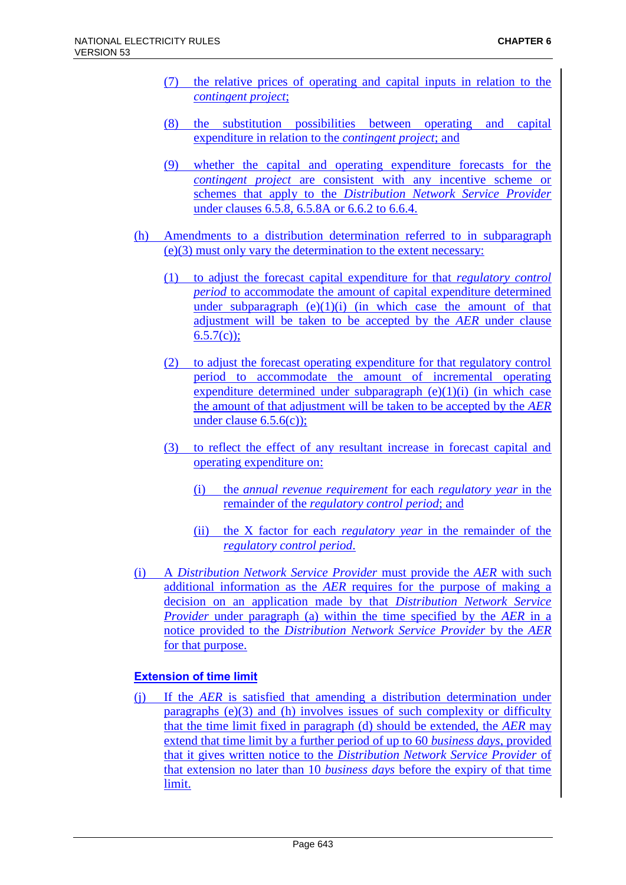- (7) the relative prices of operating and capital inputs in relation to the *contingent project*;
- (8) the substitution possibilities between operating and capital expenditure in relation to the *contingent project*; and
- (9) whether the capital and operating expenditure forecasts for the *contingent project* are consistent with any incentive scheme or schemes that apply to the *Distribution Network Service Provider* under clauses 6.5.8, 6.5.8A or 6.6.2 to 6.6.4.
- (h) Amendments to a distribution determination referred to in subparagraph (e)(3) must only vary the determination to the extent necessary:
	- (1) to adjust the forecast capital expenditure for that *regulatory control period* to accommodate the amount of capital expenditure determined under subparagraph  $(e)(1)(i)$  (in which case the amount of that adjustment will be taken to be accepted by the *AER* under clause  $6.5.7(c)$ ;
	- (2) to adjust the forecast operating expenditure for that regulatory control period to accommodate the amount of incremental operating expenditure determined under subparagraph  $(e)(1)(i)$  (in which case the amount of that adjustment will be taken to be accepted by the *AER* under clause 6.5.6(c));
	- (3) to reflect the effect of any resultant increase in forecast capital and operating expenditure on:
		- (i) the *annual revenue requirement* for each *regulatory year* in the remainder of the *regulatory control period*; and
		- (ii) the X factor for each *regulatory year* in the remainder of the *regulatory control period*.
- (i) A *Distribution Network Service Provider* must provide the *AER* with such additional information as the *AER* requires for the purpose of making a decision on an application made by that *Distribution Network Service Provider* under paragraph (a) within the time specified by the *AER* in a notice provided to the *Distribution Network Service Provider* by the *AER* for that purpose.

### **Extension of time limit**

(j) If the *AER* is satisfied that amending a distribution determination under paragraphs (e)(3) and (h) involves issues of such complexity or difficulty that the time limit fixed in paragraph (d) should be extended, the *AER* may extend that time limit by a further period of up to 60 *business days*, provided that it gives written notice to the *Distribution Network Service Provider* of that extension no later than 10 *business days* before the expiry of that time limit.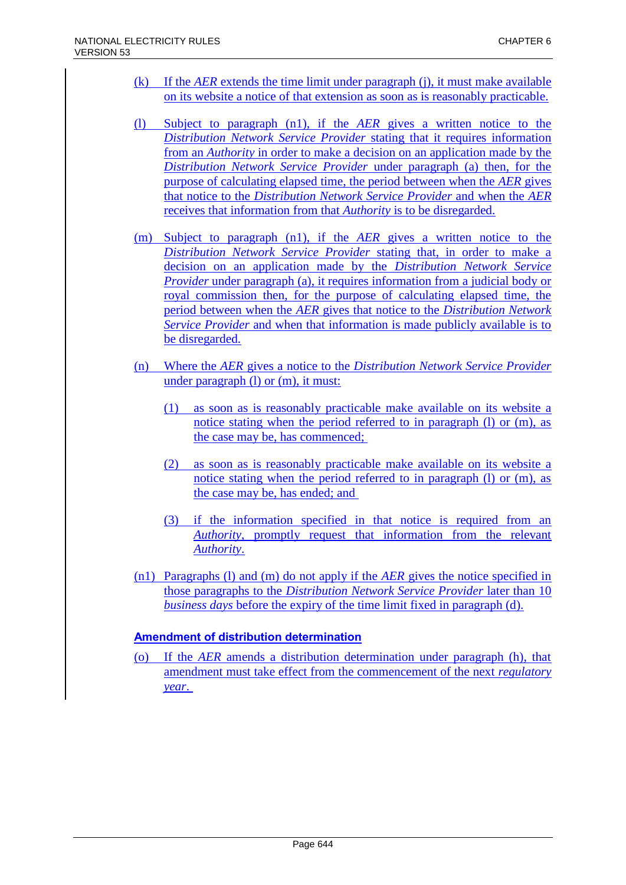- (k) If the *AER* extends the time limit under paragraph (j), it must make available on its website a notice of that extension as soon as is reasonably practicable.
- (l) Subject to paragraph (n1), if the *AER* gives a written notice to the *Distribution Network Service Provider* stating that it requires information from an *Authority* in order to make a decision on an application made by the *Distribution Network Service Provider* under paragraph (a) then, for the purpose of calculating elapsed time, the period between when the *AER* gives that notice to the *Distribution Network Service Provider* and when the *AER* receives that information from that *Authority* is to be disregarded.
- (m) Subject to paragraph (n1), if the *AER* gives a written notice to the *Distribution Network Service Provider* stating that, in order to make a decision on an application made by the *Distribution Network Service Provider* under paragraph (a), it requires information from a judicial body or royal commission then, for the purpose of calculating elapsed time, the period between when the *AER* gives that notice to the *Distribution Network Service Provider* and when that information is made publicly available is to be disregarded.
- (n) Where the *AER* gives a notice to the *Distribution Network Service Provider* under paragraph (l) or (m), it must:
	- (1) as soon as is reasonably practicable make available on its website a notice stating when the period referred to in paragraph (l) or (m), as the case may be, has commenced;
	- (2) as soon as is reasonably practicable make available on its website a notice stating when the period referred to in paragraph (l) or (m), as the case may be, has ended; and
	- (3) if the information specified in that notice is required from an *Authority*, promptly request that information from the relevant *Authority*.
- (n1) Paragraphs (l) and (m) do not apply if the *AER* gives the notice specified in those paragraphs to the *Distribution Network Service Provider* later than 10 *business days* before the expiry of the time limit fixed in paragraph (d).

### **Amendment of distribution determination**

(o) If the *AER* amends a distribution determination under paragraph (h), that amendment must take effect from the commencement of the next *regulatory year*.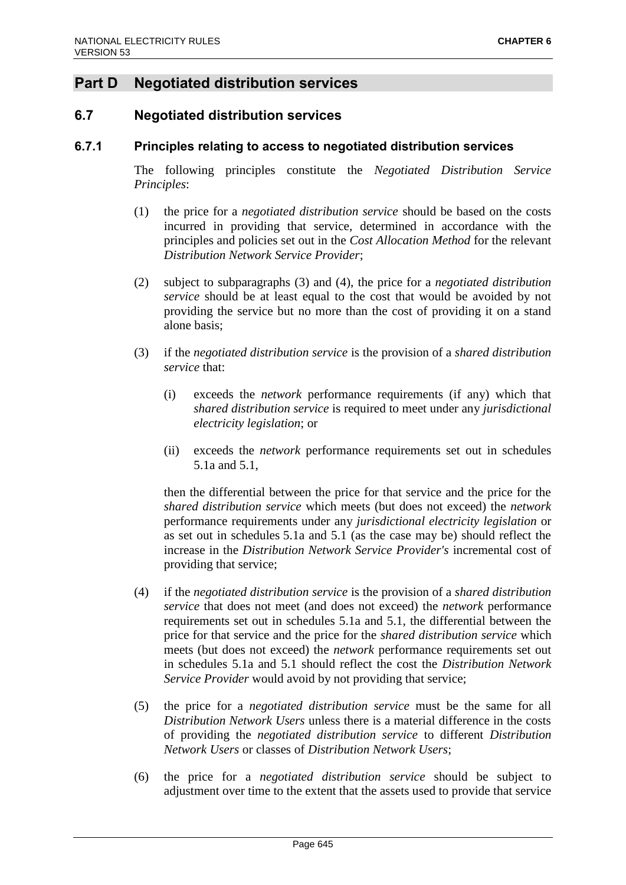# **Part D Negotiated distribution services**

# **6.7 Negotiated distribution services**

### **6.7.1 Principles relating to access to negotiated distribution services**

The following principles constitute the *Negotiated Distribution Service Principles*:

- (1) the price for a *negotiated distribution service* should be based on the costs incurred in providing that service, determined in accordance with the principles and policies set out in the *Cost Allocation Method* for the relevant *Distribution Network Service Provider*;
- (2) subject to subparagraphs (3) and (4), the price for a *negotiated distribution service* should be at least equal to the cost that would be avoided by not providing the service but no more than the cost of providing it on a stand alone basis;
- (3) if the *negotiated distribution service* is the provision of a *shared distribution service* that:
	- (i) exceeds the *network* performance requirements (if any) which that *shared distribution service* is required to meet under any *jurisdictional electricity legislation*; or
	- (ii) exceeds the *network* performance requirements set out in schedules 5.1a and 5.1,

then the differential between the price for that service and the price for the *shared distribution service* which meets (but does not exceed) the *network* performance requirements under any *jurisdictional electricity legislation* or as set out in schedules 5.1a and 5.1 (as the case may be) should reflect the increase in the *Distribution Network Service Provider's* incremental cost of providing that service;

- (4) if the *negotiated distribution service* is the provision of a *shared distribution service* that does not meet (and does not exceed) the *network* performance requirements set out in schedules 5.1a and 5.1, the differential between the price for that service and the price for the *shared distribution service* which meets (but does not exceed) the *network* performance requirements set out in schedules 5.1a and 5.1 should reflect the cost the *Distribution Network Service Provider* would avoid by not providing that service;
- (5) the price for a *negotiated distribution service* must be the same for all *Distribution Network Users* unless there is a material difference in the costs of providing the *negotiated distribution service* to different *Distribution Network Users* or classes of *Distribution Network Users*;
- (6) the price for a *negotiated distribution service* should be subject to adjustment over time to the extent that the assets used to provide that service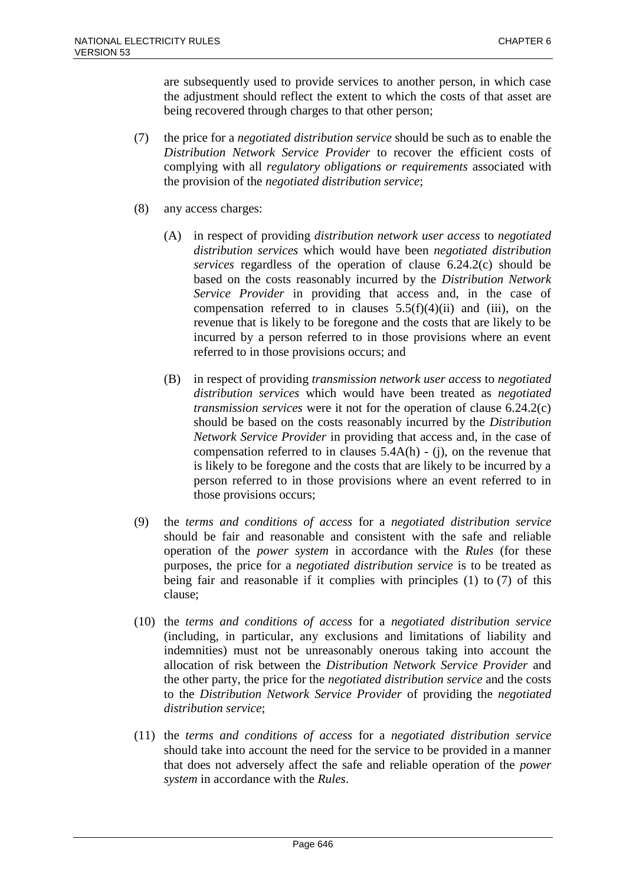are subsequently used to provide services to another person, in which case the adjustment should reflect the extent to which the costs of that asset are being recovered through charges to that other person;

- (7) the price for a *negotiated distribution service* should be such as to enable the *Distribution Network Service Provider* to recover the efficient costs of complying with all *regulatory obligations or requirements* associated with the provision of the *negotiated distribution service*;
- (8) any access charges:
	- (A) in respect of providing *distribution network user access* to *negotiated distribution services* which would have been *negotiated distribution services* regardless of the operation of clause 6.24.2(c) should be based on the costs reasonably incurred by the *Distribution Network Service Provider* in providing that access and, in the case of compensation referred to in clauses  $5.5(f)(4)(ii)$  and (iii), on the revenue that is likely to be foregone and the costs that are likely to be incurred by a person referred to in those provisions where an event referred to in those provisions occurs; and
	- (B) in respect of providing *transmission network user access* to *negotiated distribution services* which would have been treated as *negotiated transmission services* were it not for the operation of clause 6.24.2(c) should be based on the costs reasonably incurred by the *Distribution Network Service Provider* in providing that access and, in the case of compensation referred to in clauses  $5.4A(h)$  - (j), on the revenue that is likely to be foregone and the costs that are likely to be incurred by a person referred to in those provisions where an event referred to in those provisions occurs;
- (9) the *terms and conditions of access* for a *negotiated distribution service* should be fair and reasonable and consistent with the safe and reliable operation of the *power system* in accordance with the *Rules* (for these purposes, the price for a *negotiated distribution service* is to be treated as being fair and reasonable if it complies with principles (1) to (7) of this clause;
- (10) the *terms and conditions of access* for a *negotiated distribution service* (including, in particular, any exclusions and limitations of liability and indemnities) must not be unreasonably onerous taking into account the allocation of risk between the *Distribution Network Service Provider* and the other party, the price for the *negotiated distribution service* and the costs to the *Distribution Network Service Provider* of providing the *negotiated distribution service*;
- (11) the *terms and conditions of access* for a *negotiated distribution service* should take into account the need for the service to be provided in a manner that does not adversely affect the safe and reliable operation of the *power system* in accordance with the *Rules*.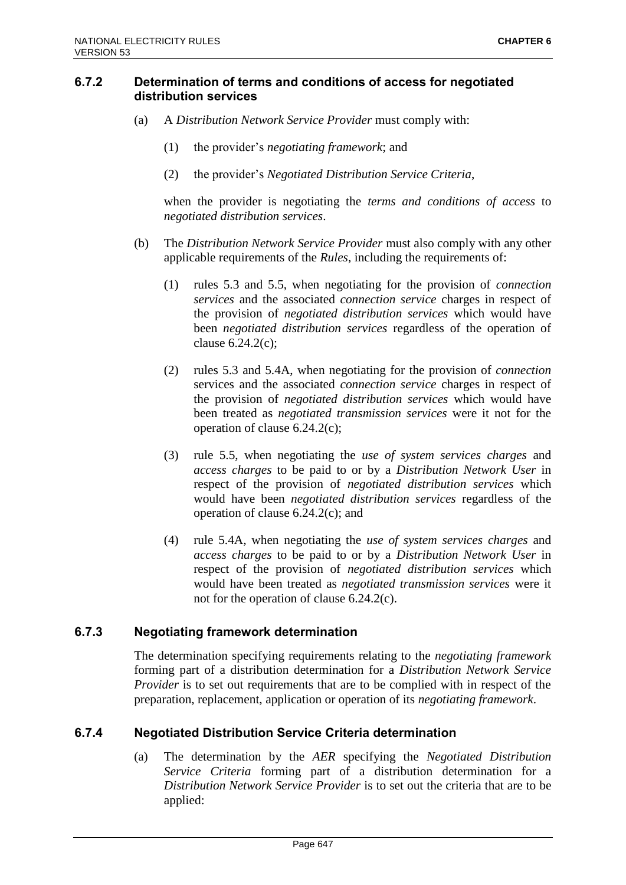### **6.7.2 Determination of terms and conditions of access for negotiated distribution services**

- (a) A *Distribution Network Service Provider* must comply with:
	- (1) the provider's *negotiating framework*; and
	- (2) the provider's *Negotiated Distribution Service Criteria*,

when the provider is negotiating the *terms and conditions of access* to *negotiated distribution services*.

- (b) The *Distribution Network Service Provider* must also comply with any other applicable requirements of the *Rules*, including the requirements of:
	- (1) rules 5.3 and 5.5, when negotiating for the provision of *connection services* and the associated *connection service* charges in respect of the provision of *negotiated distribution services* which would have been *negotiated distribution services* regardless of the operation of clause 6.24.2(c);
	- (2) rules 5.3 and 5.4A, when negotiating for the provision of *connection* services and the associated *connection service* charges in respect of the provision of *negotiated distribution services* which would have been treated as *negotiated transmission services* were it not for the operation of clause 6.24.2(c);
	- (3) rule 5.5, when negotiating the *use of system services charges* and *access charges* to be paid to or by a *Distribution Network User* in respect of the provision of *negotiated distribution services* which would have been *negotiated distribution services* regardless of the operation of clause 6.24.2(c); and
	- (4) rule 5.4A, when negotiating the *use of system services charges* and *access charges* to be paid to or by a *Distribution Network User* in respect of the provision of *negotiated distribution services* which would have been treated as *negotiated transmission services* were it not for the operation of clause 6.24.2(c).

### **6.7.3 Negotiating framework determination**

The determination specifying requirements relating to the *negotiating framework* forming part of a distribution determination for a *Distribution Network Service Provider* is to set out requirements that are to be complied with in respect of the preparation, replacement, application or operation of its *negotiating framework*.

### **6.7.4 Negotiated Distribution Service Criteria determination**

(a) The determination by the *AER* specifying the *Negotiated Distribution Service Criteria* forming part of a distribution determination for a *Distribution Network Service Provider* is to set out the criteria that are to be applied: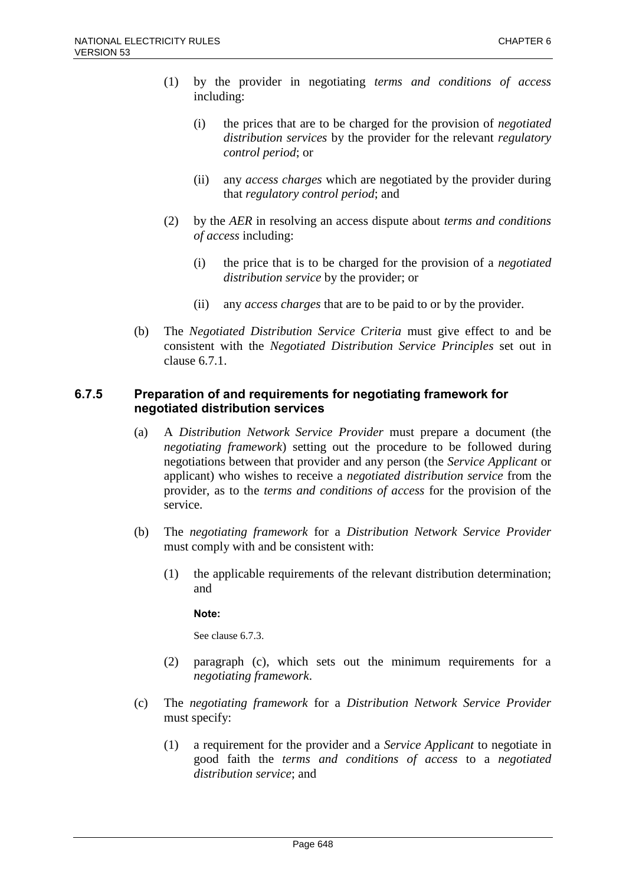- (1) by the provider in negotiating *terms and conditions of access* including:
	- (i) the prices that are to be charged for the provision of *negotiated distribution services* by the provider for the relevant *regulatory control period*; or
	- (ii) any *access charges* which are negotiated by the provider during that *regulatory control period*; and
- (2) by the *AER* in resolving an access dispute about *terms and conditions of access* including:
	- (i) the price that is to be charged for the provision of a *negotiated distribution service* by the provider; or
	- (ii) any *access charges* that are to be paid to or by the provider.
- (b) The *Negotiated Distribution Service Criteria* must give effect to and be consistent with the *Negotiated Distribution Service Principles* set out in clause 6.7.1.

### **6.7.5 Preparation of and requirements for negotiating framework for negotiated distribution services**

- (a) A *Distribution Network Service Provider* must prepare a document (the *negotiating framework*) setting out the procedure to be followed during negotiations between that provider and any person (the *Service Applicant* or applicant) who wishes to receive a *negotiated distribution service* from the provider, as to the *terms and conditions of access* for the provision of the service.
- (b) The *negotiating framework* for a *Distribution Network Service Provider* must comply with and be consistent with:
	- (1) the applicable requirements of the relevant distribution determination; and

**Note:**

See clause 6.7.3.

- (2) paragraph (c), which sets out the minimum requirements for a *negotiating framework*.
- (c) The *negotiating framework* for a *Distribution Network Service Provider* must specify:
	- (1) a requirement for the provider and a *Service Applicant* to negotiate in good faith the *terms and conditions of access* to a *negotiated distribution service*; and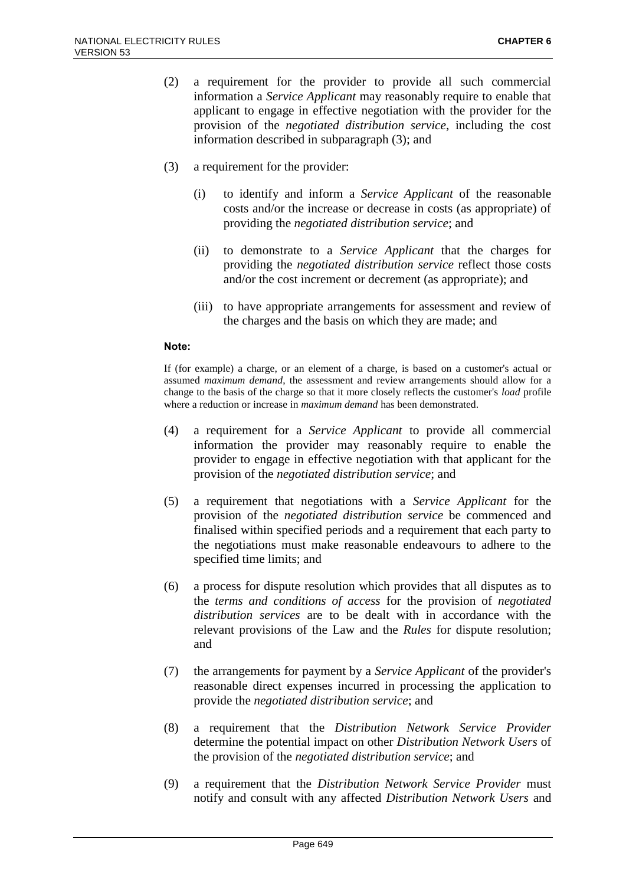- (2) a requirement for the provider to provide all such commercial information a *Service Applicant* may reasonably require to enable that applicant to engage in effective negotiation with the provider for the provision of the *negotiated distribution service*, including the cost information described in subparagraph (3); and
- (3) a requirement for the provider:
	- (i) to identify and inform a *Service Applicant* of the reasonable costs and/or the increase or decrease in costs (as appropriate) of providing the *negotiated distribution service*; and
	- (ii) to demonstrate to a *Service Applicant* that the charges for providing the *negotiated distribution service* reflect those costs and/or the cost increment or decrement (as appropriate); and
	- (iii) to have appropriate arrangements for assessment and review of the charges and the basis on which they are made; and

#### **Note:**

If (for example) a charge, or an element of a charge, is based on a customer's actual or assumed *maximum demand*, the assessment and review arrangements should allow for a change to the basis of the charge so that it more closely reflects the customer's *load* profile where a reduction or increase in *maximum demand* has been demonstrated.

- (4) a requirement for a *Service Applicant* to provide all commercial information the provider may reasonably require to enable the provider to engage in effective negotiation with that applicant for the provision of the *negotiated distribution service*; and
- (5) a requirement that negotiations with a *Service Applicant* for the provision of the *negotiated distribution service* be commenced and finalised within specified periods and a requirement that each party to the negotiations must make reasonable endeavours to adhere to the specified time limits; and
- (6) a process for dispute resolution which provides that all disputes as to the *terms and conditions of access* for the provision of *negotiated distribution services* are to be dealt with in accordance with the relevant provisions of the Law and the *Rules* for dispute resolution; and
- (7) the arrangements for payment by a *Service Applicant* of the provider's reasonable direct expenses incurred in processing the application to provide the *negotiated distribution service*; and
- (8) a requirement that the *Distribution Network Service Provider* determine the potential impact on other *Distribution Network Users* of the provision of the *negotiated distribution service*; and
- (9) a requirement that the *Distribution Network Service Provider* must notify and consult with any affected *Distribution Network Users* and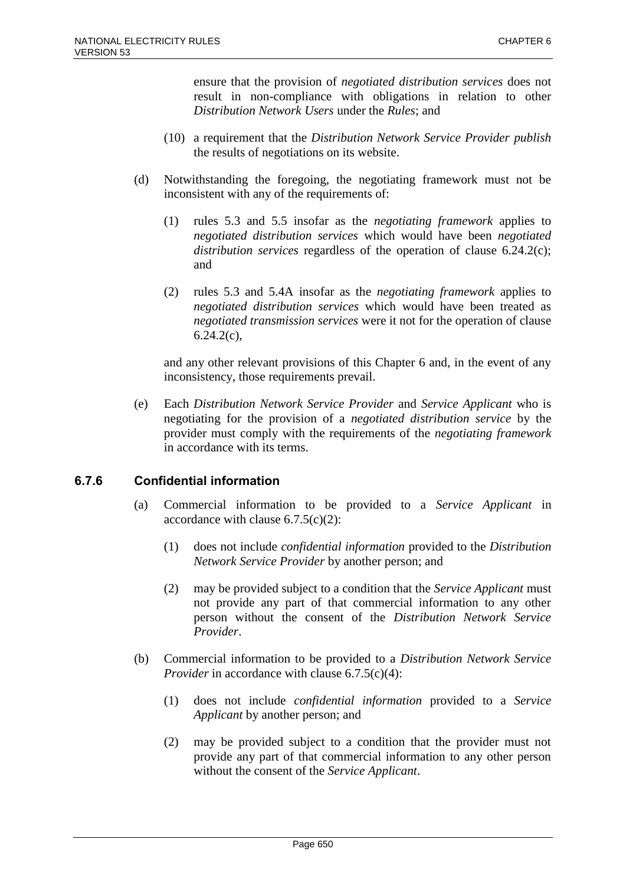ensure that the provision of *negotiated distribution services* does not result in non-compliance with obligations in relation to other *Distribution Network Users* under the *Rules*; and

- (10) a requirement that the *Distribution Network Service Provider publish* the results of negotiations on its website.
- (d) Notwithstanding the foregoing, the negotiating framework must not be inconsistent with any of the requirements of:
	- (1) rules 5.3 and 5.5 insofar as the *negotiating framework* applies to *negotiated distribution services* which would have been *negotiated distribution services* regardless of the operation of clause 6.24.2(c); and
	- (2) rules 5.3 and 5.4A insofar as the *negotiating framework* applies to *negotiated distribution services* which would have been treated as *negotiated transmission services* were it not for the operation of clause  $6.24.2(c)$ ,

and any other relevant provisions of this Chapter 6 and, in the event of any inconsistency, those requirements prevail.

(e) Each *Distribution Network Service Provider* and *Service Applicant* who is negotiating for the provision of a *negotiated distribution service* by the provider must comply with the requirements of the *negotiating framework* in accordance with its terms.

### **6.7.6 Confidential information**

- (a) Commercial information to be provided to a *Service Applicant* in accordance with clause  $6.7.5(c)(2)$ :
	- (1) does not include *confidential information* provided to the *Distribution Network Service Provider* by another person; and
	- (2) may be provided subject to a condition that the *Service Applicant* must not provide any part of that commercial information to any other person without the consent of the *Distribution Network Service Provider*.
- (b) Commercial information to be provided to a *Distribution Network Service Provider* in accordance with clause 6.7.5(c)(4):
	- (1) does not include *confidential information* provided to a *Service Applicant* by another person; and
	- (2) may be provided subject to a condition that the provider must not provide any part of that commercial information to any other person without the consent of the *Service Applicant*.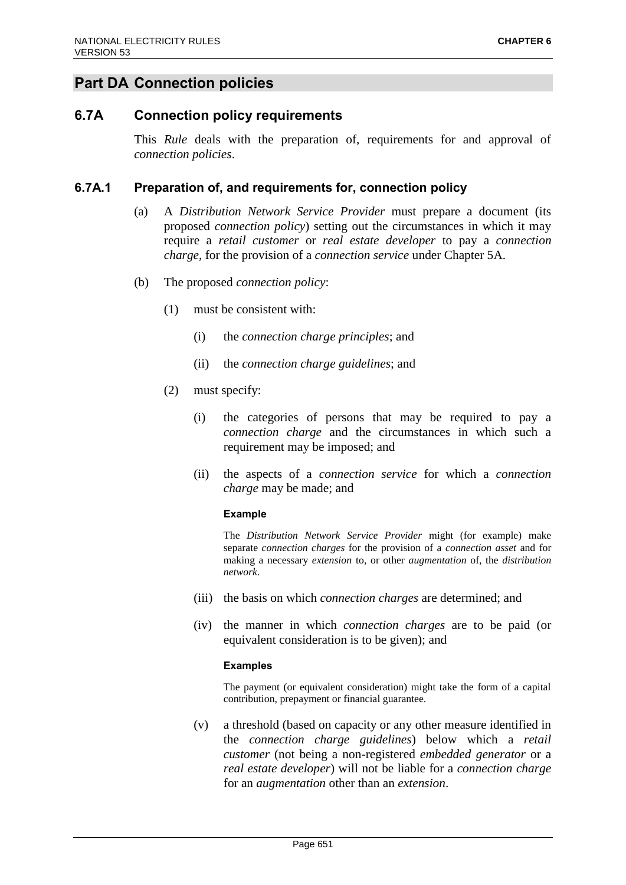# **Part DA Connection policies**

# **6.7A Connection policy requirements**

This *Rule* deals with the preparation of, requirements for and approval of *connection policies*.

### **6.7A.1 Preparation of, and requirements for, connection policy**

- (a) A *Distribution Network Service Provider* must prepare a document (its proposed *connection policy*) setting out the circumstances in which it may require a *retail customer* or *real estate developer* to pay a *connection charge*, for the provision of a *connection service* under Chapter 5A.
- (b) The proposed *connection policy*:
	- (1) must be consistent with:
		- (i) the *connection charge principles*; and
		- (ii) the *connection charge guidelines*; and
	- (2) must specify:
		- (i) the categories of persons that may be required to pay a *connection charge* and the circumstances in which such a requirement may be imposed; and
		- (ii) the aspects of a *connection service* for which a *connection charge* may be made; and

#### **Example**

The *Distribution Network Service Provider* might (for example) make separate *connection charges* for the provision of a *connection asset* and for making a necessary *extension* to, or other *augmentation* of, the *distribution network*.

- (iii) the basis on which *connection charges* are determined; and
- (iv) the manner in which *connection charges* are to be paid (or equivalent consideration is to be given); and

#### **Examples**

The payment (or equivalent consideration) might take the form of a capital contribution, prepayment or financial guarantee.

(v) a threshold (based on capacity or any other measure identified in the *connection charge guidelines*) below which a *retail customer* (not being a non-registered *embedded generator* or a *real estate developer*) will not be liable for a *connection charge* for an *augmentation* other than an *extension*.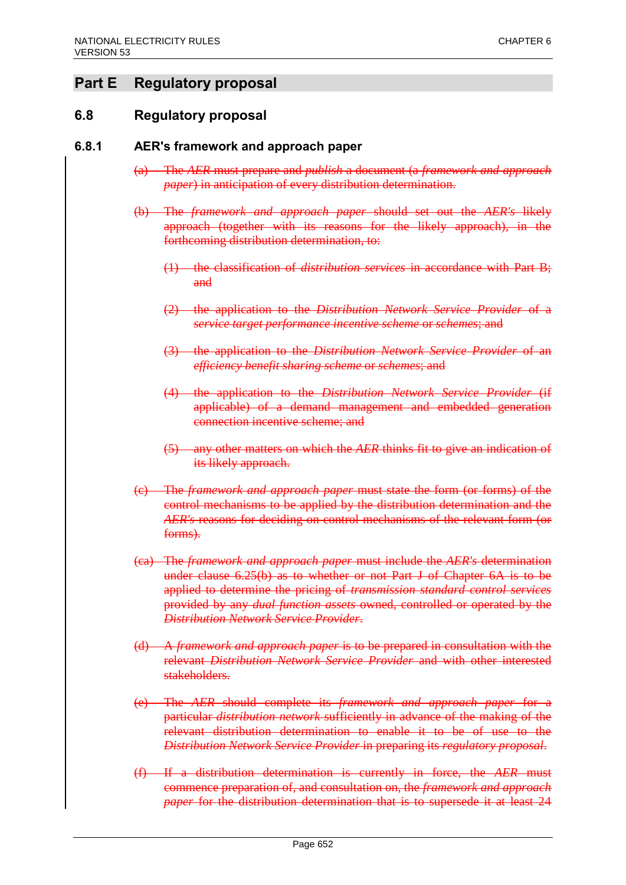# **Part E Regulatory proposal**

# **6.8 Regulatory proposal**

### **6.8.1 AER's framework and approach paper**

- (a) The *AER* must prepare and *publish* a document (a *framework and approach paper*) in anticipation of every distribution determination.
- (b) The *framework and approach paper* should set out the *AER's* likely approach (together with its reasons for the likely approach), in the forthcoming distribution determination, to:
	- (1) the classification of *distribution services* in accordance with Part B; and
	- (2) the application to the *Distribution Network Service Provider* of a *service target performance incentive scheme* or *schemes*; and
	- (3) the application to the *Distribution Network Service Provider* of an *efficiency benefit sharing scheme* or *schemes*; and
	- (4) the application to the *Distribution Network Service Provider* (if applicable) of a demand management and embedded generation connection incentive scheme; and
	- (5) any other matters on which the *AER* thinks fit to give an indication of its likely approach.
- (c) The *framework and approach paper* must state the form (or forms) of the control mechanisms to be applied by the distribution determination and the *AER's* reasons for deciding on control mechanisms of the relevant form (or forms).
- (ca) The *framework and approach paper* must include the *AER's* determination under clause 6.25(b) as to whether or not Part J of Chapter 6A is to be applied to determine the pricing of *transmission standard control services* provided by any *dual function assets* owned, controlled or operated by the *Distribution Network Service Provider*.
- (d) A *framework and approach paper* is to be prepared in consultation with the relevant *Distribution Network Service Provider* and with other interested stakeholders.
- (e) The *AER* should complete its *framework and approach paper* for a particular *distribution network* sufficiently in advance of the making of the relevant distribution determination to enable it to be of use to the *Distribution Network Service Provider* in preparing its *regulatory proposal*.
- (f) If a distribution determination is currently in force, the *AER* must commence preparation of, and consultation on, the *framework and approach paper* for the distribution determination that is to supersede it at least 24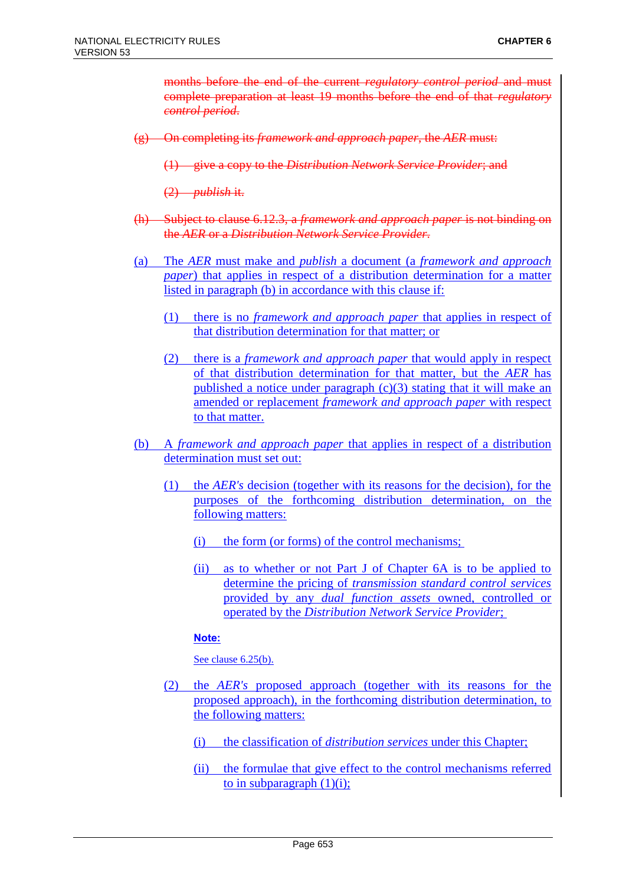months before the end of the current *regulatory control period* and must complete preparation at least 19 months before the end of that *regulatory control period*.

- (g) On completing its *framework and approach paper*, the *AER* must:
	- (1) give a copy to the *Distribution Network Service Provider*; and

(2) *publish* it.

- (h) Subject to clause 6.12.3, a *framework and approach paper* is not binding on the *AER* or a *Distribution Network Service Provider*.
- (a) The *AER* must make and *publish* a document (a *framework and approach paper*) that applies in respect of a distribution determination for a matter listed in paragraph (b) in accordance with this clause if:
	- (1) there is no *framework and approach paper* that applies in respect of that distribution determination for that matter; or
	- (2) there is a *framework and approach paper* that would apply in respect of that distribution determination for that matter, but the *AER* has published a notice under paragraph  $(c)(3)$  stating that it will make an amended or replacement *framework and approach paper* with respect to that matter.
- (b) A *framework and approach paper* that applies in respect of a distribution determination must set out:
	- (1) the *AER's* decision (together with its reasons for the decision), for the purposes of the forthcoming distribution determination, on the following matters:
		- (i) the form (or forms) of the control mechanisms;
		- (ii) as to whether or not Part J of Chapter 6A is to be applied to determine the pricing of *transmission standard control services* provided by any *dual function assets* owned, controlled or operated by the *Distribution Network Service Provider*;

### **Note:**

See clause 6.25(b).

- (2) the *AER's* proposed approach (together with its reasons for the proposed approach), in the forthcoming distribution determination, to the following matters:
	- (i) the classification of *distribution services* under this Chapter;
	- (ii) the formulae that give effect to the control mechanisms referred to in subparagraph  $(1)(i)$ ;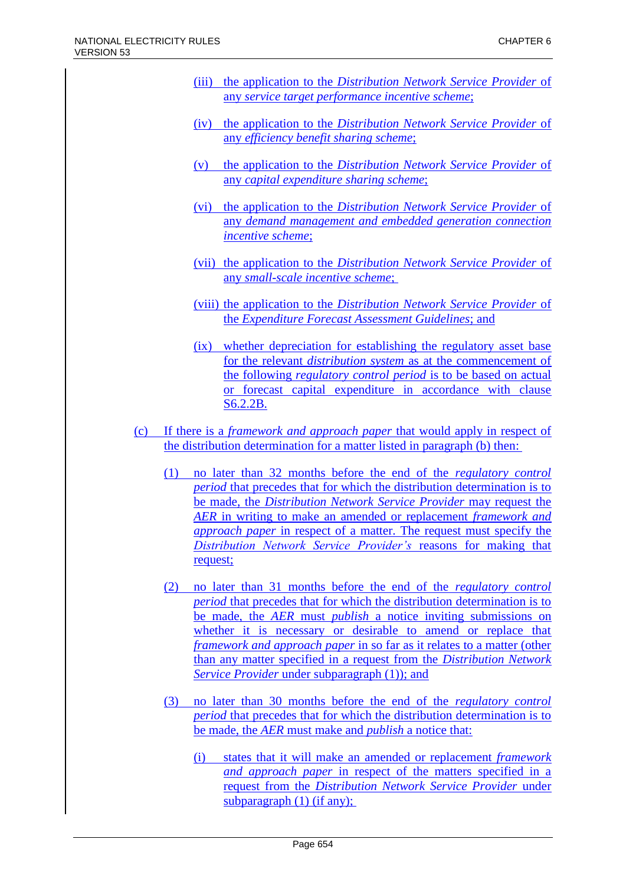- (iii) the application to the *Distribution Network Service Provider* of any *service target performance incentive scheme*;
- (iv) the application to the *Distribution Network Service Provider* of any *efficiency benefit sharing scheme*;
- (v) the application to the *Distribution Network Service Provider* of any *capital expenditure sharing scheme*;
- (vi) the application to the *Distribution Network Service Provider* of any *demand management and embedded generation connection incentive scheme*;
- (vii) the application to the *Distribution Network Service Provider* of any *small-scale incentive scheme*;
- (viii) the application to the *Distribution Network Service Provider* of the *Expenditure Forecast Assessment Guidelines*; and
- (ix) whether depreciation for establishing the regulatory asset base for the relevant *distribution system* as at the commencement of the following *regulatory control period* is to be based on actual or forecast capital expenditure in accordance with clause S6.2.2B.
- (c) If there is a *framework and approach paper* that would apply in respect of the distribution determination for a matter listed in paragraph (b) then:
	- (1) no later than 32 months before the end of the *regulatory control period* that precedes that for which the distribution determination is to be made, the *Distribution Network Service Provider* may request the *AER* in writing to make an amended or replacement *framework and approach paper* in respect of a matter. The request must specify the *Distribution Network Service Provider's* reasons for making that request;
	- (2) no later than 31 months before the end of the *regulatory control period* that precedes that for which the distribution determination is to be made, the *AER* must *publish* a notice inviting submissions on whether it is necessary or desirable to amend or replace that *framework and approach paper* in so far as it relates to a matter (other than any matter specified in a request from the *Distribution Network Service Provider* under subparagraph (1)); and
	- (3) no later than 30 months before the end of the *regulatory control period* that precedes that for which the distribution determination is to be made, the *AER* must make and *publish* a notice that:
		- (i) states that it will make an amended or replacement *framework and approach paper* in respect of the matters specified in a request from the *Distribution Network Service Provider* under subparagraph (1) (if any);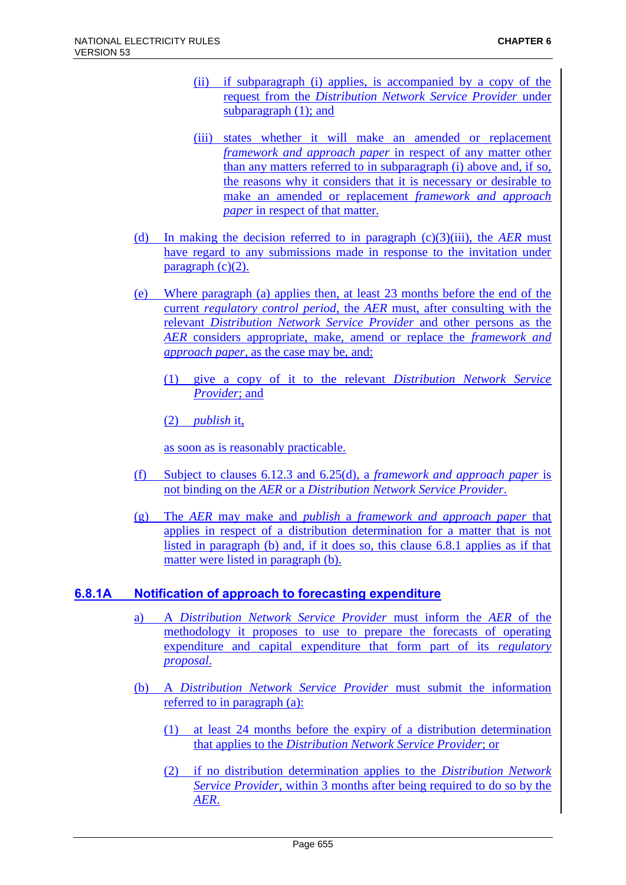- (ii) if subparagraph (i) applies, is accompanied by a copy of the request from the *Distribution Network Service Provider* under subparagraph (1); and
- (iii) states whether it will make an amended or replacement *framework and approach paper* in respect of any matter other than any matters referred to in subparagraph (i) above and, if so, the reasons why it considers that it is necessary or desirable to make an amended or replacement *framework and approach paper* in respect of that matter.
- (d) In making the decision referred to in paragraph (c)(3)(iii), the *AER* must have regard to any submissions made in response to the invitation under  $paragraph (c)(2)$ .
- (e) Where paragraph (a) applies then, at least 23 months before the end of the current *regulatory control period*, the *AER* must, after consulting with the relevant *Distribution Network Service Provider* and other persons as the *AER* considers appropriate, make, amend or replace the *framework and approach paper*, as the case may be, and:
	- (1) give a copy of it to the relevant *Distribution Network Service Provider*; and

(2) *publish* it,

as soon as is reasonably practicable.

- (f) Subject to clauses 6.12.3 and 6.25(d), a *framework and approach paper* is not binding on the *AER* or a *Distribution Network Service Provider*.
- (g) The *AER* may make and *publish* a *framework and approach paper* that applies in respect of a distribution determination for a matter that is not listed in paragraph (b) and, if it does so, this clause 6.8.1 applies as if that matter were listed in paragraph (b).

### **6.8.1A Notification of approach to forecasting expenditure**

- a) A *Distribution Network Service Provider* must inform the *AER* of the methodology it proposes to use to prepare the forecasts of operating expenditure and capital expenditure that form part of its *regulatory proposal*.
- (b) A *Distribution Network Service Provider* must submit the information referred to in paragraph (a):
	- (1) at least 24 months before the expiry of a distribution determination that applies to the *Distribution Network Service Provider*; or
	- (2) if no distribution determination applies to the *Distribution Network Service Provider*, within 3 months after being required to do so by the *AER*.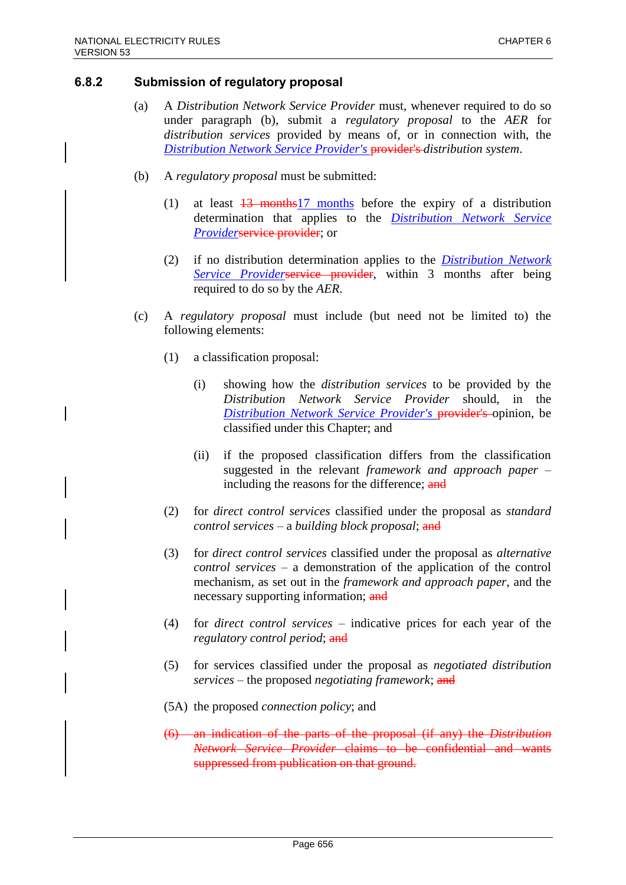### **6.8.2 Submission of regulatory proposal**

- (a) A *Distribution Network Service Provider* must, whenever required to do so under paragraph (b), submit a *regulatory proposal* to the *AER* for *distribution services* provided by means of, or in connection with, the *Distribution Network Service Provider's* provider's *distribution system*.
- (b) A *regulatory proposal* must be submitted:
	- (1) at least  $\frac{13}{13}$  months before the expiry of a distribution determination that applies to the *Distribution Network Service Providerservice provider; or*
	- (2) if no distribution determination applies to the *Distribution Network Service Providerservice provider*, within 3 months after being required to do so by the *AER*.
- (c) A *regulatory proposal* must include (but need not be limited to) the following elements:
	- (1) a classification proposal:
		- (i) showing how the *distribution services* to be provided by the *Distribution Network Service Provider* should, in the *Distribution Network Service Provider's* provider's opinion, be classified under this Chapter; and
		- (ii) if the proposed classification differs from the classification suggested in the relevant *framework and approach paper* – including the reasons for the difference; and
	- (2) for *direct control services* classified under the proposal as *standard control services* – a *building block proposal*; and
	- (3) for *direct control services* classified under the proposal as *alternative control services* – a demonstration of the application of the control mechanism, as set out in the *framework and approach paper*, and the necessary supporting information; and
	- (4) for *direct control services* indicative prices for each year of the *regulatory control period*; and
	- (5) for services classified under the proposal as *negotiated distribution services* – the proposed *negotiating framework*; and
	- (5A) the proposed *connection policy*; and
	- (6) an indication of the parts of the proposal (if any) the *Distribution Network Service Provider* claims to be confidential and wants suppressed from publication on that ground.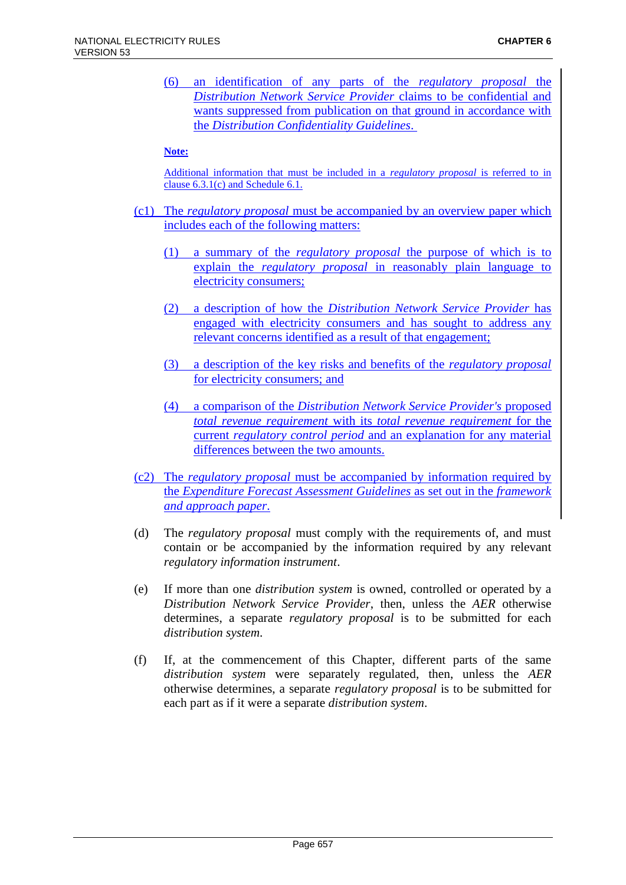(6) an identification of any parts of the *regulatory proposal* the *Distribution Network Service Provider* claims to be confidential and wants suppressed from publication on that ground in accordance with the *Distribution Confidentiality Guidelines*.

#### **Note:**

Additional information that must be included in a *regulatory proposal* is referred to in clause 6.3.1(c) and Schedule 6.1.

- (c1) The *regulatory proposal* must be accompanied by an overview paper which includes each of the following matters:
	- (1) a summary of the *regulatory proposal* the purpose of which is to explain the *regulatory proposal* in reasonably plain language to electricity consumers;
	- (2) a description of how the *Distribution Network Service Provider* has engaged with electricity consumers and has sought to address any relevant concerns identified as a result of that engagement;
	- (3) a description of the key risks and benefits of the *regulatory proposal* for electricity consumers; and
	- (4) a comparison of the *Distribution Network Service Provider's* proposed *total revenue requirement* with its *total revenue requirement* for the current *regulatory control period* and an explanation for any material differences between the two amounts.
- (c2) The *regulatory proposal* must be accompanied by information required by the *Expenditure Forecast Assessment Guidelines* as set out in the *framework and approach paper*.
- (d) The *regulatory proposal* must comply with the requirements of, and must contain or be accompanied by the information required by any relevant *regulatory information instrument*.
- (e) If more than one *distribution system* is owned, controlled or operated by a *Distribution Network Service Provider*, then, unless the *AER* otherwise determines, a separate *regulatory proposal* is to be submitted for each *distribution system*.
- (f) If, at the commencement of this Chapter, different parts of the same *distribution system* were separately regulated, then, unless the *AER* otherwise determines, a separate *regulatory proposal* is to be submitted for each part as if it were a separate *distribution system*.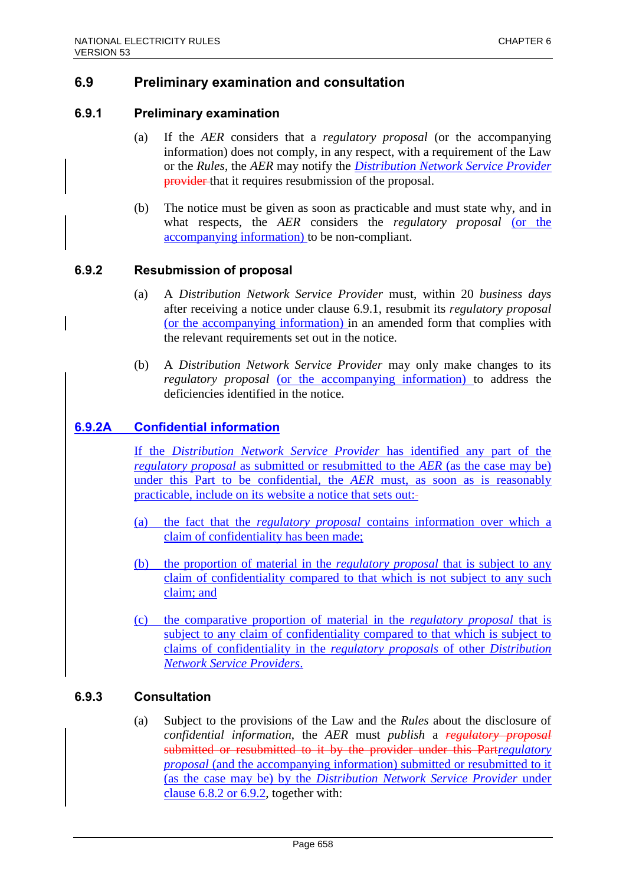# **6.9 Preliminary examination and consultation**

### **6.9.1 Preliminary examination**

- (a) If the *AER* considers that a *regulatory proposal* (or the accompanying information) does not comply, in any respect, with a requirement of the Law or the *Rules*, the *AER* may notify the *Distribution Network Service Provider* provider that it requires resubmission of the proposal.
- (b) The notice must be given as soon as practicable and must state why, and in what respects, the *AER* considers the *regulatory proposal* (or the accompanying information) to be non-compliant.

### **6.9.2 Resubmission of proposal**

- (a) A *Distribution Network Service Provider* must, within 20 *business days* after receiving a notice under clause 6.9.1, resubmit its *regulatory proposal* (or the accompanying information) in an amended form that complies with the relevant requirements set out in the notice.
- (b) A *Distribution Network Service Provider* may only make changes to its *regulatory proposal* (or the accompanying information) to address the deficiencies identified in the notice.

# **6.9.2A Confidential information**

If the *Distribution Network Service Provider* has identified any part of the *regulatory proposal* as submitted or resubmitted to the *AER* (as the case may be) under this Part to be confidential, the *AER* must, as soon as is reasonably practicable, include on its website a notice that sets out:

- (a) the fact that the *regulatory proposal* contains information over which a claim of confidentiality has been made;
- (b) the proportion of material in the *regulatory proposal* that is subject to any claim of confidentiality compared to that which is not subject to any such claim; and
- (c) the comparative proportion of material in the *regulatory proposal* that is subject to any claim of confidentiality compared to that which is subject to claims of confidentiality in the *regulatory proposals* of other *Distribution Network Service Providers*.

### **6.9.3 Consultation**

(a) Subject to the provisions of the Law and the *Rules* about the disclosure of *confidential information*, the *AER* must *publish* a *regulatory proposal* submitted or resubmitted to it by the provider under this Part*regulatory proposal* (and the accompanying information) submitted or resubmitted to it (as the case may be) by the *Distribution Network Service Provider* under clause 6.8.2 or 6.9.2, together with: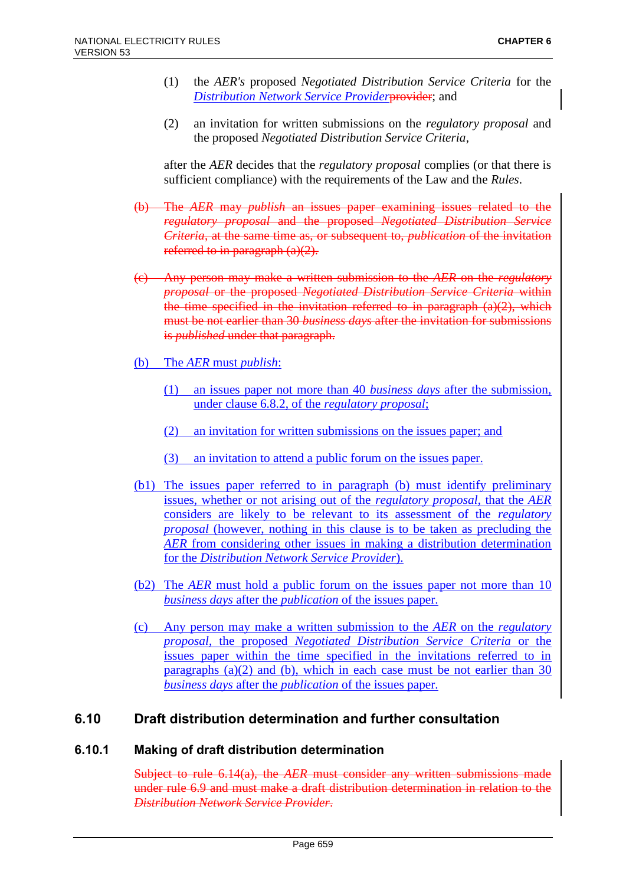- (1) the *AER's* proposed *Negotiated Distribution Service Criteria* for the *Distribution Network Service Provider*provider; and
- (2) an invitation for written submissions on the *regulatory proposal* and the proposed *Negotiated Distribution Service Criteria*,

after the *AER* decides that the *regulatory proposal* complies (or that there is sufficient compliance) with the requirements of the Law and the *Rules*.

- (b) The *AER* may *publish* an issues paper examining issues related to the *regulatory proposal* and the proposed *Negotiated Distribution Service Criteria*, at the same time as, or subsequent to, *publication* of the invitation referred to in paragraph (a)(2).
- (c) Any person may make a written submission to the *AER* on the *regulatory proposal* or the proposed *Negotiated Distribution Service Criteria* within the time specified in the invitation referred to in paragraph  $(a)(2)$ , which must be not earlier than 30 *business days* after the invitation for submissions is *published* under that paragraph.
- (b) The *AER* must *publish*:
	- (1) an issues paper not more than 40 *business days* after the submission, under clause 6.8.2, of the *regulatory proposal*;
	- (2) an invitation for written submissions on the issues paper; and
	- (3) an invitation to attend a public forum on the issues paper.
- (b1) The issues paper referred to in paragraph (b) must identify preliminary issues, whether or not arising out of the *regulatory proposal*, that the *AER* considers are likely to be relevant to its assessment of the *regulatory proposal* (however, nothing in this clause is to be taken as precluding the *AER* from considering other issues in making a distribution determination for the *Distribution Network Service Provider*).
- (b2) The *AER* must hold a public forum on the issues paper not more than 10 *business days* after the *publication* of the issues paper.
- (c) Any person may make a written submission to the *AER* on the *regulatory proposal*, the proposed *Negotiated Distribution Service Criteria* or the issues paper within the time specified in the invitations referred to in paragraphs  $(a)(2)$  and  $(b)$ , which in each case must be not earlier than 30 *business days* after the *publication* of the issues paper.

# **6.10 Draft distribution determination and further consultation**

### **6.10.1 Making of draft distribution determination**

Subject to rule 6.14(a), the *AER* must consider any written submissions made under rule 6.9 and must make a draft distribution determination in relation to the *Distribution Network Service Provider*.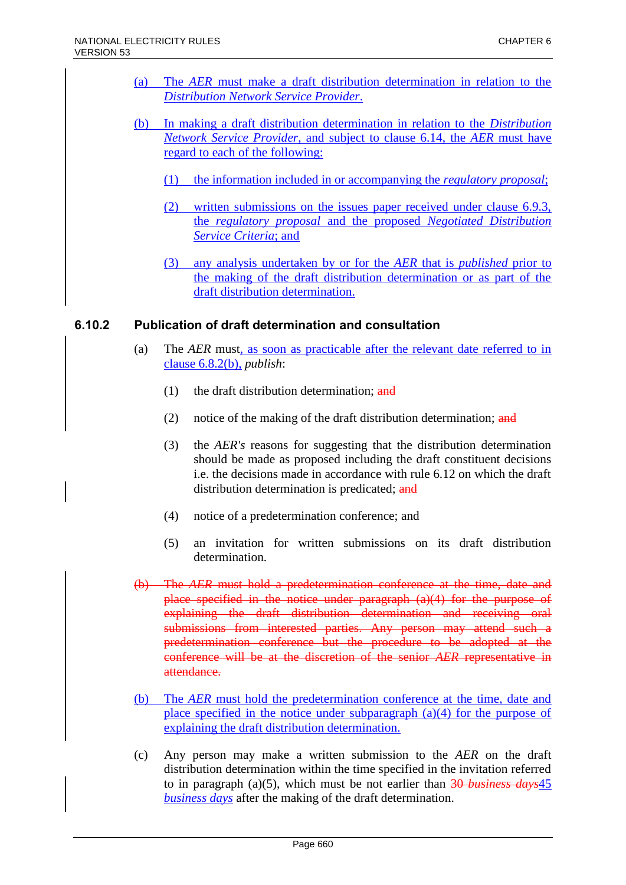- (a) The *AER* must make a draft distribution determination in relation to the *Distribution Network Service Provider*.
- (b) In making a draft distribution determination in relation to the *Distribution Network Service Provider*, and subject to clause 6.14, the *AER* must have regard to each of the following:
	- (1) the information included in or accompanying the *regulatory proposal*;
	- (2) written submissions on the issues paper received under clause 6.9.3, the *regulatory proposal* and the proposed *Negotiated Distribution Service Criteria*; and
	- (3) any analysis undertaken by or for the *AER* that is *published* prior to the making of the draft distribution determination or as part of the draft distribution determination.

### **6.10.2 Publication of draft determination and consultation**

- (a) The *AER* must, as soon as practicable after the relevant date referred to in clause 6.8.2(b), *publish*:
	- $(1)$  the draft distribution determination; and
	- (2) notice of the making of the draft distribution determination;  $\frac{and}{in}$
	- (3) the *AER's* reasons for suggesting that the distribution determination should be made as proposed including the draft constituent decisions i.e. the decisions made in accordance with rule 6.12 on which the draft distribution determination is predicated; and
	- (4) notice of a predetermination conference; and
	- (5) an invitation for written submissions on its draft distribution determination.
- (b) The *AER* must hold a predetermination conference at the time, date and place specified in the notice under paragraph (a)(4) for the purpose of explaining the draft distribution determination and receiving oral submissions from interested parties. Any person may attend such a predetermination conference but the procedure to be adopted at the conference will be at the discretion of the senior *AER* representative in attendance.
- (b) The *AER* must hold the predetermination conference at the time, date and place specified in the notice under subparagraph (a)(4) for the purpose of explaining the draft distribution determination.
- (c) Any person may make a written submission to the *AER* on the draft distribution determination within the time specified in the invitation referred to in paragraph (a)(5), which must be not earlier than 30 *business days*45 *business days* after the making of the draft determination.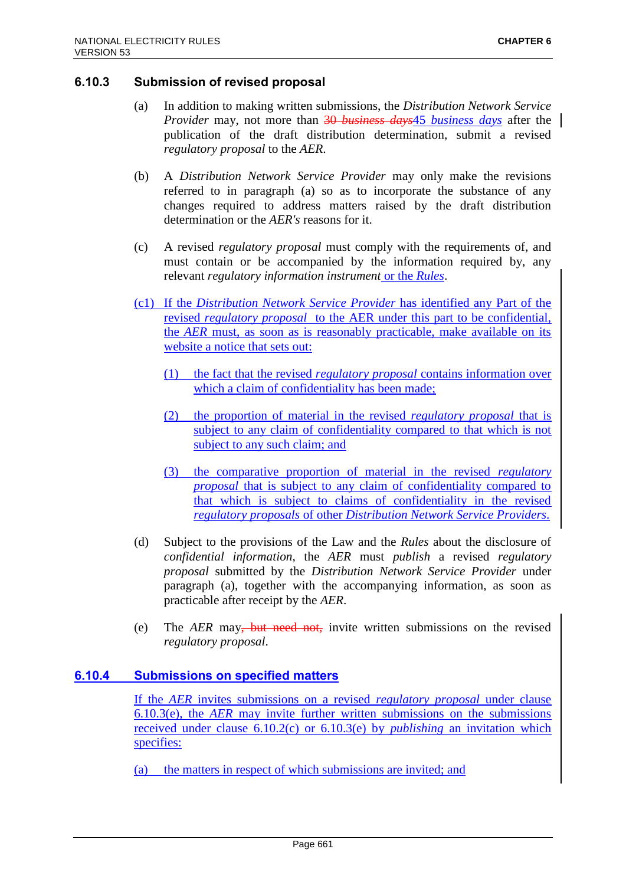## **6.10.3 Submission of revised proposal**

- (a) In addition to making written submissions, the *Distribution Network Service Provider* may, not more than 30 *business days*45 *business days* after the publication of the draft distribution determination, submit a revised *regulatory proposal* to the *AER*.
- (b) A *Distribution Network Service Provider* may only make the revisions referred to in paragraph (a) so as to incorporate the substance of any changes required to address matters raised by the draft distribution determination or the *AER's* reasons for it.
- (c) A revised *regulatory proposal* must comply with the requirements of, and must contain or be accompanied by the information required by, any relevant *regulatory information instrument* or the *Rules*.
- (c1) If the *Distribution Network Service Provider* has identified any Part of the revised *regulatory proposal* to the AER under this part to be confidential, the *AER* must, as soon as is reasonably practicable, make available on its website a notice that sets out:
	- (1) the fact that the revised *regulatory proposal* contains information over which a claim of confidentiality has been made;
	- (2) the proportion of material in the revised *regulatory proposal* that is subject to any claim of confidentiality compared to that which is not subject to any such claim; and
	- (3) the comparative proportion of material in the revised *regulatory proposal* that is subject to any claim of confidentiality compared to that which is subject to claims of confidentiality in the revised *regulatory proposals* of other *Distribution Network Service Providers*.
- (d) Subject to the provisions of the Law and the *Rules* about the disclosure of *confidential information*, the *AER* must *publish* a revised *regulatory proposal* submitted by the *Distribution Network Service Provider* under paragraph (a), together with the accompanying information, as soon as practicable after receipt by the *AER*.
- (e) The *AER* may, but need not, invite written submissions on the revised *regulatory proposal*.

## **6.10.4 Submissions on specified matters**

If the *AER* invites submissions on a revised *regulatory proposal* under clause 6.10.3(e), the *AER* may invite further written submissions on the submissions received under clause 6.10.2(c) or 6.10.3(e) by *publishing* an invitation which specifies:

(a) the matters in respect of which submissions are invited; and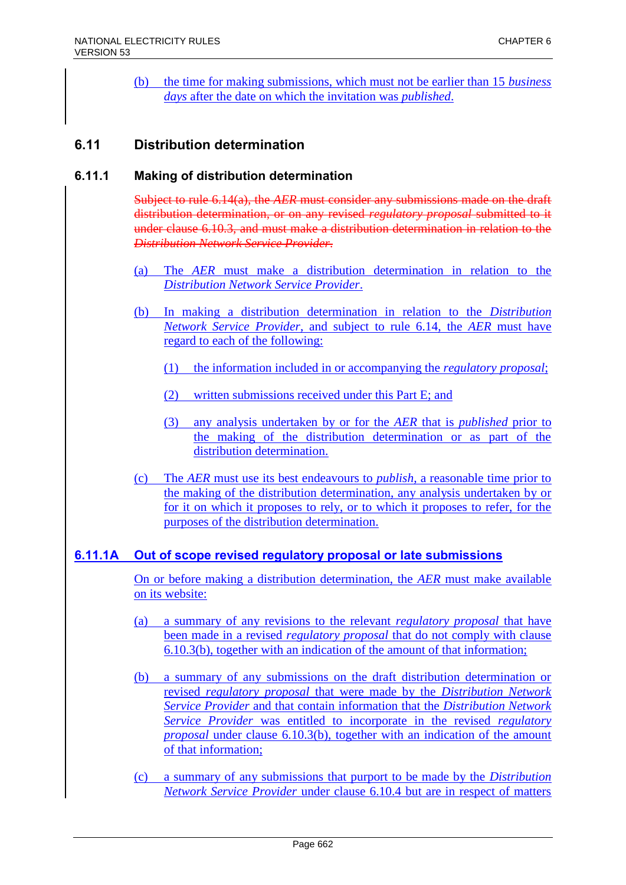(b) the time for making submissions, which must not be earlier than 15 *business days* after the date on which the invitation was *published*.

# **6.11 Distribution determination**

## **6.11.1 Making of distribution determination**

Subject to rule 6.14(a), the *AER* must consider any submissions made on the draft distribution determination, or on any revised *regulatory proposal* submitted to it under clause 6.10.3, and must make a distribution determination in relation to the *Distribution Network Service Provider*.

- (a) The *AER* must make a distribution determination in relation to the *Distribution Network Service Provider*.
- (b) In making a distribution determination in relation to the *Distribution Network Service Provider*, and subject to rule 6.14, the *AER* must have regard to each of the following:
	- (1) the information included in or accompanying the *regulatory proposal*;
	- (2) written submissions received under this Part E; and
	- (3) any analysis undertaken by or for the *AER* that is *published* prior to the making of the distribution determination or as part of the distribution determination.
- (c) The *AER* must use its best endeavours to *publish*, a reasonable time prior to the making of the distribution determination, any analysis undertaken by or for it on which it proposes to rely, or to which it proposes to refer, for the purposes of the distribution determination.

## **6.11.1A Out of scope revised regulatory proposal or late submissions**

On or before making a distribution determination, the *AER* must make available on its website:

- (a) a summary of any revisions to the relevant *regulatory proposal* that have been made in a revised *regulatory proposal* that do not comply with clause 6.10.3(b), together with an indication of the amount of that information;
- (b) a summary of any submissions on the draft distribution determination or revised *regulatory proposal* that were made by the *Distribution Network Service Provider* and that contain information that the *Distribution Network Service Provider* was entitled to incorporate in the revised *regulatory proposal* under clause 6.10.3(b), together with an indication of the amount of that information;
- (c) a summary of any submissions that purport to be made by the *Distribution Network Service Provider* under clause 6.10.4 but are in respect of matters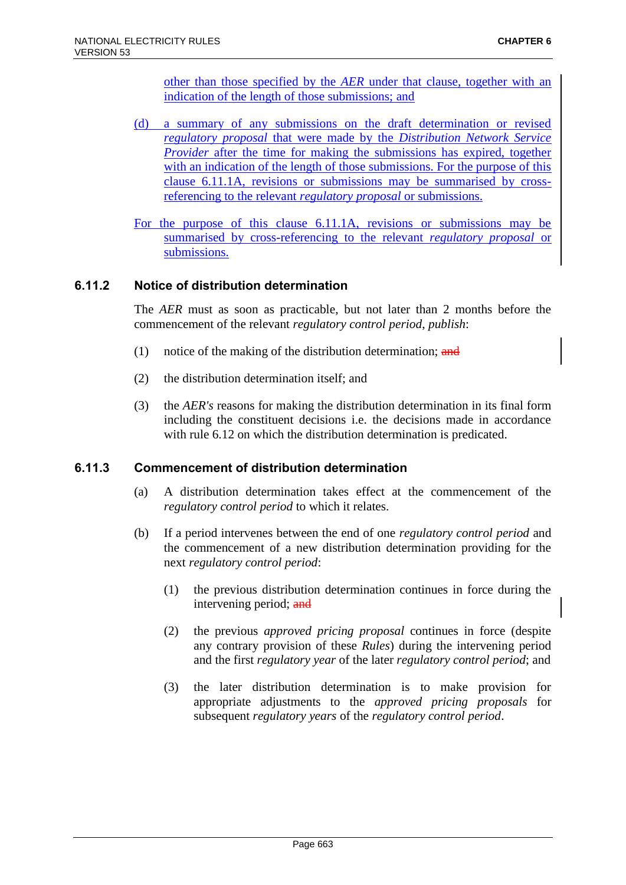other than those specified by the *AER* under that clause, together with an indication of the length of those submissions; and

(d) a summary of any submissions on the draft determination or revised *regulatory proposal* that were made by the *Distribution Network Service Provider* after the time for making the submissions has expired, together with an indication of the length of those submissions. For the purpose of this clause 6.11.1A, revisions or submissions may be summarised by crossreferencing to the relevant *regulatory proposal* or submissions.

For the purpose of this clause 6.11.1A, revisions or submissions may be summarised by cross-referencing to the relevant *regulatory proposal* or submissions.

## **6.11.2 Notice of distribution determination**

The *AER* must as soon as practicable, but not later than 2 months before the commencement of the relevant *regulatory control period*, *publish*:

- (1) notice of the making of the distribution determination;  $\frac{d}{dt}$
- (2) the distribution determination itself; and
- (3) the *AER's* reasons for making the distribution determination in its final form including the constituent decisions i.e. the decisions made in accordance with rule 6.12 on which the distribution determination is predicated.

## **6.11.3 Commencement of distribution determination**

- (a) A distribution determination takes effect at the commencement of the *regulatory control period* to which it relates.
- (b) If a period intervenes between the end of one *regulatory control period* and the commencement of a new distribution determination providing for the next *regulatory control period*:
	- (1) the previous distribution determination continues in force during the intervening period; and
	- (2) the previous *approved pricing proposal* continues in force (despite any contrary provision of these *Rules*) during the intervening period and the first *regulatory year* of the later *regulatory control period*; and
	- (3) the later distribution determination is to make provision for appropriate adjustments to the *approved pricing proposals* for subsequent *regulatory years* of the *regulatory control period*.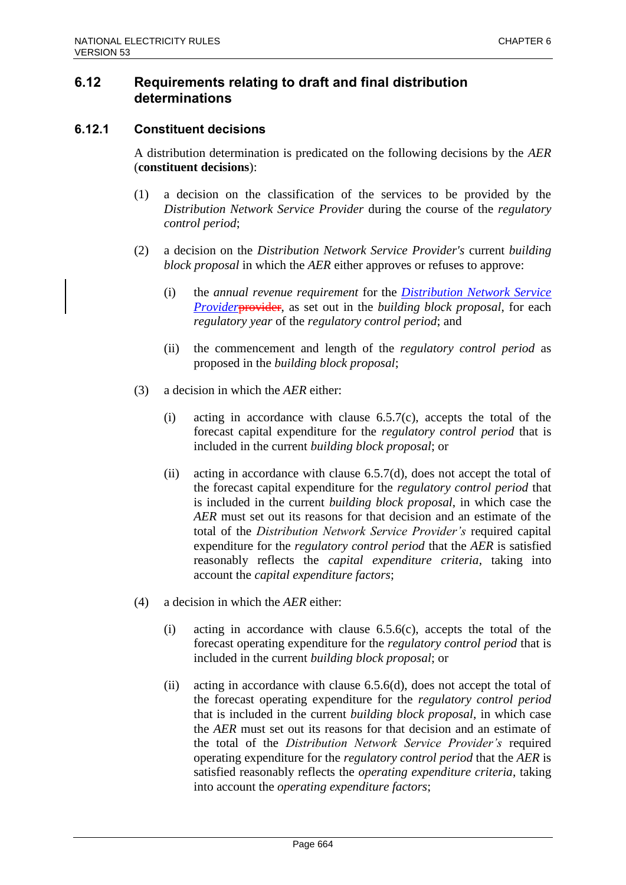# **6.12 Requirements relating to draft and final distribution determinations**

## **6.12.1 Constituent decisions**

A distribution determination is predicated on the following decisions by the *AER* (**constituent decisions**):

- (1) a decision on the classification of the services to be provided by the *Distribution Network Service Provider* during the course of the *regulatory control period*;
- (2) a decision on the *Distribution Network Service Provider's* current *building block proposal* in which the *AER* either approves or refuses to approve:
	- (i) the *annual revenue requirement* for the *Distribution Network Service Provider*provider, as set out in the *building block proposal*, for each *regulatory year* of the *regulatory control period*; and
	- (ii) the commencement and length of the *regulatory control period* as proposed in the *building block proposal*;
- (3) a decision in which the *AER* either:
	- (i) acting in accordance with clause  $6.5.7(c)$ , accepts the total of the forecast capital expenditure for the *regulatory control period* that is included in the current *building block proposal*; or
	- (ii) acting in accordance with clause  $6.5.7(d)$ , does not accept the total of the forecast capital expenditure for the *regulatory control period* that is included in the current *building block proposal*, in which case the *AER* must set out its reasons for that decision and an estimate of the total of the *Distribution Network Service Provider's* required capital expenditure for the *regulatory control period* that the *AER* is satisfied reasonably reflects the *capital expenditure criteria*, taking into account the *capital expenditure factors*;
- (4) a decision in which the *AER* either:
	- (i) acting in accordance with clause 6.5.6(c), accepts the total of the forecast operating expenditure for the *regulatory control period* that is included in the current *building block proposal*; or
	- (ii) acting in accordance with clause 6.5.6(d), does not accept the total of the forecast operating expenditure for the *regulatory control period* that is included in the current *building block proposal*, in which case the *AER* must set out its reasons for that decision and an estimate of the total of the *Distribution Network Service Provider's* required operating expenditure for the *regulatory control period* that the *AER* is satisfied reasonably reflects the *operating expenditure criteria*, taking into account the *operating expenditure factors*;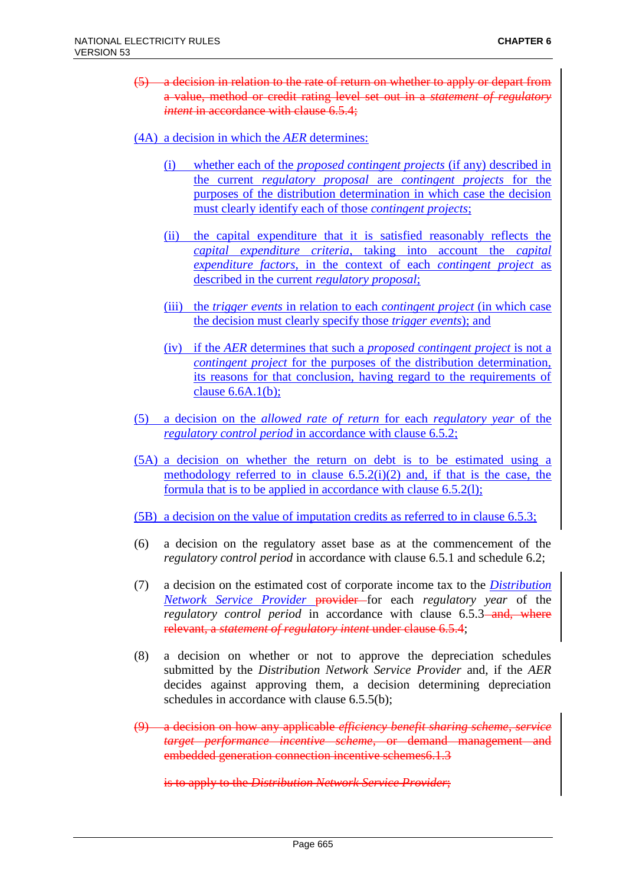- (5) a decision in relation to the rate of return on whether to apply or depart from a value, method or credit rating level set out in a *statement of regulatory intent* in accordance with clause 6.5.4;
- (4A) a decision in which the *AER* determines:
	- (i) whether each of the *proposed contingent projects* (if any) described in the current *regulatory proposal* are *contingent projects* for the purposes of the distribution determination in which case the decision must clearly identify each of those *contingent projects*;
	- (ii) the capital expenditure that it is satisfied reasonably reflects the *capital expenditure criteria*, taking into account the *capital expenditure factors*, in the context of each *contingent project* as described in the current *regulatory proposal*;
	- (iii) the *trigger events* in relation to each *contingent project* (in which case the decision must clearly specify those *trigger events*); and
	- (iv) if the *AER* determines that such a *proposed contingent project* is not a *contingent project* for the purposes of the distribution determination, its reasons for that conclusion, having regard to the requirements of clause  $6.6A.1(b)$ ;
- (5) a decision on the *allowed rate of return* for each *regulatory year* of the *regulatory control period* in accordance with clause 6.5.2;
- (5A) a decision on whether the return on debt is to be estimated using a methodology referred to in clause  $6.5.2(i)(2)$  and, if that is the case, the formula that is to be applied in accordance with clause 6.5.2(l);
- (5B) a decision on the value of imputation credits as referred to in clause 6.5.3;
- (6) a decision on the regulatory asset base as at the commencement of the *regulatory control period* in accordance with clause 6.5.1 and schedule 6.2;
- (7) a decision on the estimated cost of corporate income tax to the *Distribution Network Service Provider* provider for each *regulatory year* of the *regulatory control period* in accordance with clause 6.5.3-and, where relevant, a *statement of regulatory intent* under clause 6.5.4;
- (8) a decision on whether or not to approve the depreciation schedules submitted by the *Distribution Network Service Provider* and, if the *AER* decides against approving them, a decision determining depreciation schedules in accordance with clause 6.5.5(b);
- (9) a decision on how any applicable *efficiency benefit sharing scheme*, *service target performance incentive scheme*, or demand management and embedded generation connection incentive schemes6.1.3

is to apply to the *Distribution Network Service Provider*;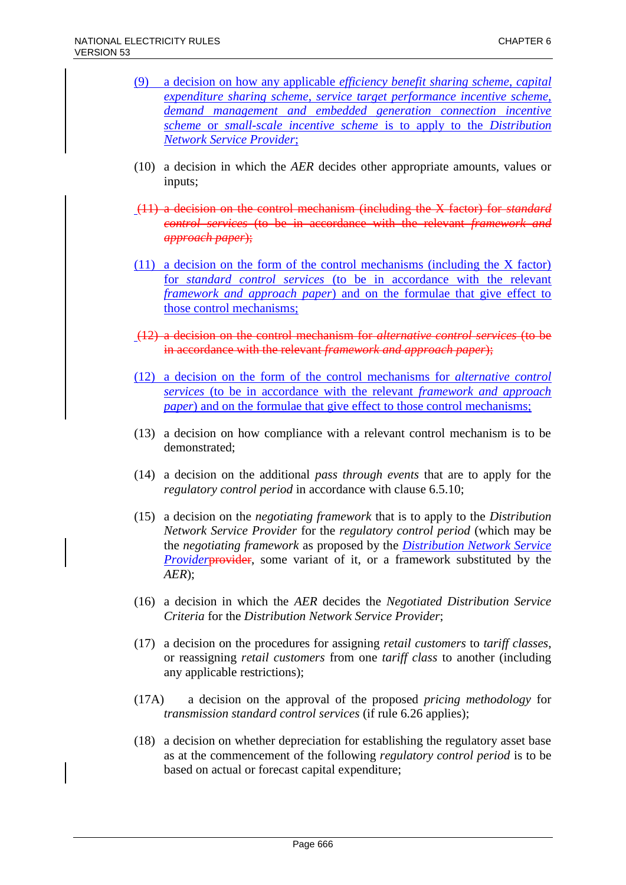- (9) a decision on how any applicable *efficiency benefit sharing scheme*, *capital expenditure sharing scheme*, *service target performance incentive scheme*, *demand management and embedded generation connection incentive scheme* or *small-scale incentive scheme* is to apply to the *Distribution Network Service Provider*;
- (10) a decision in which the *AER* decides other appropriate amounts, values or inputs;
- (11) a decision on the control mechanism (including the X factor) for *standard control services* (to be in accordance with the relevant *framework and approach paper*);
- (11) a decision on the form of the control mechanisms (including the X factor) for *standard control services* (to be in accordance with the relevant *framework and approach paper*) and on the formulae that give effect to those control mechanisms;
- (12) a decision on the control mechanism for *alternative control services* (to be in accordance with the relevant *framework and approach paper*);
- (12) a decision on the form of the control mechanisms for *alternative control services* (to be in accordance with the relevant *framework and approach paper*) and on the formulae that give effect to those control mechanisms;
- (13) a decision on how compliance with a relevant control mechanism is to be demonstrated;
- (14) a decision on the additional *pass through events* that are to apply for the *regulatory control period* in accordance with clause 6.5.10;
- (15) a decision on the *negotiating framework* that is to apply to the *Distribution Network Service Provider* for the *regulatory control period* (which may be the *negotiating framework* as proposed by the *Distribution Network Service Provider* **provider**, some variant of it, or a framework substituted by the *AER*);
- (16) a decision in which the *AER* decides the *Negotiated Distribution Service Criteria* for the *Distribution Network Service Provider*;
- (17) a decision on the procedures for assigning *retail customers* to *tariff classes*, or reassigning *retail customers* from one *tariff class* to another (including any applicable restrictions);
- (17A) a decision on the approval of the proposed *pricing methodology* for *transmission standard control services* (if rule 6.26 applies);
- (18) a decision on whether depreciation for establishing the regulatory asset base as at the commencement of the following *regulatory control period* is to be based on actual or forecast capital expenditure;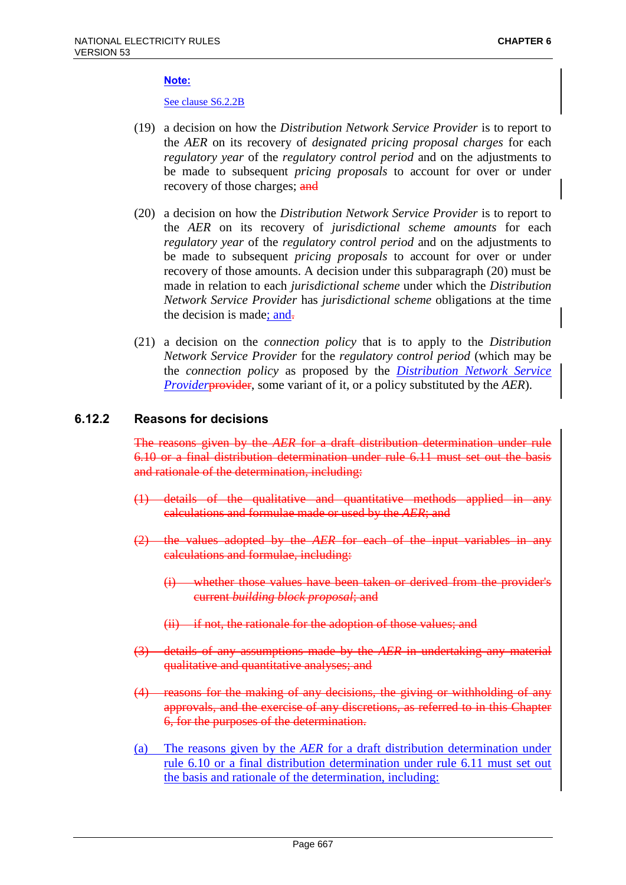#### **Note:**

See clause S6.2.2B

- (19) a decision on how the *Distribution Network Service Provider* is to report to the *AER* on its recovery of *designated pricing proposal charges* for each *regulatory year* of the *regulatory control period* and on the adjustments to be made to subsequent *pricing proposals* to account for over or under recovery of those charges; and
- (20) a decision on how the *Distribution Network Service Provider* is to report to the *AER* on its recovery of *jurisdictional scheme amounts* for each *regulatory year* of the *regulatory control period* and on the adjustments to be made to subsequent *pricing proposals* to account for over or under recovery of those amounts. A decision under this subparagraph (20) must be made in relation to each *jurisdictional scheme* under which the *Distribution Network Service Provider* has *jurisdictional scheme* obligations at the time the decision is made; and.
- (21) a decision on the *connection policy* that is to apply to the *Distribution Network Service Provider* for the *regulatory control period* (which may be the *connection policy* as proposed by the *Distribution Network Service Provider*provider, some variant of it, or a policy substituted by the *AER*).

### **6.12.2 Reasons for decisions**

The reasons given by the *AER* for a draft distribution determination under rule 6.10 or a final distribution determination under rule 6.11 must set out the basis and rationale of the determination, including:

- (1) details of the qualitative and quantitative methods applied in any calculations and formulae made or used by the *AER*; and
- (2) the values adopted by the *AER* for each of the input variables in any calculations and formulae, including:
	- (i) whether those values have been taken or derived from the provider's current *building block proposal*; and
	- (ii) if not, the rationale for the adoption of those values; and
- (3) details of any assumptions made by the *AER* in undertaking any material qualitative and quantitative analyses; and
- (4) reasons for the making of any decisions, the giving or withholding of any approvals, and the exercise of any discretions, as referred to in this Chapter 6, for the purposes of the determination.
- (a) The reasons given by the *AER* for a draft distribution determination under rule 6.10 or a final distribution determination under rule 6.11 must set out the basis and rationale of the determination, including: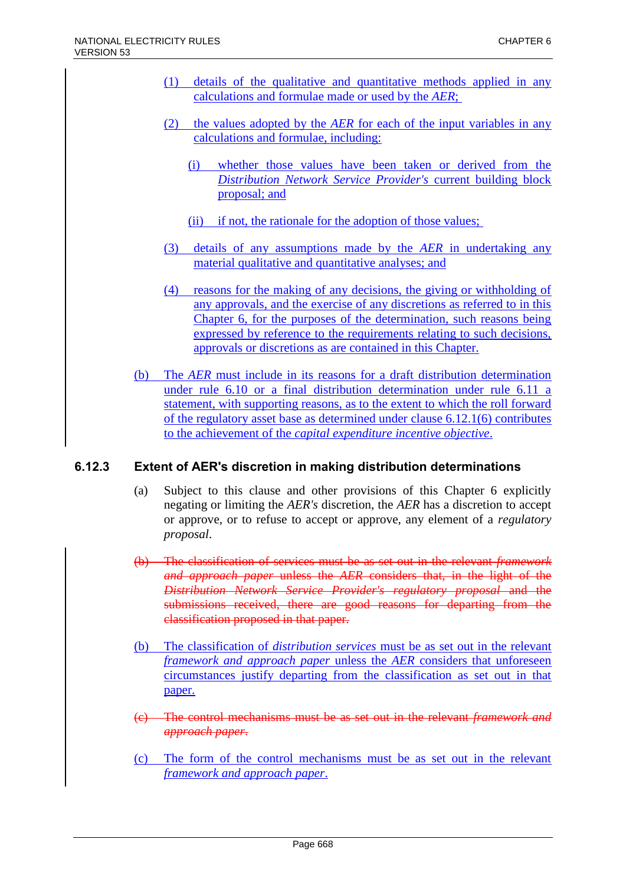- (1) details of the qualitative and quantitative methods applied in any calculations and formulae made or used by the *AER*;
- (2) the values adopted by the *AER* for each of the input variables in any calculations and formulae, including:
	- (i) whether those values have been taken or derived from the *Distribution Network Service Provider's* current building block proposal; and
	- (ii) if not, the rationale for the adoption of those values;
- (3) details of any assumptions made by the *AER* in undertaking any material qualitative and quantitative analyses; and
- (4) reasons for the making of any decisions, the giving or withholding of any approvals, and the exercise of any discretions as referred to in this Chapter 6, for the purposes of the determination, such reasons being expressed by reference to the requirements relating to such decisions, approvals or discretions as are contained in this Chapter.
- (b) The *AER* must include in its reasons for a draft distribution determination under rule 6.10 or a final distribution determination under rule 6.11 a statement, with supporting reasons, as to the extent to which the roll forward of the regulatory asset base as determined under clause 6.12.1(6) contributes to the achievement of the *capital expenditure incentive objective*.

## **6.12.3 Extent of AER's discretion in making distribution determinations**

- (a) Subject to this clause and other provisions of this Chapter 6 explicitly negating or limiting the *AER's* discretion, the *AER* has a discretion to accept or approve, or to refuse to accept or approve, any element of a *regulatory proposal*.
- (b) The classification of services must be as set out in the relevant *framework and approach paper* unless the *AER* considers that, in the light of the *Distribution Network Service Provider's regulatory proposal* and the submissions received, there are good reasons for departing from the classification proposed in that paper.
- (b) The classification of *distribution services* must be as set out in the relevant *framework and approach paper* unless the *AER* considers that unforeseen circumstances justify departing from the classification as set out in that paper.
- (c) The control mechanisms must be as set out in the relevant *framework and approach paper*.
- (c) The form of the control mechanisms must be as set out in the relevant *framework and approach paper*.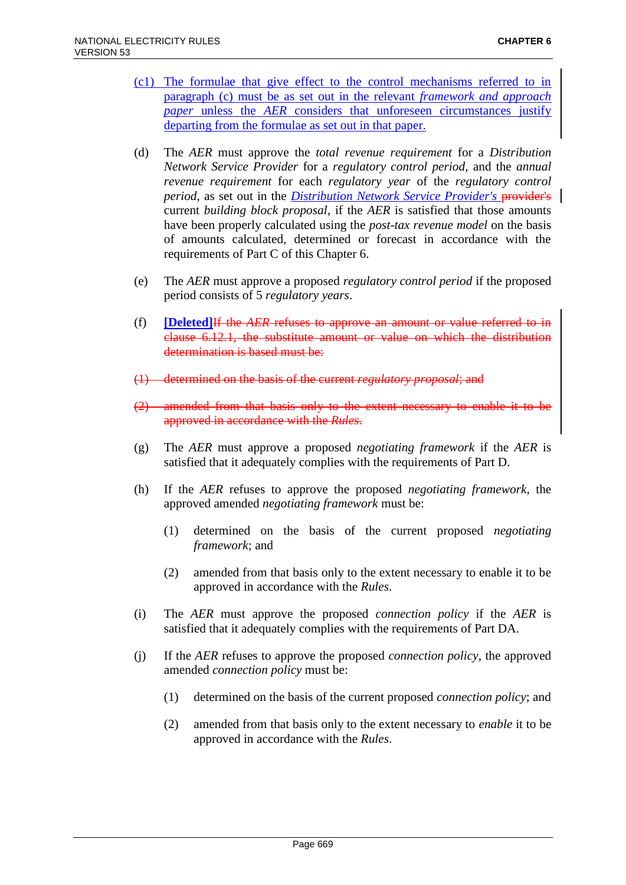- (c1) The formulae that give effect to the control mechanisms referred to in paragraph (c) must be as set out in the relevant *framework and approach paper* unless the *AER* considers that unforeseen circumstances justify departing from the formulae as set out in that paper.
- (d) The *AER* must approve the *total revenue requirement* for a *Distribution Network Service Provider* for a *regulatory control period*, and the *annual revenue requirement* for each *regulatory year* of the *regulatory control period*, as set out in the *Distribution Network Service Provider's* provider's | current *building block proposal*, if the *AER* is satisfied that those amounts have been properly calculated using the *post-tax revenue model* on the basis of amounts calculated, determined or forecast in accordance with the requirements of Part C of this Chapter 6.
- (e) The *AER* must approve a proposed *regulatory control period* if the proposed period consists of 5 *regulatory years*.
- (f) **[Deleted]**If the *AER* refuses to approve an amount or value referred to in clause 6.12.1, the substitute amount or value on which the distribution determination is based must be:
- (1) determined on the basis of the current *regulatory proposal*; and
- $(2)$  amended from that basis only to the extent necessary to enable approved in accordance with the *Rules*.
- (g) The *AER* must approve a proposed *negotiating framework* if the *AER* is satisfied that it adequately complies with the requirements of Part D.
- (h) If the *AER* refuses to approve the proposed *negotiating framework*, the approved amended *negotiating framework* must be:
	- (1) determined on the basis of the current proposed *negotiating framework*; and
	- (2) amended from that basis only to the extent necessary to enable it to be approved in accordance with the *Rules*.
- (i) The *AER* must approve the proposed *connection policy* if the *AER* is satisfied that it adequately complies with the requirements of Part DA.
- (j) If the *AER* refuses to approve the proposed *connection policy*, the approved amended *connection policy* must be:
	- (1) determined on the basis of the current proposed *connection policy*; and
	- (2) amended from that basis only to the extent necessary to *enable* it to be approved in accordance with the *Rules*.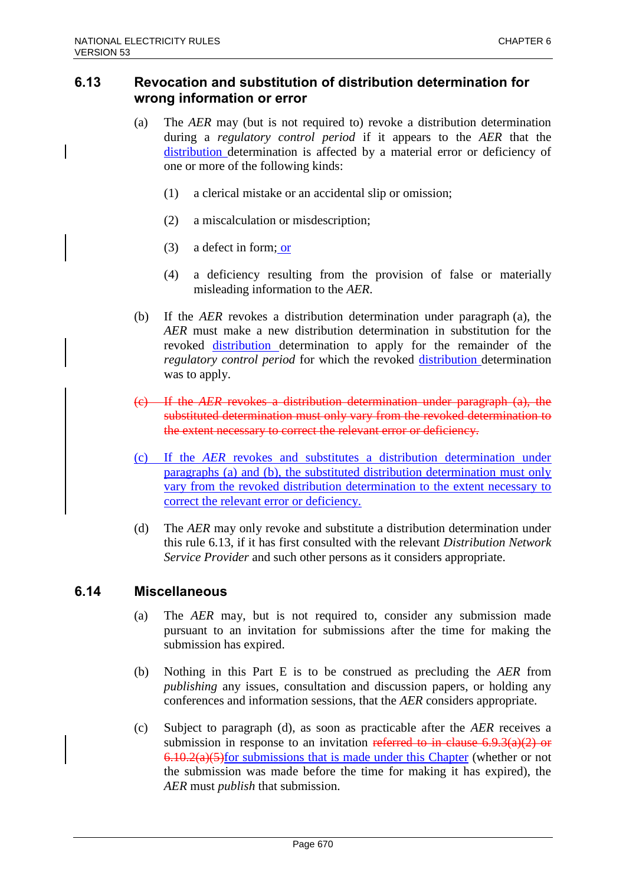## **6.13 Revocation and substitution of distribution determination for wrong information or error**

- (a) The *AER* may (but is not required to) revoke a distribution determination during a *regulatory control period* if it appears to the *AER* that the distribution determination is affected by a material error or deficiency of one or more of the following kinds:
	- (1) a clerical mistake or an accidental slip or omission;
	- (2) a miscalculation or misdescription;
	- (3) a defect in form; or
	- (4) a deficiency resulting from the provision of false or materially misleading information to the *AER*.
- (b) If the *AER* revokes a distribution determination under paragraph (a), the *AER* must make a new distribution determination in substitution for the revoked distribution determination to apply for the remainder of the *regulatory control period* for which the revoked distribution determination was to apply.
- (c) If the *AER* revokes a distribution determination under paragraph (a), the substituted determination must only vary from the revoked determination to the extent necessary to correct the relevant error or deficiency.
- (c) If the *AER* revokes and substitutes a distribution determination under paragraphs (a) and (b), the substituted distribution determination must only vary from the revoked distribution determination to the extent necessary to correct the relevant error or deficiency.
- (d) The *AER* may only revoke and substitute a distribution determination under this rule 6.13, if it has first consulted with the relevant *Distribution Network Service Provider* and such other persons as it considers appropriate.

### **6.14 Miscellaneous**

- (a) The *AER* may, but is not required to, consider any submission made pursuant to an invitation for submissions after the time for making the submission has expired.
- (b) Nothing in this Part E is to be construed as precluding the *AER* from *publishing* any issues, consultation and discussion papers, or holding any conferences and information sessions, that the *AER* considers appropriate.
- (c) Subject to paragraph (d), as soon as practicable after the *AER* receives a submission in response to an invitation referred to in clause  $6.9.3(a)(2)$  or  $6.10.2(a)(5)$  for submissions that is made under this Chapter (whether or not the submission was made before the time for making it has expired), the *AER* must *publish* that submission.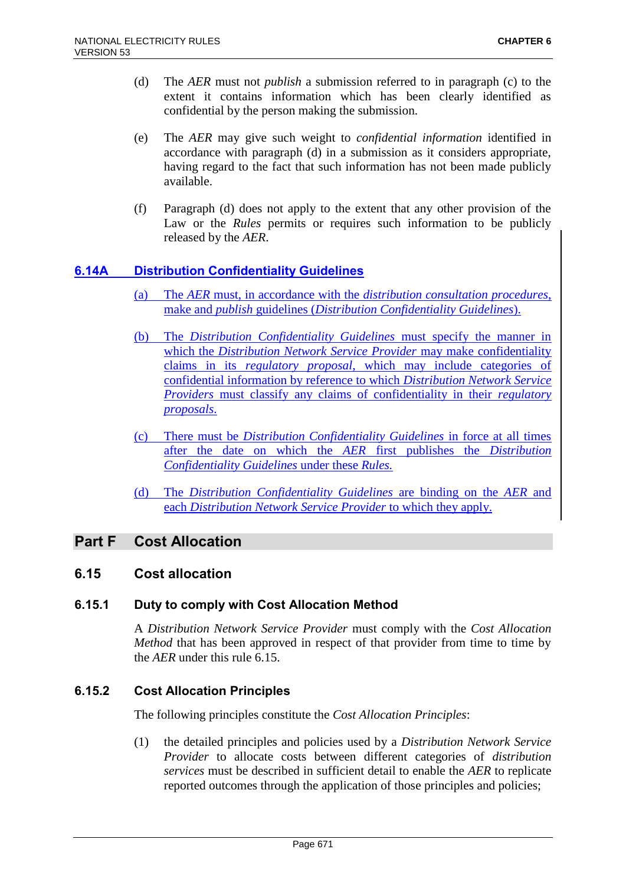- (d) The *AER* must not *publish* a submission referred to in paragraph (c) to the extent it contains information which has been clearly identified as confidential by the person making the submission.
- (e) The *AER* may give such weight to *confidential information* identified in accordance with paragraph (d) in a submission as it considers appropriate, having regard to the fact that such information has not been made publicly available.
- (f) Paragraph (d) does not apply to the extent that any other provision of the Law or the *Rules* permits or requires such information to be publicly released by the *AER*.

## **6.14A Distribution Confidentiality Guidelines**

- (a) The *AER* must, in accordance with the *distribution consultation procedures*, make and *publish* guidelines (*Distribution Confidentiality Guidelines*).
- (b) The *Distribution Confidentiality Guidelines* must specify the manner in which the *Distribution Network Service Provider* may make confidentiality claims in its *regulatory proposal*, which may include categories of confidential information by reference to which *Distribution Network Service Providers* must classify any claims of confidentiality in their *regulatory proposals*.
- (c) There must be *Distribution Confidentiality Guidelines* in force at all times after the date on which the *AER* first publishes the *Distribution Confidentiality Guidelines* under these *Rules.*
- (d) The *Distribution Confidentiality Guidelines* are binding on the *AER* and each *Distribution Network Service Provider* to which they apply.

# **Part F Cost Allocation**

## **6.15 Cost allocation**

## **6.15.1 Duty to comply with Cost Allocation Method**

A *Distribution Network Service Provider* must comply with the *Cost Allocation Method* that has been approved in respect of that provider from time to time by the *AER* under this rule 6.15.

## **6.15.2 Cost Allocation Principles**

The following principles constitute the *Cost Allocation Principles*:

(1) the detailed principles and policies used by a *Distribution Network Service Provider* to allocate costs between different categories of *distribution services* must be described in sufficient detail to enable the *AER* to replicate reported outcomes through the application of those principles and policies;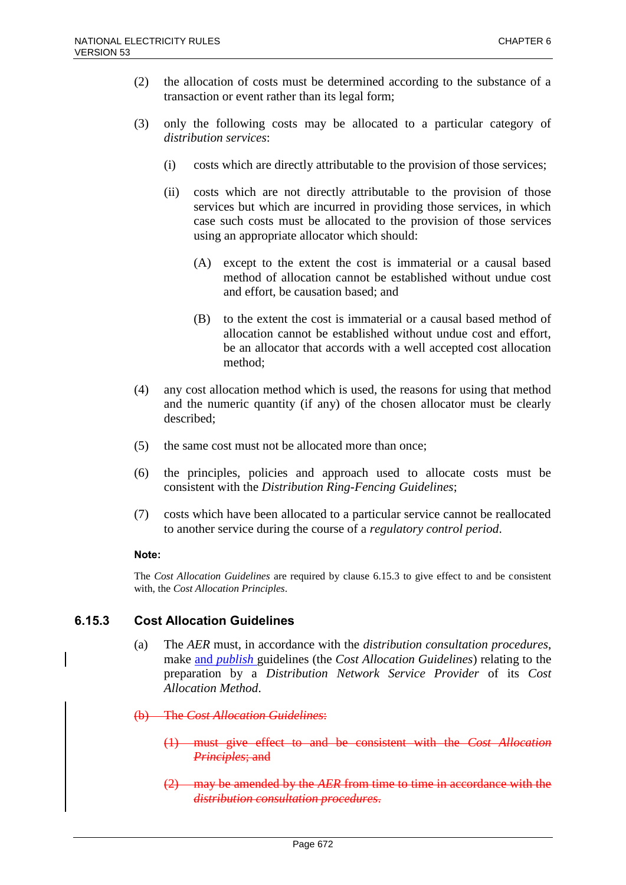- (2) the allocation of costs must be determined according to the substance of a transaction or event rather than its legal form;
- (3) only the following costs may be allocated to a particular category of *distribution services*:
	- (i) costs which are directly attributable to the provision of those services;
	- (ii) costs which are not directly attributable to the provision of those services but which are incurred in providing those services, in which case such costs must be allocated to the provision of those services using an appropriate allocator which should:
		- (A) except to the extent the cost is immaterial or a causal based method of allocation cannot be established without undue cost and effort, be causation based; and
		- (B) to the extent the cost is immaterial or a causal based method of allocation cannot be established without undue cost and effort, be an allocator that accords with a well accepted cost allocation method;
- (4) any cost allocation method which is used, the reasons for using that method and the numeric quantity (if any) of the chosen allocator must be clearly described;
- (5) the same cost must not be allocated more than once;
- (6) the principles, policies and approach used to allocate costs must be consistent with the *Distribution Ring-Fencing Guidelines*;
- (7) costs which have been allocated to a particular service cannot be reallocated to another service during the course of a *regulatory control period*.

### **Note:**

The *Cost Allocation Guidelines* are required by clause 6.15.3 to give effect to and be consistent with, the *Cost Allocation Principles*.

## **6.15.3 Cost Allocation Guidelines**

- (a) The *AER* must, in accordance with the *distribution consultation procedures*, make and *publish* guidelines (the *Cost Allocation Guidelines*) relating to the preparation by a *Distribution Network Service Provider* of its *Cost Allocation Method*.
- (b) The *Cost Allocation Guidelines*:
	- (1) must give effect to and be consistent with the *Cost Allocation Principles*; and
	- (2) may be amended by the *AER* from time to time in accordance with the *distribution consultation procedures*.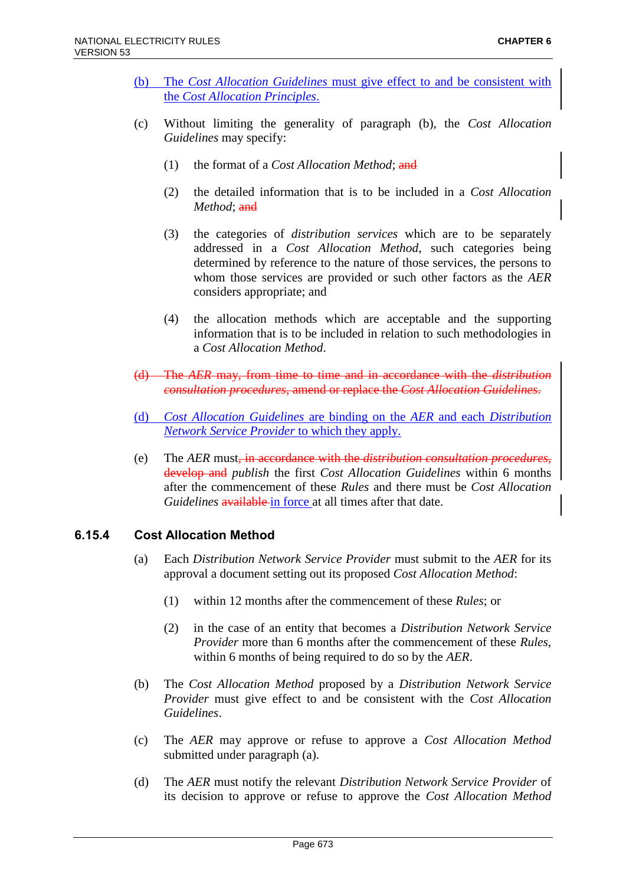- (b) The *Cost Allocation Guidelines* must give effect to and be consistent with the *Cost Allocation Principles*.
- (c) Without limiting the generality of paragraph (b), the *Cost Allocation Guidelines* may specify:
	- (1) the format of a *Cost Allocation Method*; and
	- (2) the detailed information that is to be included in a *Cost Allocation Method*; and
	- (3) the categories of *distribution services* which are to be separately addressed in a *Cost Allocation Method*, such categories being determined by reference to the nature of those services, the persons to whom those services are provided or such other factors as the *AER* considers appropriate; and
	- (4) the allocation methods which are acceptable and the supporting information that is to be included in relation to such methodologies in a *Cost Allocation Method*.
- (d) The *AER* may, from time to time and in accordance with the *distribution consultation procedures*, amend or replace the *Cost Allocation Guidelines*.
- (d) *Cost Allocation Guidelines* are binding on the *AER* and each *Distribution Network Service Provider* to which they apply.
- (e) The *AER* must, in accordance with the *distribution consultation procedures*, develop and *publish* the first *Cost Allocation Guidelines* within 6 months after the commencement of these *Rules* and there must be *Cost Allocation Guidelines* available in force at all times after that date.

## **6.15.4 Cost Allocation Method**

- (a) Each *Distribution Network Service Provider* must submit to the *AER* for its approval a document setting out its proposed *Cost Allocation Method*:
	- (1) within 12 months after the commencement of these *Rules*; or
	- (2) in the case of an entity that becomes a *Distribution Network Service Provider* more than 6 months after the commencement of these *Rules*, within 6 months of being required to do so by the *AER*.
- (b) The *Cost Allocation Method* proposed by a *Distribution Network Service Provider* must give effect to and be consistent with the *Cost Allocation Guidelines*.
- (c) The *AER* may approve or refuse to approve a *Cost Allocation Method* submitted under paragraph (a).
- (d) The *AER* must notify the relevant *Distribution Network Service Provider* of its decision to approve or refuse to approve the *Cost Allocation Method*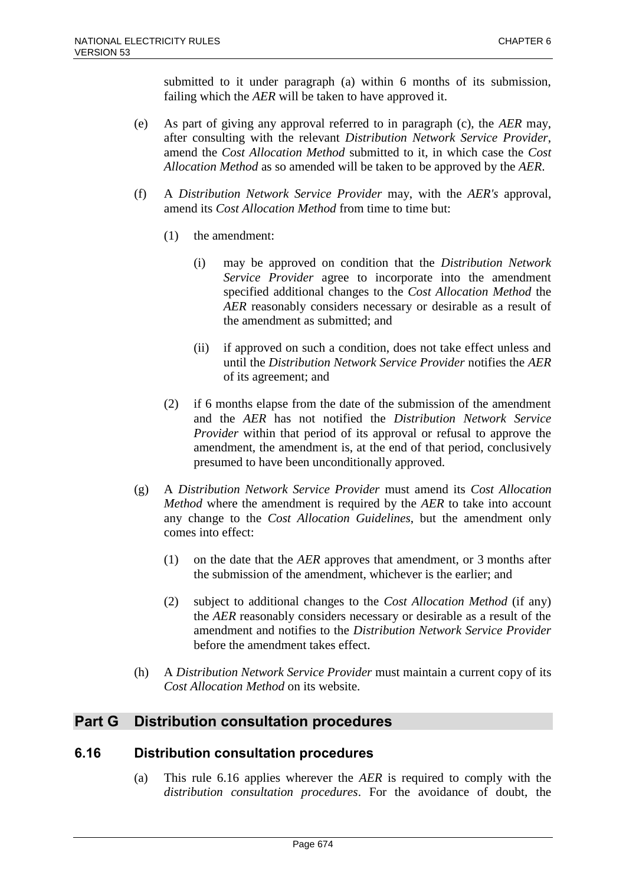submitted to it under paragraph (a) within 6 months of its submission, failing which the *AER* will be taken to have approved it.

- (e) As part of giving any approval referred to in paragraph (c), the *AER* may, after consulting with the relevant *Distribution Network Service Provider*, amend the *Cost Allocation Method* submitted to it, in which case the *Cost Allocation Method* as so amended will be taken to be approved by the *AER*.
- (f) A *Distribution Network Service Provider* may, with the *AER's* approval, amend its *Cost Allocation Method* from time to time but:
	- (1) the amendment:
		- (i) may be approved on condition that the *Distribution Network Service Provider* agree to incorporate into the amendment specified additional changes to the *Cost Allocation Method* the *AER* reasonably considers necessary or desirable as a result of the amendment as submitted; and
		- (ii) if approved on such a condition, does not take effect unless and until the *Distribution Network Service Provider* notifies the *AER* of its agreement; and
	- (2) if 6 months elapse from the date of the submission of the amendment and the *AER* has not notified the *Distribution Network Service Provider* within that period of its approval or refusal to approve the amendment, the amendment is, at the end of that period, conclusively presumed to have been unconditionally approved.
- (g) A *Distribution Network Service Provider* must amend its *Cost Allocation Method* where the amendment is required by the *AER* to take into account any change to the *Cost Allocation Guidelines*, but the amendment only comes into effect:
	- (1) on the date that the *AER* approves that amendment, or 3 months after the submission of the amendment, whichever is the earlier; and
	- (2) subject to additional changes to the *Cost Allocation Method* (if any) the *AER* reasonably considers necessary or desirable as a result of the amendment and notifies to the *Distribution Network Service Provider* before the amendment takes effect.
- (h) A *Distribution Network Service Provider* must maintain a current copy of its *Cost Allocation Method* on its website.

# **Part G Distribution consultation procedures**

# **6.16 Distribution consultation procedures**

(a) This rule 6.16 applies wherever the *AER* is required to comply with the *distribution consultation procedures*. For the avoidance of doubt, the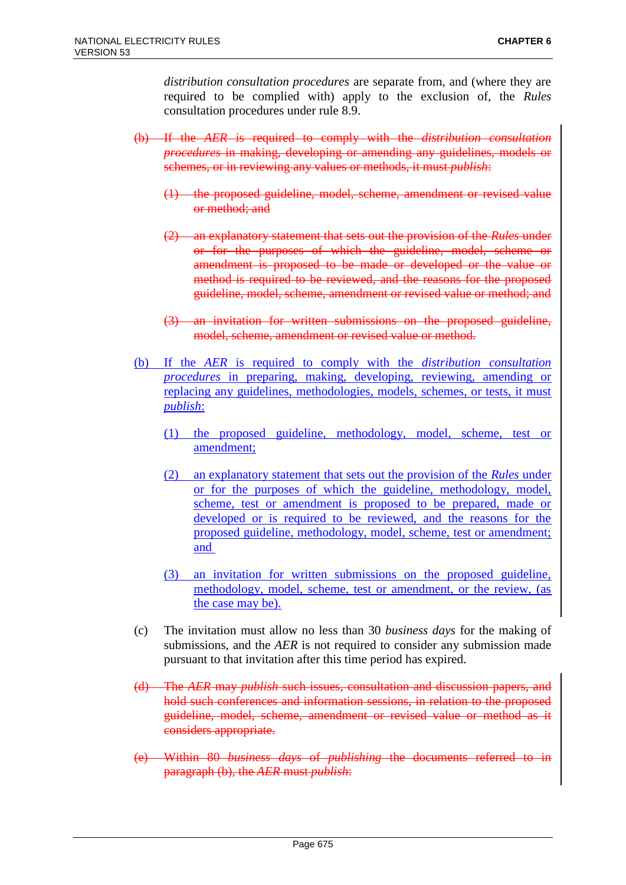*distribution consultation procedures* are separate from, and (where they are required to be complied with) apply to the exclusion of, the *Rules* consultation procedures under rule 8.9.

- (b) If the *AER* is required to comply with the *distribution consultation procedures* in making, developing or amending any guidelines, models or schemes, or in reviewing any values or methods, it must *publish*:
	- (1) the proposed guideline, model, scheme, amendment or revised value or method; and
	- (2) an explanatory statement that sets out the provision of the *Rules* under or for the purposes of which the guideline, model, scheme or amendment is proposed to be made or developed or the value or method is required to be reviewed, and the reasons for the proposed guideline, model, scheme, amendment or revised value or method; and
	- (3) an invitation for written submissions on the proposed guideline, model, scheme, amendment or revised value or method.
- (b) If the *AER* is required to comply with the *distribution consultation procedures* in preparing, making, developing, reviewing, amending or replacing any guidelines, methodologies, models, schemes, or tests, it must *publish*:
	- (1) the proposed guideline, methodology, model, scheme, test or amendment;
	- (2) an explanatory statement that sets out the provision of the *Rules* under or for the purposes of which the guideline, methodology, model, scheme, test or amendment is proposed to be prepared, made or developed or is required to be reviewed, and the reasons for the proposed guideline, methodology, model, scheme, test or amendment; and
	- (3) an invitation for written submissions on the proposed guideline, methodology, model, scheme, test or amendment, or the review, (as the case may be).
- (c) The invitation must allow no less than 30 *business days* for the making of submissions, and the *AER* is not required to consider any submission made pursuant to that invitation after this time period has expired.
- (d) The *AER* may *publish* such issues, consultation and discussion papers, and hold such conferences and information sessions, in relation to the proposed guideline, model, scheme, amendment or revised value or method as it considers appropriate.
- (e) Within 80 *business days* of *publishing* the documents referred to in paragraph (b), the *AER* must *publish*: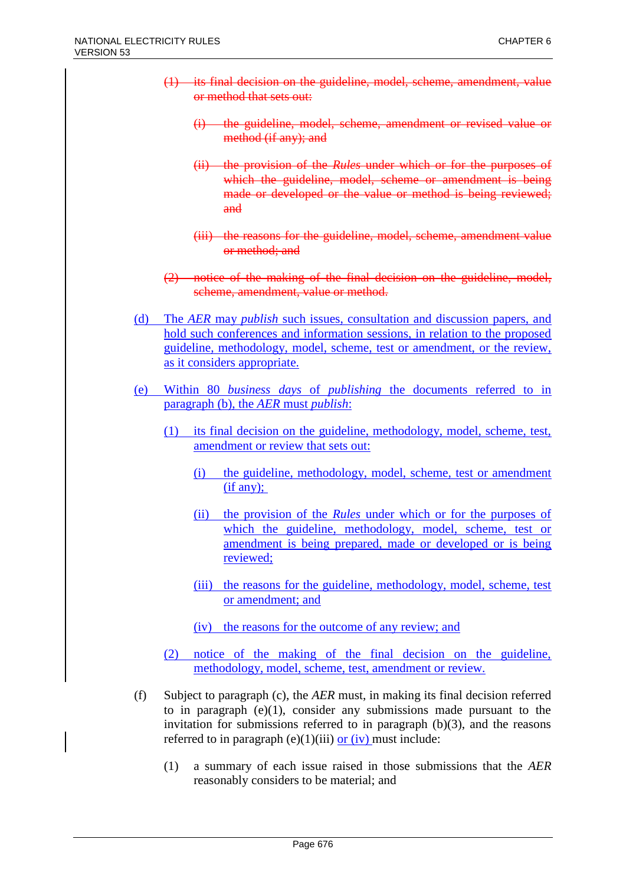- (1) its final decision on the guideline, model, scheme, amendment, value or method that sets out:
	- (i) the guideline, model, scheme, amendment or revised value or method (if any); and
	- (ii) the provision of the *Rules* under which or for the purposes of which the guideline, model, scheme or amendment is being made or developed or the value or method is being reviewed; and
	- (iii) the reasons for the guideline, model, scheme, amendment value or method; and
- (2) notice of the making of the final decision on the guideline, model, scheme, amendment, value or method.
- (d) The *AER* may *publish* such issues, consultation and discussion papers, and hold such conferences and information sessions, in relation to the proposed guideline, methodology, model, scheme, test or amendment, or the review, as it considers appropriate.
- (e) Within 80 *business days* of *publishing* the documents referred to in paragraph (b), the *AER* must *publish*:
	- (1) its final decision on the guideline, methodology, model, scheme, test, amendment or review that sets out:
		- (i) the guideline, methodology, model, scheme, test or amendment  $(if any);$
		- (ii) the provision of the *Rules* under which or for the purposes of which the guideline, methodology, model, scheme, test or amendment is being prepared, made or developed or is being reviewed;
		- (iii) the reasons for the guideline, methodology, model, scheme, test or amendment; and
		- (iv) the reasons for the outcome of any review; and
	- (2) notice of the making of the final decision on the guideline, methodology, model, scheme, test, amendment or review.
- (f) Subject to paragraph (c), the *AER* must, in making its final decision referred to in paragraph  $(e)(1)$ , consider any submissions made pursuant to the invitation for submissions referred to in paragraph  $(b)(3)$ , and the reasons referred to in paragraph (e)(1)(iii)  $or (iv)$  must include:
	- (1) a summary of each issue raised in those submissions that the *AER* reasonably considers to be material; and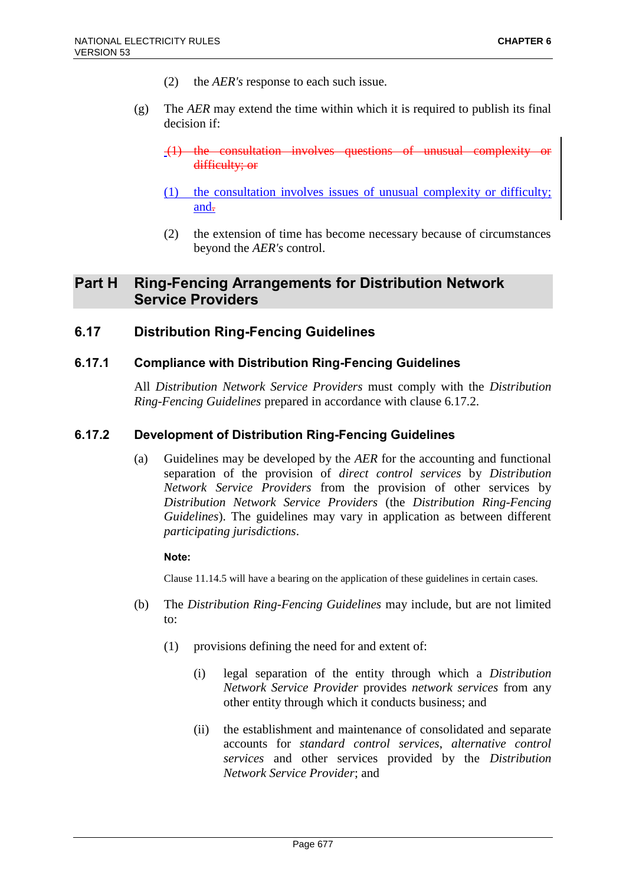- (2) the *AER's* response to each such issue.
- (g) The *AER* may extend the time within which it is required to publish its final decision if:
	- $(1)$  the consultation involves questions of unusual complexity difficulty; or
	- (1) the consultation involves issues of unusual complexity or difficulty; and.
	- (2) the extension of time has become necessary because of circumstances beyond the *AER's* control.

# **Part H Ring-Fencing Arrangements for Distribution Network Service Providers**

## **6.17 Distribution Ring-Fencing Guidelines**

### **6.17.1 Compliance with Distribution Ring-Fencing Guidelines**

All *Distribution Network Service Providers* must comply with the *Distribution Ring-Fencing Guidelines* prepared in accordance with clause 6.17.2.

### **6.17.2 Development of Distribution Ring-Fencing Guidelines**

(a) Guidelines may be developed by the *AER* for the accounting and functional separation of the provision of *direct control services* by *Distribution Network Service Providers* from the provision of other services by *Distribution Network Service Providers* (the *Distribution Ring-Fencing Guidelines*). The guidelines may vary in application as between different *participating jurisdictions*.

#### **Note:**

Clause 11.14.5 will have a bearing on the application of these guidelines in certain cases.

- (b) The *Distribution Ring-Fencing Guidelines* may include, but are not limited to:
	- (1) provisions defining the need for and extent of:
		- (i) legal separation of the entity through which a *Distribution Network Service Provider* provides *network services* from any other entity through which it conducts business; and
		- (ii) the establishment and maintenance of consolidated and separate accounts for *standard control services*, *alternative control services* and other services provided by the *Distribution Network Service Provider*; and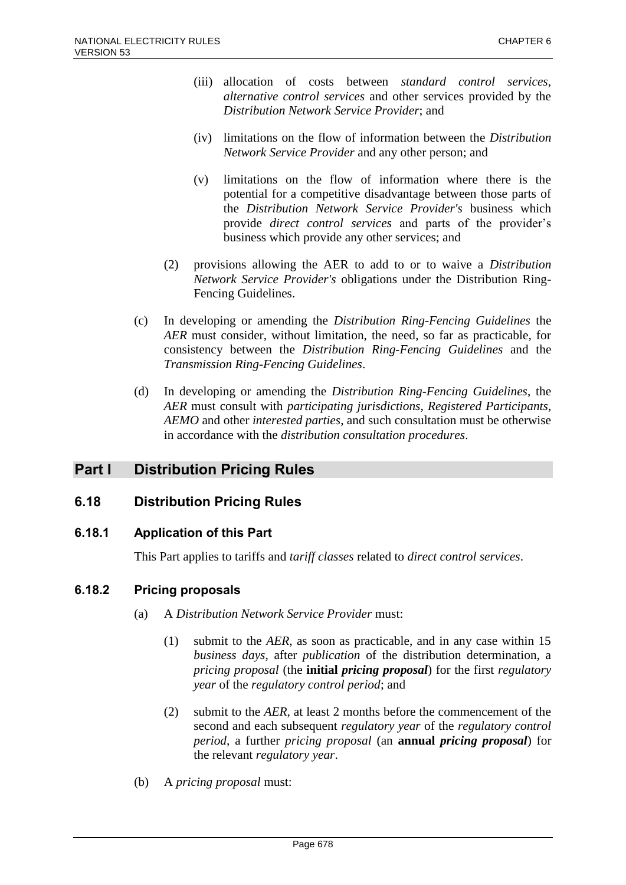- (iii) allocation of costs between *standard control services*, *alternative control services* and other services provided by the *Distribution Network Service Provider*; and
- (iv) limitations on the flow of information between the *Distribution Network Service Provider* and any other person; and
- (v) limitations on the flow of information where there is the potential for a competitive disadvantage between those parts of the *Distribution Network Service Provider's* business which provide *direct control services* and parts of the provider's business which provide any other services; and
- (2) provisions allowing the AER to add to or to waive a *Distribution Network Service Provider's* obligations under the Distribution Ring-Fencing Guidelines.
- (c) In developing or amending the *Distribution Ring-Fencing Guidelines* the *AER* must consider, without limitation, the need, so far as practicable, for consistency between the *Distribution Ring-Fencing Guidelines* and the *Transmission Ring-Fencing Guidelines*.
- (d) In developing or amending the *Distribution Ring-Fencing Guidelines*, the *AER* must consult with *participating jurisdictions*, *Registered Participants*, *AEMO* and other *interested parties*, and such consultation must be otherwise in accordance with the *distribution consultation procedures*.

# **Part I Distribution Pricing Rules**

# **6.18 Distribution Pricing Rules**

## **6.18.1 Application of this Part**

This Part applies to tariffs and *tariff classes* related to *direct control services*.

## **6.18.2 Pricing proposals**

- (a) A *Distribution Network Service Provider* must:
	- (1) submit to the *AER*, as soon as practicable, and in any case within 15 *business days*, after *publication* of the distribution determination, a *pricing proposal* (the **initial** *pricing proposal*) for the first *regulatory year* of the *regulatory control period*; and
	- (2) submit to the *AER*, at least 2 months before the commencement of the second and each subsequent *regulatory year* of the *regulatory control period*, a further *pricing proposal* (an **annual** *pricing proposal*) for the relevant *regulatory year*.
- (b) A *pricing proposal* must: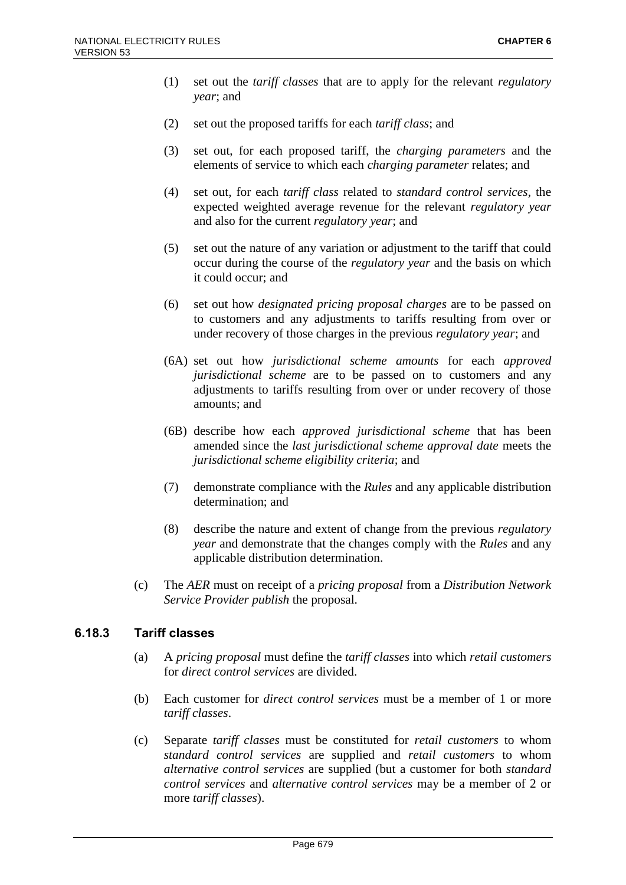- (1) set out the *tariff classes* that are to apply for the relevant *regulatory year*; and
- (2) set out the proposed tariffs for each *tariff class*; and
- (3) set out, for each proposed tariff, the *charging parameters* and the elements of service to which each *charging parameter* relates; and
- (4) set out, for each *tariff class* related to *standard control services*, the expected weighted average revenue for the relevant *regulatory year* and also for the current *regulatory year*; and
- (5) set out the nature of any variation or adjustment to the tariff that could occur during the course of the *regulatory year* and the basis on which it could occur; and
- (6) set out how *designated pricing proposal charges* are to be passed on to customers and any adjustments to tariffs resulting from over or under recovery of those charges in the previous *regulatory year*; and
- (6A) set out how *jurisdictional scheme amounts* for each *approved jurisdictional scheme* are to be passed on to customers and any adjustments to tariffs resulting from over or under recovery of those amounts; and
- (6B) describe how each *approved jurisdictional scheme* that has been amended since the *last jurisdictional scheme approval date* meets the *jurisdictional scheme eligibility criteria*; and
- (7) demonstrate compliance with the *Rules* and any applicable distribution determination; and
- (8) describe the nature and extent of change from the previous *regulatory year* and demonstrate that the changes comply with the *Rules* and any applicable distribution determination.
- (c) The *AER* must on receipt of a *pricing proposal* from a *Distribution Network Service Provider publish* the proposal.

### **6.18.3 Tariff classes**

- (a) A *pricing proposal* must define the *tariff classes* into which *retail customers* for *direct control services* are divided.
- (b) Each customer for *direct control services* must be a member of 1 or more *tariff classes*.
- (c) Separate *tariff classes* must be constituted for *retail customers* to whom *standard control services* are supplied and *retail customers* to whom *alternative control services* are supplied (but a customer for both *standard control services* and *alternative control services* may be a member of 2 or more *tariff classes*).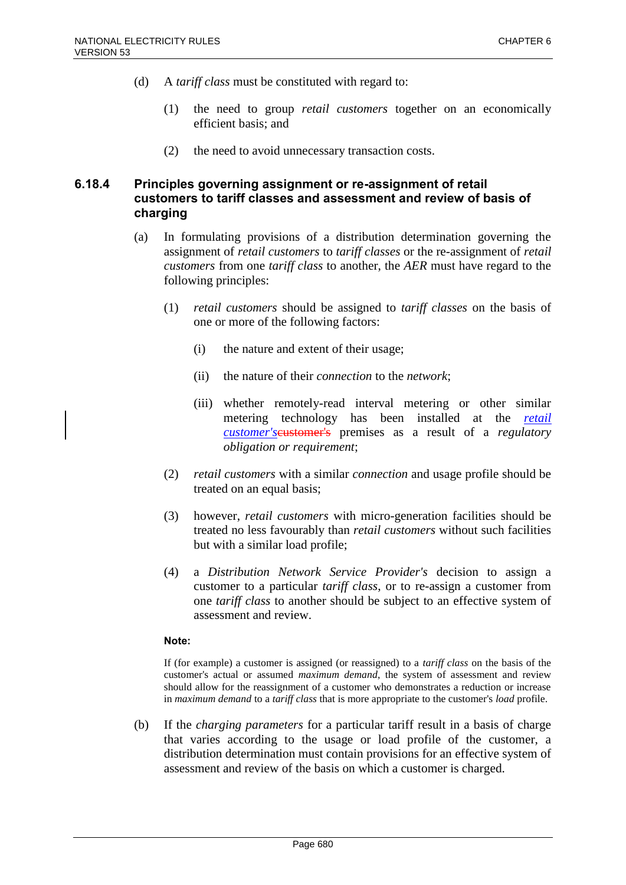- (d) A *tariff class* must be constituted with regard to:
	- (1) the need to group *retail customers* together on an economically efficient basis; and
	- (2) the need to avoid unnecessary transaction costs.

## **6.18.4 Principles governing assignment or re-assignment of retail customers to tariff classes and assessment and review of basis of charging**

- (a) In formulating provisions of a distribution determination governing the assignment of *retail customers* to *tariff classes* or the re-assignment of *retail customers* from one *tariff class* to another, the *AER* must have regard to the following principles:
	- (1) *retail customers* should be assigned to *tariff classes* on the basis of one or more of the following factors:
		- (i) the nature and extent of their usage;
		- (ii) the nature of their *connection* to the *network*;
		- (iii) whether remotely-read interval metering or other similar metering technology has been installed at the *retail customer's* eustomer's premises as a result of a *regulatory obligation or requirement*;
	- (2) *retail customers* with a similar *connection* and usage profile should be treated on an equal basis;
	- (3) however, *retail customers* with micro-generation facilities should be treated no less favourably than *retail customers* without such facilities but with a similar load profile;
	- (4) a *Distribution Network Service Provider's* decision to assign a customer to a particular *tariff class*, or to re-assign a customer from one *tariff class* to another should be subject to an effective system of assessment and review.

#### **Note:**

If (for example) a customer is assigned (or reassigned) to a *tariff class* on the basis of the customer's actual or assumed *maximum demand*, the system of assessment and review should allow for the reassignment of a customer who demonstrates a reduction or increase in *maximum demand* to a *tariff class* that is more appropriate to the customer's *load* profile.

(b) If the *charging parameters* for a particular tariff result in a basis of charge that varies according to the usage or load profile of the customer, a distribution determination must contain provisions for an effective system of assessment and review of the basis on which a customer is charged.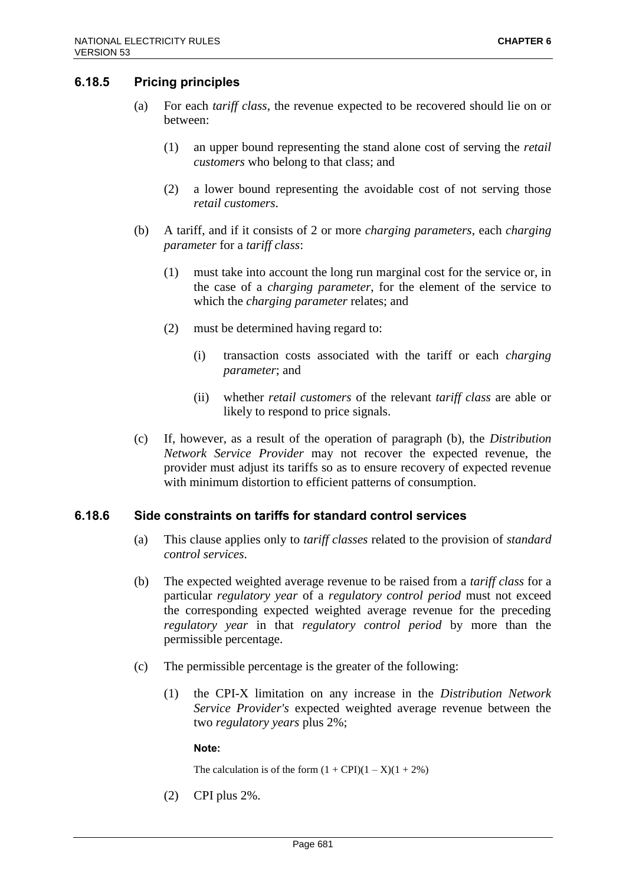## **6.18.5 Pricing principles**

- (a) For each *tariff class*, the revenue expected to be recovered should lie on or between:
	- (1) an upper bound representing the stand alone cost of serving the *retail customers* who belong to that class; and
	- (2) a lower bound representing the avoidable cost of not serving those *retail customers*.
- (b) A tariff, and if it consists of 2 or more *charging parameters*, each *charging parameter* for a *tariff class*:
	- (1) must take into account the long run marginal cost for the service or, in the case of a *charging parameter*, for the element of the service to which the *charging parameter* relates; and
	- (2) must be determined having regard to:
		- (i) transaction costs associated with the tariff or each *charging parameter*; and
		- (ii) whether *retail customers* of the relevant *tariff class* are able or likely to respond to price signals.
- (c) If, however, as a result of the operation of paragraph (b), the *Distribution Network Service Provider* may not recover the expected revenue, the provider must adjust its tariffs so as to ensure recovery of expected revenue with minimum distortion to efficient patterns of consumption.

### **6.18.6 Side constraints on tariffs for standard control services**

- (a) This clause applies only to *tariff classes* related to the provision of *standard control services*.
- (b) The expected weighted average revenue to be raised from a *tariff class* for a particular *regulatory year* of a *regulatory control period* must not exceed the corresponding expected weighted average revenue for the preceding *regulatory year* in that *regulatory control period* by more than the permissible percentage.
- (c) The permissible percentage is the greater of the following:
	- (1) the CPI-X limitation on any increase in the *Distribution Network Service Provider's* expected weighted average revenue between the two *regulatory years* plus 2%;

#### **Note:**

The calculation is of the form  $(1 + \text{CPI})(1 - X)(1 + 2\%)$ 

(2) CPI plus 2%.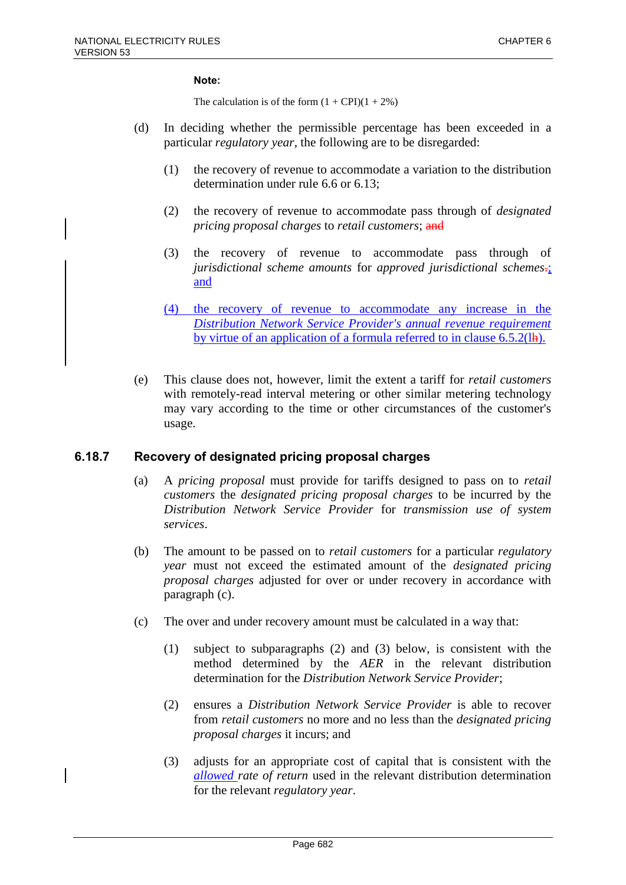#### **Note:**

The calculation is of the form  $(1 + \text{CPI})(1 + 2\%)$ 

- (d) In deciding whether the permissible percentage has been exceeded in a particular *regulatory year*, the following are to be disregarded:
	- (1) the recovery of revenue to accommodate a variation to the distribution determination under rule 6.6 or 6.13;
	- (2) the recovery of revenue to accommodate pass through of *designated pricing proposal charges* to *retail customers*; and
	- (3) the recovery of revenue to accommodate pass through of *jurisdictional scheme amounts* for *approved jurisdictional schemes*.; and
	- (4) the recovery of revenue to accommodate any increase in the *Distribution Network Service Provider's annual revenue requirement* by virtue of an application of a formula referred to in clause 6.5.2(lh).
- (e) This clause does not, however, limit the extent a tariff for *retail customers* with remotely-read interval metering or other similar metering technology may vary according to the time or other circumstances of the customer's usage.

### **6.18.7 Recovery of designated pricing proposal charges**

- (a) A *pricing proposal* must provide for tariffs designed to pass on to *retail customers* the *designated pricing proposal charges* to be incurred by the *Distribution Network Service Provider* for *transmission use of system services*.
- (b) The amount to be passed on to *retail customers* for a particular *regulatory year* must not exceed the estimated amount of the *designated pricing proposal charges* adjusted for over or under recovery in accordance with paragraph (c).
- (c) The over and under recovery amount must be calculated in a way that:
	- (1) subject to subparagraphs (2) and (3) below, is consistent with the method determined by the *AER* in the relevant distribution determination for the *Distribution Network Service Provider*;
	- (2) ensures a *Distribution Network Service Provider* is able to recover from *retail customers* no more and no less than the *designated pricing proposal charges* it incurs; and
	- (3) adjusts for an appropriate cost of capital that is consistent with the *allowed rate of return* used in the relevant distribution determination for the relevant *regulatory year*.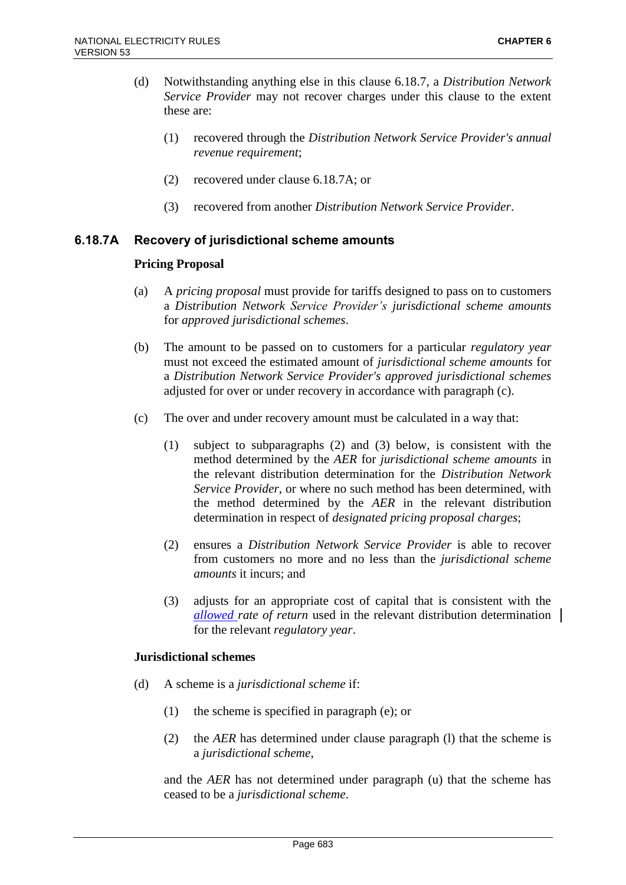- (d) Notwithstanding anything else in this clause 6.18.7, a *Distribution Network Service Provider* may not recover charges under this clause to the extent these are:
	- (1) recovered through the *Distribution Network Service Provider's annual revenue requirement*;
	- (2) recovered under clause 6.18.7A; or
	- (3) recovered from another *Distribution Network Service Provider*.

## **6.18.7A Recovery of jurisdictional scheme amounts**

### **Pricing Proposal**

- (a) A *pricing proposal* must provide for tariffs designed to pass on to customers a *Distribution Network Service Provider's jurisdictional scheme amounts* for *approved jurisdictional schemes*.
- (b) The amount to be passed on to customers for a particular *regulatory year* must not exceed the estimated amount of *jurisdictional scheme amounts* for a *Distribution Network Service Provider's approved jurisdictional schemes* adjusted for over or under recovery in accordance with paragraph (c).
- (c) The over and under recovery amount must be calculated in a way that:
	- (1) subject to subparagraphs (2) and (3) below, is consistent with the method determined by the *AER* for *jurisdictional scheme amounts* in the relevant distribution determination for the *Distribution Network Service Provider*, or where no such method has been determined, with the method determined by the *AER* in the relevant distribution determination in respect of *designated pricing proposal charges*;
	- (2) ensures a *Distribution Network Service Provider* is able to recover from customers no more and no less than the *jurisdictional scheme amounts* it incurs; and
	- (3) adjusts for an appropriate cost of capital that is consistent with the *allowed rate of return* used in the relevant distribution determination for the relevant *regulatory year*.

### **Jurisdictional schemes**

- (d) A scheme is a *jurisdictional scheme* if:
	- (1) the scheme is specified in paragraph (e); or
	- (2) the *AER* has determined under clause paragraph (l) that the scheme is a *jurisdictional scheme*,

and the *AER* has not determined under paragraph (u) that the scheme has ceased to be a *jurisdictional scheme*.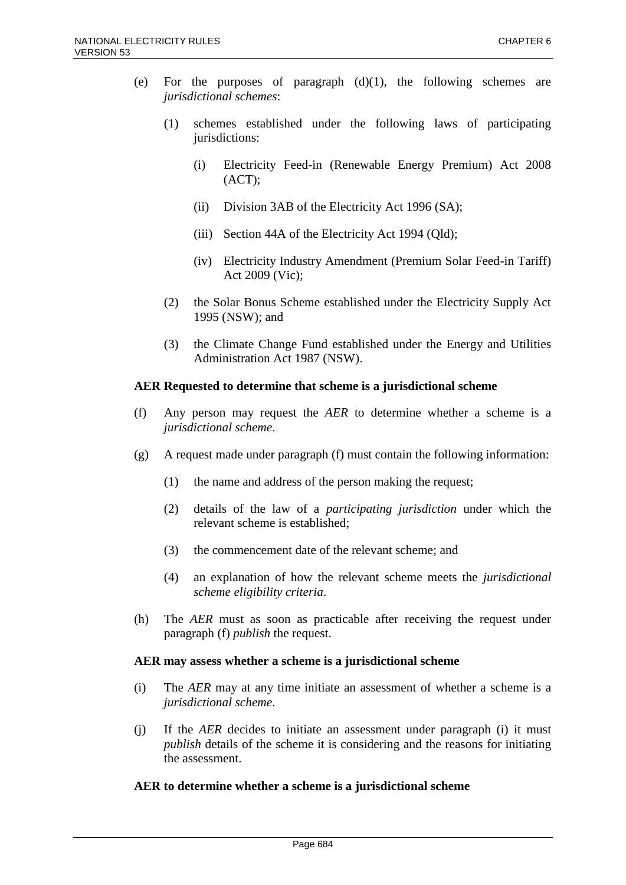- (e) For the purposes of paragraph  $(d)(1)$ , the following schemes are *jurisdictional schemes*:
	- (1) schemes established under the following laws of participating jurisdictions:
		- (i) Electricity Feed-in (Renewable Energy Premium) Act 2008 (ACT);
		- (ii) Division 3AB of the Electricity Act 1996 (SA);
		- (iii) Section 44A of the Electricity Act 1994 (Qld);
		- (iv) Electricity Industry Amendment (Premium Solar Feed-in Tariff) Act 2009 (Vic);
	- (2) the Solar Bonus Scheme established under the Electricity Supply Act 1995 (NSW); and
	- (3) the Climate Change Fund established under the Energy and Utilities Administration Act 1987 (NSW).

### **AER Requested to determine that scheme is a jurisdictional scheme**

- (f) Any person may request the *AER* to determine whether a scheme is a *jurisdictional scheme*.
- $(g)$  A request made under paragraph (f) must contain the following information:
	- (1) the name and address of the person making the request;
	- (2) details of the law of a *participating jurisdiction* under which the relevant scheme is established;
	- (3) the commencement date of the relevant scheme; and
	- (4) an explanation of how the relevant scheme meets the *jurisdictional scheme eligibility criteria*.
- (h) The *AER* must as soon as practicable after receiving the request under paragraph (f) *publish* the request.

### **AER may assess whether a scheme is a jurisdictional scheme**

- (i) The *AER* may at any time initiate an assessment of whether a scheme is a *jurisdictional scheme*.
- (j) If the *AER* decides to initiate an assessment under paragraph (i) it must *publish* details of the scheme it is considering and the reasons for initiating the assessment.

### **AER to determine whether a scheme is a jurisdictional scheme**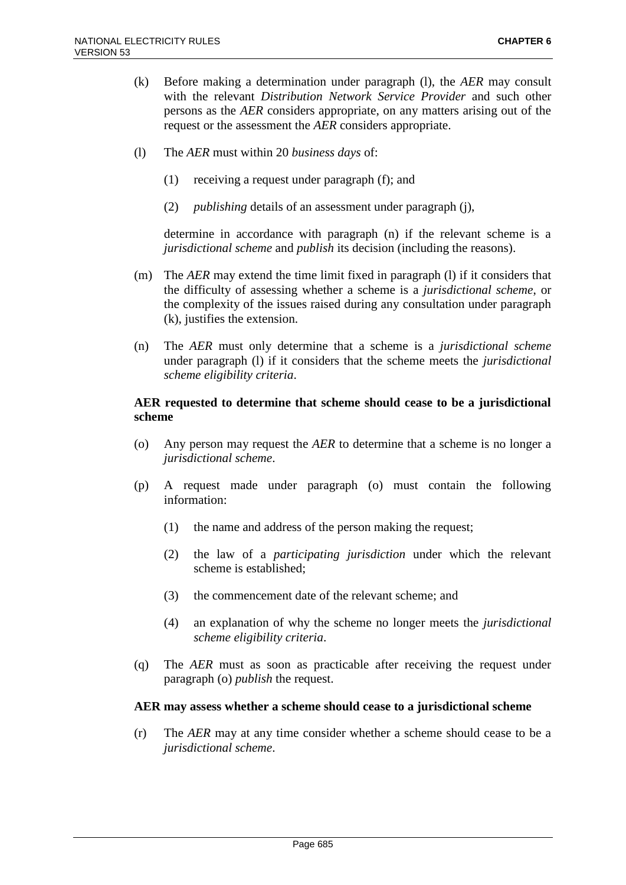- (k) Before making a determination under paragraph (l), the *AER* may consult with the relevant *Distribution Network Service Provider* and such other persons as the *AER* considers appropriate, on any matters arising out of the request or the assessment the *AER* considers appropriate.
- (l) The *AER* must within 20 *business days* of:
	- (1) receiving a request under paragraph (f); and
	- (2) *publishing* details of an assessment under paragraph (j),

determine in accordance with paragraph (n) if the relevant scheme is a *jurisdictional scheme* and *publish* its decision (including the reasons).

- (m) The *AER* may extend the time limit fixed in paragraph (l) if it considers that the difficulty of assessing whether a scheme is a *jurisdictional scheme*, or the complexity of the issues raised during any consultation under paragraph (k), justifies the extension.
- (n) The *AER* must only determine that a scheme is a *jurisdictional scheme* under paragraph (l) if it considers that the scheme meets the *jurisdictional scheme eligibility criteria*.

#### **AER requested to determine that scheme should cease to be a jurisdictional scheme**

- (o) Any person may request the *AER* to determine that a scheme is no longer a *jurisdictional scheme*.
- (p) A request made under paragraph (o) must contain the following information:
	- (1) the name and address of the person making the request;
	- (2) the law of a *participating jurisdiction* under which the relevant scheme is established;
	- (3) the commencement date of the relevant scheme; and
	- (4) an explanation of why the scheme no longer meets the *jurisdictional scheme eligibility criteria*.
- (q) The *AER* must as soon as practicable after receiving the request under paragraph (o) *publish* the request.

#### **AER may assess whether a scheme should cease to a jurisdictional scheme**

(r) The *AER* may at any time consider whether a scheme should cease to be a *jurisdictional scheme*.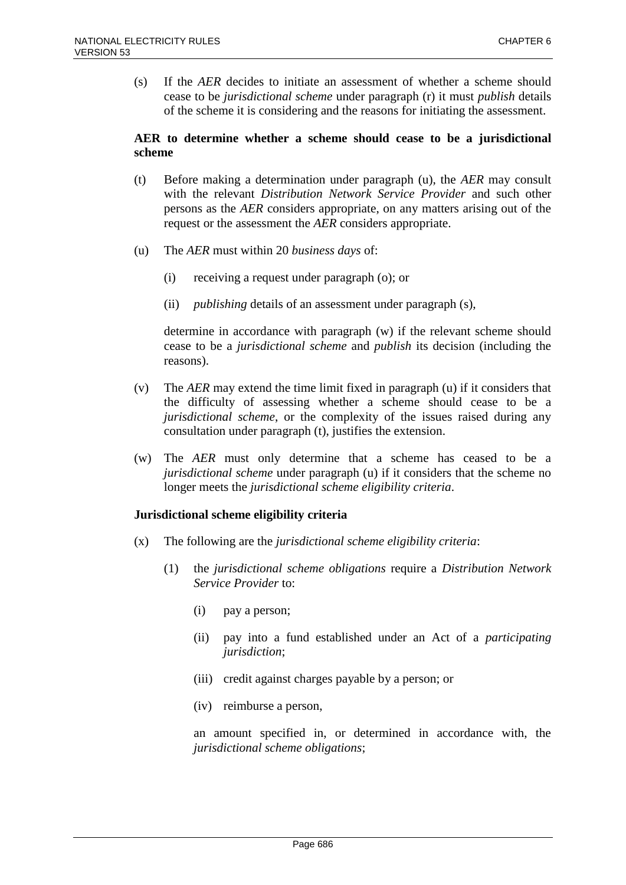(s) If the *AER* decides to initiate an assessment of whether a scheme should cease to be *jurisdictional scheme* under paragraph (r) it must *publish* details of the scheme it is considering and the reasons for initiating the assessment.

### **AER to determine whether a scheme should cease to be a jurisdictional scheme**

- (t) Before making a determination under paragraph (u), the *AER* may consult with the relevant *Distribution Network Service Provider* and such other persons as the *AER* considers appropriate, on any matters arising out of the request or the assessment the *AER* considers appropriate.
- (u) The *AER* must within 20 *business days* of:
	- (i) receiving a request under paragraph (o); or
	- (ii) *publishing* details of an assessment under paragraph (s),

determine in accordance with paragraph (w) if the relevant scheme should cease to be a *jurisdictional scheme* and *publish* its decision (including the reasons).

- (v) The *AER* may extend the time limit fixed in paragraph (u) if it considers that the difficulty of assessing whether a scheme should cease to be a *jurisdictional scheme*, or the complexity of the issues raised during any consultation under paragraph (t), justifies the extension.
- (w) The *AER* must only determine that a scheme has ceased to be a *jurisdictional scheme* under paragraph (u) if it considers that the scheme no longer meets the *jurisdictional scheme eligibility criteria*.

### **Jurisdictional scheme eligibility criteria**

- (x) The following are the *jurisdictional scheme eligibility criteria*:
	- (1) the *jurisdictional scheme obligations* require a *Distribution Network Service Provider* to:
		- (i) pay a person;
		- (ii) pay into a fund established under an Act of a *participating jurisdiction*;
		- (iii) credit against charges payable by a person; or
		- (iv) reimburse a person,

an amount specified in, or determined in accordance with, the *jurisdictional scheme obligations*;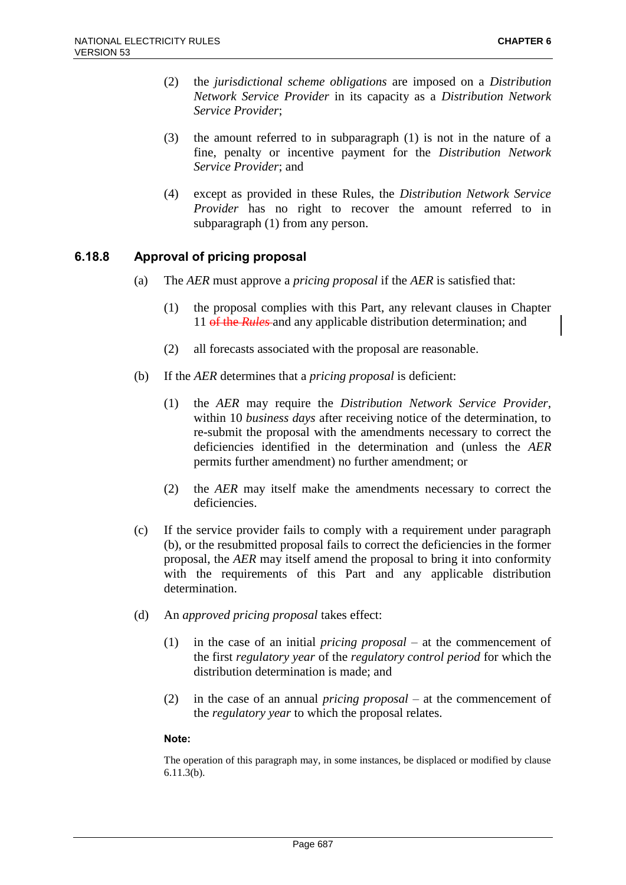- (2) the *jurisdictional scheme obligations* are imposed on a *Distribution Network Service Provider* in its capacity as a *Distribution Network Service Provider*;
- (3) the amount referred to in subparagraph (1) is not in the nature of a fine, penalty or incentive payment for the *Distribution Network Service Provider*; and
- (4) except as provided in these Rules, the *Distribution Network Service Provider* has no right to recover the amount referred to in subparagraph (1) from any person.

## **6.18.8 Approval of pricing proposal**

- (a) The *AER* must approve a *pricing proposal* if the *AER* is satisfied that:
	- (1) the proposal complies with this Part, any relevant clauses in Chapter 11 of the *Rules* and any applicable distribution determination; and
	- (2) all forecasts associated with the proposal are reasonable.
- (b) If the *AER* determines that a *pricing proposal* is deficient:
	- (1) the *AER* may require the *Distribution Network Service Provider*, within 10 *business days* after receiving notice of the determination, to re-submit the proposal with the amendments necessary to correct the deficiencies identified in the determination and (unless the *AER* permits further amendment) no further amendment; or
	- (2) the *AER* may itself make the amendments necessary to correct the deficiencies.
- (c) If the service provider fails to comply with a requirement under paragraph (b), or the resubmitted proposal fails to correct the deficiencies in the former proposal, the *AER* may itself amend the proposal to bring it into conformity with the requirements of this Part and any applicable distribution determination.
- (d) An *approved pricing proposal* takes effect:
	- (1) in the case of an initial *pricing proposal* at the commencement of the first *regulatory year* of the *regulatory control period* for which the distribution determination is made; and
	- (2) in the case of an annual *pricing proposal* at the commencement of the *regulatory year* to which the proposal relates.

#### **Note:**

The operation of this paragraph may, in some instances, be displaced or modified by clause 6.11.3(b).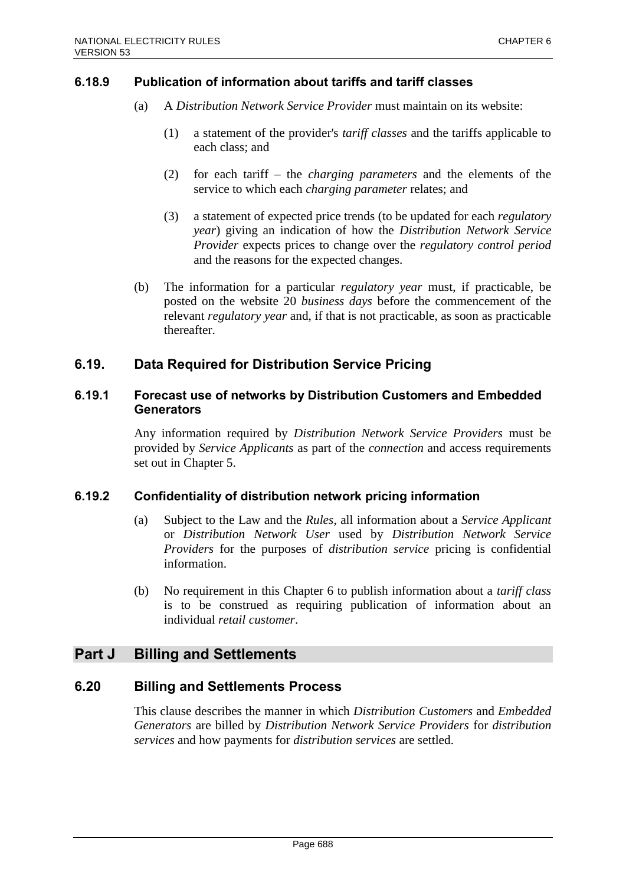## **6.18.9 Publication of information about tariffs and tariff classes**

- (a) A *Distribution Network Service Provider* must maintain on its website:
	- (1) a statement of the provider's *tariff classes* and the tariffs applicable to each class; and
	- (2) for each tariff the *charging parameters* and the elements of the service to which each *charging parameter* relates; and
	- (3) a statement of expected price trends (to be updated for each *regulatory year*) giving an indication of how the *Distribution Network Service Provider* expects prices to change over the *regulatory control period* and the reasons for the expected changes.
- (b) The information for a particular *regulatory year* must, if practicable, be posted on the website 20 *business days* before the commencement of the relevant *regulatory year* and, if that is not practicable, as soon as practicable thereafter.

## **6.19. Data Required for Distribution Service Pricing**

## **6.19.1 Forecast use of networks by Distribution Customers and Embedded Generators**

Any information required by *Distribution Network Service Providers* must be provided by *Service Applicants* as part of the *connection* and access requirements set out in Chapter 5.

### **6.19.2 Confidentiality of distribution network pricing information**

- (a) Subject to the Law and the *Rules*, all information about a *Service Applicant* or *Distribution Network User* used by *Distribution Network Service Providers* for the purposes of *distribution service* pricing is confidential information.
- (b) No requirement in this Chapter 6 to publish information about a *tariff class* is to be construed as requiring publication of information about an individual *retail customer*.

# **Part J Billing and Settlements**

## **6.20 Billing and Settlements Process**

This clause describes the manner in which *Distribution Customers* and *Embedded Generators* are billed by *Distribution Network Service Providers* for *distribution services* and how payments for *distribution services* are settled.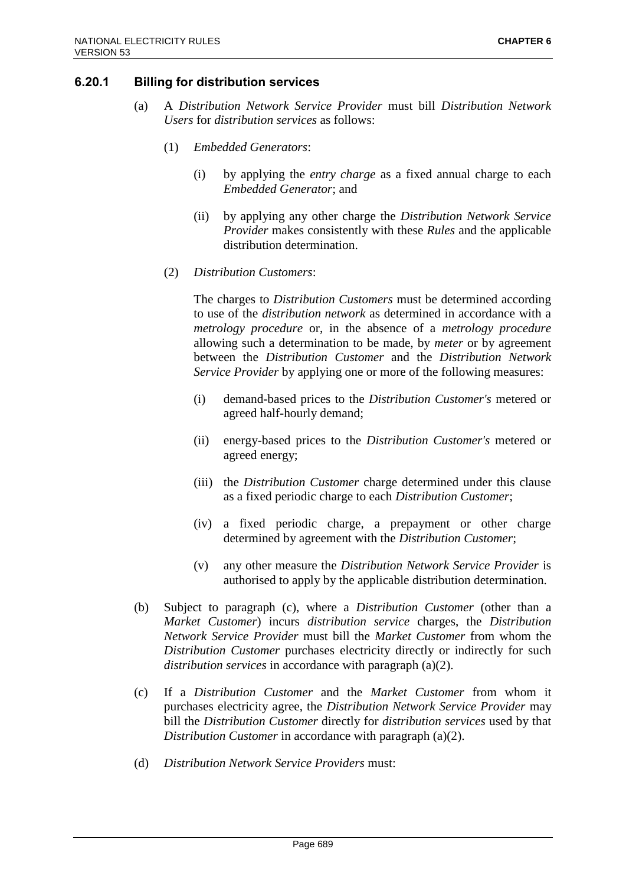## **6.20.1 Billing for distribution services**

- (a) A *Distribution Network Service Provider* must bill *Distribution Network Users* for *distribution services* as follows:
	- (1) *Embedded Generators*:
		- (i) by applying the *entry charge* as a fixed annual charge to each *Embedded Generator*; and
		- (ii) by applying any other charge the *Distribution Network Service Provider* makes consistently with these *Rules* and the applicable distribution determination.
	- (2) *Distribution Customers*:

The charges to *Distribution Customers* must be determined according to use of the *distribution network* as determined in accordance with a *metrology procedure* or, in the absence of a *metrology procedure* allowing such a determination to be made, by *meter* or by agreement between the *Distribution Customer* and the *Distribution Network Service Provider* by applying one or more of the following measures:

- (i) demand-based prices to the *Distribution Customer's* metered or agreed half-hourly demand;
- (ii) energy-based prices to the *Distribution Customer's* metered or agreed energy;
- (iii) the *Distribution Customer* charge determined under this clause as a fixed periodic charge to each *Distribution Customer*;
- (iv) a fixed periodic charge, a prepayment or other charge determined by agreement with the *Distribution Customer*;
- (v) any other measure the *Distribution Network Service Provider* is authorised to apply by the applicable distribution determination.
- (b) Subject to paragraph (c), where a *Distribution Customer* (other than a *Market Customer*) incurs *distribution service* charges, the *Distribution Network Service Provider* must bill the *Market Customer* from whom the *Distribution Customer* purchases electricity directly or indirectly for such *distribution services* in accordance with paragraph (a)(2).
- (c) If a *Distribution Customer* and the *Market Customer* from whom it purchases electricity agree, the *Distribution Network Service Provider* may bill the *Distribution Customer* directly for *distribution services* used by that *Distribution Customer* in accordance with paragraph (a)(2).
- (d) *Distribution Network Service Providers* must: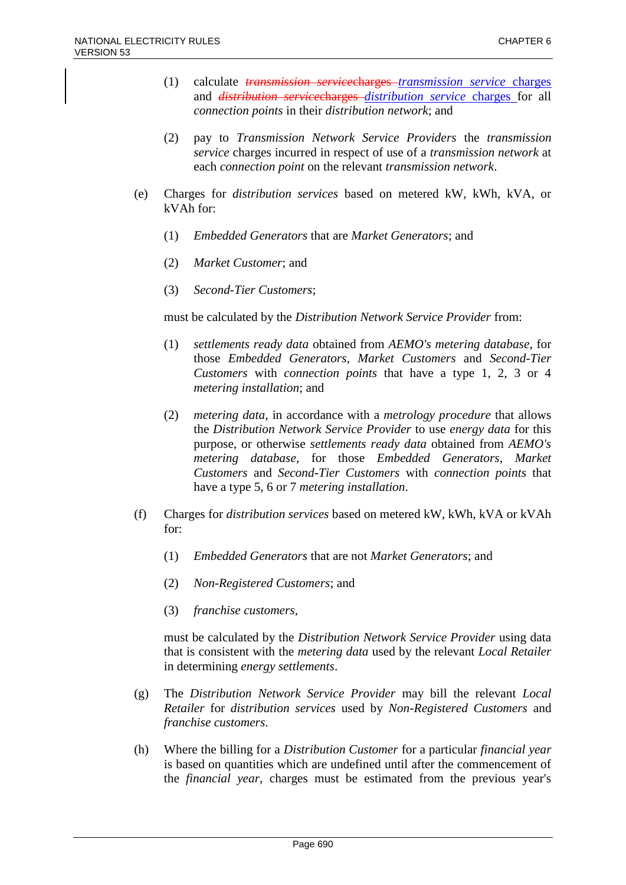- (1) calculate *transmission service*charges *transmission service* charges and *distribution service*charges *distribution service* charges for all *connection points* in their *distribution network*; and
- (2) pay to *Transmission Network Service Providers* the *transmission service* charges incurred in respect of use of a *transmission network* at each *connection point* on the relevant *transmission network*.
- (e) Charges for *distribution services* based on metered kW, kWh, kVA, or kVAh for:
	- (1) *Embedded Generators* that are *Market Generators*; and
	- (2) *Market Customer*; and
	- (3) *Second-Tier Customers*;

must be calculated by the *Distribution Network Service Provider* from:

- (1) *settlements ready data* obtained from *AEMO's metering database*, for those *Embedded Generators*, *Market Customers* and *Second-Tier Customers* with *connection points* that have a type 1, 2, 3 or 4 *metering installation*; and
- (2) *metering data*, in accordance with a *metrology procedure* that allows the *Distribution Network Service Provider* to use *energy data* for this purpose, or otherwise *settlements ready data* obtained from *AEMO's metering database*, for those *Embedded Generators*, *Market Customers* and *Second-Tier Customers* with *connection points* that have a type 5, 6 or 7 *metering installation*.
- (f) Charges for *distribution services* based on metered kW, kWh, kVA or kVAh for:
	- (1) *Embedded Generators* that are not *Market Generators*; and
	- (2) *Non-Registered Customers*; and
	- (3) *franchise customers*,

must be calculated by the *Distribution Network Service Provider* using data that is consistent with the *metering data* used by the relevant *Local Retailer* in determining *energy settlements*.

- (g) The *Distribution Network Service Provider* may bill the relevant *Local Retailer* for *distribution services* used by *Non-Registered Customers* and *franchise customers*.
- (h) Where the billing for a *Distribution Customer* for a particular *financial year* is based on quantities which are undefined until after the commencement of the *financial year*, charges must be estimated from the previous year's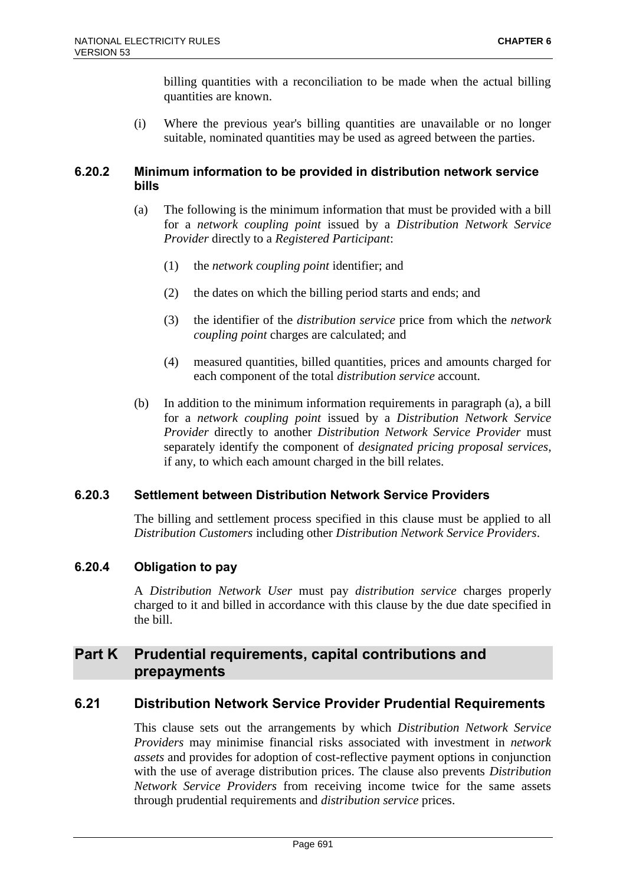billing quantities with a reconciliation to be made when the actual billing quantities are known.

(i) Where the previous year's billing quantities are unavailable or no longer suitable, nominated quantities may be used as agreed between the parties.

## **6.20.2 Minimum information to be provided in distribution network service bills**

- (a) The following is the minimum information that must be provided with a bill for a *network coupling point* issued by a *Distribution Network Service Provider* directly to a *Registered Participant*:
	- (1) the *network coupling point* identifier; and
	- (2) the dates on which the billing period starts and ends; and
	- (3) the identifier of the *distribution service* price from which the *network coupling point* charges are calculated; and
	- (4) measured quantities, billed quantities, prices and amounts charged for each component of the total *distribution service* account.
- (b) In addition to the minimum information requirements in paragraph (a), a bill for a *network coupling point* issued by a *Distribution Network Service Provider* directly to another *Distribution Network Service Provider* must separately identify the component of *designated pricing proposal services*, if any, to which each amount charged in the bill relates.

## **6.20.3 Settlement between Distribution Network Service Providers**

The billing and settlement process specified in this clause must be applied to all *Distribution Customers* including other *Distribution Network Service Providers*.

## **6.20.4 Obligation to pay**

A *Distribution Network User* must pay *distribution service* charges properly charged to it and billed in accordance with this clause by the due date specified in the bill.

# **Part K Prudential requirements, capital contributions and prepayments**

## **6.21 Distribution Network Service Provider Prudential Requirements**

This clause sets out the arrangements by which *Distribution Network Service Providers* may minimise financial risks associated with investment in *network assets* and provides for adoption of cost-reflective payment options in conjunction with the use of average distribution prices. The clause also prevents *Distribution Network Service Providers* from receiving income twice for the same assets through prudential requirements and *distribution service* prices.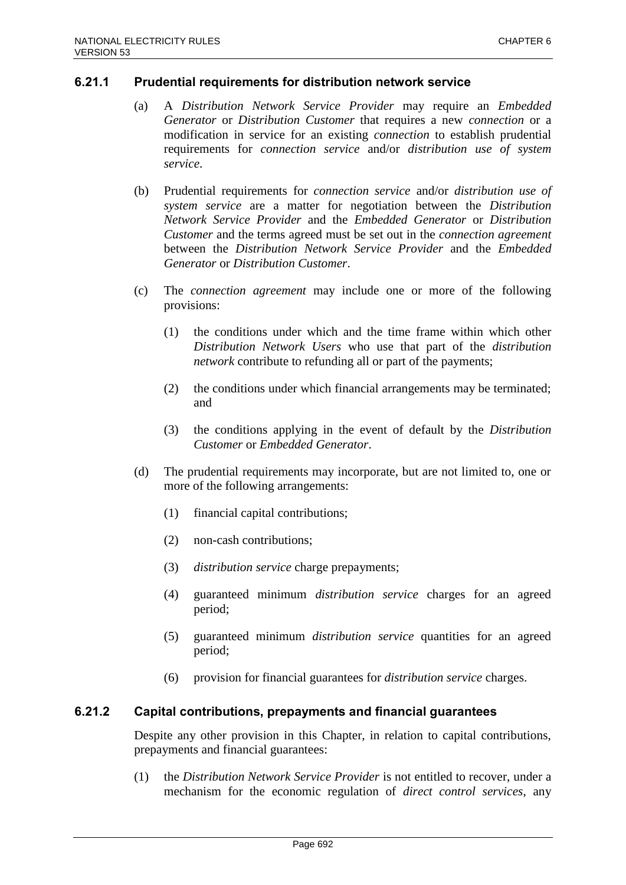### **6.21.1 Prudential requirements for distribution network service**

- (a) A *Distribution Network Service Provider* may require an *Embedded Generator* or *Distribution Customer* that requires a new *connection* or a modification in service for an existing *connection* to establish prudential requirements for *connection service* and/or *distribution use of system service*.
- (b) Prudential requirements for *connection service* and/or *distribution use of system service* are a matter for negotiation between the *Distribution Network Service Provider* and the *Embedded Generator* or *Distribution Customer* and the terms agreed must be set out in the *connection agreement* between the *Distribution Network Service Provider* and the *Embedded Generator* or *Distribution Customer*.
- (c) The *connection agreement* may include one or more of the following provisions:
	- (1) the conditions under which and the time frame within which other *Distribution Network Users* who use that part of the *distribution network* contribute to refunding all or part of the payments;
	- (2) the conditions under which financial arrangements may be terminated; and
	- (3) the conditions applying in the event of default by the *Distribution Customer* or *Embedded Generator*.
- (d) The prudential requirements may incorporate, but are not limited to, one or more of the following arrangements:
	- (1) financial capital contributions;
	- (2) non-cash contributions;
	- (3) *distribution service* charge prepayments;
	- (4) guaranteed minimum *distribution service* charges for an agreed period;
	- (5) guaranteed minimum *distribution service* quantities for an agreed period;
	- (6) provision for financial guarantees for *distribution service* charges.

### **6.21.2 Capital contributions, prepayments and financial guarantees**

Despite any other provision in this Chapter, in relation to capital contributions, prepayments and financial guarantees:

(1) the *Distribution Network Service Provider* is not entitled to recover, under a mechanism for the economic regulation of *direct control services*, any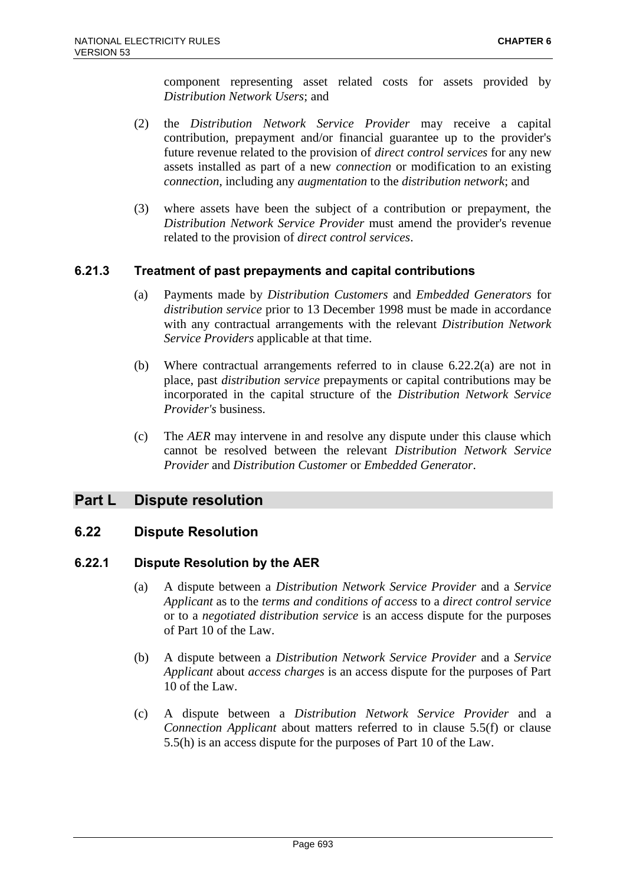component representing asset related costs for assets provided by *Distribution Network Users*; and

- (2) the *Distribution Network Service Provider* may receive a capital contribution, prepayment and/or financial guarantee up to the provider's future revenue related to the provision of *direct control services* for any new assets installed as part of a new *connection* or modification to an existing *connection*, including any *augmentation* to the *distribution network*; and
- (3) where assets have been the subject of a contribution or prepayment, the *Distribution Network Service Provider* must amend the provider's revenue related to the provision of *direct control services*.

## **6.21.3 Treatment of past prepayments and capital contributions**

- (a) Payments made by *Distribution Customers* and *Embedded Generators* for *distribution service* prior to 13 December 1998 must be made in accordance with any contractual arrangements with the relevant *Distribution Network Service Providers* applicable at that time.
- (b) Where contractual arrangements referred to in clause 6.22.2(a) are not in place, past *distribution service* prepayments or capital contributions may be incorporated in the capital structure of the *Distribution Network Service Provider's* business.
- (c) The *AER* may intervene in and resolve any dispute under this clause which cannot be resolved between the relevant *Distribution Network Service Provider* and *Distribution Customer* or *Embedded Generator*.

# **Part L Dispute resolution**

## **6.22 Dispute Resolution**

### **6.22.1 Dispute Resolution by the AER**

- (a) A dispute between a *Distribution Network Service Provider* and a *Service Applicant* as to the *terms and conditions of access* to a *direct control service* or to a *negotiated distribution service* is an access dispute for the purposes of Part 10 of the Law.
- (b) A dispute between a *Distribution Network Service Provider* and a *Service Applicant* about *access charges* is an access dispute for the purposes of Part 10 of the Law.
- (c) A dispute between a *Distribution Network Service Provider* and a *Connection Applicant* about matters referred to in clause 5.5(f) or clause 5.5(h) is an access dispute for the purposes of Part 10 of the Law.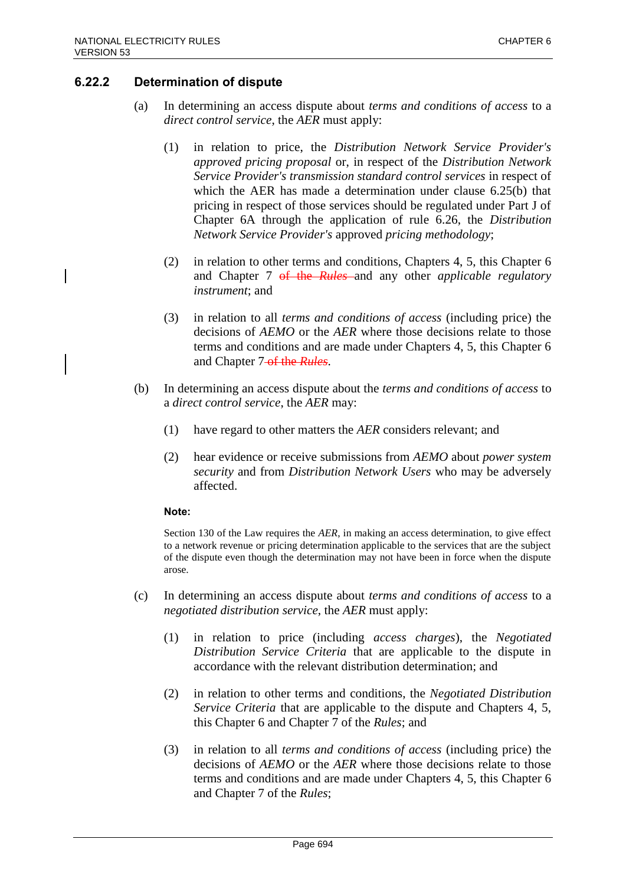## **6.22.2 Determination of dispute**

- (a) In determining an access dispute about *terms and conditions of access* to a *direct control service*, the *AER* must apply:
	- (1) in relation to price, the *Distribution Network Service Provider's approved pricing proposal* or, in respect of the *Distribution Network Service Provider's transmission standard control services* in respect of which the AER has made a determination under clause 6.25(b) that pricing in respect of those services should be regulated under Part J of Chapter 6A through the application of rule 6.26, the *Distribution Network Service Provider's* approved *pricing methodology*;
	- (2) in relation to other terms and conditions, Chapters 4, 5, this Chapter 6 and Chapter 7 of the *Rules* and any other *applicable regulatory instrument*; and
	- (3) in relation to all *terms and conditions of access* (including price) the decisions of *AEMO* or the *AER* where those decisions relate to those terms and conditions and are made under Chapters 4, 5, this Chapter 6 and Chapter 7-of the *Rules*.
- (b) In determining an access dispute about the *terms and conditions of access* to a *direct control service*, the *AER* may:
	- (1) have regard to other matters the *AER* considers relevant; and
	- (2) hear evidence or receive submissions from *AEMO* about *power system security* and from *Distribution Network Users* who may be adversely affected.

#### **Note:**

Section 130 of the Law requires the *AER*, in making an access determination, to give effect to a network revenue or pricing determination applicable to the services that are the subject of the dispute even though the determination may not have been in force when the dispute arose.

- (c) In determining an access dispute about *terms and conditions of access* to a *negotiated distribution service*, the *AER* must apply:
	- (1) in relation to price (including *access charges*), the *Negotiated Distribution Service Criteria* that are applicable to the dispute in accordance with the relevant distribution determination; and
	- (2) in relation to other terms and conditions, the *Negotiated Distribution Service Criteria* that are applicable to the dispute and Chapters 4, 5, this Chapter 6 and Chapter 7 of the *Rules*; and
	- (3) in relation to all *terms and conditions of access* (including price) the decisions of *AEMO* or the *AER* where those decisions relate to those terms and conditions and are made under Chapters 4, 5, this Chapter 6 and Chapter 7 of the *Rules*;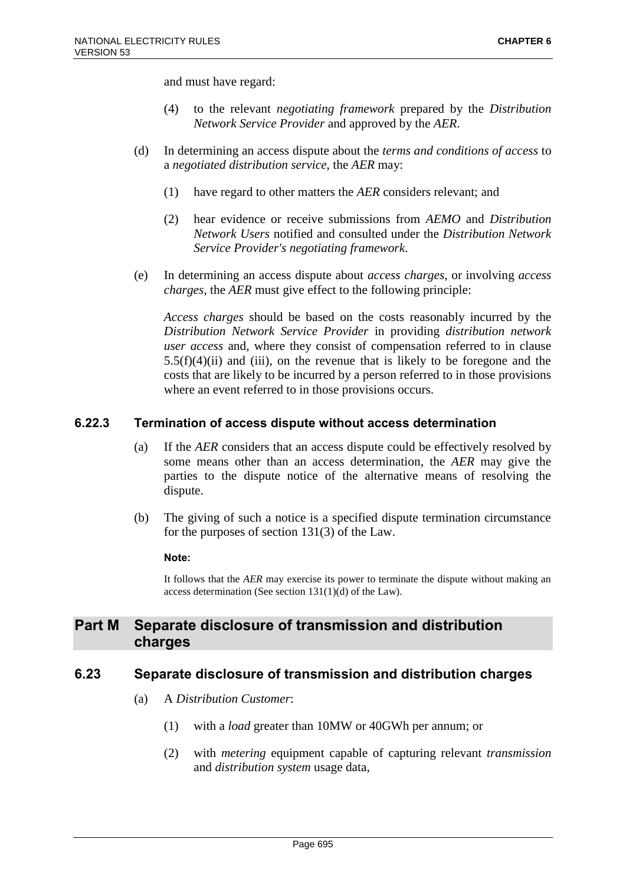and must have regard:

- (4) to the relevant *negotiating framework* prepared by the *Distribution Network Service Provider* and approved by the *AER*.
- (d) In determining an access dispute about the *terms and conditions of access* to a *negotiated distribution service*, the *AER* may:
	- (1) have regard to other matters the *AER* considers relevant; and
	- (2) hear evidence or receive submissions from *AEMO* and *Distribution Network Users* notified and consulted under the *Distribution Network Service Provider's negotiating framework*.
- (e) In determining an access dispute about *access charges*, or involving *access charges*, the *AER* must give effect to the following principle:

*Access charges* should be based on the costs reasonably incurred by the *Distribution Network Service Provider* in providing *distribution network user access* and, where they consist of compensation referred to in clause  $5.5(f)(4)(ii)$  and (iii), on the revenue that is likely to be foregone and the costs that are likely to be incurred by a person referred to in those provisions where an event referred to in those provisions occurs.

### **6.22.3 Termination of access dispute without access determination**

- (a) If the *AER* considers that an access dispute could be effectively resolved by some means other than an access determination, the *AER* may give the parties to the dispute notice of the alternative means of resolving the dispute.
- (b) The giving of such a notice is a specified dispute termination circumstance for the purposes of section 131(3) of the Law.

#### **Note:**

It follows that the *AER* may exercise its power to terminate the dispute without making an access determination (See section 131(1)(d) of the Law).

# **Part M Separate disclosure of transmission and distribution charges**

## **6.23 Separate disclosure of transmission and distribution charges**

- (a) A *Distribution Customer*:
	- (1) with a *load* greater than 10MW or 40GWh per annum; or
	- (2) with *metering* equipment capable of capturing relevant *transmission* and *distribution system* usage data,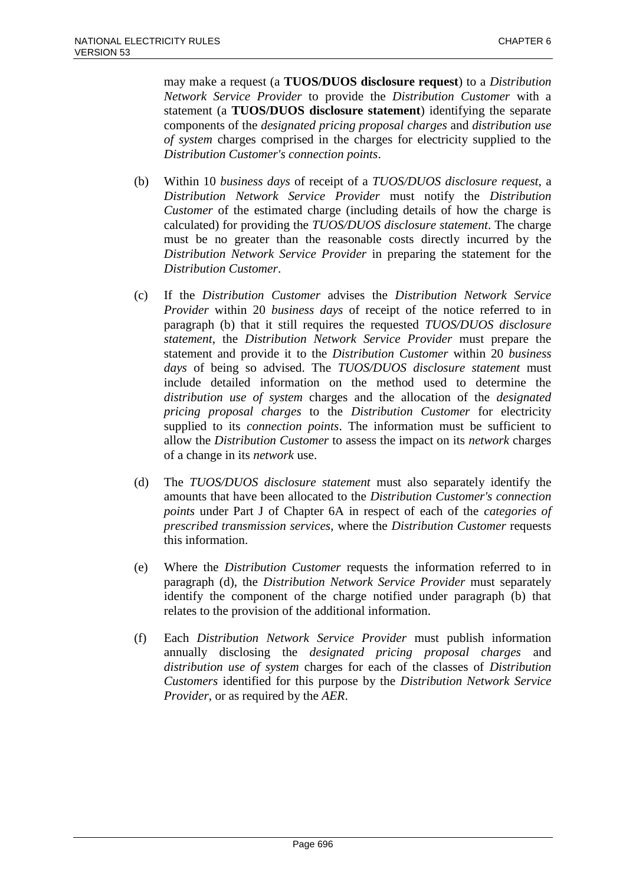may make a request (a **TUOS/DUOS disclosure request**) to a *Distribution Network Service Provider* to provide the *Distribution Customer* with a statement (a **TUOS/DUOS disclosure statement**) identifying the separate components of the *designated pricing proposal charges* and *distribution use of system* charges comprised in the charges for electricity supplied to the *Distribution Customer's connection points*.

- (b) Within 10 *business days* of receipt of a *TUOS/DUOS disclosure request*, a *Distribution Network Service Provider* must notify the *Distribution Customer* of the estimated charge (including details of how the charge is calculated) for providing the *TUOS/DUOS disclosure statement*. The charge must be no greater than the reasonable costs directly incurred by the *Distribution Network Service Provider* in preparing the statement for the *Distribution Customer*.
- (c) If the *Distribution Customer* advises the *Distribution Network Service Provider* within 20 *business days* of receipt of the notice referred to in paragraph (b) that it still requires the requested *TUOS/DUOS disclosure statement*, the *Distribution Network Service Provider* must prepare the statement and provide it to the *Distribution Customer* within 20 *business days* of being so advised. The *TUOS/DUOS disclosure statement* must include detailed information on the method used to determine the *distribution use of system* charges and the allocation of the *designated pricing proposal charges* to the *Distribution Customer* for electricity supplied to its *connection points*. The information must be sufficient to allow the *Distribution Customer* to assess the impact on its *network* charges of a change in its *network* use.
- (d) The *TUOS/DUOS disclosure statement* must also separately identify the amounts that have been allocated to the *Distribution Customer's connection points* under Part J of Chapter 6A in respect of each of the *categories of prescribed transmission services*, where the *Distribution Customer* requests this information.
- (e) Where the *Distribution Customer* requests the information referred to in paragraph (d), the *Distribution Network Service Provider* must separately identify the component of the charge notified under paragraph (b) that relates to the provision of the additional information.
- (f) Each *Distribution Network Service Provider* must publish information annually disclosing the *designated pricing proposal charges* and *distribution use of system* charges for each of the classes of *Distribution Customers* identified for this purpose by the *Distribution Network Service Provider*, or as required by the *AER*.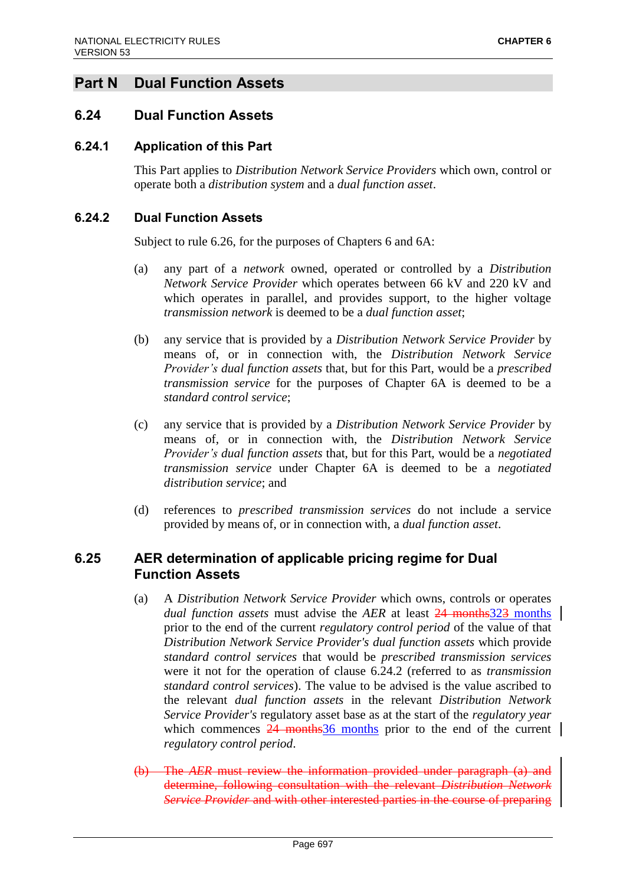# **Part N Dual Function Assets**

## **6.24 Dual Function Assets**

## **6.24.1 Application of this Part**

This Part applies to *Distribution Network Service Providers* which own, control or operate both a *distribution system* and a *dual function asset*.

### **6.24.2 Dual Function Assets**

Subject to rule 6.26, for the purposes of Chapters 6 and 6A:

- (a) any part of a *network* owned, operated or controlled by a *Distribution Network Service Provider* which operates between 66 kV and 220 kV and which operates in parallel, and provides support, to the higher voltage *transmission network* is deemed to be a *dual function asset*;
- (b) any service that is provided by a *Distribution Network Service Provider* by means of, or in connection with, the *Distribution Network Service Provider's dual function assets* that, but for this Part, would be a *prescribed transmission service* for the purposes of Chapter 6A is deemed to be a *standard control service*;
- (c) any service that is provided by a *Distribution Network Service Provider* by means of, or in connection with, the *Distribution Network Service Provider's dual function assets* that, but for this Part, would be a *negotiated transmission service* under Chapter 6A is deemed to be a *negotiated distribution service*; and
- (d) references to *prescribed transmission services* do not include a service provided by means of, or in connection with, a *dual function asset*.

## **6.25 AER determination of applicable pricing regime for Dual Function Assets**

- (a) A *Distribution Network Service Provider* which owns, controls or operates *dual function assets* must advise the *AER* at least 24 months323 months prior to the end of the current *regulatory control period* of the value of that *Distribution Network Service Provider's dual function assets* which provide *standard control services* that would be *prescribed transmission services* were it not for the operation of clause 6.24.2 (referred to as *transmission standard control services*). The value to be advised is the value ascribed to the relevant *dual function assets* in the relevant *Distribution Network Service Provider's* regulatory asset base as at the start of the *regulatory year* which commences  $24$  months  $36$  months prior to the end of the current *regulatory control period*.
- (b) The *AER* must review the information provided under paragraph (a) and determine, following consultation with the relevant *Distribution Network Service Provider* and with other interested parties in the course of preparing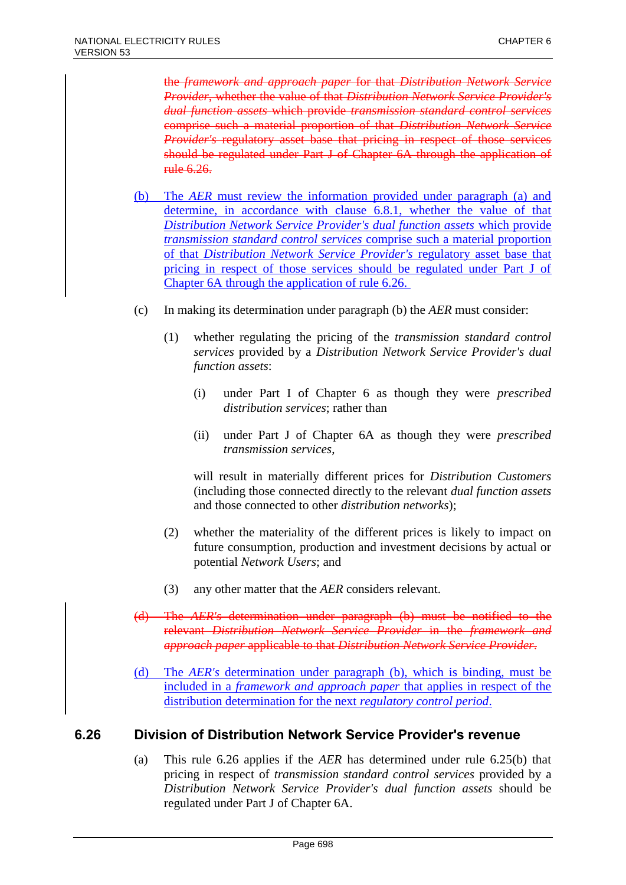the *framework and approach paper* for that *Distribution Network Service Provider*, whether the value of that *Distribution Network Service Provider's dual function assets* which provide *transmission standard control services* comprise such a material proportion of that *Distribution Network Service Provider's* regulatory asset base that pricing in respect of those services should be regulated under Part J of Chapter 6A through the application of rule 6.26.

- (b) The *AER* must review the information provided under paragraph (a) and determine, in accordance with clause 6.8.1, whether the value of that *Distribution Network Service Provider's dual function assets* which provide *transmission standard control services* comprise such a material proportion of that *Distribution Network Service Provider's* regulatory asset base that pricing in respect of those services should be regulated under Part J of Chapter 6A through the application of rule 6.26.
- (c) In making its determination under paragraph (b) the *AER* must consider:
	- (1) whether regulating the pricing of the *transmission standard control services* provided by a *Distribution Network Service Provider's dual function assets*:
		- (i) under Part I of Chapter 6 as though they were *prescribed distribution services*; rather than
		- (ii) under Part J of Chapter 6A as though they were *prescribed transmission services*,

will result in materially different prices for *Distribution Customers* (including those connected directly to the relevant *dual function assets* and those connected to other *distribution networks*);

- (2) whether the materiality of the different prices is likely to impact on future consumption, production and investment decisions by actual or potential *Network Users*; and
- (3) any other matter that the *AER* considers relevant.
- (d) The *AER's* determination under paragraph (b) must be notified to the relevant *Distribution Network Service Provider* in the *framework and approach paper* applicable to that *Distribution Network Service Provider*.
- (d) The *AER's* determination under paragraph (b), which is binding, must be included in a *framework and approach paper* that applies in respect of the distribution determination for the next *regulatory control period*.

## **6.26 Division of Distribution Network Service Provider's revenue**

(a) This rule 6.26 applies if the *AER* has determined under rule 6.25(b) that pricing in respect of *transmission standard control services* provided by a *Distribution Network Service Provider's dual function assets* should be regulated under Part J of Chapter 6A.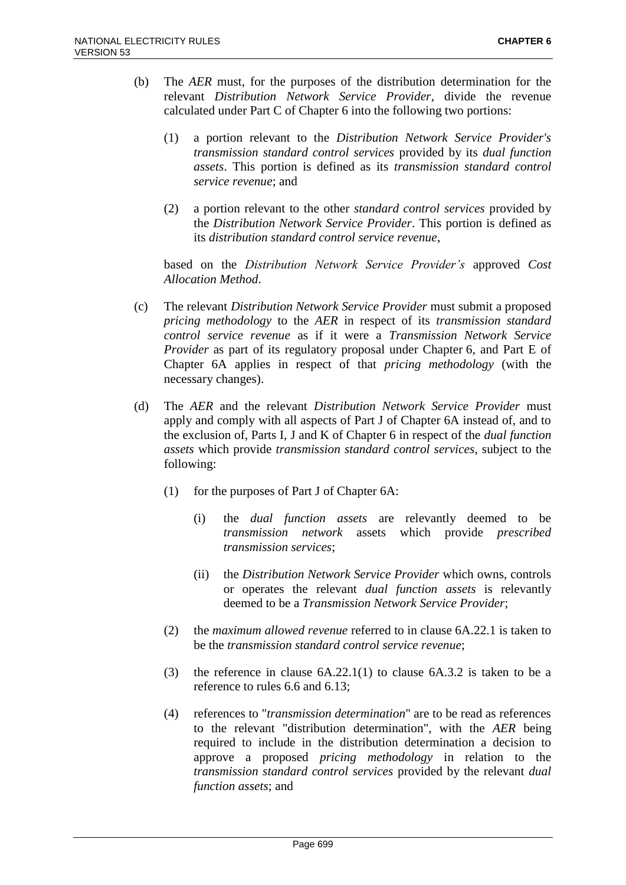- (b) The *AER* must, for the purposes of the distribution determination for the relevant *Distribution Network Service Provider*, divide the revenue calculated under Part C of Chapter 6 into the following two portions:
	- (1) a portion relevant to the *Distribution Network Service Provider's transmission standard control services* provided by its *dual function assets*. This portion is defined as its *transmission standard control service revenue*; and
	- (2) a portion relevant to the other *standard control services* provided by the *Distribution Network Service Provider*. This portion is defined as its *distribution standard control service revenue*,

based on the *Distribution Network Service Provider's* approved *Cost Allocation Method*.

- (c) The relevant *Distribution Network Service Provider* must submit a proposed *pricing methodology* to the *AER* in respect of its *transmission standard control service revenue* as if it were a *Transmission Network Service Provider* as part of its regulatory proposal under Chapter 6, and Part E of Chapter 6A applies in respect of that *pricing methodology* (with the necessary changes).
- (d) The *AER* and the relevant *Distribution Network Service Provider* must apply and comply with all aspects of Part J of Chapter 6A instead of, and to the exclusion of, Parts I, J and K of Chapter 6 in respect of the *dual function assets* which provide *transmission standard control services*, subject to the following:
	- (1) for the purposes of Part J of Chapter 6A:
		- (i) the *dual function assets* are relevantly deemed to be *transmission network* assets which provide *prescribed transmission services*;
		- (ii) the *Distribution Network Service Provider* which owns, controls or operates the relevant *dual function assets* is relevantly deemed to be a *Transmission Network Service Provider*;
	- (2) the *maximum allowed revenue* referred to in clause 6A.22.1 is taken to be the *transmission standard control service revenue*;
	- (3) the reference in clause 6A.22.1(1) to clause 6A.3.2 is taken to be a reference to rules 6.6 and 6.13;
	- (4) references to "*transmission determination*" are to be read as references to the relevant "distribution determination", with the *AER* being required to include in the distribution determination a decision to approve a proposed *pricing methodology* in relation to the *transmission standard control services* provided by the relevant *dual function assets*; and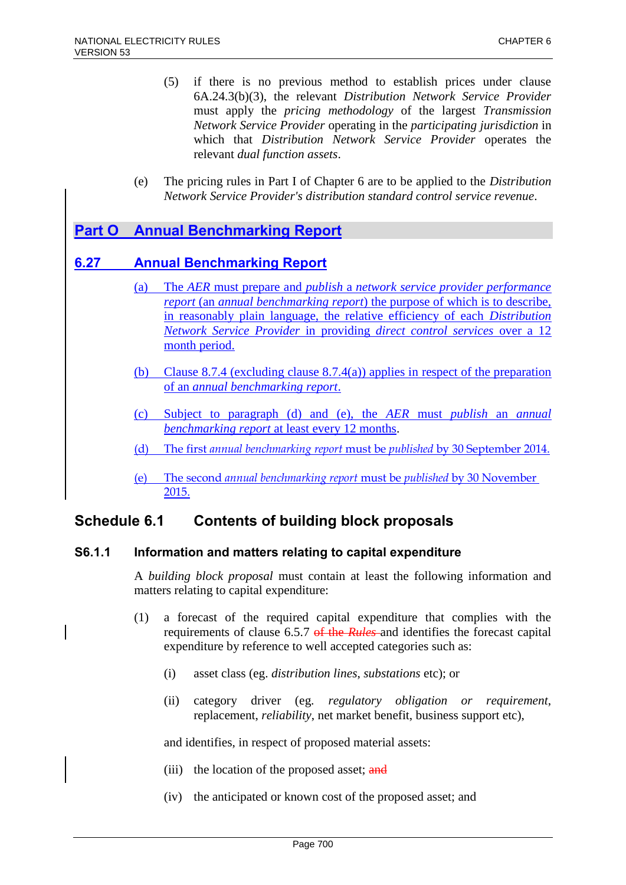- (5) if there is no previous method to establish prices under clause 6A.24.3(b)(3), the relevant *Distribution Network Service Provider* must apply the *pricing methodology* of the largest *Transmission Network Service Provider* operating in the *participating jurisdiction* in which that *Distribution Network Service Provider* operates the relevant *dual function assets*.
- (e) The pricing rules in Part I of Chapter 6 are to be applied to the *Distribution Network Service Provider's distribution standard control service revenue*.

# **Part O Annual Benchmarking Report**

## **6.27 Annual Benchmarking Report**

- (a) The *AER* must prepare and *publish* a *network service provider performance report* (an *annual benchmarking report*) the purpose of which is to describe, in reasonably plain language, the relative efficiency of each *Distribution Network Service Provider* in providing *direct control services* over a 12 month period.
- (b) Clause 8.7.4 (excluding clause 8.7.4(a)) applies in respect of the preparation of an *annual benchmarking report*.
- (c) Subject to paragraph (d) and (e), the *AER* must *publish* an *annual benchmarking report* at least every 12 months.
- (d) The first *annual benchmarking report* must be *published* by 30 September 2014.
- (e) The second *annual benchmarking report* must be *published* by 30 November 2015.

# **Schedule 6.1 Contents of building block proposals**

## **S6.1.1 Information and matters relating to capital expenditure**

A *building block proposal* must contain at least the following information and matters relating to capital expenditure:

- (1) a forecast of the required capital expenditure that complies with the requirements of clause 6.5.7 of the *Rules* and identifies the forecast capital expenditure by reference to well accepted categories such as:
	- (i) asset class (eg. *distribution lines*, *substations* etc); or
	- (ii) category driver (eg. *regulatory obligation or requirement*, replacement, *reliability*, net market benefit, business support etc),

and identifies, in respect of proposed material assets:

- (iii) the location of the proposed asset;  $\frac{and}{in}$
- (iv) the anticipated or known cost of the proposed asset; and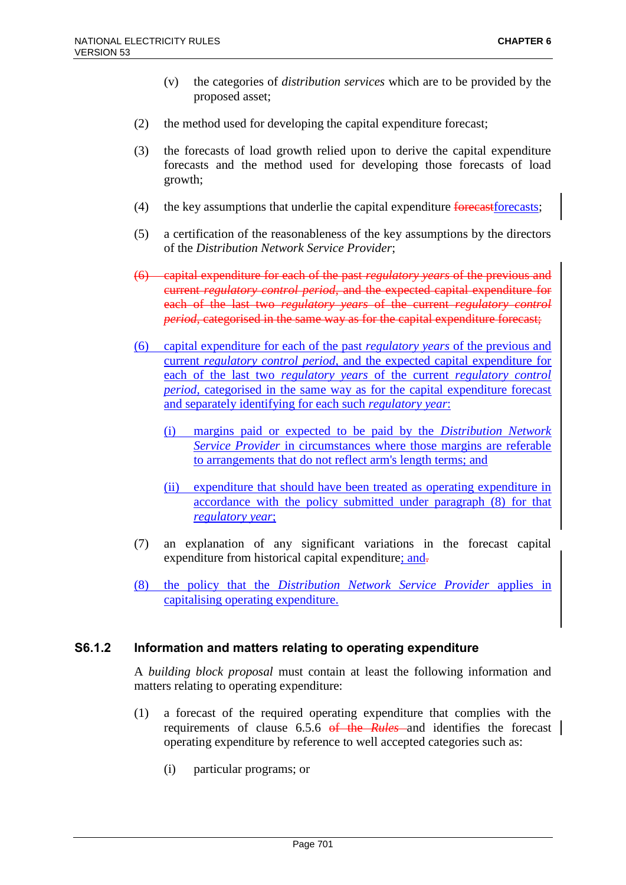- (v) the categories of *distribution services* which are to be provided by the proposed asset;
- (2) the method used for developing the capital expenditure forecast;
- (3) the forecasts of load growth relied upon to derive the capital expenditure forecasts and the method used for developing those forecasts of load growth;
- (4) the key assumptions that underlie the capital expenditure  $\frac{1}{2}$  for example the capital expenditure forecasts;
- (5) a certification of the reasonableness of the key assumptions by the directors of the *Distribution Network Service Provider*;
- (6) capital expenditure for each of the past *regulatory years* of the previous and current *regulatory control period*, and the expected capital expenditure for each of the last two *regulatory years* of the current *regulatory control period*, categorised in the same way as for the capital expenditure forecast;
- (6) capital expenditure for each of the past *regulatory years* of the previous and current *regulatory control period*, and the expected capital expenditure for each of the last two *regulatory years* of the current *regulatory control period*, categorised in the same way as for the capital expenditure forecast and separately identifying for each such *regulatory year*:
	- (i) margins paid or expected to be paid by the *Distribution Network Service Provider* in circumstances where those margins are referable to arrangements that do not reflect arm's length terms; and
	- (ii) expenditure that should have been treated as operating expenditure in accordance with the policy submitted under paragraph (8) for that *regulatory year*;
- (7) an explanation of any significant variations in the forecast capital expenditure from historical capital expenditure; and-
- (8) the policy that the *Distribution Network Service Provider* applies in capitalising operating expenditure.

## **S6.1.2 Information and matters relating to operating expenditure**

A *building block proposal* must contain at least the following information and matters relating to operating expenditure:

- (1) a forecast of the required operating expenditure that complies with the requirements of clause 6.5.6 of the *Rules* and identifies the forecast operating expenditure by reference to well accepted categories such as:
	- (i) particular programs; or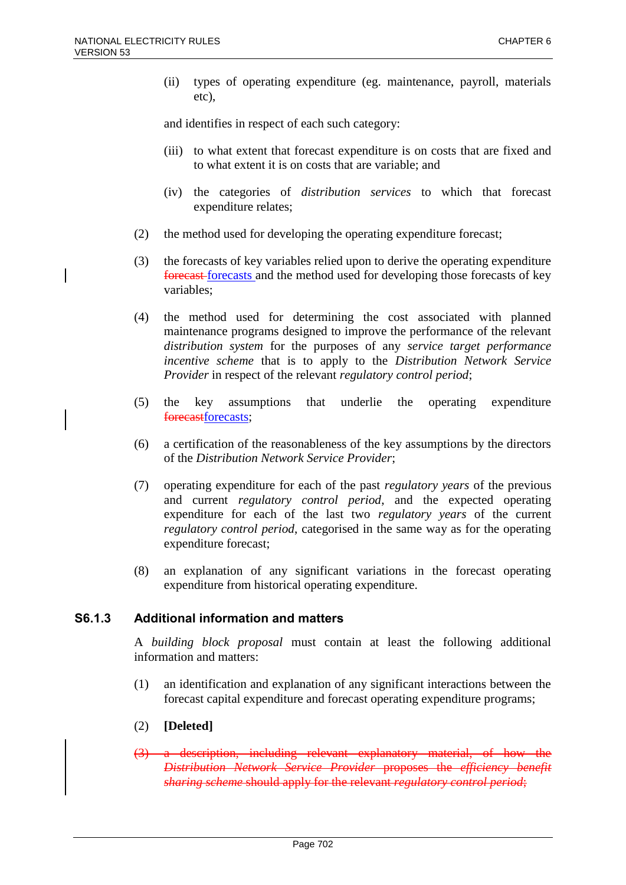(ii) types of operating expenditure (eg. maintenance, payroll, materials etc),

and identifies in respect of each such category:

- (iii) to what extent that forecast expenditure is on costs that are fixed and to what extent it is on costs that are variable; and
- (iv) the categories of *distribution services* to which that forecast expenditure relates;
- (2) the method used for developing the operating expenditure forecast;
- (3) the forecasts of key variables relied upon to derive the operating expenditure forecast forecasts and the method used for developing those forecasts of key variables;
- (4) the method used for determining the cost associated with planned maintenance programs designed to improve the performance of the relevant *distribution system* for the purposes of any *service target performance incentive scheme* that is to apply to the *Distribution Network Service Provider* in respect of the relevant *regulatory control period*;
- (5) the key assumptions that underlie the operating expenditure forecastforecasts;
- (6) a certification of the reasonableness of the key assumptions by the directors of the *Distribution Network Service Provider*;
- (7) operating expenditure for each of the past *regulatory years* of the previous and current *regulatory control period*, and the expected operating expenditure for each of the last two *regulatory years* of the current *regulatory control period*, categorised in the same way as for the operating expenditure forecast;
- (8) an explanation of any significant variations in the forecast operating expenditure from historical operating expenditure.

## **S6.1.3 Additional information and matters**

A *building block proposal* must contain at least the following additional information and matters:

(1) an identification and explanation of any significant interactions between the forecast capital expenditure and forecast operating expenditure programs;

#### (2) **[Deleted]**

(3) a description, including relevant explanatory material, of how the *Distribution Network Service Provider* proposes the *efficiency benefit sharing scheme* should apply for the relevant *regulatory control period*;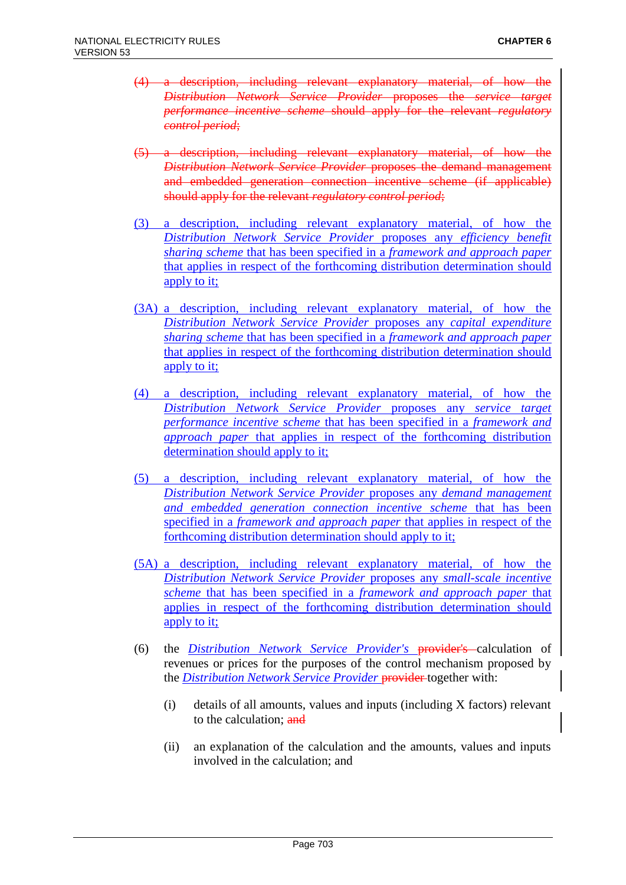- (4) a description, including relevant explanatory material, of how the *Distribution Network Service Provider* proposes the *service target performance incentive scheme* should apply for the relevant *regulatory control period*;
- (5) a description, including relevant explanatory material, of how the *Distribution Network Service Provider* proposes the demand management and embedded generation connection incentive scheme (if applicable) should apply for the relevant *regulatory control period*;
- (3) a description, including relevant explanatory material, of how the *Distribution Network Service Provider* proposes any *efficiency benefit sharing scheme* that has been specified in a *framework and approach paper* that applies in respect of the forthcoming distribution determination should apply to it;
- (3A) a description, including relevant explanatory material, of how the *Distribution Network Service Provider* proposes any *capital expenditure sharing scheme* that has been specified in a *framework and approach paper* that applies in respect of the forthcoming distribution determination should apply to it;
- (4) a description, including relevant explanatory material, of how the *Distribution Network Service Provider* proposes any *service target performance incentive scheme* that has been specified in a *framework and approach paper* that applies in respect of the forthcoming distribution determination should apply to it;
- (5) a description, including relevant explanatory material, of how the *Distribution Network Service Provider* proposes any *demand management and embedded generation connection incentive scheme* that has been specified in a *framework and approach paper* that applies in respect of the forthcoming distribution determination should apply to it;
- (5A) a description, including relevant explanatory material, of how the *Distribution Network Service Provider* proposes any *small-scale incentive scheme* that has been specified in a *framework and approach paper* that applies in respect of the forthcoming distribution determination should apply to it;
- (6) the *Distribution Network Service Provider's* provider's calculation of revenues or prices for the purposes of the control mechanism proposed by the *Distribution Network Service Provider* provider together with:
	- (i) details of all amounts, values and inputs (including X factors) relevant to the calculation; and
	- (ii) an explanation of the calculation and the amounts, values and inputs involved in the calculation; and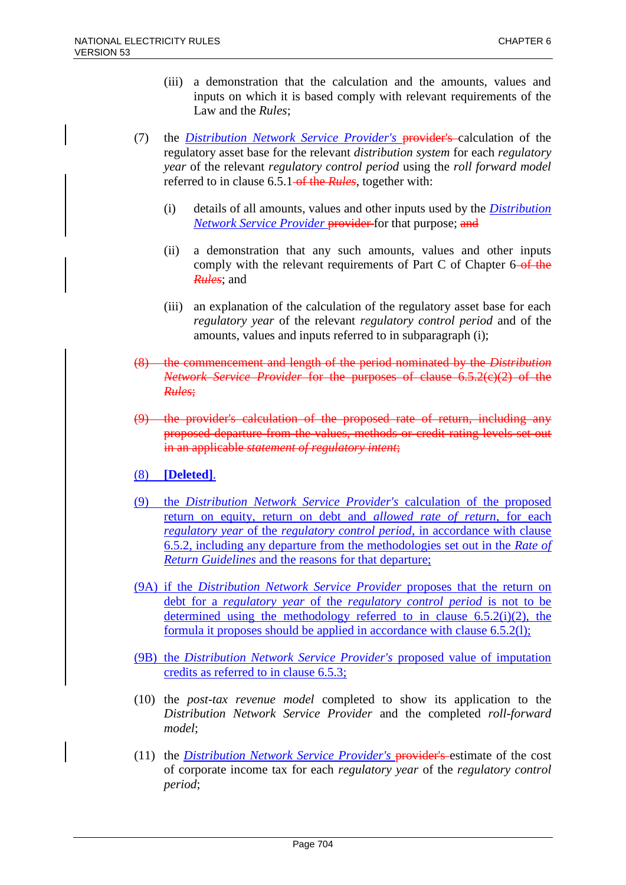- (iii) a demonstration that the calculation and the amounts, values and inputs on which it is based comply with relevant requirements of the Law and the *Rules*;
- (7) the *Distribution Network Service Provider's* provider's calculation of the regulatory asset base for the relevant *distribution system* for each *regulatory year* of the relevant *regulatory control period* using the *roll forward model* referred to in clause 6.5.1 of the *Rules*, together with:
	- (i) details of all amounts, values and other inputs used by the *Distribution Network Service Provider* provider for that purpose; and
	- (ii) a demonstration that any such amounts, values and other inputs comply with the relevant requirements of Part C of Chapter 6 of the *Rules*; and
	- (iii) an explanation of the calculation of the regulatory asset base for each *regulatory year* of the relevant *regulatory control period* and of the amounts, values and inputs referred to in subparagraph (i);
- (8) the commencement and length of the period nominated by the *Distribution Network Service Provider* for the purposes of clause 6.5.2(c)(2) of the *Rules*;
- (9) the provider's calculation of the proposed rate of return, including any proposed departure from the values, methods or credit rating levels set out in an applicable *statement of regulatory intent*;
- (8) **[Deleted]**.
- (9) the *Distribution Network Service Provider's* calculation of the proposed return on equity, return on debt and *allowed rate of return*, for each *regulatory year* of the *regulatory control period*, in accordance with clause 6.5.2, including any departure from the methodologies set out in the *Rate of Return Guidelines* and the reasons for that departure;
- (9A) if the *Distribution Network Service Provider* proposes that the return on debt for a *regulatory year* of the *regulatory control period* is not to be determined using the methodology referred to in clause  $6.5.2(i)(2)$ , the formula it proposes should be applied in accordance with clause 6.5.2(l);
- (9B) the *Distribution Network Service Provider's* proposed value of imputation credits as referred to in clause 6.5.3;
- (10) the *post-tax revenue model* completed to show its application to the *Distribution Network Service Provider* and the completed *roll-forward model*;
- (11) the *Distribution Network Service Provider's* provider's estimate of the cost of corporate income tax for each *regulatory year* of the *regulatory control period*;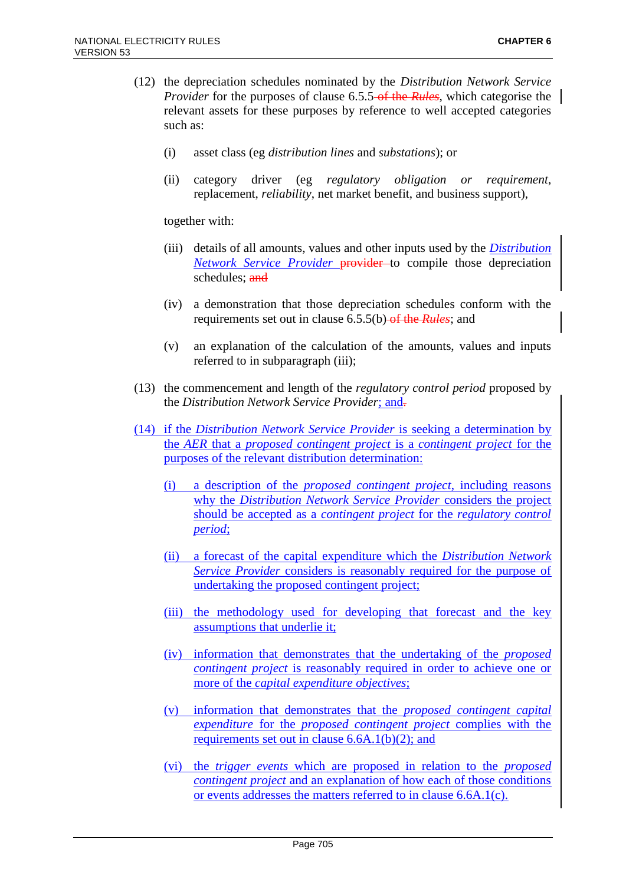- (12) the depreciation schedules nominated by the *Distribution Network Service Provider* for the purposes of clause 6.5.5 of the *Rules*, which categorise the relevant assets for these purposes by reference to well accepted categories such as:
	- (i) asset class (eg *distribution lines* and *substations*); or
	- (ii) category driver (eg *regulatory obligation or requirement*, replacement, *reliability*, net market benefit, and business support),

together with:

- (iii) details of all amounts, values and other inputs used by the *Distribution Network Service Provider* provider to compile those depreciation schedules; and
- (iv) a demonstration that those depreciation schedules conform with the requirements set out in clause 6.5.5(b) of the *Rules*; and
- (v) an explanation of the calculation of the amounts, values and inputs referred to in subparagraph (iii);
- (13) the commencement and length of the *regulatory control period* proposed by the *Distribution Network Service Provider*; and.
- (14) if the *Distribution Network Service Provider* is seeking a determination by the *AER* that a *proposed contingent project* is a *contingent project* for the purposes of the relevant distribution determination:
	- (i) a description of the *proposed contingent project*, including reasons why the *Distribution Network Service Provider* considers the project should be accepted as a *contingent project* for the *regulatory control period*;
	- (ii) a forecast of the capital expenditure which the *Distribution Network Service Provider* considers is reasonably required for the purpose of undertaking the proposed contingent project;
	- (iii) the methodology used for developing that forecast and the key assumptions that underlie it;
	- (iv) information that demonstrates that the undertaking of the *proposed contingent project* is reasonably required in order to achieve one or more of the *capital expenditure objectives*;
	- (v) information that demonstrates that the *proposed contingent capital expenditure* for the *proposed contingent project* complies with the requirements set out in clause 6.6A.1(b)(2); and
	- (vi) the *trigger events* which are proposed in relation to the *proposed contingent project* and an explanation of how each of those conditions or events addresses the matters referred to in clause 6.6A.1(c).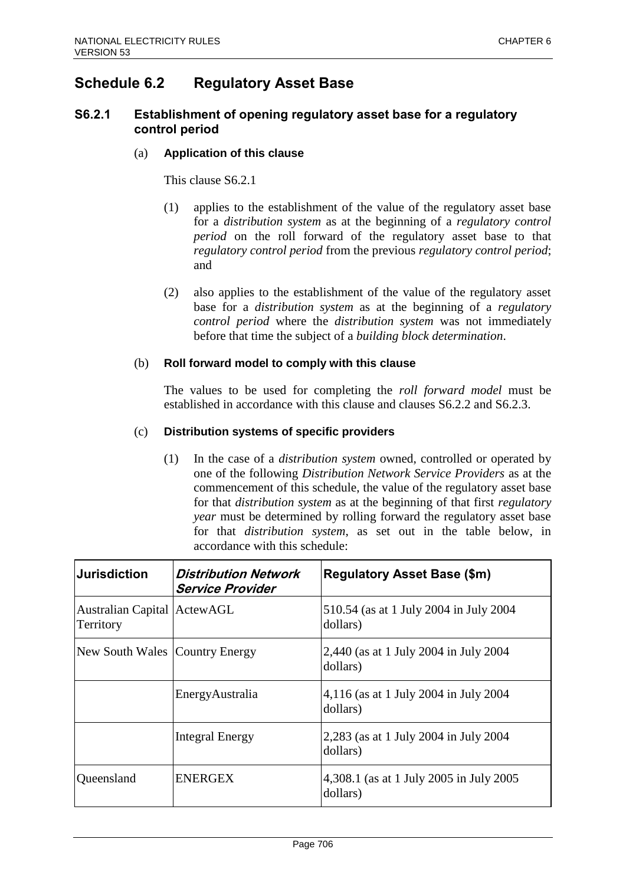# **Schedule 6.2 Regulatory Asset Base**

## **S6.2.1 Establishment of opening regulatory asset base for a regulatory control period**

#### (a) **Application of this clause**

This clause S6.2.1

- (1) applies to the establishment of the value of the regulatory asset base for a *distribution system* as at the beginning of a *regulatory control period* on the roll forward of the regulatory asset base to that *regulatory control period* from the previous *regulatory control period*; and
- (2) also applies to the establishment of the value of the regulatory asset base for a *distribution system* as at the beginning of a *regulatory control period* where the *distribution system* was not immediately before that time the subject of a *building block determination*.

### (b) **Roll forward model to comply with this clause**

The values to be used for completing the *roll forward model* must be established in accordance with this clause and clauses S6.2.2 and S6.2.3.

### (c) **Distribution systems of specific providers**

(1) In the case of a *distribution system* owned, controlled or operated by one of the following *Distribution Network Service Providers* as at the commencement of this schedule, the value of the regulatory asset base for that *distribution system* as at the beginning of that first *regulatory year* must be determined by rolling forward the regulatory asset base for that *distribution system*, as set out in the table below, in accordance with this schedule:

| <b>Jurisdiction</b>                      | Distribution Network<br><b>Service Provider</b> | <b>Regulatory Asset Base (\$m)</b>                  |
|------------------------------------------|-------------------------------------------------|-----------------------------------------------------|
| Australian Capital ActewAGL<br>Territory |                                                 | 510.54 (as at 1 July 2004 in July 2004<br>dollars)  |
| New South Wales Country Energy           |                                                 | 2,440 (as at 1 July 2004 in July 2004<br>dollars)   |
|                                          | EnergyAustralia                                 | 4,116 (as at 1 July 2004 in July 2004<br>dollars)   |
|                                          | <b>Integral Energy</b>                          | 2,283 (as at 1 July 2004 in July 2004<br>dollars)   |
| Queensland                               | <b>ENERGEX</b>                                  | 4,308.1 (as at 1 July 2005 in July 2005<br>dollars) |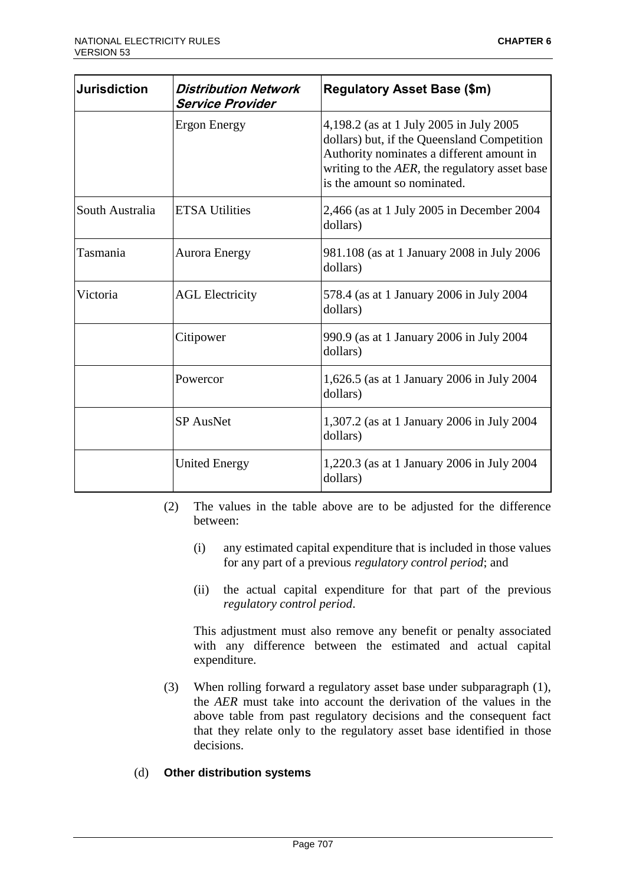| <b>Jurisdiction</b> | <b>Distribution Network</b><br><b>Service Provider</b> | <b>Regulatory Asset Base (\$m)</b>                                                                                                                                                                                  |
|---------------------|--------------------------------------------------------|---------------------------------------------------------------------------------------------------------------------------------------------------------------------------------------------------------------------|
|                     | Ergon Energy                                           | 4,198.2 (as at 1 July 2005 in July 2005<br>dollars) but, if the Queensland Competition<br>Authority nominates a different amount in<br>writing to the AER, the regulatory asset base<br>is the amount so nominated. |
| South Australia     | <b>ETSA Utilities</b>                                  | 2,466 (as at 1 July 2005 in December 2004<br>dollars)                                                                                                                                                               |
| Tasmania            | <b>Aurora Energy</b>                                   | 981.108 (as at 1 January 2008 in July 2006<br>dollars)                                                                                                                                                              |
| Victoria            | <b>AGL Electricity</b>                                 | 578.4 (as at 1 January 2006 in July 2004<br>dollars)                                                                                                                                                                |
|                     | Citipower                                              | 990.9 (as at 1 January 2006 in July 2004<br>dollars)                                                                                                                                                                |
|                     | Powercor                                               | 1,626.5 (as at 1 January 2006 in July 2004<br>dollars)                                                                                                                                                              |
|                     | <b>SP</b> AusNet                                       | 1,307.2 (as at 1 January 2006 in July 2004<br>dollars)                                                                                                                                                              |
|                     | <b>United Energy</b>                                   | 1,220.3 (as at 1 January 2006 in July 2004<br>dollars)                                                                                                                                                              |

- (2) The values in the table above are to be adjusted for the difference between:
	- (i) any estimated capital expenditure that is included in those values for any part of a previous *regulatory control period*; and
	- (ii) the actual capital expenditure for that part of the previous *regulatory control period*.

This adjustment must also remove any benefit or penalty associated with any difference between the estimated and actual capital expenditure.

(3) When rolling forward a regulatory asset base under subparagraph (1), the *AER* must take into account the derivation of the values in the above table from past regulatory decisions and the consequent fact that they relate only to the regulatory asset base identified in those decisions.

## (d) **Other distribution systems**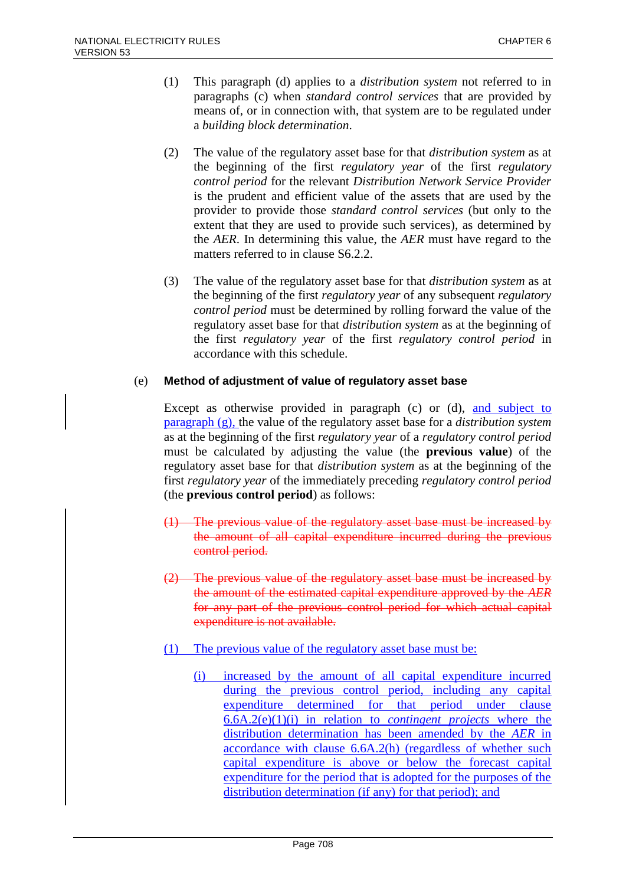- (1) This paragraph (d) applies to a *distribution system* not referred to in paragraphs (c) when *standard control services* that are provided by means of, or in connection with, that system are to be regulated under a *building block determination*.
- (2) The value of the regulatory asset base for that *distribution system* as at the beginning of the first *regulatory year* of the first *regulatory control period* for the relevant *Distribution Network Service Provider* is the prudent and efficient value of the assets that are used by the provider to provide those *standard control services* (but only to the extent that they are used to provide such services), as determined by the *AER*. In determining this value, the *AER* must have regard to the matters referred to in clause S6.2.2.
- (3) The value of the regulatory asset base for that *distribution system* as at the beginning of the first *regulatory year* of any subsequent *regulatory control period* must be determined by rolling forward the value of the regulatory asset base for that *distribution system* as at the beginning of the first *regulatory year* of the first *regulatory control period* in accordance with this schedule.

## (e) **Method of adjustment of value of regulatory asset base**

Except as otherwise provided in paragraph (c) or (d), and subject to paragraph (g), the value of the regulatory asset base for a *distribution system* as at the beginning of the first *regulatory year* of a *regulatory control period* must be calculated by adjusting the value (the **previous value**) of the regulatory asset base for that *distribution system* as at the beginning of the first *regulatory year* of the immediately preceding *regulatory control period* (the **previous control period**) as follows:

- (1) The previous value of the regulatory asset base must be increased by the amount of all capital expenditure incurred during the previous control period.
- (2) The previous value of the regulatory asset base must be increased by the amount of the estimated capital expenditure approved by the *AER* for any part of the previous control period for which actual capital expenditure is not available.
- (1) The previous value of the regulatory asset base must be:
	- (i) increased by the amount of all capital expenditure incurred during the previous control period, including any capital expenditure determined for that period under clause 6.6A.2(e)(1)(i) in relation to *contingent projects* where the distribution determination has been amended by the *AER* in accordance with clause 6.6A.2(h) (regardless of whether such capital expenditure is above or below the forecast capital expenditure for the period that is adopted for the purposes of the distribution determination (if any) for that period); and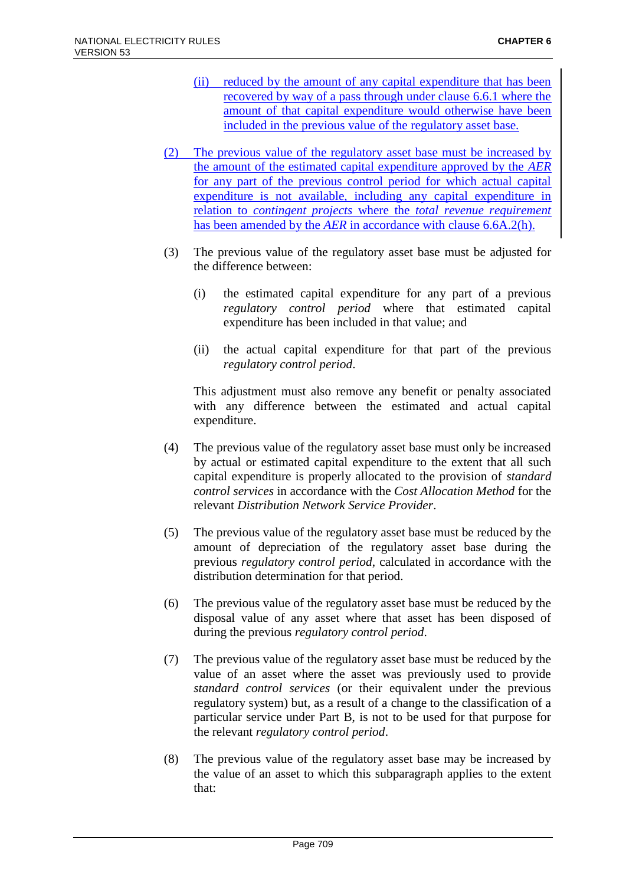- (ii) reduced by the amount of any capital expenditure that has been recovered by way of a pass through under clause 6.6.1 where the amount of that capital expenditure would otherwise have been included in the previous value of the regulatory asset base.
- (2) The previous value of the regulatory asset base must be increased by the amount of the estimated capital expenditure approved by the *AER* for any part of the previous control period for which actual capital expenditure is not available, including any capital expenditure in relation to *contingent projects* where the *total revenue requirement* has been amended by the *AER* in accordance with clause 6.6A.2(h).
- (3) The previous value of the regulatory asset base must be adjusted for the difference between:
	- (i) the estimated capital expenditure for any part of a previous *regulatory control period* where that estimated capital expenditure has been included in that value; and
	- (ii) the actual capital expenditure for that part of the previous *regulatory control period*.

This adjustment must also remove any benefit or penalty associated with any difference between the estimated and actual capital expenditure.

- (4) The previous value of the regulatory asset base must only be increased by actual or estimated capital expenditure to the extent that all such capital expenditure is properly allocated to the provision of *standard control services* in accordance with the *Cost Allocation Method* for the relevant *Distribution Network Service Provider*.
- (5) The previous value of the regulatory asset base must be reduced by the amount of depreciation of the regulatory asset base during the previous *regulatory control period*, calculated in accordance with the distribution determination for that period.
- (6) The previous value of the regulatory asset base must be reduced by the disposal value of any asset where that asset has been disposed of during the previous *regulatory control period*.
- (7) The previous value of the regulatory asset base must be reduced by the value of an asset where the asset was previously used to provide *standard control services* (or their equivalent under the previous regulatory system) but, as a result of a change to the classification of a particular service under Part B, is not to be used for that purpose for the relevant *regulatory control period*.
- (8) The previous value of the regulatory asset base may be increased by the value of an asset to which this subparagraph applies to the extent that: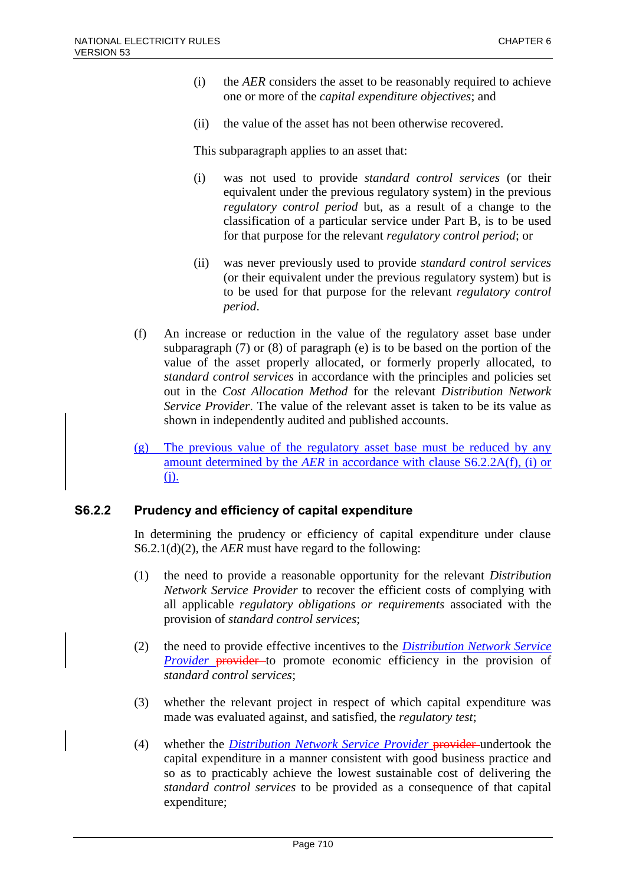- (i) the *AER* considers the asset to be reasonably required to achieve one or more of the *capital expenditure objectives*; and
- (ii) the value of the asset has not been otherwise recovered.

This subparagraph applies to an asset that:

- (i) was not used to provide *standard control services* (or their equivalent under the previous regulatory system) in the previous *regulatory control period* but, as a result of a change to the classification of a particular service under Part B, is to be used for that purpose for the relevant *regulatory control period*; or
- (ii) was never previously used to provide *standard control services* (or their equivalent under the previous regulatory system) but is to be used for that purpose for the relevant *regulatory control period*.
- (f) An increase or reduction in the value of the regulatory asset base under subparagraph (7) or (8) of paragraph (e) is to be based on the portion of the value of the asset properly allocated, or formerly properly allocated, to *standard control services* in accordance with the principles and policies set out in the *Cost Allocation Method* for the relevant *Distribution Network Service Provider*. The value of the relevant asset is taken to be its value as shown in independently audited and published accounts.
- (g) The previous value of the regulatory asset base must be reduced by any amount determined by the *AER* in accordance with clause S6.2.2A(f), (i) or (j).

## **S6.2.2 Prudency and efficiency of capital expenditure**

In determining the prudency or efficiency of capital expenditure under clause S6.2.1(d)(2), the *AER* must have regard to the following:

- (1) the need to provide a reasonable opportunity for the relevant *Distribution Network Service Provider* to recover the efficient costs of complying with all applicable *regulatory obligations or requirements* associated with the provision of *standard control services*;
- (2) the need to provide effective incentives to the *Distribution Network Service Provider* provider to promote economic efficiency in the provision of *standard control services*;
- (3) whether the relevant project in respect of which capital expenditure was made was evaluated against, and satisfied, the *regulatory test*;
- (4) whether the *Distribution Network Service Provider* provider undertook the capital expenditure in a manner consistent with good business practice and so as to practicably achieve the lowest sustainable cost of delivering the *standard control services* to be provided as a consequence of that capital expenditure;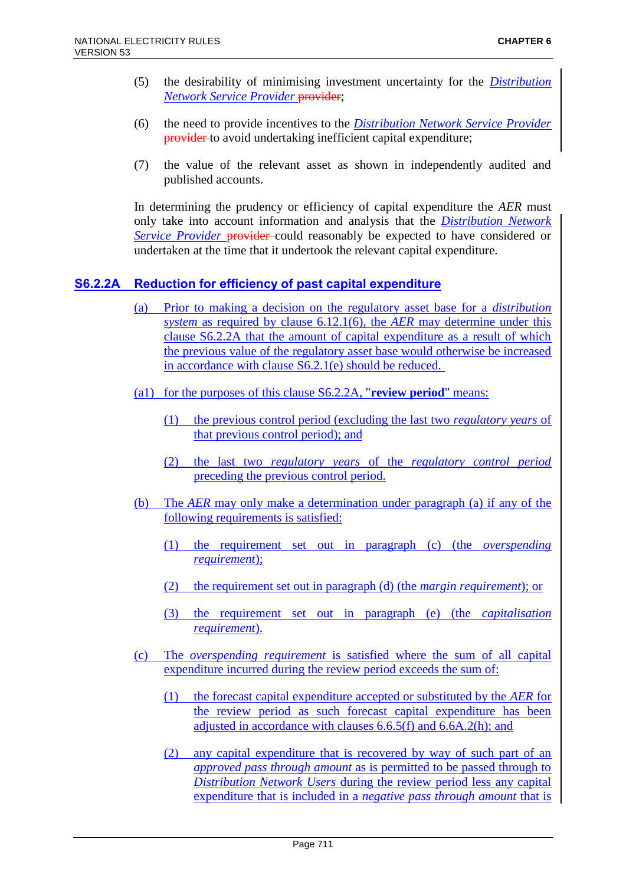- (5) the desirability of minimising investment uncertainty for the *Distribution*  **Network Service Provider provider;**
- (6) the need to provide incentives to the *Distribution Network Service Provider* provider to avoid undertaking inefficient capital expenditure;
- (7) the value of the relevant asset as shown in independently audited and published accounts.

In determining the prudency or efficiency of capital expenditure the *AER* must only take into account information and analysis that the *Distribution Network Service Provider* provider could reasonably be expected to have considered or undertaken at the time that it undertook the relevant capital expenditure.

## **S6.2.2A Reduction for efficiency of past capital expenditure**

- (a) Prior to making a decision on the regulatory asset base for a *distribution system* as required by clause 6.12.1(6), the *AER* may determine under this clause S6.2.2A that the amount of capital expenditure as a result of which the previous value of the regulatory asset base would otherwise be increased in accordance with clause S6.2.1(e) should be reduced.
- (a1) for the purposes of this clause S6.2.2A, "**review period**" means:
	- (1) the previous control period (excluding the last two *regulatory years* of that previous control period); and
	- (2) the last two *regulatory years* of the *regulatory control period* preceding the previous control period.
- (b) The *AER* may only make a determination under paragraph (a) if any of the following requirements is satisfied:
	- (1) the requirement set out in paragraph (c) (the *overspending requirement*);
	- (2) the requirement set out in paragraph (d) (the *margin requirement*); or
	- (3) the requirement set out in paragraph (e) (the *capitalisation requirement*).
- (c) The *overspending requirement* is satisfied where the sum of all capital expenditure incurred during the review period exceeds the sum of:
	- (1) the forecast capital expenditure accepted or substituted by the *AER* for the review period as such forecast capital expenditure has been adjusted in accordance with clauses 6.6.5(f) and 6.6A.2(h); and
	- (2) any capital expenditure that is recovered by way of such part of an *approved pass through amount* as is permitted to be passed through to *Distribution Network Users* during the review period less any capital expenditure that is included in a *negative pass through amount* that is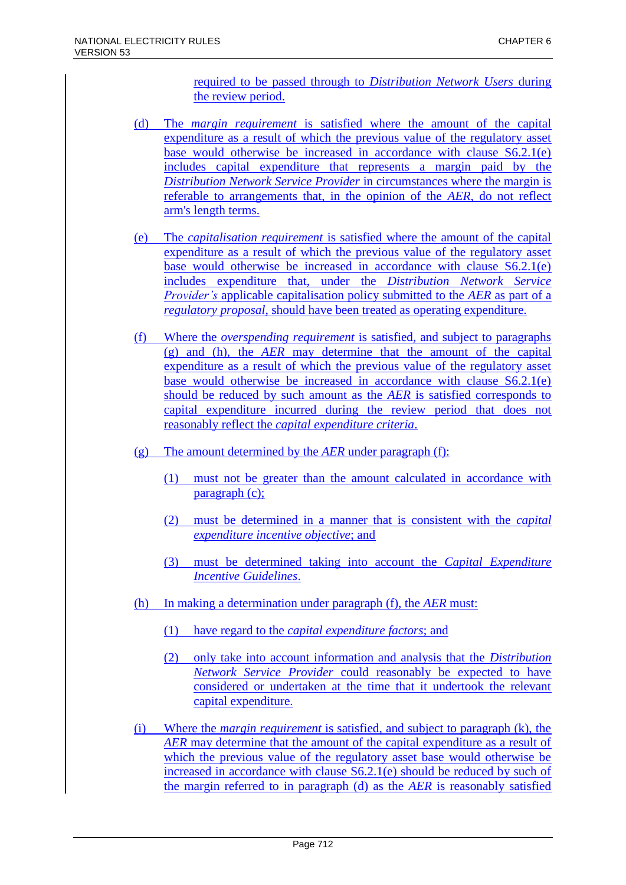required to be passed through to *Distribution Network Users* during the review period.

- (d) The *margin requirement* is satisfied where the amount of the capital expenditure as a result of which the previous value of the regulatory asset base would otherwise be increased in accordance with clause S6.2.1(e) includes capital expenditure that represents a margin paid by the *Distribution Network Service Provider* in circumstances where the margin is referable to arrangements that, in the opinion of the *AER*, do not reflect arm's length terms.
- (e) The *capitalisation requirement* is satisfied where the amount of the capital expenditure as a result of which the previous value of the regulatory asset base would otherwise be increased in accordance with clause S6.2.1(e) includes expenditure that, under the *Distribution Network Service Provider's* applicable capitalisation policy submitted to the *AER* as part of a *regulatory proposal*, should have been treated as operating expenditure.
- (f) Where the *overspending requirement* is satisfied, and subject to paragraphs (g) and (h), the *AER* may determine that the amount of the capital expenditure as a result of which the previous value of the regulatory asset base would otherwise be increased in accordance with clause S6.2.1(e) should be reduced by such amount as the *AER* is satisfied corresponds to capital expenditure incurred during the review period that does not reasonably reflect the *capital expenditure criteria*.
- (g) The amount determined by the *AER* under paragraph (f):
	- (1) must not be greater than the amount calculated in accordance with paragraph (c);
	- (2) must be determined in a manner that is consistent with the *capital expenditure incentive objective*; and
	- (3) must be determined taking into account the *Capital Expenditure Incentive Guidelines*.
- (h) In making a determination under paragraph (f), the *AER* must:
	- (1) have regard to the *capital expenditure factors*; and
	- (2) only take into account information and analysis that the *Distribution Network Service Provider* could reasonably be expected to have considered or undertaken at the time that it undertook the relevant capital expenditure.
- (i) Where the *margin requirement* is satisfied, and subject to paragraph (k), the *AER* may determine that the amount of the capital expenditure as a result of which the previous value of the regulatory asset base would otherwise be increased in accordance with clause S6.2.1(e) should be reduced by such of the margin referred to in paragraph (d) as the *AER* is reasonably satisfied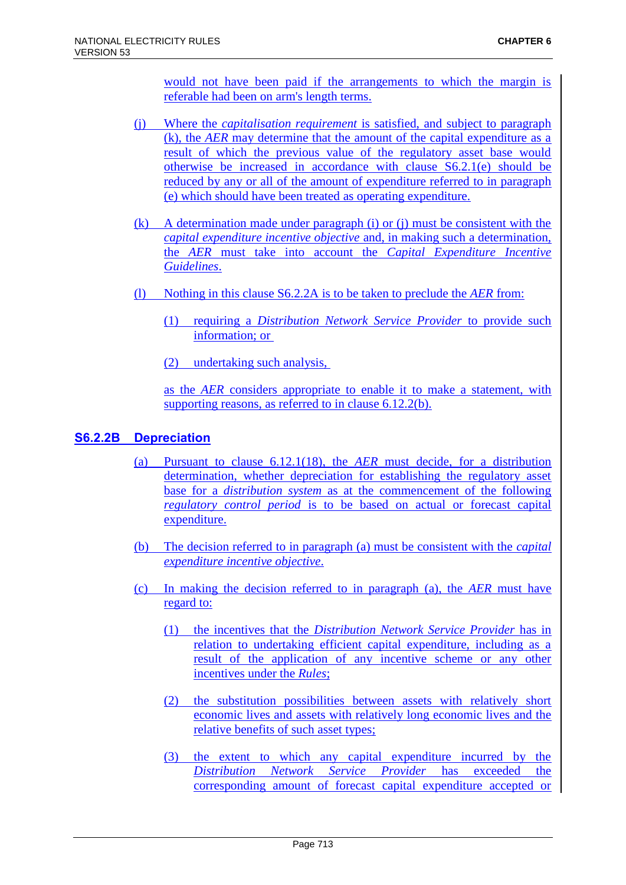would not have been paid if the arrangements to which the margin is referable had been on arm's length terms.

- (j) Where the *capitalisation requirement* is satisfied, and subject to paragraph (k), the *AER* may determine that the amount of the capital expenditure as a result of which the previous value of the regulatory asset base would otherwise be increased in accordance with clause S6.2.1(e) should be reduced by any or all of the amount of expenditure referred to in paragraph (e) which should have been treated as operating expenditure.
- (k) A determination made under paragraph (i) or (j) must be consistent with the *capital expenditure incentive objective* and, in making such a determination, the *AER* must take into account the *Capital Expenditure Incentive Guidelines*.
- (l) Nothing in this clause S6.2.2A is to be taken to preclude the *AER* from:
	- (1) requiring a *Distribution Network Service Provider* to provide such information; or
	- (2) undertaking such analysis,

as the *AER* considers appropriate to enable it to make a statement, with supporting reasons, as referred to in clause 6.12.2(b).

## **S6.2.2B Depreciation**

- (a) Pursuant to clause 6.12.1(18), the *AER* must decide, for a distribution determination, whether depreciation for establishing the regulatory asset base for a *distribution system* as at the commencement of the following *regulatory control period* is to be based on actual or forecast capital expenditure.
- (b) The decision referred to in paragraph (a) must be consistent with the *capital expenditure incentive objective*.
- (c) In making the decision referred to in paragraph (a), the *AER* must have regard to:
	- (1) the incentives that the *Distribution Network Service Provider* has in relation to undertaking efficient capital expenditure, including as a result of the application of any incentive scheme or any other incentives under the *Rules*;
	- (2) the substitution possibilities between assets with relatively short economic lives and assets with relatively long economic lives and the relative benefits of such asset types;
	- (3) the extent to which any capital expenditure incurred by the *Distribution Network Service Provider* has exceeded the corresponding amount of forecast capital expenditure accepted or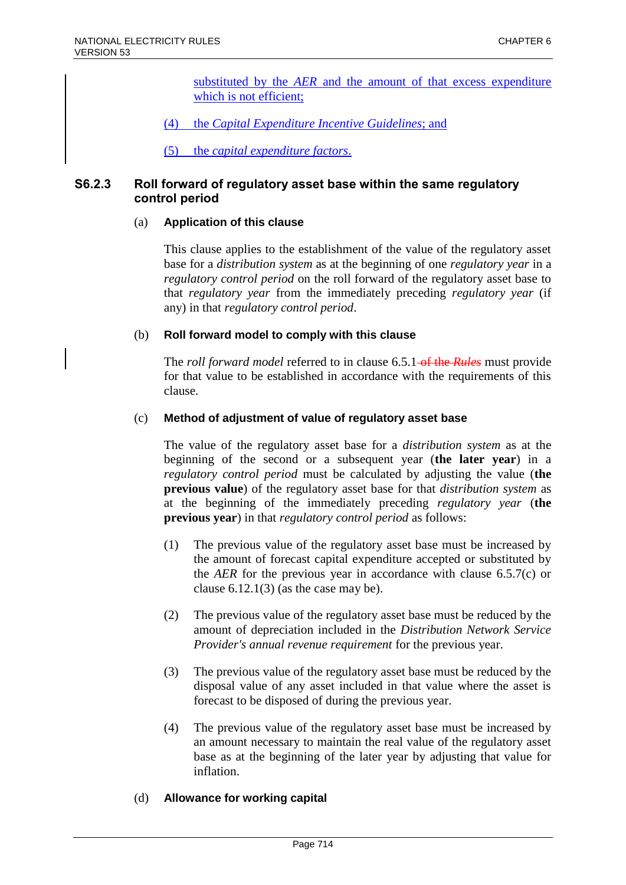substituted by the *AER* and the amount of that excess expenditure which is not efficient;

(4) the *Capital Expenditure Incentive Guidelines*; and

(5) the *capital expenditure factors*.

## **S6.2.3 Roll forward of regulatory asset base within the same regulatory control period**

#### (a) **Application of this clause**

This clause applies to the establishment of the value of the regulatory asset base for a *distribution system* as at the beginning of one *regulatory year* in a *regulatory control period* on the roll forward of the regulatory asset base to that *regulatory year* from the immediately preceding *regulatory year* (if any) in that *regulatory control period*.

#### (b) **Roll forward model to comply with this clause**

The *roll forward model* referred to in clause 6.5.1 of the *Rules* must provide for that value to be established in accordance with the requirements of this clause.

#### (c) **Method of adjustment of value of regulatory asset base**

The value of the regulatory asset base for a *distribution system* as at the beginning of the second or a subsequent year (**the later year**) in a *regulatory control period* must be calculated by adjusting the value (**the previous value**) of the regulatory asset base for that *distribution system* as at the beginning of the immediately preceding *regulatory year* (**the previous year**) in that *regulatory control period* as follows:

- (1) The previous value of the regulatory asset base must be increased by the amount of forecast capital expenditure accepted or substituted by the *AER* for the previous year in accordance with clause 6.5.7(c) or clause  $6.12.1(3)$  (as the case may be).
- (2) The previous value of the regulatory asset base must be reduced by the amount of depreciation included in the *Distribution Network Service Provider's annual revenue requirement* for the previous year.
- (3) The previous value of the regulatory asset base must be reduced by the disposal value of any asset included in that value where the asset is forecast to be disposed of during the previous year.
- (4) The previous value of the regulatory asset base must be increased by an amount necessary to maintain the real value of the regulatory asset base as at the beginning of the later year by adjusting that value for inflation.

#### (d) **Allowance for working capital**